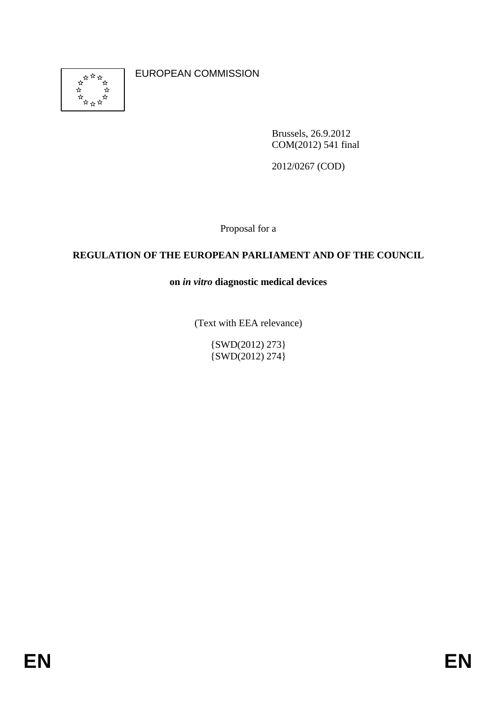

EUROPEAN COMMISSION

Brussels, 26.9.2012 COM(2012) 541 final

2012/0267 (COD)

Proposal for a

## **REGULATION OF THE EUROPEAN PARLIAMENT AND OF THE COUNCIL**

**on** *in vitro* **diagnostic medical devices** 

(Text with EEA relevance)

{SWD(2012) 273}  $\{SWD(2012) 274\}$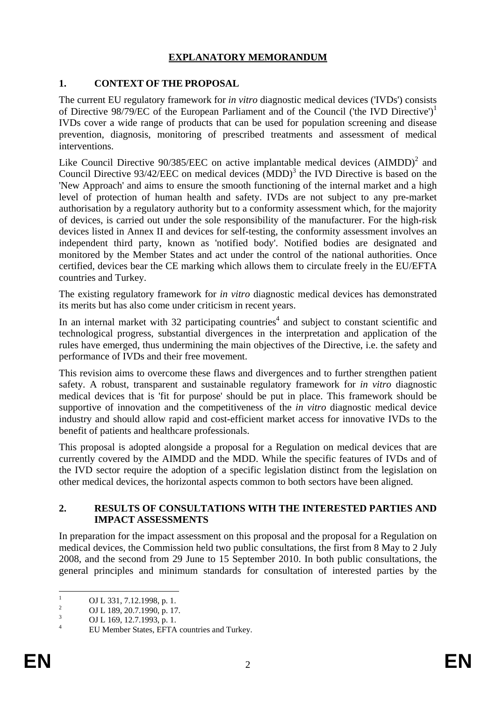### **EXPLANATORY MEMORANDUM**

## **1. CONTEXT OF THE PROPOSAL**

The current EU regulatory framework for *in vitro* diagnostic medical devices ('IVDs') consists of Directive 98/79/EC of the European Parliament and of the Council ('the IVD Directive')1 IVDs cover a wide range of products that can be used for population screening and disease prevention, diagnosis, monitoring of prescribed treatments and assessment of medical interventions.

Like Council Directive  $90/385/EEC$  on active implantable medical devices  $(AIMDD)^2$  and Council Directive  $93/42/EEC$  on medical devices  $(MDD)<sup>3</sup>$  the IVD Directive is based on the 'New Approach' and aims to ensure the smooth functioning of the internal market and a high level of protection of human health and safety. IVDs are not subject to any pre-market authorisation by a regulatory authority but to a conformity assessment which, for the majority of devices, is carried out under the sole responsibility of the manufacturer. For the high-risk devices listed in Annex II and devices for self-testing, the conformity assessment involves an independent third party, known as 'notified body'. Notified bodies are designated and monitored by the Member States and act under the control of the national authorities. Once certified, devices bear the CE marking which allows them to circulate freely in the EU/EFTA countries and Turkey.

The existing regulatory framework for *in vitro* diagnostic medical devices has demonstrated its merits but has also come under criticism in recent years.

In an internal market with 32 participating countries<sup>4</sup> and subject to constant scientific and technological progress, substantial divergences in the interpretation and application of the rules have emerged, thus undermining the main objectives of the Directive, i.e. the safety and performance of IVDs and their free movement.

This revision aims to overcome these flaws and divergences and to further strengthen patient safety. A robust, transparent and sustainable regulatory framework for *in vitro* diagnostic medical devices that is 'fit for purpose' should be put in place. This framework should be supportive of innovation and the competitiveness of the *in vitro* diagnostic medical device industry and should allow rapid and cost-efficient market access for innovative IVDs to the benefit of patients and healthcare professionals.

This proposal is adopted alongside a proposal for a Regulation on medical devices that are currently covered by the AIMDD and the MDD. While the specific features of IVDs and of the IVD sector require the adoption of a specific legislation distinct from the legislation on other medical devices, the horizontal aspects common to both sectors have been aligned.

### **2. RESULTS OF CONSULTATIONS WITH THE INTERESTED PARTIES AND IMPACT ASSESSMENTS**

In preparation for the impact assessment on this proposal and the proposal for a Regulation on medical devices, the Commission held two public consultations, the first from 8 May to 2 July 2008, and the second from 29 June to 15 September 2010. In both public consultations, the general principles and minimum standards for consultation of interested parties by the

 $\frac{1}{1}$ OJ L 331, 7.12.1998, p. 1.

<sup>2</sup> OJ L 189, 20.7.1990, p. 17.

<sup>3</sup> OJ L 169, 12.7.1993, p. 1.

<sup>4</sup> EU Member States, EFTA countries and Turkey.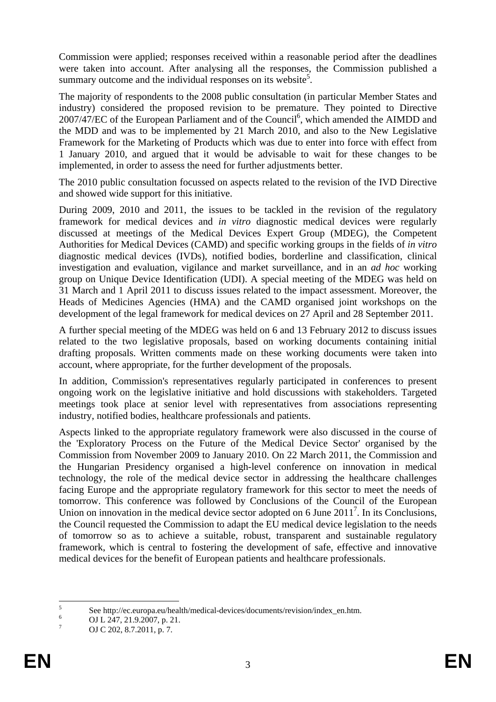Commission were applied; responses received within a reasonable period after the deadlines were taken into account. After analysing all the responses, the Commission published a summary outcome and the individual responses on its website<sup>5</sup>.

The majority of respondents to the 2008 public consultation (in particular Member States and industry) considered the proposed revision to be premature. They pointed to Directive 2007/47/EC of the European Parliament and of the Council<sup>6</sup>, which amended the AIMDD and the MDD and was to be implemented by 21 March 2010, and also to the New Legislative Framework for the Marketing of Products which was due to enter into force with effect from 1 January 2010, and argued that it would be advisable to wait for these changes to be implemented, in order to assess the need for further adjustments better.

The 2010 public consultation focussed on aspects related to the revision of the IVD Directive and showed wide support for this initiative.

During 2009, 2010 and 2011, the issues to be tackled in the revision of the regulatory framework for medical devices and *in vitro* diagnostic medical devices were regularly discussed at meetings of the Medical Devices Expert Group (MDEG), the Competent Authorities for Medical Devices (CAMD) and specific working groups in the fields of *in vitro* diagnostic medical devices (IVDs), notified bodies, borderline and classification, clinical investigation and evaluation, vigilance and market surveillance, and in an *ad hoc* working group on Unique Device Identification (UDI). A special meeting of the MDEG was held on 31 March and 1 April 2011 to discuss issues related to the impact assessment. Moreover, the Heads of Medicines Agencies (HMA) and the CAMD organised joint workshops on the development of the legal framework for medical devices on 27 April and 28 September 2011.

A further special meeting of the MDEG was held on 6 and 13 February 2012 to discuss issues related to the two legislative proposals, based on working documents containing initial drafting proposals. Written comments made on these working documents were taken into account, where appropriate, for the further development of the proposals.

In addition, Commission's representatives regularly participated in conferences to present ongoing work on the legislative initiative and hold discussions with stakeholders. Targeted meetings took place at senior level with representatives from associations representing industry, notified bodies, healthcare professionals and patients.

Aspects linked to the appropriate regulatory framework were also discussed in the course of the 'Exploratory Process on the Future of the Medical Device Sector' organised by the Commission from November 2009 to January 2010. On 22 March 2011, the Commission and the Hungarian Presidency organised a high-level conference on innovation in medical technology, the role of the medical device sector in addressing the healthcare challenges facing Europe and the appropriate regulatory framework for this sector to meet the needs of tomorrow. This conference was followed by Conclusions of the Council of the European Union on innovation in the medical device sector adopted on 6 June  $2011^7$ . In its Conclusions, the Council requested the Commission to adapt the EU medical device legislation to the needs of tomorrow so as to achieve a suitable, robust, transparent and sustainable regulatory framework, which is central to fostering the development of safe, effective and innovative medical devices for the benefit of European patients and healthcare professionals.

 $\frac{1}{5}$ See http://ec.europa.eu/health/medical-devices/documents/revision/index\_en.htm.

<sup>6</sup> OJ L 247, 21.9.2007, p. 21.

<sup>7</sup> OJ C 202, 8.7.2011, p. 7.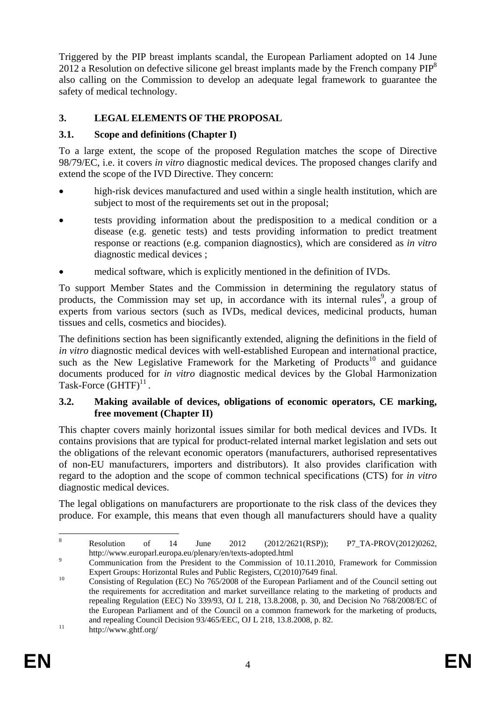Triggered by the PIP breast implants scandal, the European Parliament adopted on 14 June 2012 a Resolution on defective silicone gel breast implants made by the French company  $PIP^8$ also calling on the Commission to develop an adequate legal framework to guarantee the safety of medical technology.

## **3. LEGAL ELEMENTS OF THE PROPOSAL**

## **3.1. Scope and definitions (Chapter I)**

To a large extent, the scope of the proposed Regulation matches the scope of Directive 98/79/EC, i.e. it covers *in vitro* diagnostic medical devices. The proposed changes clarify and extend the scope of the IVD Directive. They concern:

- high-risk devices manufactured and used within a single health institution, which are subject to most of the requirements set out in the proposal;
- tests providing information about the predisposition to a medical condition or a disease (e.g. genetic tests) and tests providing information to predict treatment response or reactions (e.g. companion diagnostics), which are considered as *in vitro* diagnostic medical devices ;
- medical software, which is explicitly mentioned in the definition of IVDs.

To support Member States and the Commission in determining the regulatory status of products, the Commission may set up, in accordance with its internal rules<sup>9</sup>, a group of experts from various sectors (such as IVDs, medical devices, medicinal products, human tissues and cells, cosmetics and biocides).

The definitions section has been significantly extended, aligning the definitions in the field of *in vitro* diagnostic medical devices with well-established European and international practice, such as the New Legislative Framework for the Marketing of Products<sup>10</sup> and guidance documents produced for *in vitro* diagnostic medical devices by the Global Harmonization Task-Force  $(GHTF)^{11}$ .

### **3.2. Making available of devices, obligations of economic operators, CE marking, free movement (Chapter II)**

This chapter covers mainly horizontal issues similar for both medical devices and IVDs. It contains provisions that are typical for product-related internal market legislation and sets out the obligations of the relevant economic operators (manufacturers, authorised representatives of non-EU manufacturers, importers and distributors). It also provides clarification with regard to the adoption and the scope of common technical specifications (CTS) for *in vitro* diagnostic medical devices.

The legal obligations on manufacturers are proportionate to the risk class of the devices they produce. For example, this means that even though all manufacturers should have a quality

 $\frac{1}{8}$  Resolution of 14 June 2012 (2012/2621(RSP)); P7\_TA-PROV(2012)0262, http://www.europarl.europa.eu/plenary/en/texts-adopted.html 9

Communication from the President to the Commission of 10.11.2010, Framework for Commission Expert Groups: Horizontal Rules and Public Registers, C(2010)7649 final.

Expert Groups: Horizontal Rules and Public Registers, C(2010)7649 final. 10 Consisting of Regulation (EC) No 765/2008 of the European Parliament and of the Council setting out the requirements for accreditation and market surveillance relating to the marketing of products and repealing Regulation (EEC) No 339/93, OJ L 218, 13.8.2008, p. 30, and Decision No 768/2008/EC of the European Parliament and of the Council on a common framework for the marketing of products, and repealing Council Decision 93/465/EEC, OJ L 218, 13.8.2008, p. 82.<br>http://www.ghtf.org/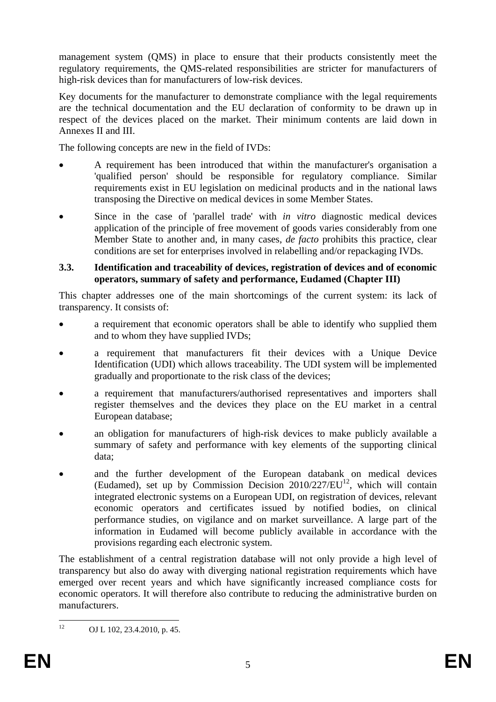management system (QMS) in place to ensure that their products consistently meet the regulatory requirements, the QMS-related responsibilities are stricter for manufacturers of high-risk devices than for manufacturers of low-risk devices.

Key documents for the manufacturer to demonstrate compliance with the legal requirements are the technical documentation and the EU declaration of conformity to be drawn up in respect of the devices placed on the market. Their minimum contents are laid down in Annexes II and III.

The following concepts are new in the field of IVDs:

- A requirement has been introduced that within the manufacturer's organisation a 'qualified person' should be responsible for regulatory compliance. Similar requirements exist in EU legislation on medicinal products and in the national laws transposing the Directive on medical devices in some Member States.
- Since in the case of 'parallel trade' with *in vitro* diagnostic medical devices application of the principle of free movement of goods varies considerably from one Member State to another and, in many cases, *de facto* prohibits this practice, clear conditions are set for enterprises involved in relabelling and/or repackaging IVDs.

## **3.3. Identification and traceability of devices, registration of devices and of economic operators, summary of safety and performance, Eudamed (Chapter III)**

This chapter addresses one of the main shortcomings of the current system: its lack of transparency. It consists of:

- a requirement that economic operators shall be able to identify who supplied them and to whom they have supplied IVDs;
- a requirement that manufacturers fit their devices with a Unique Device Identification (UDI) which allows traceability. The UDI system will be implemented gradually and proportionate to the risk class of the devices;
- a requirement that manufacturers/authorised representatives and importers shall register themselves and the devices they place on the EU market in a central European database;
- an obligation for manufacturers of high-risk devices to make publicly available a summary of safety and performance with key elements of the supporting clinical data;
- and the further development of the European databank on medical devices (Eudamed), set up by Commission Decision  $2010/227/EU^{12}$ , which will contain integrated electronic systems on a European UDI, on registration of devices, relevant economic operators and certificates issued by notified bodies, on clinical performance studies, on vigilance and on market surveillance. A large part of the information in Eudamed will become publicly available in accordance with the provisions regarding each electronic system.

The establishment of a central registration database will not only provide a high level of transparency but also do away with diverging national registration requirements which have emerged over recent years and which have significantly increased compliance costs for economic operators. It will therefore also contribute to reducing the administrative burden on manufacturers.

 $12<sup>12</sup>$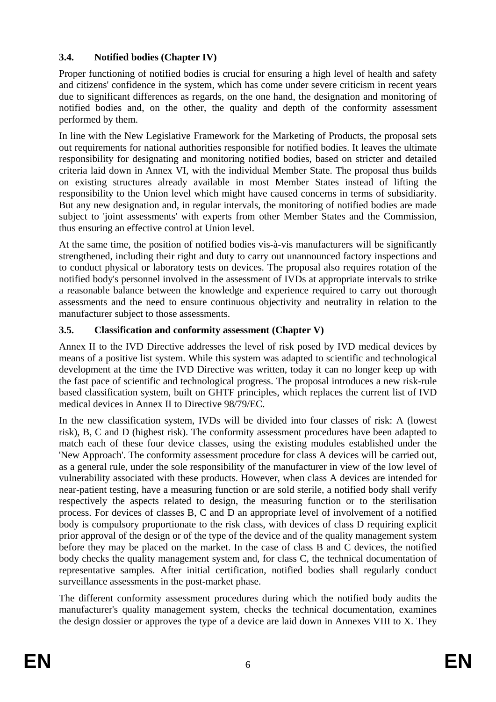## **3.4. Notified bodies (Chapter IV)**

Proper functioning of notified bodies is crucial for ensuring a high level of health and safety and citizens' confidence in the system, which has come under severe criticism in recent years due to significant differences as regards, on the one hand, the designation and monitoring of notified bodies and, on the other, the quality and depth of the conformity assessment performed by them.

In line with the New Legislative Framework for the Marketing of Products, the proposal sets out requirements for national authorities responsible for notified bodies. It leaves the ultimate responsibility for designating and monitoring notified bodies, based on stricter and detailed criteria laid down in Annex VI, with the individual Member State. The proposal thus builds on existing structures already available in most Member States instead of lifting the responsibility to the Union level which might have caused concerns in terms of subsidiarity. But any new designation and, in regular intervals, the monitoring of notified bodies are made subject to 'joint assessments' with experts from other Member States and the Commission, thus ensuring an effective control at Union level.

At the same time, the position of notified bodies vis-à-vis manufacturers will be significantly strengthened, including their right and duty to carry out unannounced factory inspections and to conduct physical or laboratory tests on devices. The proposal also requires rotation of the notified body's personnel involved in the assessment of IVDs at appropriate intervals to strike a reasonable balance between the knowledge and experience required to carry out thorough assessments and the need to ensure continuous objectivity and neutrality in relation to the manufacturer subject to those assessments.

## **3.5. Classification and conformity assessment (Chapter V)**

Annex II to the IVD Directive addresses the level of risk posed by IVD medical devices by means of a positive list system. While this system was adapted to scientific and technological development at the time the IVD Directive was written, today it can no longer keep up with the fast pace of scientific and technological progress. The proposal introduces a new risk-rule based classification system, built on GHTF principles, which replaces the current list of IVD medical devices in Annex II to Directive 98/79/EC.

In the new classification system, IVDs will be divided into four classes of risk: A (lowest risk), B, C and D (highest risk). The conformity assessment procedures have been adapted to match each of these four device classes, using the existing modules established under the 'New Approach'. The conformity assessment procedure for class A devices will be carried out, as a general rule, under the sole responsibility of the manufacturer in view of the low level of vulnerability associated with these products. However, when class A devices are intended for near-patient testing, have a measuring function or are sold sterile, a notified body shall verify respectively the aspects related to design, the measuring function or to the sterilisation process. For devices of classes B, C and D an appropriate level of involvement of a notified body is compulsory proportionate to the risk class, with devices of class D requiring explicit prior approval of the design or of the type of the device and of the quality management system before they may be placed on the market. In the case of class B and C devices, the notified body checks the quality management system and, for class C, the technical documentation of representative samples. After initial certification, notified bodies shall regularly conduct surveillance assessments in the post-market phase.

The different conformity assessment procedures during which the notified body audits the manufacturer's quality management system, checks the technical documentation, examines the design dossier or approves the type of a device are laid down in Annexes VIII to X. They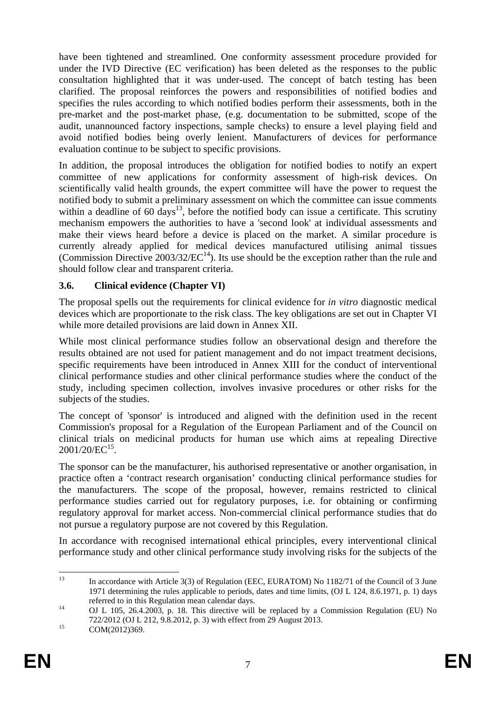have been tightened and streamlined. One conformity assessment procedure provided for under the IVD Directive (EC verification) has been deleted as the responses to the public consultation highlighted that it was under-used. The concept of batch testing has been clarified. The proposal reinforces the powers and responsibilities of notified bodies and specifies the rules according to which notified bodies perform their assessments, both in the pre-market and the post-market phase, (e.g. documentation to be submitted, scope of the audit, unannounced factory inspections, sample checks) to ensure a level playing field and avoid notified bodies being overly lenient. Manufacturers of devices for performance evaluation continue to be subject to specific provisions.

In addition, the proposal introduces the obligation for notified bodies to notify an expert committee of new applications for conformity assessment of high-risk devices. On scientifically valid health grounds, the expert committee will have the power to request the notified body to submit a preliminary assessment on which the committee can issue comments within a deadline of 60 days<sup>13</sup>, before the notified body can issue a certificate. This scrutiny mechanism empowers the authorities to have a 'second look' at individual assessments and make their views heard before a device is placed on the market. A similar procedure is currently already applied for medical devices manufactured utilising animal tissues (Commission Directive  $2003/32/EC^{14}$ ). Its use should be the exception rather than the rule and should follow clear and transparent criteria.

## **3.6. Clinical evidence (Chapter VI)**

The proposal spells out the requirements for clinical evidence for *in vitro* diagnostic medical devices which are proportionate to the risk class. The key obligations are set out in Chapter VI while more detailed provisions are laid down in Annex XII.

While most clinical performance studies follow an observational design and therefore the results obtained are not used for patient management and do not impact treatment decisions, specific requirements have been introduced in Annex XIII for the conduct of interventional clinical performance studies and other clinical performance studies where the conduct of the study, including specimen collection, involves invasive procedures or other risks for the subjects of the studies.

The concept of 'sponsor' is introduced and aligned with the definition used in the recent Commission's proposal for a Regulation of the European Parliament and of the Council on clinical trials on medicinal products for human use which aims at repealing Directive 2001/20/EC<sup>15</sup>.

The sponsor can be the manufacturer, his authorised representative or another organisation, in practice often a 'contract research organisation' conducting clinical performance studies for the manufacturers. The scope of the proposal, however, remains restricted to clinical performance studies carried out for regulatory purposes, i.e. for obtaining or confirming regulatory approval for market access. Non-commercial clinical performance studies that do not pursue a regulatory purpose are not covered by this Regulation.

In accordance with recognised international ethical principles, every interventional clinical performance study and other clinical performance study involving risks for the subjects of the

 $13$ In accordance with Article 3(3) of Regulation (EEC, EURATOM) No 1182/71 of the Council of 3 June 1971 determining the rules applicable to periods, dates and time limits, (OJ L 124, 8.6.1971, p. 1) days referred to in this Regulation mean calendar days. 14 OJ L 105, 26.4.2003, p. 18. This directive will be replaced by a Commission Regulation (EU) No

<sup>722/2012 (</sup>OJ L 212, 9.8.2012, p. 3) with effect from 29 August 2013.<br>COM(2012)369.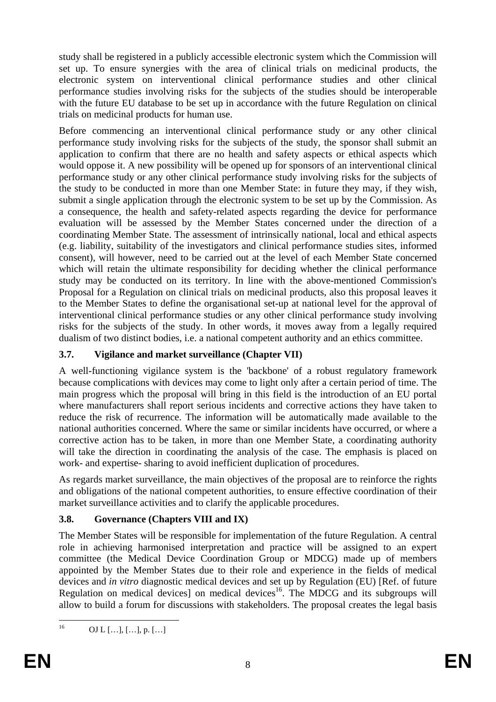study shall be registered in a publicly accessible electronic system which the Commission will set up. To ensure synergies with the area of clinical trials on medicinal products, the electronic system on interventional clinical performance studies and other clinical performance studies involving risks for the subjects of the studies should be interoperable with the future EU database to be set up in accordance with the future Regulation on clinical trials on medicinal products for human use.

Before commencing an interventional clinical performance study or any other clinical performance study involving risks for the subjects of the study, the sponsor shall submit an application to confirm that there are no health and safety aspects or ethical aspects which would oppose it. A new possibility will be opened up for sponsors of an interventional clinical performance study or any other clinical performance study involving risks for the subjects of the study to be conducted in more than one Member State: in future they may, if they wish, submit a single application through the electronic system to be set up by the Commission. As a consequence, the health and safety-related aspects regarding the device for performance evaluation will be assessed by the Member States concerned under the direction of a coordinating Member State. The assessment of intrinsically national, local and ethical aspects (e.g. liability, suitability of the investigators and clinical performance studies sites, informed consent), will however, need to be carried out at the level of each Member State concerned which will retain the ultimate responsibility for deciding whether the clinical performance study may be conducted on its territory. In line with the above-mentioned Commission's Proposal for a Regulation on clinical trials on medicinal products, also this proposal leaves it to the Member States to define the organisational set-up at national level for the approval of interventional clinical performance studies or any other clinical performance study involving risks for the subjects of the study. In other words, it moves away from a legally required dualism of two distinct bodies, i.e. a national competent authority and an ethics committee.

## **3.7. Vigilance and market surveillance (Chapter VII)**

A well-functioning vigilance system is the 'backbone' of a robust regulatory framework because complications with devices may come to light only after a certain period of time. The main progress which the proposal will bring in this field is the introduction of an EU portal where manufacturers shall report serious incidents and corrective actions they have taken to reduce the risk of recurrence. The information will be automatically made available to the national authorities concerned. Where the same or similar incidents have occurred, or where a corrective action has to be taken, in more than one Member State, a coordinating authority will take the direction in coordinating the analysis of the case. The emphasis is placed on work- and expertise- sharing to avoid inefficient duplication of procedures.

As regards market surveillance, the main objectives of the proposal are to reinforce the rights and obligations of the national competent authorities, to ensure effective coordination of their market surveillance activities and to clarify the applicable procedures.

## **3.8. Governance (Chapters VIII and IX)**

The Member States will be responsible for implementation of the future Regulation. A central role in achieving harmonised interpretation and practice will be assigned to an expert committee (the Medical Device Coordination Group or MDCG) made up of members appointed by the Member States due to their role and experience in the fields of medical devices and *in vitro* diagnostic medical devices and set up by Regulation (EU) [Ref. of future Regulation on medical devices] on medical devices<sup>16</sup>. The MDCG and its subgroups will allow to build a forum for discussions with stakeholders. The proposal creates the legal basis

 $16$ 16 OJ L […], […], p. […]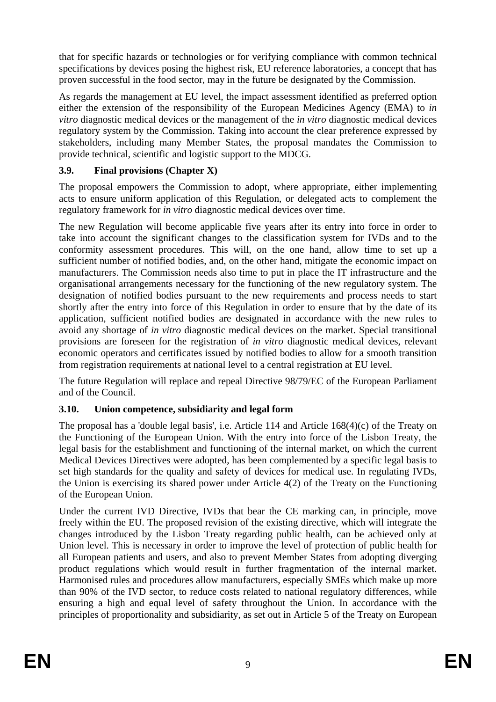that for specific hazards or technologies or for verifying compliance with common technical specifications by devices posing the highest risk, EU reference laboratories, a concept that has proven successful in the food sector, may in the future be designated by the Commission.

As regards the management at EU level, the impact assessment identified as preferred option either the extension of the responsibility of the European Medicines Agency (EMA) to *in vitro* diagnostic medical devices or the management of the *in vitro* diagnostic medical devices regulatory system by the Commission. Taking into account the clear preference expressed by stakeholders, including many Member States, the proposal mandates the Commission to provide technical, scientific and logistic support to the MDCG.

## **3.9. Final provisions (Chapter X)**

The proposal empowers the Commission to adopt, where appropriate, either implementing acts to ensure uniform application of this Regulation, or delegated acts to complement the regulatory framework for *in vitro* diagnostic medical devices over time.

The new Regulation will become applicable five years after its entry into force in order to take into account the significant changes to the classification system for IVDs and to the conformity assessment procedures. This will, on the one hand, allow time to set up a sufficient number of notified bodies, and, on the other hand, mitigate the economic impact on manufacturers. The Commission needs also time to put in place the IT infrastructure and the organisational arrangements necessary for the functioning of the new regulatory system. The designation of notified bodies pursuant to the new requirements and process needs to start shortly after the entry into force of this Regulation in order to ensure that by the date of its application, sufficient notified bodies are designated in accordance with the new rules to avoid any shortage of *in vitro* diagnostic medical devices on the market. Special transitional provisions are foreseen for the registration of *in vitro* diagnostic medical devices, relevant economic operators and certificates issued by notified bodies to allow for a smooth transition from registration requirements at national level to a central registration at EU level.

The future Regulation will replace and repeal Directive 98/79/EC of the European Parliament and of the Council.

## **3.10. Union competence, subsidiarity and legal form**

The proposal has a 'double legal basis', i.e. Article 114 and Article 168(4)(c) of the Treaty on the Functioning of the European Union. With the entry into force of the Lisbon Treaty, the legal basis for the establishment and functioning of the internal market, on which the current Medical Devices Directives were adopted, has been complemented by a specific legal basis to set high standards for the quality and safety of devices for medical use. In regulating IVDs, the Union is exercising its shared power under Article 4(2) of the Treaty on the Functioning of the European Union.

Under the current IVD Directive, IVDs that bear the CE marking can, in principle, move freely within the EU. The proposed revision of the existing directive, which will integrate the changes introduced by the Lisbon Treaty regarding public health, can be achieved only at Union level. This is necessary in order to improve the level of protection of public health for all European patients and users, and also to prevent Member States from adopting diverging product regulations which would result in further fragmentation of the internal market. Harmonised rules and procedures allow manufacturers, especially SMEs which make up more than 90% of the IVD sector, to reduce costs related to national regulatory differences, while ensuring a high and equal level of safety throughout the Union. In accordance with the principles of proportionality and subsidiarity, as set out in Article 5 of the Treaty on European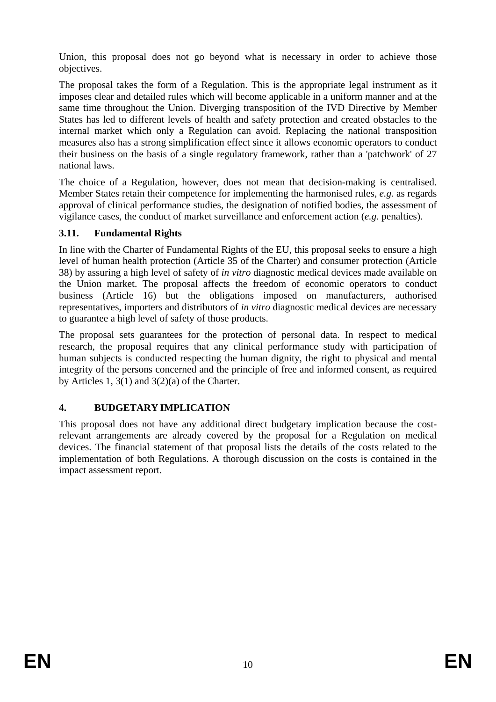Union, this proposal does not go beyond what is necessary in order to achieve those objectives.

The proposal takes the form of a Regulation. This is the appropriate legal instrument as it imposes clear and detailed rules which will become applicable in a uniform manner and at the same time throughout the Union. Diverging transposition of the IVD Directive by Member States has led to different levels of health and safety protection and created obstacles to the internal market which only a Regulation can avoid. Replacing the national transposition measures also has a strong simplification effect since it allows economic operators to conduct their business on the basis of a single regulatory framework, rather than a 'patchwork' of 27 national laws.

The choice of a Regulation, however, does not mean that decision-making is centralised. Member States retain their competence for implementing the harmonised rules, *e.g.* as regards approval of clinical performance studies, the designation of notified bodies, the assessment of vigilance cases, the conduct of market surveillance and enforcement action (*e.g.* penalties).

## **3.11. Fundamental Rights**

In line with the Charter of Fundamental Rights of the EU, this proposal seeks to ensure a high level of human health protection (Article 35 of the Charter) and consumer protection (Article 38) by assuring a high level of safety of *in vitro* diagnostic medical devices made available on the Union market. The proposal affects the freedom of economic operators to conduct business (Article 16) but the obligations imposed on manufacturers, authorised representatives, importers and distributors of *in vitro* diagnostic medical devices are necessary to guarantee a high level of safety of those products.

The proposal sets guarantees for the protection of personal data. In respect to medical research, the proposal requires that any clinical performance study with participation of human subjects is conducted respecting the human dignity, the right to physical and mental integrity of the persons concerned and the principle of free and informed consent, as required by Articles 1,  $3(1)$  and  $3(2)(a)$  of the Charter.

## **4. BUDGETARY IMPLICATION**

This proposal does not have any additional direct budgetary implication because the costrelevant arrangements are already covered by the proposal for a Regulation on medical devices. The financial statement of that proposal lists the details of the costs related to the implementation of both Regulations. A thorough discussion on the costs is contained in the impact assessment report.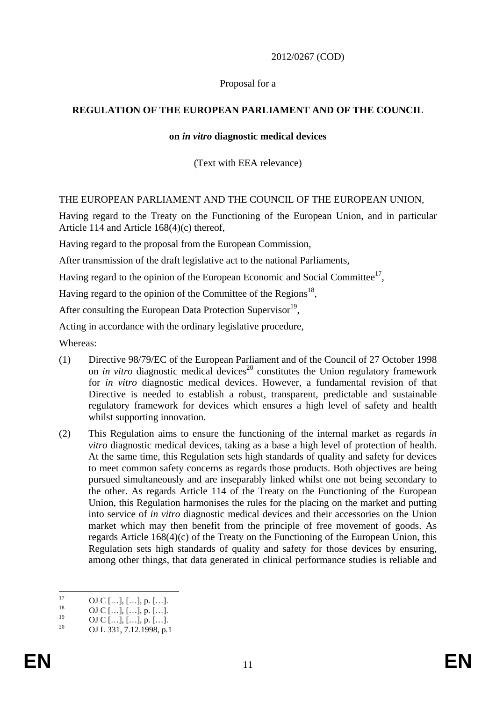## 2012/0267 (COD)

### Proposal for a

## **REGULATION OF THE EUROPEAN PARLIAMENT AND OF THE COUNCIL**

### **on** *in vitro* **diagnostic medical devices**

### (Text with EEA relevance)

### THE EUROPEAN PARLIAMENT AND THE COUNCIL OF THE EUROPEAN UNION,

Having regard to the Treaty on the Functioning of the European Union, and in particular Article 114 and Article 168(4)(c) thereof,

Having regard to the proposal from the European Commission,

After transmission of the draft legislative act to the national Parliaments,

Having regard to the opinion of the European Economic and Social Committee<sup>17</sup>,

Having regard to the opinion of the Committee of the Regions<sup>18</sup>,

After consulting the European Data Protection Supervisor<sup>19</sup>.

Acting in accordance with the ordinary legislative procedure,

Whereas:

- (1) Directive 98/79/EC of the European Parliament and of the Council of 27 October 1998 on *in vitro* diagnostic medical devices<sup>20</sup> constitutes the Union regulatory framework for *in vitro* diagnostic medical devices. However, a fundamental revision of that Directive is needed to establish a robust, transparent, predictable and sustainable regulatory framework for devices which ensures a high level of safety and health whilst supporting innovation.
- (2) This Regulation aims to ensure the functioning of the internal market as regards *in vitro* diagnostic medical devices, taking as a base a high level of protection of health. At the same time, this Regulation sets high standards of quality and safety for devices to meet common safety concerns as regards those products. Both objectives are being pursued simultaneously and are inseparably linked whilst one not being secondary to the other. As regards Article 114 of the Treaty on the Functioning of the European Union, this Regulation harmonises the rules for the placing on the market and putting into service of *in vitro* diagnostic medical devices and their accessories on the Union market which may then benefit from the principle of free movement of goods. As regards Article 168(4)(c) of the Treaty on the Functioning of the European Union, this Regulation sets high standards of quality and safety for those devices by ensuring, among other things, that data generated in clinical performance studies is reliable and

 $17$  $^{17}$  OJ C [...], [...], p. [...].

 $^{18}$  OJ C [...], [...], p. [...].

 $\frac{19}{20}$  OJ C [...], [...], p. [...].

<sup>20</sup> OJ L 331, 7.12.1998, p.1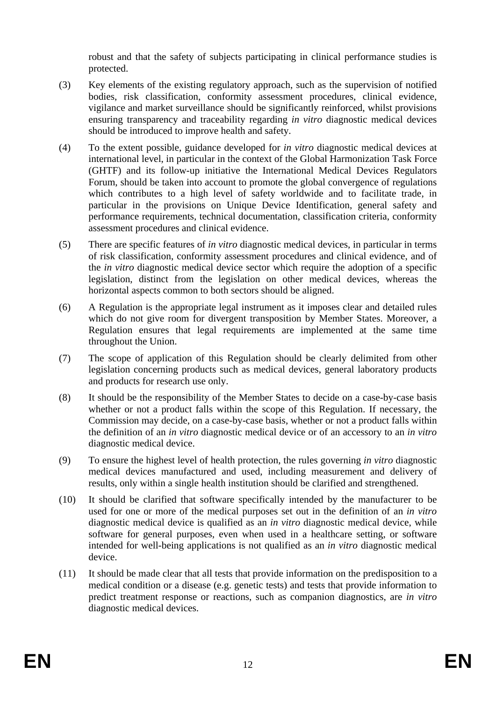robust and that the safety of subjects participating in clinical performance studies is protected.

- (3) Key elements of the existing regulatory approach, such as the supervision of notified bodies, risk classification, conformity assessment procedures, clinical evidence, vigilance and market surveillance should be significantly reinforced, whilst provisions ensuring transparency and traceability regarding *in vitro* diagnostic medical devices should be introduced to improve health and safety.
- (4) To the extent possible, guidance developed for *in vitro* diagnostic medical devices at international level, in particular in the context of the Global Harmonization Task Force (GHTF) and its follow-up initiative the International Medical Devices Regulators Forum, should be taken into account to promote the global convergence of regulations which contributes to a high level of safety worldwide and to facilitate trade, in particular in the provisions on Unique Device Identification, general safety and performance requirements, technical documentation, classification criteria, conformity assessment procedures and clinical evidence.
- (5) There are specific features of *in vitro* diagnostic medical devices, in particular in terms of risk classification, conformity assessment procedures and clinical evidence, and of the *in vitro* diagnostic medical device sector which require the adoption of a specific legislation, distinct from the legislation on other medical devices, whereas the horizontal aspects common to both sectors should be aligned.
- (6) A Regulation is the appropriate legal instrument as it imposes clear and detailed rules which do not give room for divergent transposition by Member States. Moreover, a Regulation ensures that legal requirements are implemented at the same time throughout the Union.
- (7) The scope of application of this Regulation should be clearly delimited from other legislation concerning products such as medical devices, general laboratory products and products for research use only.
- (8) It should be the responsibility of the Member States to decide on a case-by-case basis whether or not a product falls within the scope of this Regulation. If necessary, the Commission may decide, on a case-by-case basis, whether or not a product falls within the definition of an *in vitro* diagnostic medical device or of an accessory to an *in vitro* diagnostic medical device.
- (9) To ensure the highest level of health protection, the rules governing *in vitro* diagnostic medical devices manufactured and used, including measurement and delivery of results, only within a single health institution should be clarified and strengthened.
- (10) It should be clarified that software specifically intended by the manufacturer to be used for one or more of the medical purposes set out in the definition of an *in vitro* diagnostic medical device is qualified as an *in vitro* diagnostic medical device, while software for general purposes, even when used in a healthcare setting, or software intended for well-being applications is not qualified as an *in vitro* diagnostic medical device.
- (11) It should be made clear that all tests that provide information on the predisposition to a medical condition or a disease (e.g. genetic tests) and tests that provide information to predict treatment response or reactions, such as companion diagnostics, are *in vitro* diagnostic medical devices.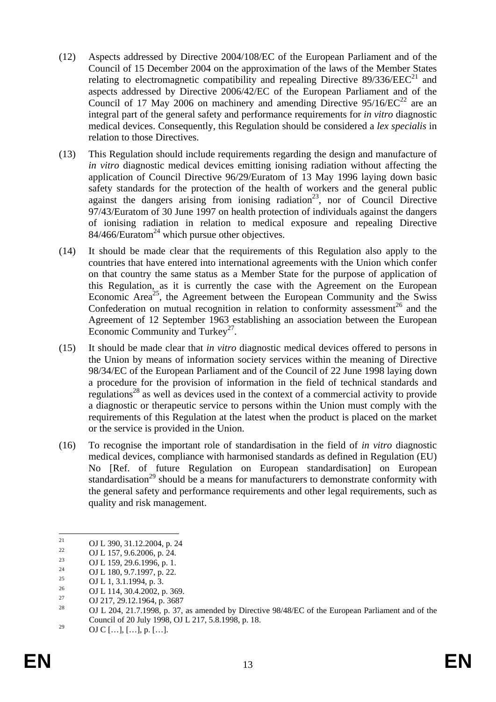- (12) Aspects addressed by Directive 2004/108/EC of the European Parliament and of the Council of 15 December 2004 on the approximation of the laws of the Member States relating to electromagnetic compatibility and repealing Directive  $89/336/EEC^{21}$  and aspects addressed by Directive 2006/42/EC of the European Parliament and of the Council of 17 May 2006 on machinery and amending Directive  $95/16/EC^{22}$  are an integral part of the general safety and performance requirements for *in vitro* diagnostic medical devices. Consequently, this Regulation should be considered a *lex specialis* in relation to those Directives.
- (13) This Regulation should include requirements regarding the design and manufacture of *in vitro* diagnostic medical devices emitting ionising radiation without affecting the application of Council Directive 96/29/Euratom of 13 May 1996 laying down basic safety standards for the protection of the health of workers and the general public against the dangers arising from ionising radiation<sup>23</sup>, nor of Council Directive 97/43/Euratom of 30 June 1997 on health protection of individuals against the dangers of ionising radiation in relation to medical exposure and repealing Directive  $84/466$ /Euratom<sup>24</sup> which pursue other objectives.
- (14) It should be made clear that the requirements of this Regulation also apply to the countries that have entered into international agreements with the Union which confer on that country the same status as a Member State for the purpose of application of this Regulation, as it is currently the case with the Agreement on the European Economic Area<sup>25</sup>, the Agreement between the European Community and the Swiss Confederation on mutual recognition in relation to conformity assessment<sup>26</sup> and the Agreement of 12 September 1963 establishing an association between the European Economic Community and Turkey<sup>27</sup>.
- (15) It should be made clear that *in vitro* diagnostic medical devices offered to persons in the Union by means of information society services within the meaning of Directive 98/34/EC of the European Parliament and of the Council of 22 June 1998 laying down a procedure for the provision of information in the field of technical standards and regulations<sup>28</sup> as well as devices used in the context of a commercial activity to provide a diagnostic or therapeutic service to persons within the Union must comply with the requirements of this Regulation at the latest when the product is placed on the market or the service is provided in the Union.
- (16) To recognise the important role of standardisation in the field of *in vitro* diagnostic medical devices, compliance with harmonised standards as defined in Regulation (EU) No [Ref. of future Regulation on European standardisation] on European standardisation<sup>29</sup> should be a means for manufacturers to demonstrate conformity with the general safety and performance requirements and other legal requirements, such as quality and risk management.

 $21$ <sup>21</sup> OJ L 390, 31.12.2004, p. 24<br><sup>22</sup> OJ L <sup>157</sup>, 0.6.2006, 24

<sup>&</sup>lt;sup>22</sup> OJ L 157, 9.6.2006, p. 24.

<sup>&</sup>lt;sup>23</sup> OJ L 159, 29.6.1996, p. 1.<br><sup>24</sup> OJ L 190, 0.7.1007

<sup>&</sup>lt;sup>24</sup> OJ L 180, 9.7.1997, p. 22.

<sup>&</sup>lt;sup>25</sup> OJ L 1, 3.1.1994, p. 3.<br><sup>26</sup> OJ L 14, 20, 4,2002

<sup>&</sup>lt;sup>26</sup> OJ L 114, 30.4.2002, p. 369.

<sup>&</sup>lt;sup>27</sup> OJ 217, 29.12.1964, p. 3687<br><sup>28</sup> OJ 1.204, 21.7, 1008, p. <sup>27</sup>

<sup>28</sup> OJ L 204, 21.7.1998, p. 37, as amended by Directive 98/48/EC of the European Parliament and of the Council of 20 July 1998, OJ L 217, 5.8.1998, p. 18.

<sup>&</sup>lt;sup>29</sup> OJ C […], […], p. […].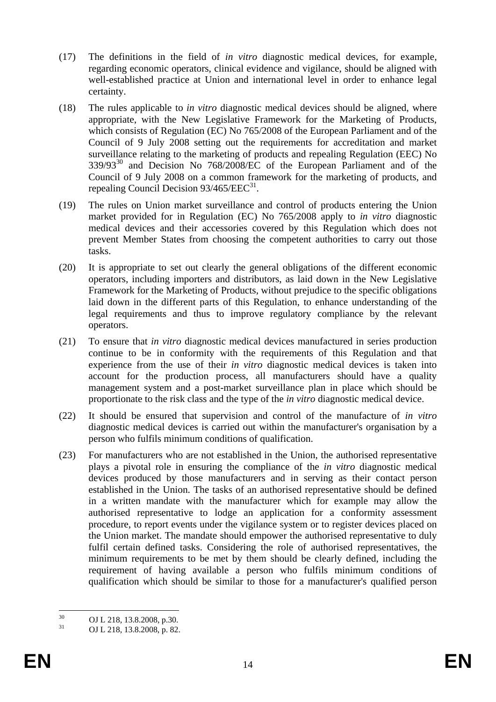- (17) The definitions in the field of *in vitro* diagnostic medical devices, for example, regarding economic operators, clinical evidence and vigilance, should be aligned with well-established practice at Union and international level in order to enhance legal certainty.
- (18) The rules applicable to *in vitro* diagnostic medical devices should be aligned, where appropriate, with the New Legislative Framework for the Marketing of Products, which consists of Regulation (EC) No 765/2008 of the European Parliament and of the Council of 9 July 2008 setting out the requirements for accreditation and market surveillance relating to the marketing of products and repealing Regulation (EEC) No  $339/93^{30}$  and Decision No  $768/2008/EC$  of the European Parliament and of the Council of 9 July 2008 on a common framework for the marketing of products, and repealing Council Decision  $93/465/EEC^{31}$ .
- (19) The rules on Union market surveillance and control of products entering the Union market provided for in Regulation (EC) No 765/2008 apply to *in vitro* diagnostic medical devices and their accessories covered by this Regulation which does not prevent Member States from choosing the competent authorities to carry out those tasks.
- (20) It is appropriate to set out clearly the general obligations of the different economic operators, including importers and distributors, as laid down in the New Legislative Framework for the Marketing of Products, without prejudice to the specific obligations laid down in the different parts of this Regulation, to enhance understanding of the legal requirements and thus to improve regulatory compliance by the relevant operators.
- (21) To ensure that *in vitro* diagnostic medical devices manufactured in series production continue to be in conformity with the requirements of this Regulation and that experience from the use of their *in vitro* diagnostic medical devices is taken into account for the production process, all manufacturers should have a quality management system and a post-market surveillance plan in place which should be proportionate to the risk class and the type of the *in vitro* diagnostic medical device.
- (22) It should be ensured that supervision and control of the manufacture of *in vitro* diagnostic medical devices is carried out within the manufacturer's organisation by a person who fulfils minimum conditions of qualification.
- (23) For manufacturers who are not established in the Union, the authorised representative plays a pivotal role in ensuring the compliance of the *in vitro* diagnostic medical devices produced by those manufacturers and in serving as their contact person established in the Union. The tasks of an authorised representative should be defined in a written mandate with the manufacturer which for example may allow the authorised representative to lodge an application for a conformity assessment procedure, to report events under the vigilance system or to register devices placed on the Union market. The mandate should empower the authorised representative to duly fulfil certain defined tasks. Considering the role of authorised representatives, the minimum requirements to be met by them should be clearly defined, including the requirement of having available a person who fulfils minimum conditions of qualification which should be similar to those for a manufacturer's qualified person

 $30<sup>2</sup>$  $^{30}$  OJ L 218, 13.8.2008, p.30.<br> $^{31}$  OJ L 218, 12.8.2008, p.32.

<sup>31</sup> OJ L 218, 13.8.2008, p. 82.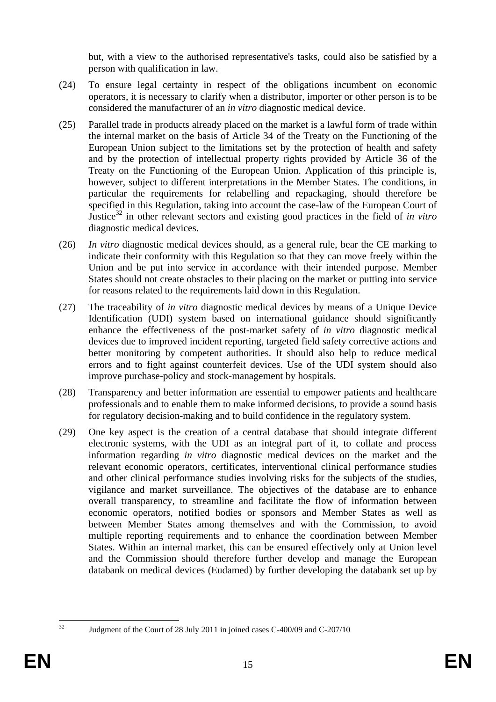but, with a view to the authorised representative's tasks, could also be satisfied by a person with qualification in law.

- (24) To ensure legal certainty in respect of the obligations incumbent on economic operators, it is necessary to clarify when a distributor, importer or other person is to be considered the manufacturer of an *in vitro* diagnostic medical device.
- (25) Parallel trade in products already placed on the market is a lawful form of trade within the internal market on the basis of Article 34 of the Treaty on the Functioning of the European Union subject to the limitations set by the protection of health and safety and by the protection of intellectual property rights provided by Article 36 of the Treaty on the Functioning of the European Union. Application of this principle is, however, subject to different interpretations in the Member States. The conditions, in particular the requirements for relabelling and repackaging, should therefore be specified in this Regulation, taking into account the case-law of the European Court of Justice32 in other relevant sectors and existing good practices in the field of *in vitro* diagnostic medical devices.
- (26) *In vitro* diagnostic medical devices should, as a general rule, bear the CE marking to indicate their conformity with this Regulation so that they can move freely within the Union and be put into service in accordance with their intended purpose. Member States should not create obstacles to their placing on the market or putting into service for reasons related to the requirements laid down in this Regulation.
- (27) The traceability of *in vitro* diagnostic medical devices by means of a Unique Device Identification (UDI) system based on international guidance should significantly enhance the effectiveness of the post-market safety of *in vitro* diagnostic medical devices due to improved incident reporting, targeted field safety corrective actions and better monitoring by competent authorities. It should also help to reduce medical errors and to fight against counterfeit devices. Use of the UDI system should also improve purchase-policy and stock-management by hospitals.
- (28) Transparency and better information are essential to empower patients and healthcare professionals and to enable them to make informed decisions, to provide a sound basis for regulatory decision-making and to build confidence in the regulatory system.
- (29) One key aspect is the creation of a central database that should integrate different electronic systems, with the UDI as an integral part of it, to collate and process information regarding *in vitro* diagnostic medical devices on the market and the relevant economic operators, certificates, interventional clinical performance studies and other clinical performance studies involving risks for the subjects of the studies, vigilance and market surveillance. The objectives of the database are to enhance overall transparency, to streamline and facilitate the flow of information between economic operators, notified bodies or sponsors and Member States as well as between Member States among themselves and with the Commission, to avoid multiple reporting requirements and to enhance the coordination between Member States. Within an internal market, this can be ensured effectively only at Union level and the Commission should therefore further develop and manage the European databank on medical devices (Eudamed) by further developing the databank set up by

 $32$ 

<sup>32</sup> Judgment of the Court of 28 July 2011 in joined cases C-400/09 and C-207/10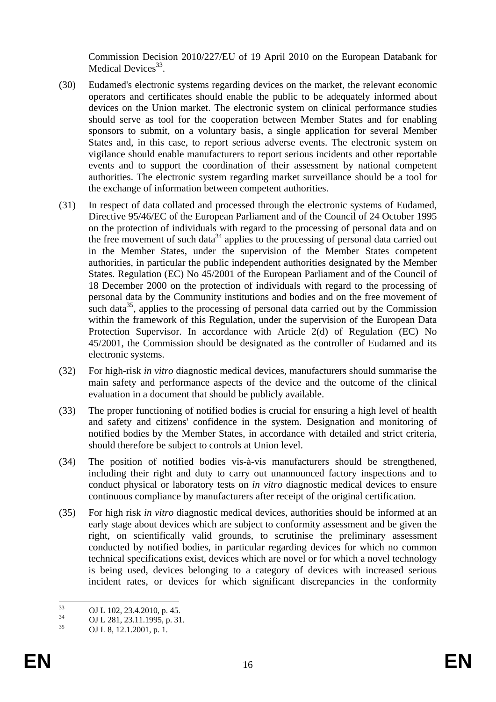Commission Decision 2010/227/EU of 19 April 2010 on the European Databank for Medical Devices $33$ .

- (30) Eudamed's electronic systems regarding devices on the market, the relevant economic operators and certificates should enable the public to be adequately informed about devices on the Union market. The electronic system on clinical performance studies should serve as tool for the cooperation between Member States and for enabling sponsors to submit, on a voluntary basis, a single application for several Member States and, in this case, to report serious adverse events. The electronic system on vigilance should enable manufacturers to report serious incidents and other reportable events and to support the coordination of their assessment by national competent authorities. The electronic system regarding market surveillance should be a tool for the exchange of information between competent authorities.
- (31) In respect of data collated and processed through the electronic systems of Eudamed, Directive 95/46/EC of the European Parliament and of the Council of 24 October 1995 on the protection of individuals with regard to the processing of personal data and on the free movement of such data<sup>34</sup> applies to the processing of personal data carried out in the Member States, under the supervision of the Member States competent authorities, in particular the public independent authorities designated by the Member States. Regulation (EC) No 45/2001 of the European Parliament and of the Council of 18 December 2000 on the protection of individuals with regard to the processing of personal data by the Community institutions and bodies and on the free movement of such data $35$ , applies to the processing of personal data carried out by the Commission within the framework of this Regulation, under the supervision of the European Data Protection Supervisor. In accordance with Article 2(d) of Regulation (EC) No 45/2001, the Commission should be designated as the controller of Eudamed and its electronic systems.
- (32) For high-risk *in vitro* diagnostic medical devices, manufacturers should summarise the main safety and performance aspects of the device and the outcome of the clinical evaluation in a document that should be publicly available.
- (33) The proper functioning of notified bodies is crucial for ensuring a high level of health and safety and citizens' confidence in the system. Designation and monitoring of notified bodies by the Member States, in accordance with detailed and strict criteria, should therefore be subject to controls at Union level.
- (34) The position of notified bodies vis-à-vis manufacturers should be strengthened, including their right and duty to carry out unannounced factory inspections and to conduct physical or laboratory tests on *in vitro* diagnostic medical devices to ensure continuous compliance by manufacturers after receipt of the original certification.
- (35) For high risk *in vitro* diagnostic medical devices, authorities should be informed at an early stage about devices which are subject to conformity assessment and be given the right, on scientifically valid grounds, to scrutinise the preliminary assessment conducted by notified bodies, in particular regarding devices for which no common technical specifications exist, devices which are novel or for which a novel technology is being used, devices belonging to a category of devices with increased serious incident rates, or devices for which significant discrepancies in the conformity

 $33$  $\frac{33}{34}$  OJ L 102, 23.4.2010, p. 45.

 $^{34}$  OJ L 281, 23.11.1995, p. 31.<br> $^{35}$  OJ L 8, 12, 1, 2001, p. 1.

OJ L 8, 12.1.2001, p. 1.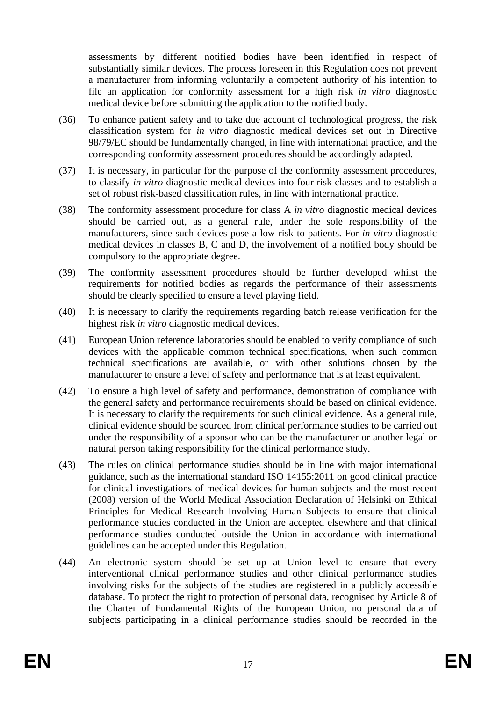assessments by different notified bodies have been identified in respect of substantially similar devices. The process foreseen in this Regulation does not prevent a manufacturer from informing voluntarily a competent authority of his intention to file an application for conformity assessment for a high risk *in vitro* diagnostic medical device before submitting the application to the notified body.

- (36) To enhance patient safety and to take due account of technological progress, the risk classification system for *in vitro* diagnostic medical devices set out in Directive 98/79/EC should be fundamentally changed, in line with international practice, and the corresponding conformity assessment procedures should be accordingly adapted.
- (37) It is necessary, in particular for the purpose of the conformity assessment procedures, to classify *in vitro* diagnostic medical devices into four risk classes and to establish a set of robust risk-based classification rules, in line with international practice.
- (38) The conformity assessment procedure for class A *in vitro* diagnostic medical devices should be carried out, as a general rule, under the sole responsibility of the manufacturers, since such devices pose a low risk to patients. For *in vitro* diagnostic medical devices in classes B, C and D, the involvement of a notified body should be compulsory to the appropriate degree.
- (39) The conformity assessment procedures should be further developed whilst the requirements for notified bodies as regards the performance of their assessments should be clearly specified to ensure a level playing field.
- (40) It is necessary to clarify the requirements regarding batch release verification for the highest risk *in vitro* diagnostic medical devices.
- (41) European Union reference laboratories should be enabled to verify compliance of such devices with the applicable common technical specifications, when such common technical specifications are available, or with other solutions chosen by the manufacturer to ensure a level of safety and performance that is at least equivalent.
- (42) To ensure a high level of safety and performance, demonstration of compliance with the general safety and performance requirements should be based on clinical evidence. It is necessary to clarify the requirements for such clinical evidence. As a general rule, clinical evidence should be sourced from clinical performance studies to be carried out under the responsibility of a sponsor who can be the manufacturer or another legal or natural person taking responsibility for the clinical performance study.
- (43) The rules on clinical performance studies should be in line with major international guidance, such as the international standard ISO 14155:2011 on good clinical practice for clinical investigations of medical devices for human subjects and the most recent (2008) version of the World Medical Association Declaration of Helsinki on Ethical Principles for Medical Research Involving Human Subjects to ensure that clinical performance studies conducted in the Union are accepted elsewhere and that clinical performance studies conducted outside the Union in accordance with international guidelines can be accepted under this Regulation.
- (44) An electronic system should be set up at Union level to ensure that every interventional clinical performance studies and other clinical performance studies involving risks for the subjects of the studies are registered in a publicly accessible database. To protect the right to protection of personal data, recognised by Article 8 of the Charter of Fundamental Rights of the European Union, no personal data of subjects participating in a clinical performance studies should be recorded in the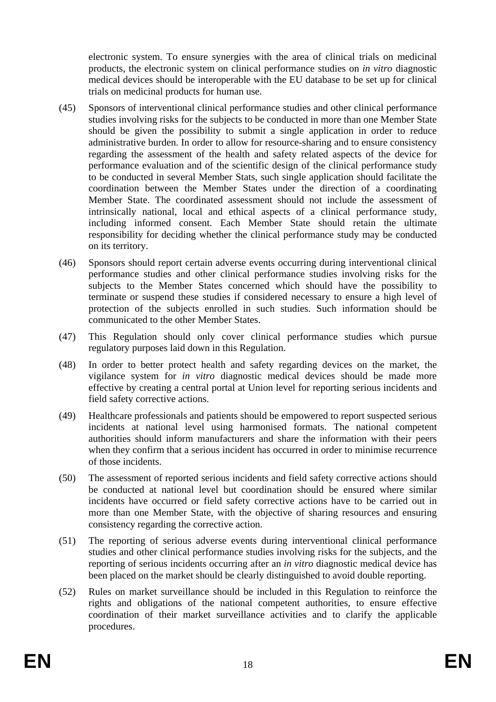electronic system. To ensure synergies with the area of clinical trials on medicinal products, the electronic system on clinical performance studies on *in vitro* diagnostic medical devices should be interoperable with the EU database to be set up for clinical trials on medicinal products for human use.

- (45) Sponsors of interventional clinical performance studies and other clinical performance studies involving risks for the subjects to be conducted in more than one Member State should be given the possibility to submit a single application in order to reduce administrative burden. In order to allow for resource-sharing and to ensure consistency regarding the assessment of the health and safety related aspects of the device for performance evaluation and of the scientific design of the clinical performance study to be conducted in several Member Stats, such single application should facilitate the coordination between the Member States under the direction of a coordinating Member State. The coordinated assessment should not include the assessment of intrinsically national, local and ethical aspects of a clinical performance study, including informed consent. Each Member State should retain the ultimate responsibility for deciding whether the clinical performance study may be conducted on its territory.
- (46) Sponsors should report certain adverse events occurring during interventional clinical performance studies and other clinical performance studies involving risks for the subjects to the Member States concerned which should have the possibility to terminate or suspend these studies if considered necessary to ensure a high level of protection of the subjects enrolled in such studies. Such information should be communicated to the other Member States.
- (47) This Regulation should only cover clinical performance studies which pursue regulatory purposes laid down in this Regulation.
- (48) In order to better protect health and safety regarding devices on the market, the vigilance system for *in vitro* diagnostic medical devices should be made more effective by creating a central portal at Union level for reporting serious incidents and field safety corrective actions.
- (49) Healthcare professionals and patients should be empowered to report suspected serious incidents at national level using harmonised formats. The national competent authorities should inform manufacturers and share the information with their peers when they confirm that a serious incident has occurred in order to minimise recurrence of those incidents.
- (50) The assessment of reported serious incidents and field safety corrective actions should be conducted at national level but coordination should be ensured where similar incidents have occurred or field safety corrective actions have to be carried out in more than one Member State, with the objective of sharing resources and ensuring consistency regarding the corrective action.
- (51) The reporting of serious adverse events during interventional clinical performance studies and other clinical performance studies involving risks for the subjects, and the reporting of serious incidents occurring after an *in vitro* diagnostic medical device has been placed on the market should be clearly distinguished to avoid double reporting.
- (52) Rules on market surveillance should be included in this Regulation to reinforce the rights and obligations of the national competent authorities, to ensure effective coordination of their market surveillance activities and to clarify the applicable procedures.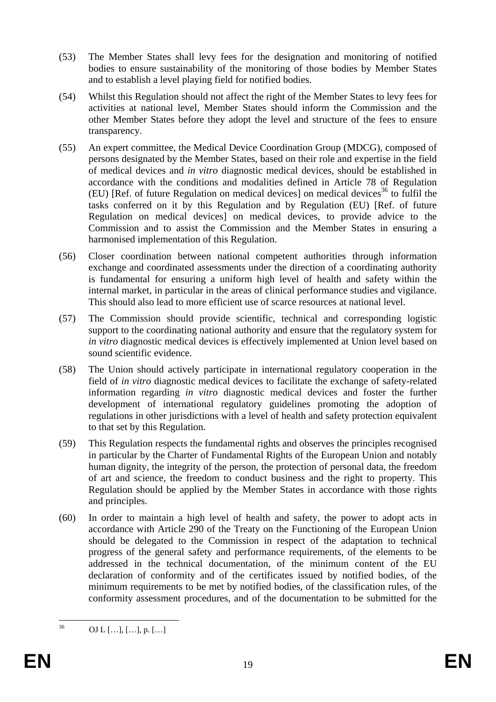- (53) The Member States shall levy fees for the designation and monitoring of notified bodies to ensure sustainability of the monitoring of those bodies by Member States and to establish a level playing field for notified bodies.
- (54) Whilst this Regulation should not affect the right of the Member States to levy fees for activities at national level, Member States should inform the Commission and the other Member States before they adopt the level and structure of the fees to ensure transparency.
- (55) An expert committee, the Medical Device Coordination Group (MDCG), composed of persons designated by the Member States, based on their role and expertise in the field of medical devices and *in vitro* diagnostic medical devices, should be established in accordance with the conditions and modalities defined in Article 78 of Regulation (EU) [Ref. of future Regulation on medical devices] on medical devices<sup>36</sup> to fulfil the tasks conferred on it by this Regulation and by Regulation (EU) [Ref. of future Regulation on medical devices] on medical devices, to provide advice to the Commission and to assist the Commission and the Member States in ensuring a harmonised implementation of this Regulation.
- (56) Closer coordination between national competent authorities through information exchange and coordinated assessments under the direction of a coordinating authority is fundamental for ensuring a uniform high level of health and safety within the internal market, in particular in the areas of clinical performance studies and vigilance. This should also lead to more efficient use of scarce resources at national level.
- (57) The Commission should provide scientific, technical and corresponding logistic support to the coordinating national authority and ensure that the regulatory system for *in vitro* diagnostic medical devices is effectively implemented at Union level based on sound scientific evidence.
- (58) The Union should actively participate in international regulatory cooperation in the field of *in vitro* diagnostic medical devices to facilitate the exchange of safety-related information regarding *in vitro* diagnostic medical devices and foster the further development of international regulatory guidelines promoting the adoption of regulations in other jurisdictions with a level of health and safety protection equivalent to that set by this Regulation.
- (59) This Regulation respects the fundamental rights and observes the principles recognised in particular by the Charter of Fundamental Rights of the European Union and notably human dignity, the integrity of the person, the protection of personal data, the freedom of art and science, the freedom to conduct business and the right to property. This Regulation should be applied by the Member States in accordance with those rights and principles.
- (60) In order to maintain a high level of health and safety, the power to adopt acts in accordance with Article 290 of the Treaty on the Functioning of the European Union should be delegated to the Commission in respect of the adaptation to technical progress of the general safety and performance requirements, of the elements to be addressed in the technical documentation, of the minimum content of the EU declaration of conformity and of the certificates issued by notified bodies, of the minimum requirements to be met by notified bodies, of the classification rules, of the conformity assessment procedures, and of the documentation to be submitted for the

 $36$ 36 OJ L […], […], p. […]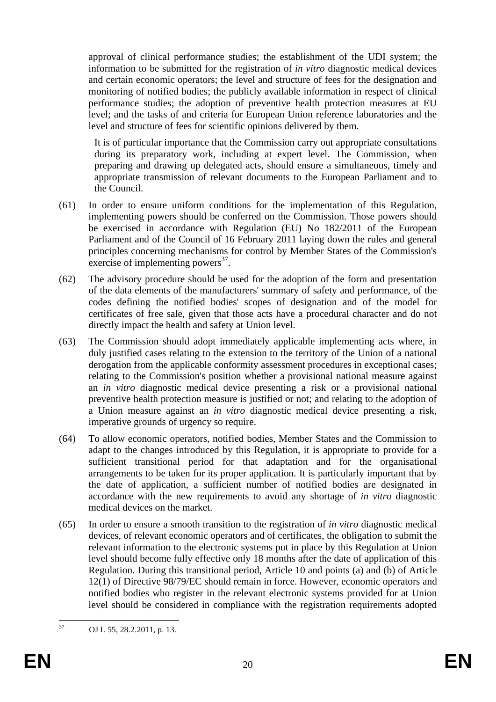approval of clinical performance studies; the establishment of the UDI system; the information to be submitted for the registration of *in vitro* diagnostic medical devices and certain economic operators; the level and structure of fees for the designation and monitoring of notified bodies; the publicly available information in respect of clinical performance studies; the adoption of preventive health protection measures at EU level; and the tasks of and criteria for European Union reference laboratories and the level and structure of fees for scientific opinions delivered by them.

It is of particular importance that the Commission carry out appropriate consultations during its preparatory work, including at expert level. The Commission, when preparing and drawing up delegated acts, should ensure a simultaneous, timely and appropriate transmission of relevant documents to the European Parliament and to the Council.

- (61) In order to ensure uniform conditions for the implementation of this Regulation, implementing powers should be conferred on the Commission. Those powers should be exercised in accordance with Regulation (EU) No 182/2011 of the European Parliament and of the Council of 16 February 2011 laying down the rules and general principles concerning mechanisms for control by Member States of the Commission's exercise of implementing powers $^{37}$ .
- (62) The advisory procedure should be used for the adoption of the form and presentation of the data elements of the manufacturers' summary of safety and performance, of the codes defining the notified bodies' scopes of designation and of the model for certificates of free sale, given that those acts have a procedural character and do not directly impact the health and safety at Union level.
- (63) The Commission should adopt immediately applicable implementing acts where, in duly justified cases relating to the extension to the territory of the Union of a national derogation from the applicable conformity assessment procedures in exceptional cases; relating to the Commission's position whether a provisional national measure against an *in vitro* diagnostic medical device presenting a risk or a provisional national preventive health protection measure is justified or not; and relating to the adoption of a Union measure against an *in vitro* diagnostic medical device presenting a risk, imperative grounds of urgency so require.
- (64) To allow economic operators, notified bodies, Member States and the Commission to adapt to the changes introduced by this Regulation, it is appropriate to provide for a sufficient transitional period for that adaptation and for the organisational arrangements to be taken for its proper application. It is particularly important that by the date of application, a sufficient number of notified bodies are designated in accordance with the new requirements to avoid any shortage of *in vitro* diagnostic medical devices on the market.
- (65) In order to ensure a smooth transition to the registration of *in vitro* diagnostic medical devices, of relevant economic operators and of certificates, the obligation to submit the relevant information to the electronic systems put in place by this Regulation at Union level should become fully effective only 18 months after the date of application of this Regulation. During this transitional period, Article 10 and points (a) and (b) of Article 12(1) of Directive 98/79/EC should remain in force. However, economic operators and notified bodies who register in the relevant electronic systems provided for at Union level should be considered in compliance with the registration requirements adopted

<sup>37</sup> OJ L 55, 28.2.2011, p. 13.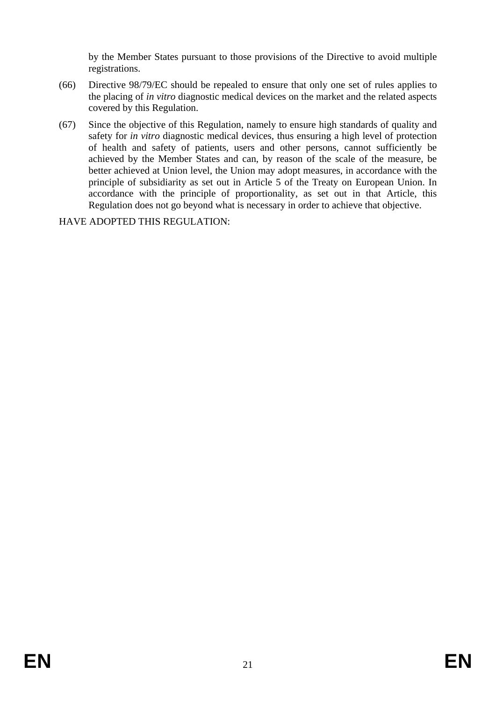by the Member States pursuant to those provisions of the Directive to avoid multiple registrations.

- (66) Directive 98/79/EC should be repealed to ensure that only one set of rules applies to the placing of *in vitro* diagnostic medical devices on the market and the related aspects covered by this Regulation.
- (67) Since the objective of this Regulation, namely to ensure high standards of quality and safety for *in vitro* diagnostic medical devices, thus ensuring a high level of protection of health and safety of patients, users and other persons, cannot sufficiently be achieved by the Member States and can, by reason of the scale of the measure, be better achieved at Union level, the Union may adopt measures, in accordance with the principle of subsidiarity as set out in Article 5 of the Treaty on European Union. In accordance with the principle of proportionality, as set out in that Article, this Regulation does not go beyond what is necessary in order to achieve that objective.

HAVE ADOPTED THIS REGULATION: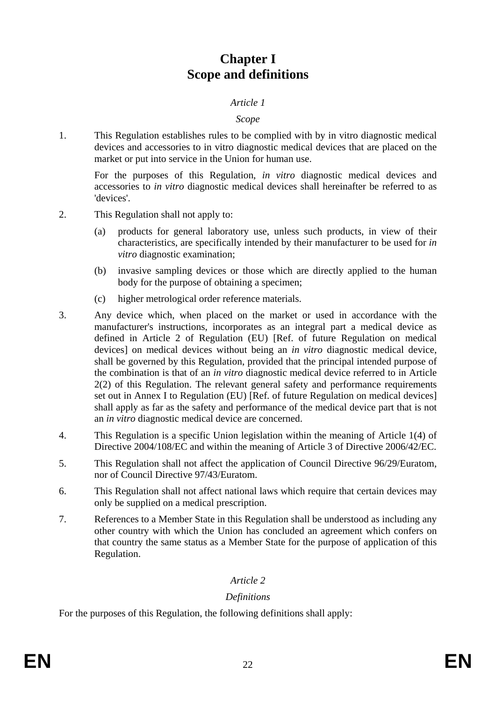# **Chapter I Scope and definitions**

### *Article 1*

### *Scope*

1. This Regulation establishes rules to be complied with by in vitro diagnostic medical devices and accessories to in vitro diagnostic medical devices that are placed on the market or put into service in the Union for human use.

For the purposes of this Regulation, *in vitro* diagnostic medical devices and accessories to *in vitro* diagnostic medical devices shall hereinafter be referred to as 'devices'.

- 2. This Regulation shall not apply to:
	- (a) products for general laboratory use, unless such products, in view of their characteristics, are specifically intended by their manufacturer to be used for *in vitro* diagnostic examination;
	- (b) invasive sampling devices or those which are directly applied to the human body for the purpose of obtaining a specimen;
	- (c) higher metrological order reference materials.
- 3. Any device which, when placed on the market or used in accordance with the manufacturer's instructions, incorporates as an integral part a medical device as defined in Article 2 of Regulation (EU) [Ref. of future Regulation on medical devices] on medical devices without being an *in vitro* diagnostic medical device, shall be governed by this Regulation, provided that the principal intended purpose of the combination is that of an *in vitro* diagnostic medical device referred to in Article 2(2) of this Regulation. The relevant general safety and performance requirements set out in Annex I to Regulation (EU) [Ref. of future Regulation on medical devices] shall apply as far as the safety and performance of the medical device part that is not an *in vitro* diagnostic medical device are concerned.
- 4. This Regulation is a specific Union legislation within the meaning of Article 1(4) of Directive 2004/108/EC and within the meaning of Article 3 of Directive 2006/42/EC.
- 5. This Regulation shall not affect the application of Council Directive 96/29/Euratom, nor of Council Directive 97/43/Euratom.
- 6. This Regulation shall not affect national laws which require that certain devices may only be supplied on a medical prescription.
- 7. References to a Member State in this Regulation shall be understood as including any other country with which the Union has concluded an agreement which confers on that country the same status as a Member State for the purpose of application of this Regulation.

## *Article 2*

## *Definitions*

For the purposes of this Regulation, the following definitions shall apply: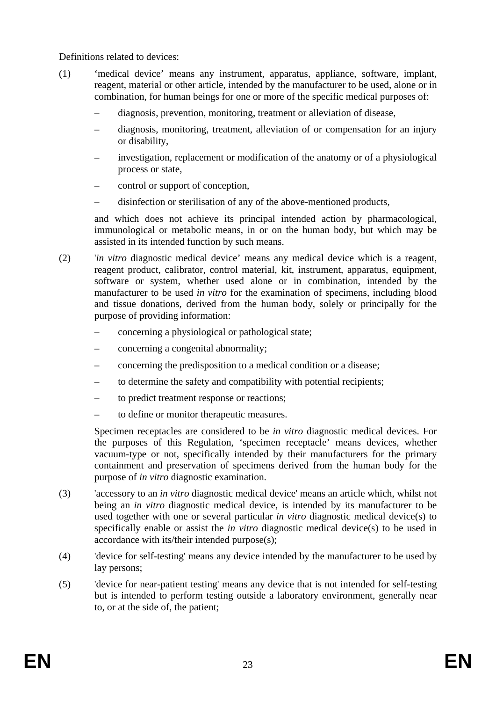Definitions related to devices:

- (1) 'medical device' means any instrument, apparatus, appliance, software, implant, reagent, material or other article, intended by the manufacturer to be used, alone or in combination, for human beings for one or more of the specific medical purposes of:
	- diagnosis, prevention, monitoring, treatment or alleviation of disease,
	- diagnosis, monitoring, treatment, alleviation of or compensation for an injury or disability,
	- investigation, replacement or modification of the anatomy or of a physiological process or state,
	- control or support of conception,
	- disinfection or sterilisation of any of the above-mentioned products,

and which does not achieve its principal intended action by pharmacological, immunological or metabolic means, in or on the human body, but which may be assisted in its intended function by such means.

- (2) '*in vitro* diagnostic medical device' means any medical device which is a reagent, reagent product, calibrator, control material, kit, instrument, apparatus, equipment, software or system, whether used alone or in combination, intended by the manufacturer to be used *in vitro* for the examination of specimens, including blood and tissue donations, derived from the human body, solely or principally for the purpose of providing information:
	- concerning a physiological or pathological state;
	- concerning a congenital abnormality;
	- concerning the predisposition to a medical condition or a disease;
	- to determine the safety and compatibility with potential recipients;
	- to predict treatment response or reactions;
	- to define or monitor therapeutic measures.

Specimen receptacles are considered to be *in vitro* diagnostic medical devices. For the purposes of this Regulation, 'specimen receptacle' means devices, whether vacuum-type or not, specifically intended by their manufacturers for the primary containment and preservation of specimens derived from the human body for the purpose of *in vitro* diagnostic examination.

- (3) 'accessory to an *in vitro* diagnostic medical device' means an article which, whilst not being an *in vitro* diagnostic medical device, is intended by its manufacturer to be used together with one or several particular *in vitro* diagnostic medical device(s) to specifically enable or assist the *in vitro* diagnostic medical device(s) to be used in accordance with its/their intended purpose(s);
- (4) 'device for self-testing' means any device intended by the manufacturer to be used by lay persons;
- (5) 'device for near-patient testing' means any device that is not intended for self-testing but is intended to perform testing outside a laboratory environment, generally near to, or at the side of, the patient;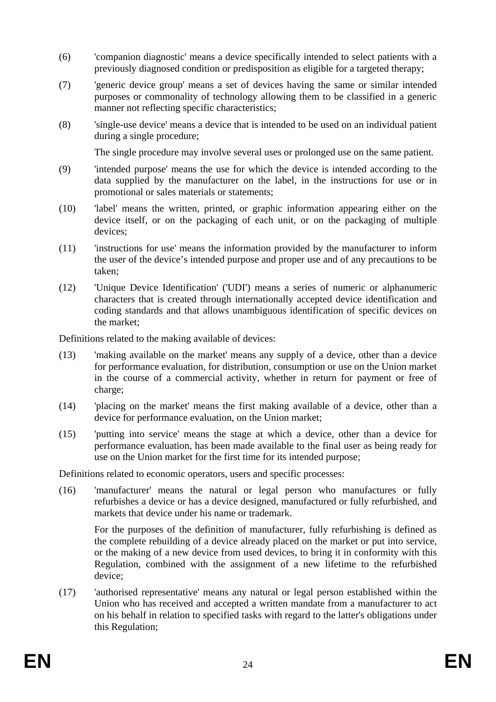- (6) 'companion diagnostic' means a device specifically intended to select patients with a previously diagnosed condition or predisposition as eligible for a targeted therapy;
- (7) 'generic device group' means a set of devices having the same or similar intended purposes or commonality of technology allowing them to be classified in a generic manner not reflecting specific characteristics;
- (8) 'single-use device' means a device that is intended to be used on an individual patient during a single procedure;

The single procedure may involve several uses or prolonged use on the same patient.

- (9) 'intended purpose' means the use for which the device is intended according to the data supplied by the manufacturer on the label, in the instructions for use or in promotional or sales materials or statements;
- (10) 'label' means the written, printed, or graphic information appearing either on the device itself, or on the packaging of each unit, or on the packaging of multiple devices;
- (11) 'instructions for use' means the information provided by the manufacturer to inform the user of the device's intended purpose and proper use and of any precautions to be taken;
- (12) 'Unique Device Identification' ('UDI') means a series of numeric or alphanumeric characters that is created through internationally accepted device identification and coding standards and that allows unambiguous identification of specific devices on the market;

Definitions related to the making available of devices:

- (13) 'making available on the market' means any supply of a device, other than a device for performance evaluation, for distribution, consumption or use on the Union market in the course of a commercial activity, whether in return for payment or free of charge;
- (14) 'placing on the market' means the first making available of a device, other than a device for performance evaluation, on the Union market;
- (15) 'putting into service' means the stage at which a device, other than a device for performance evaluation, has been made available to the final user as being ready for use on the Union market for the first time for its intended purpose;

Definitions related to economic operators, users and specific processes:

(16) 'manufacturer' means the natural or legal person who manufactures or fully refurbishes a device or has a device designed, manufactured or fully refurbished, and markets that device under his name or trademark.

For the purposes of the definition of manufacturer, fully refurbishing is defined as the complete rebuilding of a device already placed on the market or put into service, or the making of a new device from used devices, to bring it in conformity with this Regulation, combined with the assignment of a new lifetime to the refurbished device;

(17) 'authorised representative' means any natural or legal person established within the Union who has received and accepted a written mandate from a manufacturer to act on his behalf in relation to specified tasks with regard to the latter's obligations under this Regulation;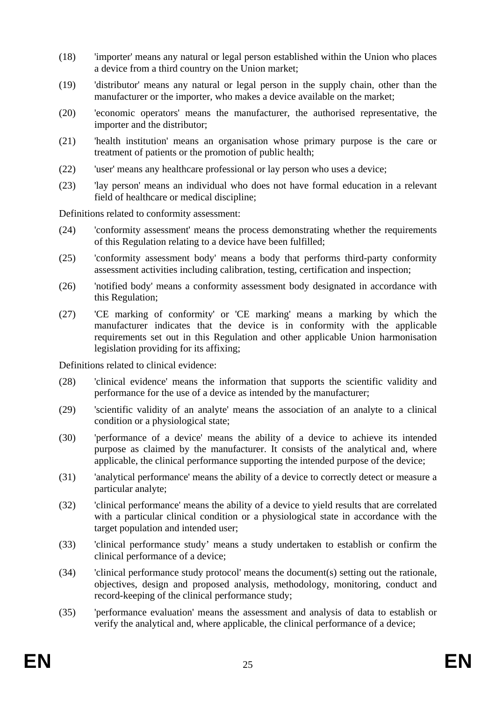- (18) 'importer' means any natural or legal person established within the Union who places a device from a third country on the Union market;
- (19) 'distributor' means any natural or legal person in the supply chain, other than the manufacturer or the importer, who makes a device available on the market;
- (20) 'economic operators' means the manufacturer, the authorised representative, the importer and the distributor;
- (21) 'health institution' means an organisation whose primary purpose is the care or treatment of patients or the promotion of public health;
- (22) 'user' means any healthcare professional or lay person who uses a device;
- (23) 'lay person' means an individual who does not have formal education in a relevant field of healthcare or medical discipline;

Definitions related to conformity assessment:

- (24) 'conformity assessment' means the process demonstrating whether the requirements of this Regulation relating to a device have been fulfilled;
- (25) 'conformity assessment body' means a body that performs third-party conformity assessment activities including calibration, testing, certification and inspection;
- (26) 'notified body' means a conformity assessment body designated in accordance with this Regulation;
- (27) 'CE marking of conformity' or 'CE marking' means a marking by which the manufacturer indicates that the device is in conformity with the applicable requirements set out in this Regulation and other applicable Union harmonisation legislation providing for its affixing;

Definitions related to clinical evidence:

- (28) 'clinical evidence' means the information that supports the scientific validity and performance for the use of a device as intended by the manufacturer;
- (29) 'scientific validity of an analyte' means the association of an analyte to a clinical condition or a physiological state;
- (30) 'performance of a device' means the ability of a device to achieve its intended purpose as claimed by the manufacturer. It consists of the analytical and, where applicable, the clinical performance supporting the intended purpose of the device;
- (31) 'analytical performance' means the ability of a device to correctly detect or measure a particular analyte;
- (32) 'clinical performance' means the ability of a device to yield results that are correlated with a particular clinical condition or a physiological state in accordance with the target population and intended user;
- (33) 'clinical performance study' means a study undertaken to establish or confirm the clinical performance of a device;
- (34) 'clinical performance study protocol' means the document(s) setting out the rationale, objectives, design and proposed analysis, methodology, monitoring, conduct and record-keeping of the clinical performance study;
- (35) 'performance evaluation' means the assessment and analysis of data to establish or verify the analytical and, where applicable, the clinical performance of a device;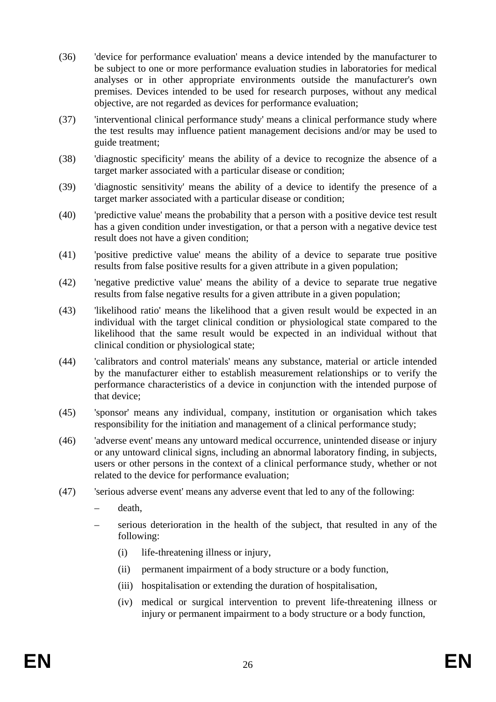- (36) 'device for performance evaluation' means a device intended by the manufacturer to be subject to one or more performance evaluation studies in laboratories for medical analyses or in other appropriate environments outside the manufacturer's own premises. Devices intended to be used for research purposes, without any medical objective, are not regarded as devices for performance evaluation;
- (37) 'interventional clinical performance study' means a clinical performance study where the test results may influence patient management decisions and/or may be used to guide treatment;
- (38) 'diagnostic specificity' means the ability of a device to recognize the absence of a target marker associated with a particular disease or condition;
- (39) 'diagnostic sensitivity' means the ability of a device to identify the presence of a target marker associated with a particular disease or condition;
- (40) 'predictive value' means the probability that a person with a positive device test result has a given condition under investigation, or that a person with a negative device test result does not have a given condition;
- (41) 'positive predictive value' means the ability of a device to separate true positive results from false positive results for a given attribute in a given population;
- (42) 'negative predictive value' means the ability of a device to separate true negative results from false negative results for a given attribute in a given population;
- (43) 'likelihood ratio' means the likelihood that a given result would be expected in an individual with the target clinical condition or physiological state compared to the likelihood that the same result would be expected in an individual without that clinical condition or physiological state;
- (44) 'calibrators and control materials' means any substance, material or article intended by the manufacturer either to establish measurement relationships or to verify the performance characteristics of a device in conjunction with the intended purpose of that device;
- (45) 'sponsor' means any individual, company, institution or organisation which takes responsibility for the initiation and management of a clinical performance study;
- (46) 'adverse event' means any untoward medical occurrence, unintended disease or injury or any untoward clinical signs, including an abnormal laboratory finding, in subjects, users or other persons in the context of a clinical performance study, whether or not related to the device for performance evaluation;
- (47) 'serious adverse event' means any adverse event that led to any of the following:
	- death,
	- serious deterioration in the health of the subject, that resulted in any of the following:
		- (i) life-threatening illness or injury,
		- (ii) permanent impairment of a body structure or a body function,
		- (iii) hospitalisation or extending the duration of hospitalisation,
		- (iv) medical or surgical intervention to prevent life-threatening illness or injury or permanent impairment to a body structure or a body function,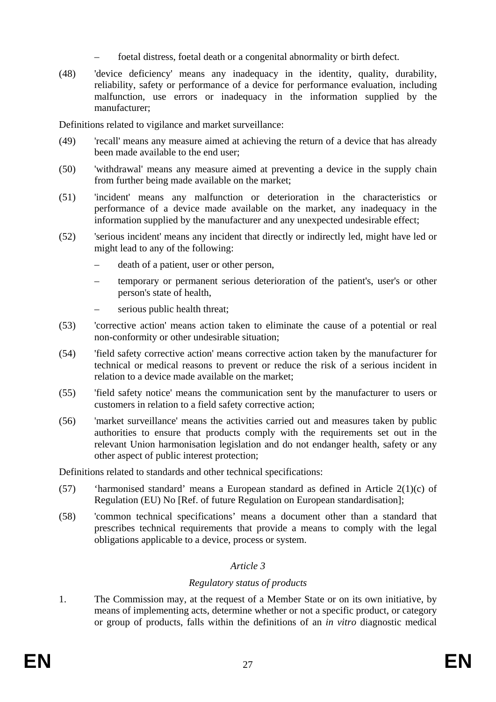- foetal distress, foetal death or a congenital abnormality or birth defect.
- (48) 'device deficiency' means any inadequacy in the identity, quality, durability, reliability, safety or performance of a device for performance evaluation, including malfunction, use errors or inadequacy in the information supplied by the manufacturer;

Definitions related to vigilance and market surveillance:

- (49) 'recall' means any measure aimed at achieving the return of a device that has already been made available to the end user;
- (50) 'withdrawal' means any measure aimed at preventing a device in the supply chain from further being made available on the market;
- (51) 'incident' means any malfunction or deterioration in the characteristics or performance of a device made available on the market, any inadequacy in the information supplied by the manufacturer and any unexpected undesirable effect;
- (52) 'serious incident' means any incident that directly or indirectly led, might have led or might lead to any of the following:
	- death of a patient, user or other person,
	- temporary or permanent serious deterioration of the patient's, user's or other person's state of health,
	- serious public health threat;
- (53) 'corrective action' means action taken to eliminate the cause of a potential or real non-conformity or other undesirable situation;
- (54) 'field safety corrective action' means corrective action taken by the manufacturer for technical or medical reasons to prevent or reduce the risk of a serious incident in relation to a device made available on the market;
- (55) 'field safety notice' means the communication sent by the manufacturer to users or customers in relation to a field safety corrective action;
- (56) 'market surveillance' means the activities carried out and measures taken by public authorities to ensure that products comply with the requirements set out in the relevant Union harmonisation legislation and do not endanger health, safety or any other aspect of public interest protection;

Definitions related to standards and other technical specifications:

- (57) 'harmonised standard' means a European standard as defined in Article 2(1)(c) of Regulation (EU) No [Ref. of future Regulation on European standardisation];
- (58) 'common technical specifications' means a document other than a standard that prescribes technical requirements that provide a means to comply with the legal obligations applicable to a device, process or system.

## *Article 3*

## *Regulatory status of products*

1. The Commission may, at the request of a Member State or on its own initiative, by means of implementing acts, determine whether or not a specific product, or category or group of products, falls within the definitions of an *in vitro* diagnostic medical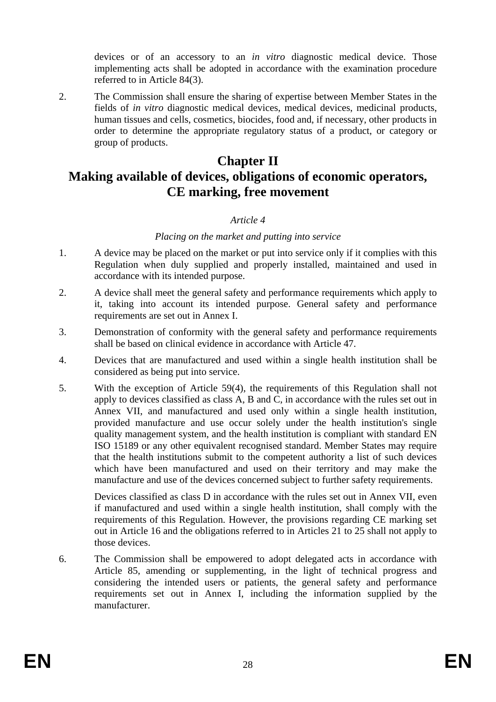devices or of an accessory to an *in vitro* diagnostic medical device. Those implementing acts shall be adopted in accordance with the examination procedure referred to in Article 84(3).

2. The Commission shall ensure the sharing of expertise between Member States in the fields of *in vitro* diagnostic medical devices, medical devices, medicinal products, human tissues and cells, cosmetics, biocides, food and, if necessary, other products in order to determine the appropriate regulatory status of a product, or category or group of products.

# **Chapter II Making available of devices, obligations of economic operators, CE marking, free movement**

### *Article 4*

### *Placing on the market and putting into service*

- 1. A device may be placed on the market or put into service only if it complies with this Regulation when duly supplied and properly installed, maintained and used in accordance with its intended purpose.
- 2. A device shall meet the general safety and performance requirements which apply to it, taking into account its intended purpose. General safety and performance requirements are set out in Annex I.
- 3. Demonstration of conformity with the general safety and performance requirements shall be based on clinical evidence in accordance with Article 47.
- 4. Devices that are manufactured and used within a single health institution shall be considered as being put into service.
- 5. With the exception of Article 59(4), the requirements of this Regulation shall not apply to devices classified as class A, B and C, in accordance with the rules set out in Annex VII, and manufactured and used only within a single health institution, provided manufacture and use occur solely under the health institution's single quality management system, and the health institution is compliant with standard EN ISO 15189 or any other equivalent recognised standard. Member States may require that the health institutions submit to the competent authority a list of such devices which have been manufactured and used on their territory and may make the manufacture and use of the devices concerned subject to further safety requirements.

Devices classified as class D in accordance with the rules set out in Annex VII, even if manufactured and used within a single health institution, shall comply with the requirements of this Regulation. However, the provisions regarding CE marking set out in Article 16 and the obligations referred to in Articles 21 to 25 shall not apply to those devices.

6. The Commission shall be empowered to adopt delegated acts in accordance with Article 85, amending or supplementing, in the light of technical progress and considering the intended users or patients, the general safety and performance requirements set out in Annex I, including the information supplied by the manufacturer.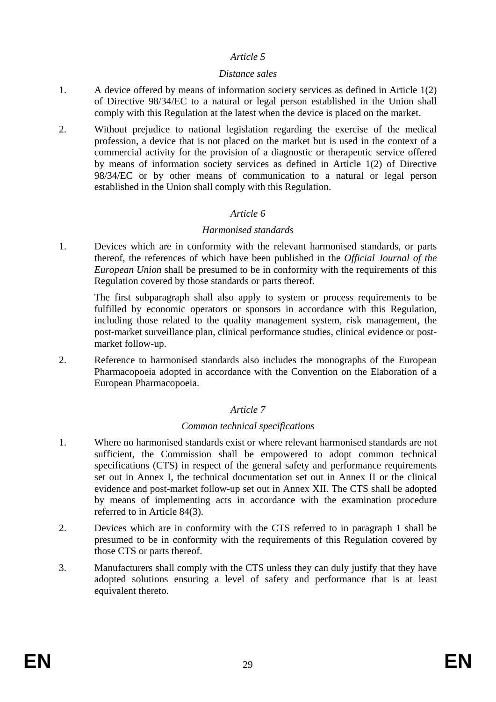### *Article 5*

### *Distance sales*

- 1. A device offered by means of information society services as defined in Article 1(2) of Directive 98/34/EC to a natural or legal person established in the Union shall comply with this Regulation at the latest when the device is placed on the market.
- 2. Without prejudice to national legislation regarding the exercise of the medical profession, a device that is not placed on the market but is used in the context of a commercial activity for the provision of a diagnostic or therapeutic service offered by means of information society services as defined in Article 1(2) of Directive 98/34/EC or by other means of communication to a natural or legal person established in the Union shall comply with this Regulation.

## *Article 6*

### *Harmonised standards*

1. Devices which are in conformity with the relevant harmonised standards, or parts thereof, the references of which have been published in the *Official Journal of the European Union* shall be presumed to be in conformity with the requirements of this Regulation covered by those standards or parts thereof.

The first subparagraph shall also apply to system or process requirements to be fulfilled by economic operators or sponsors in accordance with this Regulation, including those related to the quality management system, risk management, the post-market surveillance plan, clinical performance studies, clinical evidence or postmarket follow-up.

2. Reference to harmonised standards also includes the monographs of the European Pharmacopoeia adopted in accordance with the Convention on the Elaboration of a European Pharmacopoeia.

## *Article 7*

### *Common technical specifications*

- 1. Where no harmonised standards exist or where relevant harmonised standards are not sufficient, the Commission shall be empowered to adopt common technical specifications (CTS) in respect of the general safety and performance requirements set out in Annex I, the technical documentation set out in Annex II or the clinical evidence and post-market follow-up set out in Annex XII. The CTS shall be adopted by means of implementing acts in accordance with the examination procedure referred to in Article 84(3).
- 2. Devices which are in conformity with the CTS referred to in paragraph 1 shall be presumed to be in conformity with the requirements of this Regulation covered by those CTS or parts thereof.
- 3. Manufacturers shall comply with the CTS unless they can duly justify that they have adopted solutions ensuring a level of safety and performance that is at least equivalent thereto.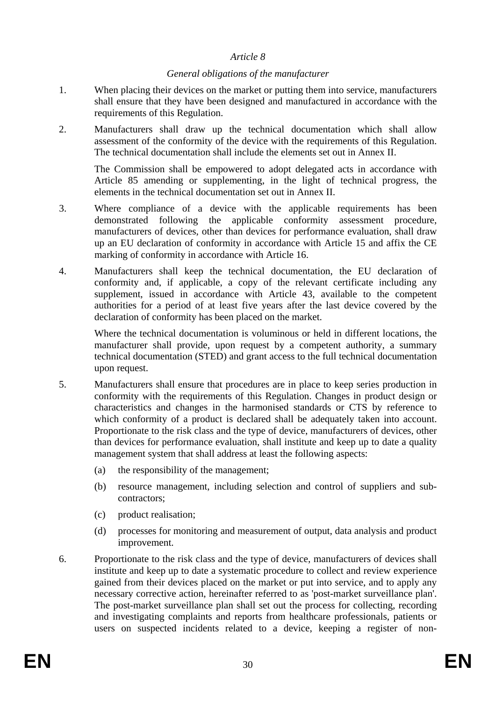### *Article 8*

### *General obligations of the manufacturer*

- 1. When placing their devices on the market or putting them into service, manufacturers shall ensure that they have been designed and manufactured in accordance with the requirements of this Regulation.
- 2. Manufacturers shall draw up the technical documentation which shall allow assessment of the conformity of the device with the requirements of this Regulation. The technical documentation shall include the elements set out in Annex II.

The Commission shall be empowered to adopt delegated acts in accordance with Article 85 amending or supplementing, in the light of technical progress, the elements in the technical documentation set out in Annex II.

- 3. Where compliance of a device with the applicable requirements has been demonstrated following the applicable conformity assessment procedure, manufacturers of devices, other than devices for performance evaluation, shall draw up an EU declaration of conformity in accordance with Article 15 and affix the CE marking of conformity in accordance with Article 16.
- 4. Manufacturers shall keep the technical documentation, the EU declaration of conformity and, if applicable, a copy of the relevant certificate including any supplement, issued in accordance with Article 43, available to the competent authorities for a period of at least five years after the last device covered by the declaration of conformity has been placed on the market.

Where the technical documentation is voluminous or held in different locations, the manufacturer shall provide, upon request by a competent authority, a summary technical documentation (STED) and grant access to the full technical documentation upon request.

- 5. Manufacturers shall ensure that procedures are in place to keep series production in conformity with the requirements of this Regulation. Changes in product design or characteristics and changes in the harmonised standards or CTS by reference to which conformity of a product is declared shall be adequately taken into account. Proportionate to the risk class and the type of device, manufacturers of devices, other than devices for performance evaluation, shall institute and keep up to date a quality management system that shall address at least the following aspects:
	- (a) the responsibility of the management;
	- (b) resource management, including selection and control of suppliers and subcontractors;
	- (c) product realisation;
	- (d) processes for monitoring and measurement of output, data analysis and product improvement.
- 6. Proportionate to the risk class and the type of device, manufacturers of devices shall institute and keep up to date a systematic procedure to collect and review experience gained from their devices placed on the market or put into service, and to apply any necessary corrective action, hereinafter referred to as 'post-market surveillance plan'. The post-market surveillance plan shall set out the process for collecting, recording and investigating complaints and reports from healthcare professionals, patients or users on suspected incidents related to a device, keeping a register of non-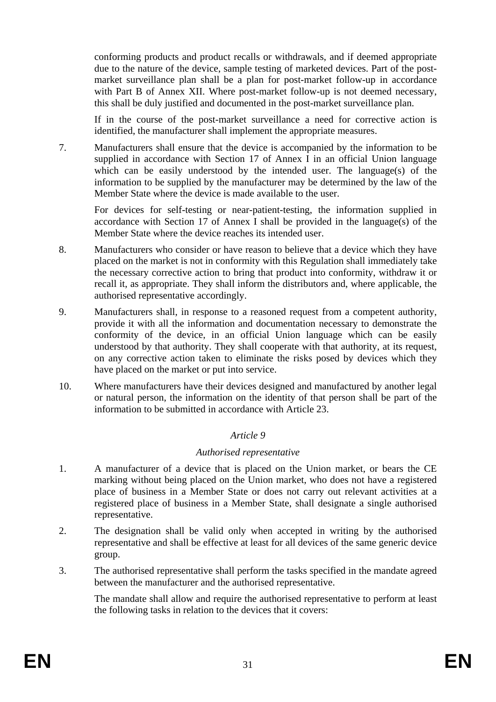conforming products and product recalls or withdrawals, and if deemed appropriate due to the nature of the device, sample testing of marketed devices. Part of the postmarket surveillance plan shall be a plan for post-market follow-up in accordance with Part B of Annex XII. Where post-market follow-up is not deemed necessary, this shall be duly justified and documented in the post-market surveillance plan.

If in the course of the post-market surveillance a need for corrective action is identified, the manufacturer shall implement the appropriate measures.

7. Manufacturers shall ensure that the device is accompanied by the information to be supplied in accordance with Section 17 of Annex I in an official Union language which can be easily understood by the intended user. The language(s) of the information to be supplied by the manufacturer may be determined by the law of the Member State where the device is made available to the user.

For devices for self-testing or near-patient-testing, the information supplied in accordance with Section 17 of Annex I shall be provided in the language(s) of the Member State where the device reaches its intended user.

- 8. Manufacturers who consider or have reason to believe that a device which they have placed on the market is not in conformity with this Regulation shall immediately take the necessary corrective action to bring that product into conformity, withdraw it or recall it, as appropriate. They shall inform the distributors and, where applicable, the authorised representative accordingly.
- 9. Manufacturers shall, in response to a reasoned request from a competent authority, provide it with all the information and documentation necessary to demonstrate the conformity of the device, in an official Union language which can be easily understood by that authority. They shall cooperate with that authority, at its request, on any corrective action taken to eliminate the risks posed by devices which they have placed on the market or put into service.
- 10. Where manufacturers have their devices designed and manufactured by another legal or natural person, the information on the identity of that person shall be part of the information to be submitted in accordance with Article 23.

## *Article 9*

### *Authorised representative*

- 1. A manufacturer of a device that is placed on the Union market, or bears the CE marking without being placed on the Union market, who does not have a registered place of business in a Member State or does not carry out relevant activities at a registered place of business in a Member State, shall designate a single authorised representative.
- 2. The designation shall be valid only when accepted in writing by the authorised representative and shall be effective at least for all devices of the same generic device group.
- 3. The authorised representative shall perform the tasks specified in the mandate agreed between the manufacturer and the authorised representative.

The mandate shall allow and require the authorised representative to perform at least the following tasks in relation to the devices that it covers: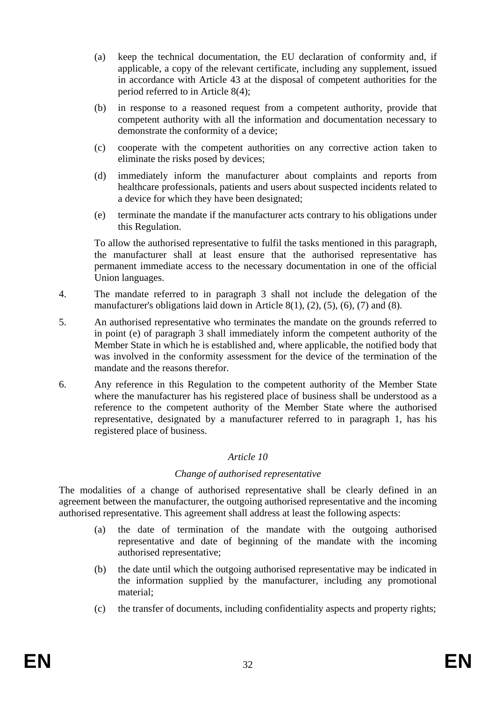- (a) keep the technical documentation, the EU declaration of conformity and, if applicable, a copy of the relevant certificate, including any supplement, issued in accordance with Article 43 at the disposal of competent authorities for the period referred to in Article 8(4);
- (b) in response to a reasoned request from a competent authority, provide that competent authority with all the information and documentation necessary to demonstrate the conformity of a device;
- (c) cooperate with the competent authorities on any corrective action taken to eliminate the risks posed by devices;
- (d) immediately inform the manufacturer about complaints and reports from healthcare professionals, patients and users about suspected incidents related to a device for which they have been designated;
- (e) terminate the mandate if the manufacturer acts contrary to his obligations under this Regulation.

To allow the authorised representative to fulfil the tasks mentioned in this paragraph, the manufacturer shall at least ensure that the authorised representative has permanent immediate access to the necessary documentation in one of the official Union languages.

- 4. The mandate referred to in paragraph 3 shall not include the delegation of the manufacturer's obligations laid down in Article  $8(1)$ ,  $(2)$ ,  $(5)$ ,  $(6)$ ,  $(7)$  and  $(8)$ .
- 5. An authorised representative who terminates the mandate on the grounds referred to in point (e) of paragraph 3 shall immediately inform the competent authority of the Member State in which he is established and, where applicable, the notified body that was involved in the conformity assessment for the device of the termination of the mandate and the reasons therefor.
- 6. Any reference in this Regulation to the competent authority of the Member State where the manufacturer has his registered place of business shall be understood as a reference to the competent authority of the Member State where the authorised representative, designated by a manufacturer referred to in paragraph 1, has his registered place of business.

### *Article 10*

### *Change of authorised representative*

The modalities of a change of authorised representative shall be clearly defined in an agreement between the manufacturer, the outgoing authorised representative and the incoming authorised representative. This agreement shall address at least the following aspects:

- (a) the date of termination of the mandate with the outgoing authorised representative and date of beginning of the mandate with the incoming authorised representative;
- (b) the date until which the outgoing authorised representative may be indicated in the information supplied by the manufacturer, including any promotional material;
- (c) the transfer of documents, including confidentiality aspects and property rights;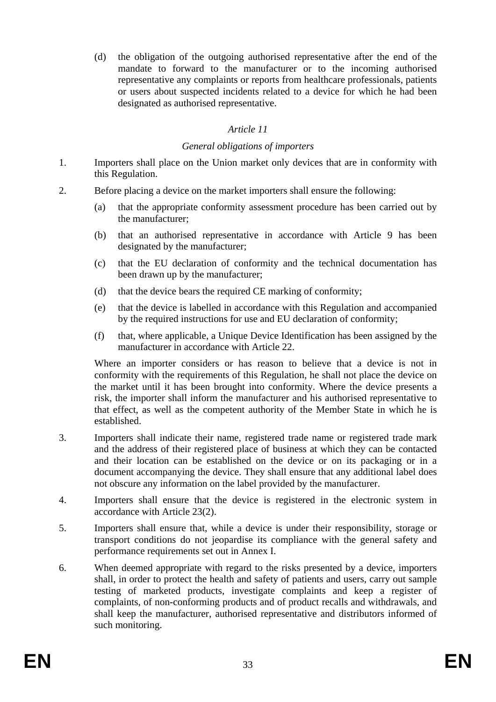(d) the obligation of the outgoing authorised representative after the end of the mandate to forward to the manufacturer or to the incoming authorised representative any complaints or reports from healthcare professionals, patients or users about suspected incidents related to a device for which he had been designated as authorised representative.

## *Article 11*

### *General obligations of importers*

- 1. Importers shall place on the Union market only devices that are in conformity with this Regulation.
- 2. Before placing a device on the market importers shall ensure the following:
	- (a) that the appropriate conformity assessment procedure has been carried out by the manufacturer;
	- (b) that an authorised representative in accordance with Article 9 has been designated by the manufacturer;
	- (c) that the EU declaration of conformity and the technical documentation has been drawn up by the manufacturer;
	- (d) that the device bears the required CE marking of conformity;
	- (e) that the device is labelled in accordance with this Regulation and accompanied by the required instructions for use and EU declaration of conformity;
	- (f) that, where applicable, a Unique Device Identification has been assigned by the manufacturer in accordance with Article 22.

Where an importer considers or has reason to believe that a device is not in conformity with the requirements of this Regulation, he shall not place the device on the market until it has been brought into conformity. Where the device presents a risk, the importer shall inform the manufacturer and his authorised representative to that effect, as well as the competent authority of the Member State in which he is established.

- 3. Importers shall indicate their name, registered trade name or registered trade mark and the address of their registered place of business at which they can be contacted and their location can be established on the device or on its packaging or in a document accompanying the device. They shall ensure that any additional label does not obscure any information on the label provided by the manufacturer.
- 4. Importers shall ensure that the device is registered in the electronic system in accordance with Article 23(2).
- 5. Importers shall ensure that, while a device is under their responsibility, storage or transport conditions do not jeopardise its compliance with the general safety and performance requirements set out in Annex I.
- 6. When deemed appropriate with regard to the risks presented by a device, importers shall, in order to protect the health and safety of patients and users, carry out sample testing of marketed products, investigate complaints and keep a register of complaints, of non-conforming products and of product recalls and withdrawals, and shall keep the manufacturer, authorised representative and distributors informed of such monitoring.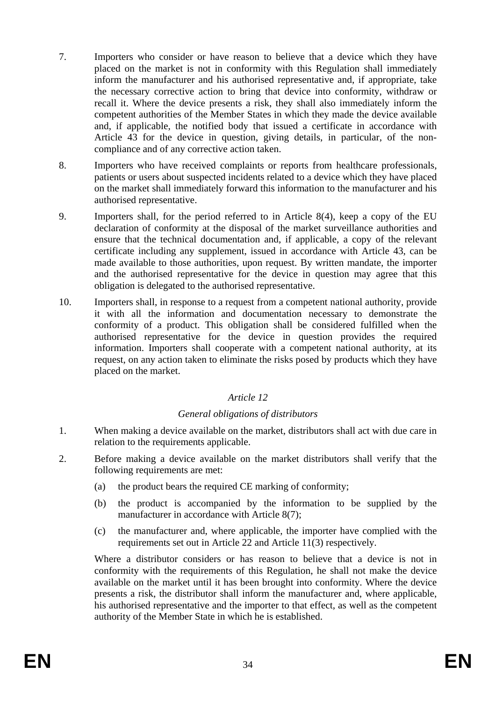- 7. Importers who consider or have reason to believe that a device which they have placed on the market is not in conformity with this Regulation shall immediately inform the manufacturer and his authorised representative and, if appropriate, take the necessary corrective action to bring that device into conformity, withdraw or recall it. Where the device presents a risk, they shall also immediately inform the competent authorities of the Member States in which they made the device available and, if applicable, the notified body that issued a certificate in accordance with Article 43 for the device in question, giving details, in particular, of the noncompliance and of any corrective action taken.
- 8. Importers who have received complaints or reports from healthcare professionals, patients or users about suspected incidents related to a device which they have placed on the market shall immediately forward this information to the manufacturer and his authorised representative.
- 9. Importers shall, for the period referred to in Article 8(4), keep a copy of the EU declaration of conformity at the disposal of the market surveillance authorities and ensure that the technical documentation and, if applicable, a copy of the relevant certificate including any supplement, issued in accordance with Article 43, can be made available to those authorities, upon request. By written mandate, the importer and the authorised representative for the device in question may agree that this obligation is delegated to the authorised representative.
- 10. Importers shall, in response to a request from a competent national authority, provide it with all the information and documentation necessary to demonstrate the conformity of a product. This obligation shall be considered fulfilled when the authorised representative for the device in question provides the required information. Importers shall cooperate with a competent national authority, at its request, on any action taken to eliminate the risks posed by products which they have placed on the market.

## *Article 12*

## *General obligations of distributors*

- 1. When making a device available on the market, distributors shall act with due care in relation to the requirements applicable.
- 2. Before making a device available on the market distributors shall verify that the following requirements are met:
	- (a) the product bears the required CE marking of conformity;
	- (b) the product is accompanied by the information to be supplied by the manufacturer in accordance with Article 8(7);
	- (c) the manufacturer and, where applicable, the importer have complied with the requirements set out in Article 22 and Article 11(3) respectively.

Where a distributor considers or has reason to believe that a device is not in conformity with the requirements of this Regulation, he shall not make the device available on the market until it has been brought into conformity. Where the device presents a risk, the distributor shall inform the manufacturer and, where applicable, his authorised representative and the importer to that effect, as well as the competent authority of the Member State in which he is established.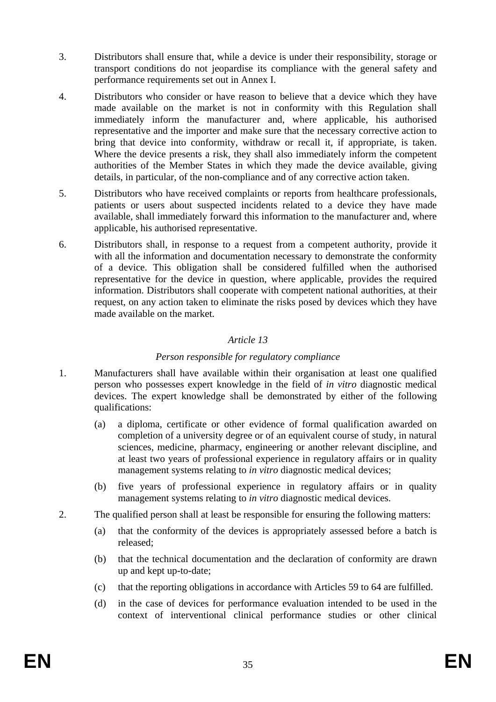- 3. Distributors shall ensure that, while a device is under their responsibility, storage or transport conditions do not jeopardise its compliance with the general safety and performance requirements set out in Annex I.
- 4. Distributors who consider or have reason to believe that a device which they have made available on the market is not in conformity with this Regulation shall immediately inform the manufacturer and, where applicable, his authorised representative and the importer and make sure that the necessary corrective action to bring that device into conformity, withdraw or recall it, if appropriate, is taken. Where the device presents a risk, they shall also immediately inform the competent authorities of the Member States in which they made the device available, giving details, in particular, of the non-compliance and of any corrective action taken.
- 5. Distributors who have received complaints or reports from healthcare professionals, patients or users about suspected incidents related to a device they have made available, shall immediately forward this information to the manufacturer and, where applicable, his authorised representative.
- 6. Distributors shall, in response to a request from a competent authority, provide it with all the information and documentation necessary to demonstrate the conformity of a device. This obligation shall be considered fulfilled when the authorised representative for the device in question, where applicable, provides the required information. Distributors shall cooperate with competent national authorities, at their request, on any action taken to eliminate the risks posed by devices which they have made available on the market.

### *Article 13*

## *Person responsible for regulatory compliance*

- 1. Manufacturers shall have available within their organisation at least one qualified person who possesses expert knowledge in the field of *in vitro* diagnostic medical devices. The expert knowledge shall be demonstrated by either of the following qualifications:
	- (a) a diploma, certificate or other evidence of formal qualification awarded on completion of a university degree or of an equivalent course of study, in natural sciences, medicine, pharmacy, engineering or another relevant discipline, and at least two years of professional experience in regulatory affairs or in quality management systems relating to *in vitro* diagnostic medical devices;
	- (b) five years of professional experience in regulatory affairs or in quality management systems relating to *in vitro* diagnostic medical devices.
- 2. The qualified person shall at least be responsible for ensuring the following matters:
	- (a) that the conformity of the devices is appropriately assessed before a batch is released;
	- (b) that the technical documentation and the declaration of conformity are drawn up and kept up-to-date;
	- (c) that the reporting obligations in accordance with Articles 59 to 64 are fulfilled.
	- (d) in the case of devices for performance evaluation intended to be used in the context of interventional clinical performance studies or other clinical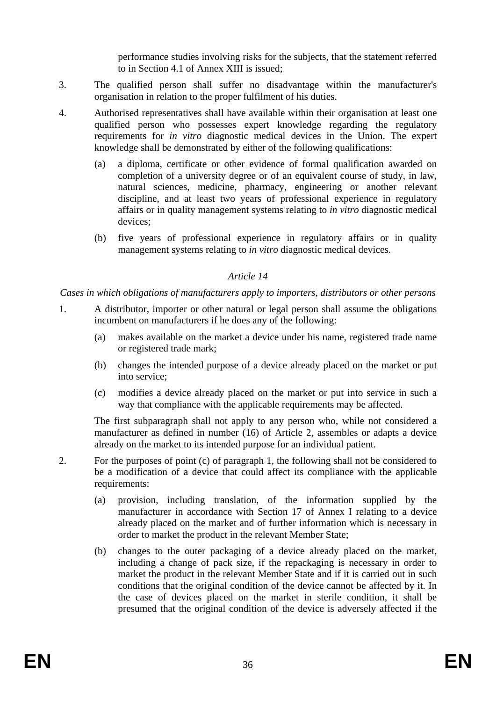performance studies involving risks for the subjects, that the statement referred to in Section 4.1 of Annex XIII is issued;

- 3. The qualified person shall suffer no disadvantage within the manufacturer's organisation in relation to the proper fulfilment of his duties.
- 4. Authorised representatives shall have available within their organisation at least one qualified person who possesses expert knowledge regarding the regulatory requirements for *in vitro* diagnostic medical devices in the Union. The expert knowledge shall be demonstrated by either of the following qualifications:
	- (a) a diploma, certificate or other evidence of formal qualification awarded on completion of a university degree or of an equivalent course of study, in law, natural sciences, medicine, pharmacy, engineering or another relevant discipline, and at least two years of professional experience in regulatory affairs or in quality management systems relating to *in vitro* diagnostic medical devices;
	- (b) five years of professional experience in regulatory affairs or in quality management systems relating to *in vitro* diagnostic medical devices.

## *Article 14*

*Cases in which obligations of manufacturers apply to importers, distributors or other persons* 

- 1. A distributor, importer or other natural or legal person shall assume the obligations incumbent on manufacturers if he does any of the following:
	- (a) makes available on the market a device under his name, registered trade name or registered trade mark;
	- (b) changes the intended purpose of a device already placed on the market or put into service;
	- (c) modifies a device already placed on the market or put into service in such a way that compliance with the applicable requirements may be affected.

The first subparagraph shall not apply to any person who, while not considered a manufacturer as defined in number (16) of Article 2, assembles or adapts a device already on the market to its intended purpose for an individual patient.

- 2. For the purposes of point (c) of paragraph 1, the following shall not be considered to be a modification of a device that could affect its compliance with the applicable requirements:
	- (a) provision, including translation, of the information supplied by the manufacturer in accordance with Section 17 of Annex I relating to a device already placed on the market and of further information which is necessary in order to market the product in the relevant Member State;
	- (b) changes to the outer packaging of a device already placed on the market, including a change of pack size, if the repackaging is necessary in order to market the product in the relevant Member State and if it is carried out in such conditions that the original condition of the device cannot be affected by it. In the case of devices placed on the market in sterile condition, it shall be presumed that the original condition of the device is adversely affected if the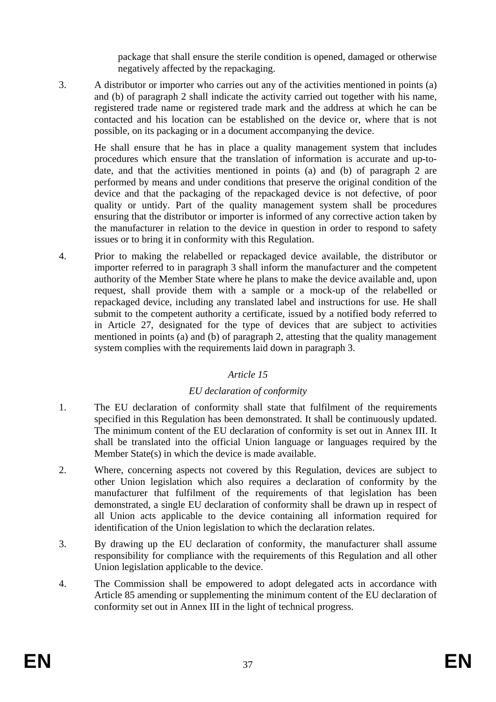package that shall ensure the sterile condition is opened, damaged or otherwise negatively affected by the repackaging.

3. A distributor or importer who carries out any of the activities mentioned in points (a) and (b) of paragraph 2 shall indicate the activity carried out together with his name, registered trade name or registered trade mark and the address at which he can be contacted and his location can be established on the device or, where that is not possible, on its packaging or in a document accompanying the device.

He shall ensure that he has in place a quality management system that includes procedures which ensure that the translation of information is accurate and up-todate, and that the activities mentioned in points (a) and (b) of paragraph 2 are performed by means and under conditions that preserve the original condition of the device and that the packaging of the repackaged device is not defective, of poor quality or untidy. Part of the quality management system shall be procedures ensuring that the distributor or importer is informed of any corrective action taken by the manufacturer in relation to the device in question in order to respond to safety issues or to bring it in conformity with this Regulation.

4. Prior to making the relabelled or repackaged device available, the distributor or importer referred to in paragraph 3 shall inform the manufacturer and the competent authority of the Member State where he plans to make the device available and, upon request, shall provide them with a sample or a mock-up of the relabelled or repackaged device, including any translated label and instructions for use. He shall submit to the competent authority a certificate, issued by a notified body referred to in Article 27, designated for the type of devices that are subject to activities mentioned in points (a) and (b) of paragraph 2, attesting that the quality management system complies with the requirements laid down in paragraph 3.

# *Article 15*

# *EU declaration of conformity*

- 1. The EU declaration of conformity shall state that fulfilment of the requirements specified in this Regulation has been demonstrated. It shall be continuously updated. The minimum content of the EU declaration of conformity is set out in Annex III. It shall be translated into the official Union language or languages required by the Member State(s) in which the device is made available.
- 2. Where, concerning aspects not covered by this Regulation, devices are subject to other Union legislation which also requires a declaration of conformity by the manufacturer that fulfilment of the requirements of that legislation has been demonstrated, a single EU declaration of conformity shall be drawn up in respect of all Union acts applicable to the device containing all information required for identification of the Union legislation to which the declaration relates.
- 3. By drawing up the EU declaration of conformity, the manufacturer shall assume responsibility for compliance with the requirements of this Regulation and all other Union legislation applicable to the device.
- 4. The Commission shall be empowered to adopt delegated acts in accordance with Article 85 amending or supplementing the minimum content of the EU declaration of conformity set out in Annex III in the light of technical progress.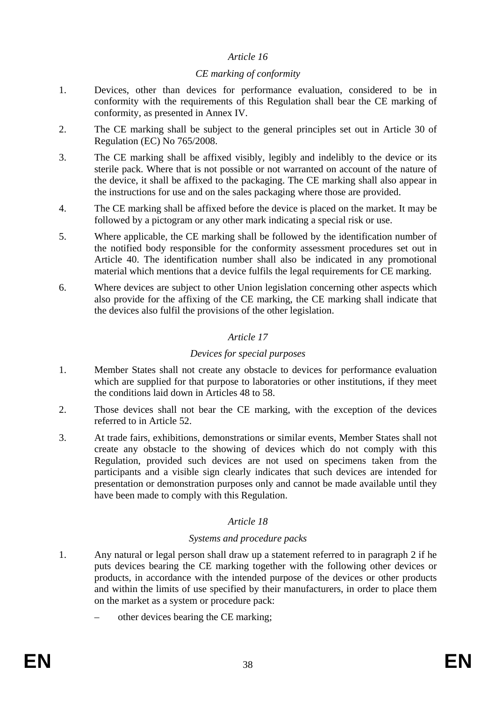#### *CE marking of conformity*

- 1. Devices, other than devices for performance evaluation, considered to be in conformity with the requirements of this Regulation shall bear the CE marking of conformity, as presented in Annex IV.
- 2. The CE marking shall be subject to the general principles set out in Article 30 of Regulation (EC) No 765/2008.
- 3. The CE marking shall be affixed visibly, legibly and indelibly to the device or its sterile pack. Where that is not possible or not warranted on account of the nature of the device, it shall be affixed to the packaging. The CE marking shall also appear in the instructions for use and on the sales packaging where those are provided.
- 4. The CE marking shall be affixed before the device is placed on the market. It may be followed by a pictogram or any other mark indicating a special risk or use.
- 5. Where applicable, the CE marking shall be followed by the identification number of the notified body responsible for the conformity assessment procedures set out in Article 40. The identification number shall also be indicated in any promotional material which mentions that a device fulfils the legal requirements for CE marking.
- 6. Where devices are subject to other Union legislation concerning other aspects which also provide for the affixing of the CE marking, the CE marking shall indicate that the devices also fulfil the provisions of the other legislation.

# *Article 17*

# *Devices for special purposes*

- 1. Member States shall not create any obstacle to devices for performance evaluation which are supplied for that purpose to laboratories or other institutions, if they meet the conditions laid down in Articles 48 to 58.
- 2. Those devices shall not bear the CE marking, with the exception of the devices referred to in Article 52.
- 3. At trade fairs, exhibitions, demonstrations or similar events, Member States shall not create any obstacle to the showing of devices which do not comply with this Regulation, provided such devices are not used on specimens taken from the participants and a visible sign clearly indicates that such devices are intended for presentation or demonstration purposes only and cannot be made available until they have been made to comply with this Regulation.

# *Article 18*

# *Systems and procedure packs*

- 1. Any natural or legal person shall draw up a statement referred to in paragraph 2 if he puts devices bearing the CE marking together with the following other devices or products, in accordance with the intended purpose of the devices or other products and within the limits of use specified by their manufacturers, in order to place them on the market as a system or procedure pack:
	- other devices bearing the CE marking;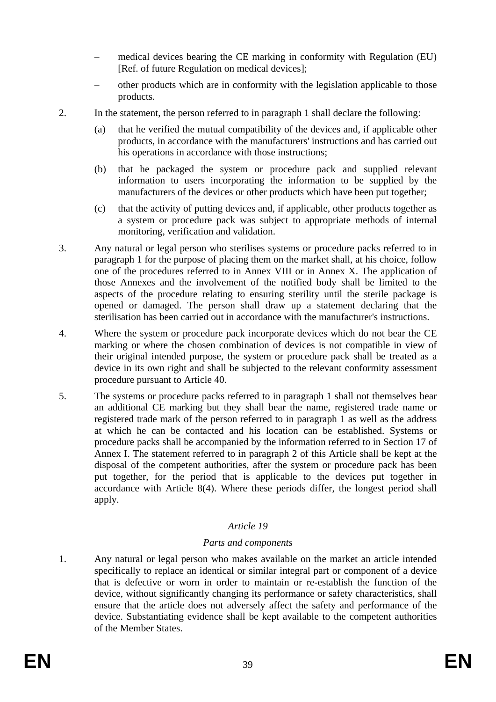- medical devices bearing the CE marking in conformity with Regulation (EU) [Ref. of future Regulation on medical devices];
- other products which are in conformity with the legislation applicable to those products.
- 2. In the statement, the person referred to in paragraph 1 shall declare the following:
	- (a) that he verified the mutual compatibility of the devices and, if applicable other products, in accordance with the manufacturers' instructions and has carried out his operations in accordance with those instructions;
	- (b) that he packaged the system or procedure pack and supplied relevant information to users incorporating the information to be supplied by the manufacturers of the devices or other products which have been put together;
	- (c) that the activity of putting devices and, if applicable, other products together as a system or procedure pack was subject to appropriate methods of internal monitoring, verification and validation.
- 3. Any natural or legal person who sterilises systems or procedure packs referred to in paragraph 1 for the purpose of placing them on the market shall, at his choice, follow one of the procedures referred to in Annex VIII or in Annex X. The application of those Annexes and the involvement of the notified body shall be limited to the aspects of the procedure relating to ensuring sterility until the sterile package is opened or damaged. The person shall draw up a statement declaring that the sterilisation has been carried out in accordance with the manufacturer's instructions.
- 4. Where the system or procedure pack incorporate devices which do not bear the CE marking or where the chosen combination of devices is not compatible in view of their original intended purpose, the system or procedure pack shall be treated as a device in its own right and shall be subjected to the relevant conformity assessment procedure pursuant to Article 40.
- 5. The systems or procedure packs referred to in paragraph 1 shall not themselves bear an additional CE marking but they shall bear the name, registered trade name or registered trade mark of the person referred to in paragraph 1 as well as the address at which he can be contacted and his location can be established. Systems or procedure packs shall be accompanied by the information referred to in Section 17 of Annex I. The statement referred to in paragraph 2 of this Article shall be kept at the disposal of the competent authorities, after the system or procedure pack has been put together, for the period that is applicable to the devices put together in accordance with Article 8(4). Where these periods differ, the longest period shall apply.

#### *Parts and components*

1. Any natural or legal person who makes available on the market an article intended specifically to replace an identical or similar integral part or component of a device that is defective or worn in order to maintain or re-establish the function of the device, without significantly changing its performance or safety characteristics, shall ensure that the article does not adversely affect the safety and performance of the device. Substantiating evidence shall be kept available to the competent authorities of the Member States.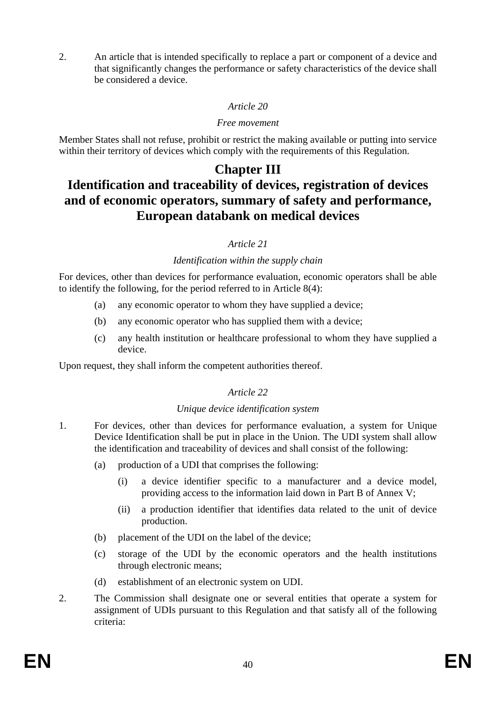2. An article that is intended specifically to replace a part or component of a device and that significantly changes the performance or safety characteristics of the device shall be considered a device.

## *Article 20*

#### *Free movement*

Member States shall not refuse, prohibit or restrict the making available or putting into service within their territory of devices which comply with the requirements of this Regulation.

# **Chapter III**

# **Identification and traceability of devices, registration of devices and of economic operators, summary of safety and performance, European databank on medical devices**

# *Article 21*

# *Identification within the supply chain*

For devices, other than devices for performance evaluation, economic operators shall be able to identify the following, for the period referred to in Article 8(4):

- (a) any economic operator to whom they have supplied a device;
- (b) any economic operator who has supplied them with a device;
- (c) any health institution or healthcare professional to whom they have supplied a device.

Upon request, they shall inform the competent authorities thereof.

# *Article 22*

# *Unique device identification system*

- 1. For devices, other than devices for performance evaluation, a system for Unique Device Identification shall be put in place in the Union. The UDI system shall allow the identification and traceability of devices and shall consist of the following:
	- (a) production of a UDI that comprises the following:
		- (i) a device identifier specific to a manufacturer and a device model, providing access to the information laid down in Part B of Annex V;
		- (ii) a production identifier that identifies data related to the unit of device production.
	- (b) placement of the UDI on the label of the device;
	- (c) storage of the UDI by the economic operators and the health institutions through electronic means;
	- (d) establishment of an electronic system on UDI.
- 2. The Commission shall designate one or several entities that operate a system for assignment of UDIs pursuant to this Regulation and that satisfy all of the following criteria: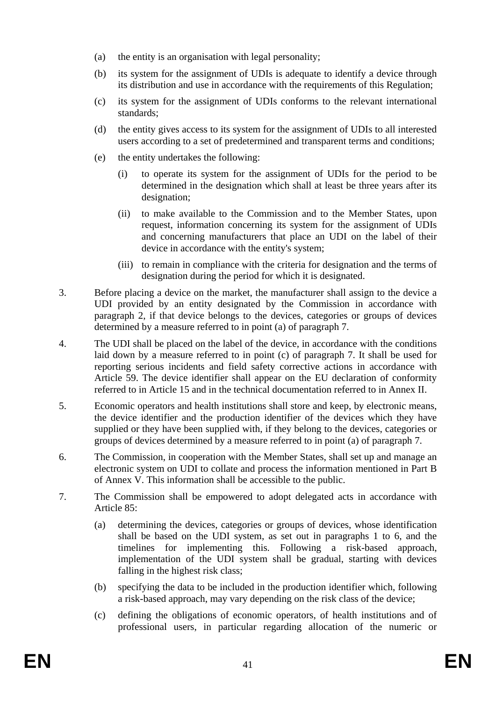- (a) the entity is an organisation with legal personality;
- (b) its system for the assignment of UDIs is adequate to identify a device through its distribution and use in accordance with the requirements of this Regulation;
- (c) its system for the assignment of UDIs conforms to the relevant international standards;
- (d) the entity gives access to its system for the assignment of UDIs to all interested users according to a set of predetermined and transparent terms and conditions;
- (e) the entity undertakes the following:
	- (i) to operate its system for the assignment of UDIs for the period to be determined in the designation which shall at least be three years after its designation:
	- (ii) to make available to the Commission and to the Member States, upon request, information concerning its system for the assignment of UDIs and concerning manufacturers that place an UDI on the label of their device in accordance with the entity's system;
	- (iii) to remain in compliance with the criteria for designation and the terms of designation during the period for which it is designated.
- 3. Before placing a device on the market, the manufacturer shall assign to the device a UDI provided by an entity designated by the Commission in accordance with paragraph 2, if that device belongs to the devices, categories or groups of devices determined by a measure referred to in point (a) of paragraph 7.
- 4. The UDI shall be placed on the label of the device, in accordance with the conditions laid down by a measure referred to in point (c) of paragraph 7. It shall be used for reporting serious incidents and field safety corrective actions in accordance with Article 59. The device identifier shall appear on the EU declaration of conformity referred to in Article 15 and in the technical documentation referred to in Annex II.
- 5. Economic operators and health institutions shall store and keep, by electronic means, the device identifier and the production identifier of the devices which they have supplied or they have been supplied with, if they belong to the devices, categories or groups of devices determined by a measure referred to in point (a) of paragraph 7.
- 6. The Commission, in cooperation with the Member States, shall set up and manage an electronic system on UDI to collate and process the information mentioned in Part B of Annex V. This information shall be accessible to the public.
- 7. The Commission shall be empowered to adopt delegated acts in accordance with Article 85:
	- (a) determining the devices, categories or groups of devices, whose identification shall be based on the UDI system, as set out in paragraphs 1 to 6, and the timelines for implementing this. Following a risk-based approach, implementation of the UDI system shall be gradual, starting with devices falling in the highest risk class;
	- (b) specifying the data to be included in the production identifier which, following a risk-based approach, may vary depending on the risk class of the device;
	- (c) defining the obligations of economic operators, of health institutions and of professional users, in particular regarding allocation of the numeric or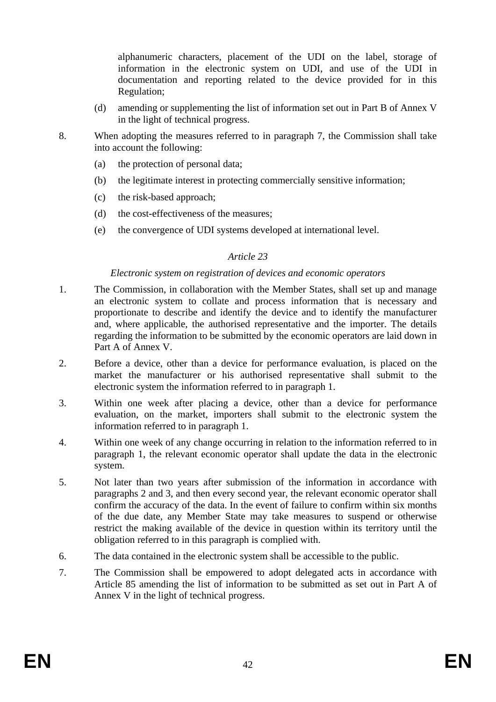alphanumeric characters, placement of the UDI on the label, storage of information in the electronic system on UDI, and use of the UDI in documentation and reporting related to the device provided for in this Regulation;

- (d) amending or supplementing the list of information set out in Part B of Annex V in the light of technical progress.
- 8. When adopting the measures referred to in paragraph 7, the Commission shall take into account the following:
	- (a) the protection of personal data;
	- (b) the legitimate interest in protecting commercially sensitive information;
	- (c) the risk-based approach;
	- (d) the cost-effectiveness of the measures;
	- (e) the convergence of UDI systems developed at international level.

## *Article 23*

#### *Electronic system on registration of devices and economic operators*

- 1. The Commission, in collaboration with the Member States, shall set up and manage an electronic system to collate and process information that is necessary and proportionate to describe and identify the device and to identify the manufacturer and, where applicable, the authorised representative and the importer. The details regarding the information to be submitted by the economic operators are laid down in Part A of Annex V.
- 2. Before a device, other than a device for performance evaluation, is placed on the market the manufacturer or his authorised representative shall submit to the electronic system the information referred to in paragraph 1.
- 3. Within one week after placing a device, other than a device for performance evaluation, on the market, importers shall submit to the electronic system the information referred to in paragraph 1.
- 4. Within one week of any change occurring in relation to the information referred to in paragraph 1, the relevant economic operator shall update the data in the electronic system.
- 5. Not later than two years after submission of the information in accordance with paragraphs 2 and 3, and then every second year, the relevant economic operator shall confirm the accuracy of the data. In the event of failure to confirm within six months of the due date, any Member State may take measures to suspend or otherwise restrict the making available of the device in question within its territory until the obligation referred to in this paragraph is complied with.
- 6. The data contained in the electronic system shall be accessible to the public.
- 7. The Commission shall be empowered to adopt delegated acts in accordance with Article 85 amending the list of information to be submitted as set out in Part A of Annex V in the light of technical progress.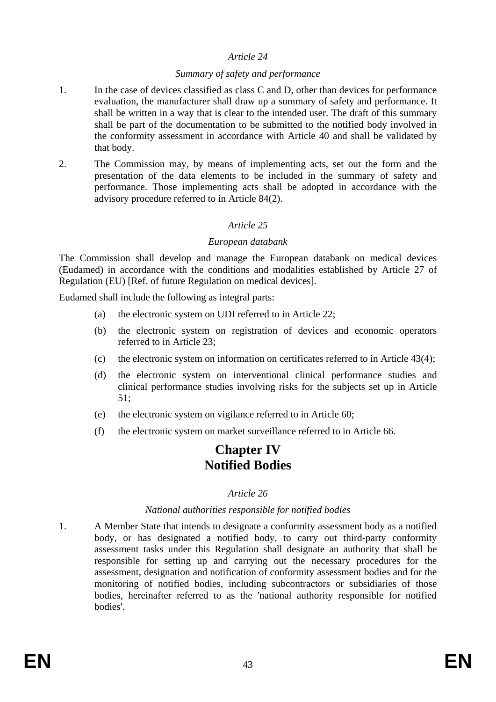#### *Summary of safety and performance*

- 1. In the case of devices classified as class C and D, other than devices for performance evaluation, the manufacturer shall draw up a summary of safety and performance. It shall be written in a way that is clear to the intended user. The draft of this summary shall be part of the documentation to be submitted to the notified body involved in the conformity assessment in accordance with Article 40 and shall be validated by that body.
- 2. The Commission may, by means of implementing acts, set out the form and the presentation of the data elements to be included in the summary of safety and performance. Those implementing acts shall be adopted in accordance with the advisory procedure referred to in Article 84(2).

# *Article 25*

#### *European databank*

The Commission shall develop and manage the European databank on medical devices (Eudamed) in accordance with the conditions and modalities established by Article 27 of Regulation (EU) [Ref. of future Regulation on medical devices].

Eudamed shall include the following as integral parts:

- (a) the electronic system on UDI referred to in Article 22;
- (b) the electronic system on registration of devices and economic operators referred to in Article 23;
- (c) the electronic system on information on certificates referred to in Article 43(4);
- (d) the electronic system on interventional clinical performance studies and clinical performance studies involving risks for the subjects set up in Article 51;
- (e) the electronic system on vigilance referred to in Article 60;
- (f) the electronic system on market surveillance referred to in Article 66.

# **Chapter IV Notified Bodies**

#### *Article 26*

#### *National authorities responsible for notified bodies*

1. A Member State that intends to designate a conformity assessment body as a notified body, or has designated a notified body, to carry out third-party conformity assessment tasks under this Regulation shall designate an authority that shall be responsible for setting up and carrying out the necessary procedures for the assessment, designation and notification of conformity assessment bodies and for the monitoring of notified bodies, including subcontractors or subsidiaries of those bodies, hereinafter referred to as the 'national authority responsible for notified bodies'.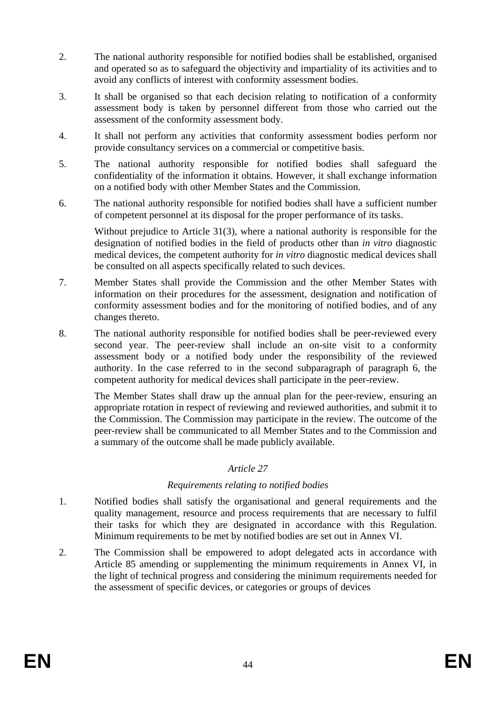- 2. The national authority responsible for notified bodies shall be established, organised and operated so as to safeguard the objectivity and impartiality of its activities and to avoid any conflicts of interest with conformity assessment bodies.
- 3. It shall be organised so that each decision relating to notification of a conformity assessment body is taken by personnel different from those who carried out the assessment of the conformity assessment body.
- 4. It shall not perform any activities that conformity assessment bodies perform nor provide consultancy services on a commercial or competitive basis.
- 5. The national authority responsible for notified bodies shall safeguard the confidentiality of the information it obtains. However, it shall exchange information on a notified body with other Member States and the Commission.
- 6. The national authority responsible for notified bodies shall have a sufficient number of competent personnel at its disposal for the proper performance of its tasks.

Without prejudice to Article 31(3), where a national authority is responsible for the designation of notified bodies in the field of products other than *in vitro* diagnostic medical devices, the competent authority for *in vitro* diagnostic medical devices shall be consulted on all aspects specifically related to such devices.

- 7. Member States shall provide the Commission and the other Member States with information on their procedures for the assessment, designation and notification of conformity assessment bodies and for the monitoring of notified bodies, and of any changes thereto.
- 8. The national authority responsible for notified bodies shall be peer-reviewed every second year. The peer-review shall include an on-site visit to a conformity assessment body or a notified body under the responsibility of the reviewed authority. In the case referred to in the second subparagraph of paragraph 6, the competent authority for medical devices shall participate in the peer-review.

The Member States shall draw up the annual plan for the peer-review, ensuring an appropriate rotation in respect of reviewing and reviewed authorities, and submit it to the Commission. The Commission may participate in the review. The outcome of the peer-review shall be communicated to all Member States and to the Commission and a summary of the outcome shall be made publicly available.

# *Article 27*

# *Requirements relating to notified bodies*

- 1. Notified bodies shall satisfy the organisational and general requirements and the quality management, resource and process requirements that are necessary to fulfil their tasks for which they are designated in accordance with this Regulation. Minimum requirements to be met by notified bodies are set out in Annex VI.
- 2. The Commission shall be empowered to adopt delegated acts in accordance with Article 85 amending or supplementing the minimum requirements in Annex VI, in the light of technical progress and considering the minimum requirements needed for the assessment of specific devices, or categories or groups of devices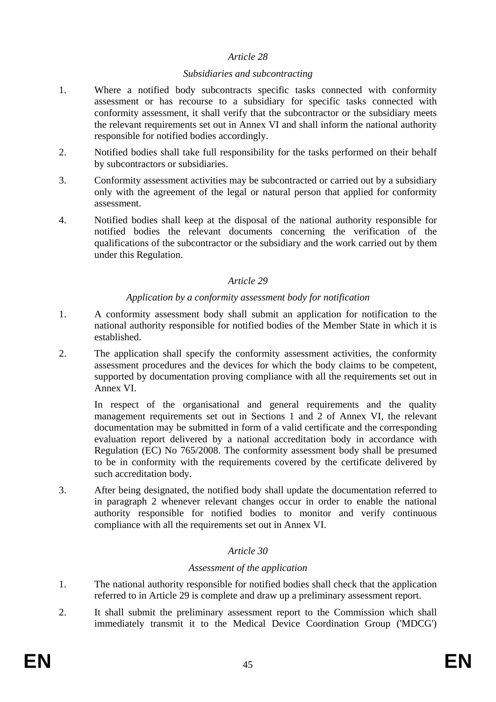#### *Subsidiaries and subcontracting*

- 1. Where a notified body subcontracts specific tasks connected with conformity assessment or has recourse to a subsidiary for specific tasks connected with conformity assessment, it shall verify that the subcontractor or the subsidiary meets the relevant requirements set out in Annex VI and shall inform the national authority responsible for notified bodies accordingly.
- 2. Notified bodies shall take full responsibility for the tasks performed on their behalf by subcontractors or subsidiaries.
- 3. Conformity assessment activities may be subcontracted or carried out by a subsidiary only with the agreement of the legal or natural person that applied for conformity assessment.
- 4. Notified bodies shall keep at the disposal of the national authority responsible for notified bodies the relevant documents concerning the verification of the qualifications of the subcontractor or the subsidiary and the work carried out by them under this Regulation.

#### *Article 29*

## *Application by a conformity assessment body for notification*

- 1. A conformity assessment body shall submit an application for notification to the national authority responsible for notified bodies of the Member State in which it is established.
- 2. The application shall specify the conformity assessment activities, the conformity assessment procedures and the devices for which the body claims to be competent, supported by documentation proving compliance with all the requirements set out in Annex VI.

In respect of the organisational and general requirements and the quality management requirements set out in Sections 1 and 2 of Annex VI, the relevant documentation may be submitted in form of a valid certificate and the corresponding evaluation report delivered by a national accreditation body in accordance with Regulation (EC) No 765/2008. The conformity assessment body shall be presumed to be in conformity with the requirements covered by the certificate delivered by such accreditation body.

3. After being designated, the notified body shall update the documentation referred to in paragraph 2 whenever relevant changes occur in order to enable the national authority responsible for notified bodies to monitor and verify continuous compliance with all the requirements set out in Annex VI.

# *Article 30*

#### *Assessment of the application*

- 1. The national authority responsible for notified bodies shall check that the application referred to in Article 29 is complete and draw up a preliminary assessment report.
- 2. It shall submit the preliminary assessment report to the Commission which shall immediately transmit it to the Medical Device Coordination Group ('MDCG')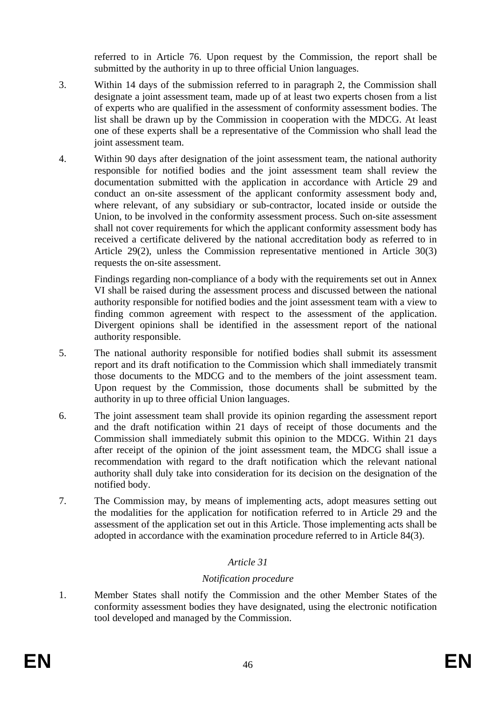referred to in Article 76. Upon request by the Commission, the report shall be submitted by the authority in up to three official Union languages.

- 3. Within 14 days of the submission referred to in paragraph 2, the Commission shall designate a joint assessment team, made up of at least two experts chosen from a list of experts who are qualified in the assessment of conformity assessment bodies. The list shall be drawn up by the Commission in cooperation with the MDCG. At least one of these experts shall be a representative of the Commission who shall lead the joint assessment team.
- 4. Within 90 days after designation of the joint assessment team, the national authority responsible for notified bodies and the joint assessment team shall review the documentation submitted with the application in accordance with Article 29 and conduct an on-site assessment of the applicant conformity assessment body and, where relevant, of any subsidiary or sub-contractor, located inside or outside the Union, to be involved in the conformity assessment process. Such on-site assessment shall not cover requirements for which the applicant conformity assessment body has received a certificate delivered by the national accreditation body as referred to in Article 29(2), unless the Commission representative mentioned in Article 30(3) requests the on-site assessment.

Findings regarding non-compliance of a body with the requirements set out in Annex VI shall be raised during the assessment process and discussed between the national authority responsible for notified bodies and the joint assessment team with a view to finding common agreement with respect to the assessment of the application. Divergent opinions shall be identified in the assessment report of the national authority responsible.

- 5. The national authority responsible for notified bodies shall submit its assessment report and its draft notification to the Commission which shall immediately transmit those documents to the MDCG and to the members of the joint assessment team. Upon request by the Commission, those documents shall be submitted by the authority in up to three official Union languages.
- 6. The joint assessment team shall provide its opinion regarding the assessment report and the draft notification within 21 days of receipt of those documents and the Commission shall immediately submit this opinion to the MDCG. Within 21 days after receipt of the opinion of the joint assessment team, the MDCG shall issue a recommendation with regard to the draft notification which the relevant national authority shall duly take into consideration for its decision on the designation of the notified body.
- 7. The Commission may, by means of implementing acts, adopt measures setting out the modalities for the application for notification referred to in Article 29 and the assessment of the application set out in this Article. Those implementing acts shall be adopted in accordance with the examination procedure referred to in Article 84(3).

# *Article 31*

# *Notification procedure*

1. Member States shall notify the Commission and the other Member States of the conformity assessment bodies they have designated, using the electronic notification tool developed and managed by the Commission.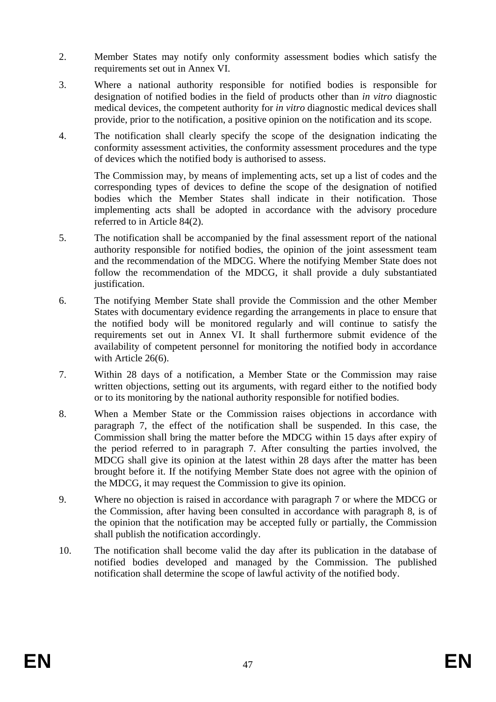- 2. Member States may notify only conformity assessment bodies which satisfy the requirements set out in Annex VI.
- 3. Where a national authority responsible for notified bodies is responsible for designation of notified bodies in the field of products other than *in vitro* diagnostic medical devices, the competent authority for *in vitro* diagnostic medical devices shall provide, prior to the notification, a positive opinion on the notification and its scope.
- 4. The notification shall clearly specify the scope of the designation indicating the conformity assessment activities, the conformity assessment procedures and the type of devices which the notified body is authorised to assess.

The Commission may, by means of implementing acts, set up a list of codes and the corresponding types of devices to define the scope of the designation of notified bodies which the Member States shall indicate in their notification. Those implementing acts shall be adopted in accordance with the advisory procedure referred to in Article 84(2).

- 5. The notification shall be accompanied by the final assessment report of the national authority responsible for notified bodies, the opinion of the joint assessment team and the recommendation of the MDCG. Where the notifying Member State does not follow the recommendation of the MDCG, it shall provide a duly substantiated justification.
- 6. The notifying Member State shall provide the Commission and the other Member States with documentary evidence regarding the arrangements in place to ensure that the notified body will be monitored regularly and will continue to satisfy the requirements set out in Annex VI. It shall furthermore submit evidence of the availability of competent personnel for monitoring the notified body in accordance with Article 26(6).
- 7. Within 28 days of a notification, a Member State or the Commission may raise written objections, setting out its arguments, with regard either to the notified body or to its monitoring by the national authority responsible for notified bodies.
- 8. When a Member State or the Commission raises objections in accordance with paragraph 7, the effect of the notification shall be suspended. In this case, the Commission shall bring the matter before the MDCG within 15 days after expiry of the period referred to in paragraph 7. After consulting the parties involved, the MDCG shall give its opinion at the latest within 28 days after the matter has been brought before it. If the notifying Member State does not agree with the opinion of the MDCG, it may request the Commission to give its opinion.
- 9. Where no objection is raised in accordance with paragraph 7 or where the MDCG or the Commission, after having been consulted in accordance with paragraph 8, is of the opinion that the notification may be accepted fully or partially, the Commission shall publish the notification accordingly.
- 10. The notification shall become valid the day after its publication in the database of notified bodies developed and managed by the Commission. The published notification shall determine the scope of lawful activity of the notified body.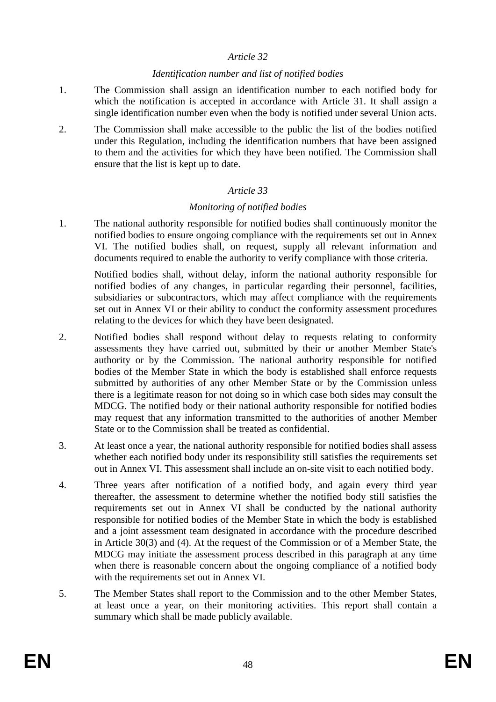#### *Identification number and list of notified bodies*

- 1. The Commission shall assign an identification number to each notified body for which the notification is accepted in accordance with Article 31. It shall assign a single identification number even when the body is notified under several Union acts.
- 2. The Commission shall make accessible to the public the list of the bodies notified under this Regulation, including the identification numbers that have been assigned to them and the activities for which they have been notified. The Commission shall ensure that the list is kept up to date.

## *Article 33*

#### *Monitoring of notified bodies*

1. The national authority responsible for notified bodies shall continuously monitor the notified bodies to ensure ongoing compliance with the requirements set out in Annex VI. The notified bodies shall, on request, supply all relevant information and documents required to enable the authority to verify compliance with those criteria.

Notified bodies shall, without delay, inform the national authority responsible for notified bodies of any changes, in particular regarding their personnel, facilities, subsidiaries or subcontractors, which may affect compliance with the requirements set out in Annex VI or their ability to conduct the conformity assessment procedures relating to the devices for which they have been designated.

- 2. Notified bodies shall respond without delay to requests relating to conformity assessments they have carried out, submitted by their or another Member State's authority or by the Commission. The national authority responsible for notified bodies of the Member State in which the body is established shall enforce requests submitted by authorities of any other Member State or by the Commission unless there is a legitimate reason for not doing so in which case both sides may consult the MDCG. The notified body or their national authority responsible for notified bodies may request that any information transmitted to the authorities of another Member State or to the Commission shall be treated as confidential.
- 3. At least once a year, the national authority responsible for notified bodies shall assess whether each notified body under its responsibility still satisfies the requirements set out in Annex VI. This assessment shall include an on-site visit to each notified body.
- 4. Three years after notification of a notified body, and again every third year thereafter, the assessment to determine whether the notified body still satisfies the requirements set out in Annex VI shall be conducted by the national authority responsible for notified bodies of the Member State in which the body is established and a joint assessment team designated in accordance with the procedure described in Article 30(3) and (4). At the request of the Commission or of a Member State, the MDCG may initiate the assessment process described in this paragraph at any time when there is reasonable concern about the ongoing compliance of a notified body with the requirements set out in Annex VI.
- 5. The Member States shall report to the Commission and to the other Member States, at least once a year, on their monitoring activities. This report shall contain a summary which shall be made publicly available.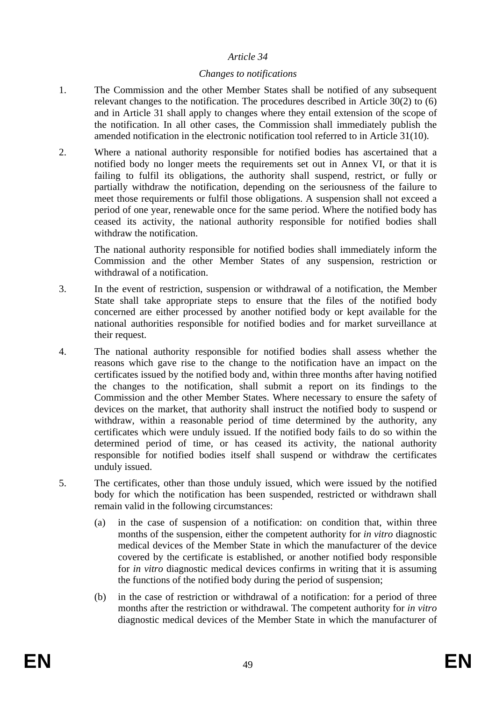#### *Changes to notifications*

- 1. The Commission and the other Member States shall be notified of any subsequent relevant changes to the notification. The procedures described in Article 30(2) to (6) and in Article 31 shall apply to changes where they entail extension of the scope of the notification. In all other cases, the Commission shall immediately publish the amended notification in the electronic notification tool referred to in Article 31(10).
- 2. Where a national authority responsible for notified bodies has ascertained that a notified body no longer meets the requirements set out in Annex VI, or that it is failing to fulfil its obligations, the authority shall suspend, restrict, or fully or partially withdraw the notification, depending on the seriousness of the failure to meet those requirements or fulfil those obligations. A suspension shall not exceed a period of one year, renewable once for the same period. Where the notified body has ceased its activity, the national authority responsible for notified bodies shall withdraw the notification.

The national authority responsible for notified bodies shall immediately inform the Commission and the other Member States of any suspension, restriction or withdrawal of a notification.

- 3. In the event of restriction, suspension or withdrawal of a notification, the Member State shall take appropriate steps to ensure that the files of the notified body concerned are either processed by another notified body or kept available for the national authorities responsible for notified bodies and for market surveillance at their request.
- 4. The national authority responsible for notified bodies shall assess whether the reasons which gave rise to the change to the notification have an impact on the certificates issued by the notified body and, within three months after having notified the changes to the notification, shall submit a report on its findings to the Commission and the other Member States. Where necessary to ensure the safety of devices on the market, that authority shall instruct the notified body to suspend or withdraw, within a reasonable period of time determined by the authority, any certificates which were unduly issued. If the notified body fails to do so within the determined period of time, or has ceased its activity, the national authority responsible for notified bodies itself shall suspend or withdraw the certificates unduly issued.
- 5. The certificates, other than those unduly issued, which were issued by the notified body for which the notification has been suspended, restricted or withdrawn shall remain valid in the following circumstances:
	- (a) in the case of suspension of a notification: on condition that, within three months of the suspension, either the competent authority for *in vitro* diagnostic medical devices of the Member State in which the manufacturer of the device covered by the certificate is established, or another notified body responsible for *in vitro* diagnostic medical devices confirms in writing that it is assuming the functions of the notified body during the period of suspension;
	- (b) in the case of restriction or withdrawal of a notification: for a period of three months after the restriction or withdrawal. The competent authority for *in vitro* diagnostic medical devices of the Member State in which the manufacturer of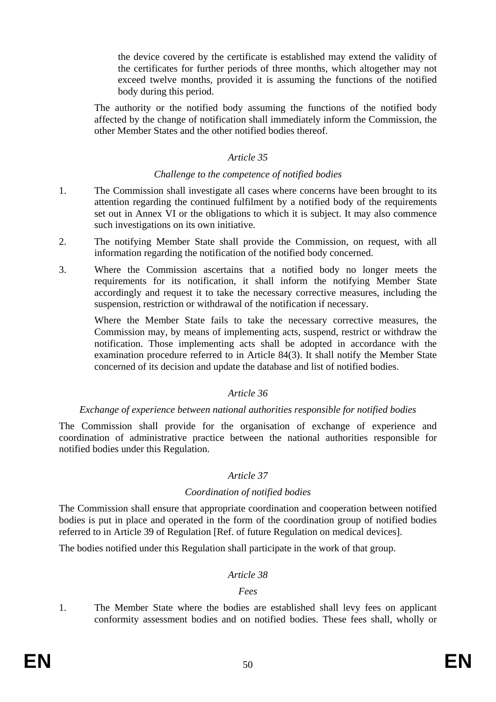the device covered by the certificate is established may extend the validity of the certificates for further periods of three months, which altogether may not exceed twelve months, provided it is assuming the functions of the notified body during this period.

The authority or the notified body assuming the functions of the notified body affected by the change of notification shall immediately inform the Commission, the other Member States and the other notified bodies thereof.

#### *Article 35*

#### *Challenge to the competence of notified bodies*

- 1. The Commission shall investigate all cases where concerns have been brought to its attention regarding the continued fulfilment by a notified body of the requirements set out in Annex VI or the obligations to which it is subject. It may also commence such investigations on its own initiative.
- 2. The notifying Member State shall provide the Commission, on request, with all information regarding the notification of the notified body concerned.
- 3. Where the Commission ascertains that a notified body no longer meets the requirements for its notification, it shall inform the notifying Member State accordingly and request it to take the necessary corrective measures, including the suspension, restriction or withdrawal of the notification if necessary.

Where the Member State fails to take the necessary corrective measures, the Commission may, by means of implementing acts, suspend, restrict or withdraw the notification. Those implementing acts shall be adopted in accordance with the examination procedure referred to in Article 84(3). It shall notify the Member State concerned of its decision and update the database and list of notified bodies.

#### *Article 36*

#### *Exchange of experience between national authorities responsible for notified bodies*

The Commission shall provide for the organisation of exchange of experience and coordination of administrative practice between the national authorities responsible for notified bodies under this Regulation.

#### *Article 37*

#### *Coordination of notified bodies*

The Commission shall ensure that appropriate coordination and cooperation between notified bodies is put in place and operated in the form of the coordination group of notified bodies referred to in Article 39 of Regulation [Ref. of future Regulation on medical devices].

The bodies notified under this Regulation shall participate in the work of that group.

#### *Article 38*

#### *Fees*

1. The Member State where the bodies are established shall levy fees on applicant conformity assessment bodies and on notified bodies. These fees shall, wholly or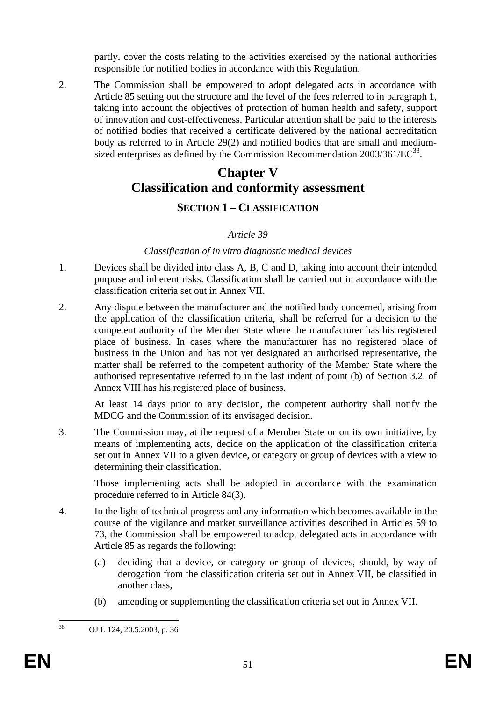partly, cover the costs relating to the activities exercised by the national authorities responsible for notified bodies in accordance with this Regulation.

2. The Commission shall be empowered to adopt delegated acts in accordance with Article 85 setting out the structure and the level of the fees referred to in paragraph 1, taking into account the objectives of protection of human health and safety, support of innovation and cost-effectiveness. Particular attention shall be paid to the interests of notified bodies that received a certificate delivered by the national accreditation body as referred to in Article 29(2) and notified bodies that are small and mediumsized enterprises as defined by the Commission Recommendation  $2003/361/EC^{38}$ .

# **Chapter V Classification and conformity assessment**

# **SECTION 1 – CLASSIFICATION**

## *Article 39*

#### *Classification of in vitro diagnostic medical devices*

- 1. Devices shall be divided into class A, B, C and D, taking into account their intended purpose and inherent risks. Classification shall be carried out in accordance with the classification criteria set out in Annex VII.
- 2. Any dispute between the manufacturer and the notified body concerned, arising from the application of the classification criteria, shall be referred for a decision to the competent authority of the Member State where the manufacturer has his registered place of business. In cases where the manufacturer has no registered place of business in the Union and has not yet designated an authorised representative, the matter shall be referred to the competent authority of the Member State where the authorised representative referred to in the last indent of point (b) of Section 3.2. of Annex VIII has his registered place of business.

At least 14 days prior to any decision, the competent authority shall notify the MDCG and the Commission of its envisaged decision.

3. The Commission may, at the request of a Member State or on its own initiative, by means of implementing acts, decide on the application of the classification criteria set out in Annex VII to a given device, or category or group of devices with a view to determining their classification.

Those implementing acts shall be adopted in accordance with the examination procedure referred to in Article 84(3).

- 4. In the light of technical progress and any information which becomes available in the course of the vigilance and market surveillance activities described in Articles 59 to 73, the Commission shall be empowered to adopt delegated acts in accordance with Article 85 as regards the following:
	- (a) deciding that a device, or category or group of devices, should, by way of derogation from the classification criteria set out in Annex VII, be classified in another class,
	- (b) amending or supplementing the classification criteria set out in Annex VII.

38

<sup>38</sup> OJ L 124, 20.5.2003, p. 36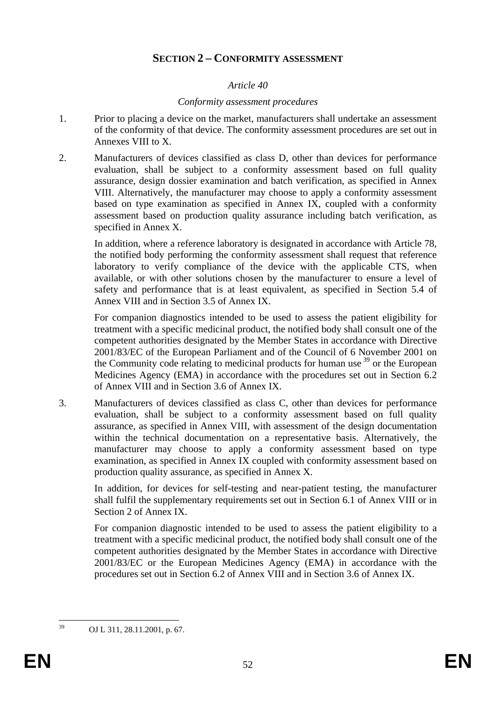# **SECTION 2 – CONFORMITY ASSESSMENT**

#### *Article 40*

#### *Conformity assessment procedures*

- 1. Prior to placing a device on the market, manufacturers shall undertake an assessment of the conformity of that device. The conformity assessment procedures are set out in Annexes VIII to X.
- 2. Manufacturers of devices classified as class D, other than devices for performance evaluation, shall be subject to a conformity assessment based on full quality assurance, design dossier examination and batch verification, as specified in Annex VIII. Alternatively, the manufacturer may choose to apply a conformity assessment based on type examination as specified in Annex IX, coupled with a conformity assessment based on production quality assurance including batch verification, as specified in Annex X.

In addition, where a reference laboratory is designated in accordance with Article 78, the notified body performing the conformity assessment shall request that reference laboratory to verify compliance of the device with the applicable CTS, when available, or with other solutions chosen by the manufacturer to ensure a level of safety and performance that is at least equivalent, as specified in Section 5.4 of Annex VIII and in Section 3.5 of Annex IX.

For companion diagnostics intended to be used to assess the patient eligibility for treatment with a specific medicinal product, the notified body shall consult one of the competent authorities designated by the Member States in accordance with Directive 2001/83/EC of the European Parliament and of the Council of 6 November 2001 on the Community code relating to medicinal products for human use  $39$  or the European Medicines Agency (EMA) in accordance with the procedures set out in Section 6.2 of Annex VIII and in Section 3.6 of Annex IX.

3. Manufacturers of devices classified as class C, other than devices for performance evaluation, shall be subject to a conformity assessment based on full quality assurance, as specified in Annex VIII, with assessment of the design documentation within the technical documentation on a representative basis. Alternatively, the manufacturer may choose to apply a conformity assessment based on type examination, as specified in Annex IX coupled with conformity assessment based on production quality assurance, as specified in Annex X.

In addition, for devices for self-testing and near-patient testing, the manufacturer shall fulfil the supplementary requirements set out in Section 6.1 of Annex VIII or in Section 2 of Annex IX.

For companion diagnostic intended to be used to assess the patient eligibility to a treatment with a specific medicinal product, the notified body shall consult one of the competent authorities designated by the Member States in accordance with Directive 2001/83/EC or the European Medicines Agency (EMA) in accordance with the procedures set out in Section 6.2 of Annex VIII and in Section 3.6 of Annex IX.

<sup>39</sup> 39 OJ L 311, 28.11.2001, p. 67.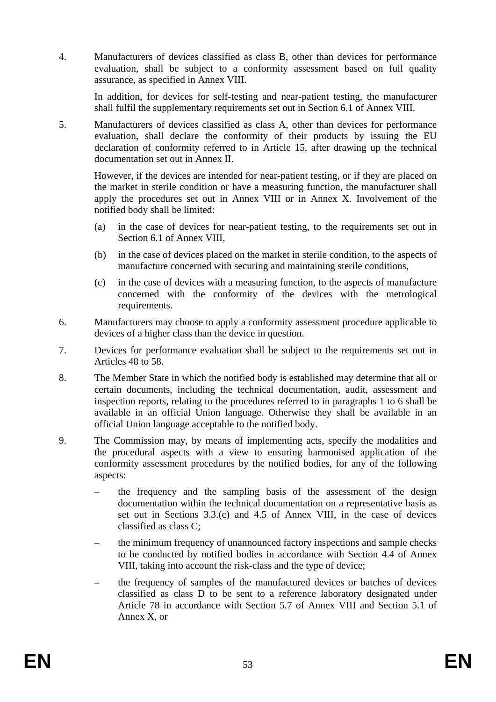4. Manufacturers of devices classified as class B, other than devices for performance evaluation, shall be subject to a conformity assessment based on full quality assurance, as specified in Annex VIII.

In addition, for devices for self-testing and near-patient testing, the manufacturer shall fulfil the supplementary requirements set out in Section 6.1 of Annex VIII.

5. Manufacturers of devices classified as class A, other than devices for performance evaluation, shall declare the conformity of their products by issuing the EU declaration of conformity referred to in Article 15, after drawing up the technical documentation set out in Annex II.

However, if the devices are intended for near-patient testing, or if they are placed on the market in sterile condition or have a measuring function, the manufacturer shall apply the procedures set out in Annex VIII or in Annex X. Involvement of the notified body shall be limited:

- (a) in the case of devices for near-patient testing, to the requirements set out in Section 6.1 of Annex VIII,
- (b) in the case of devices placed on the market in sterile condition, to the aspects of manufacture concerned with securing and maintaining sterile conditions,
- (c) in the case of devices with a measuring function, to the aspects of manufacture concerned with the conformity of the devices with the metrological requirements.
- 6. Manufacturers may choose to apply a conformity assessment procedure applicable to devices of a higher class than the device in question.
- 7. Devices for performance evaluation shall be subject to the requirements set out in Articles 48 to 58.
- 8. The Member State in which the notified body is established may determine that all or certain documents, including the technical documentation, audit, assessment and inspection reports, relating to the procedures referred to in paragraphs 1 to 6 shall be available in an official Union language. Otherwise they shall be available in an official Union language acceptable to the notified body.
- 9. The Commission may, by means of implementing acts, specify the modalities and the procedural aspects with a view to ensuring harmonised application of the conformity assessment procedures by the notified bodies, for any of the following aspects:
	- the frequency and the sampling basis of the assessment of the design documentation within the technical documentation on a representative basis as set out in Sections 3.3.(c) and 4.5 of Annex VIII, in the case of devices classified as class C;
	- the minimum frequency of unannounced factory inspections and sample checks to be conducted by notified bodies in accordance with Section 4.4 of Annex VIII, taking into account the risk-class and the type of device;
	- the frequency of samples of the manufactured devices or batches of devices classified as class D to be sent to a reference laboratory designated under Article 78 in accordance with Section 5.7 of Annex VIII and Section 5.1 of Annex X, or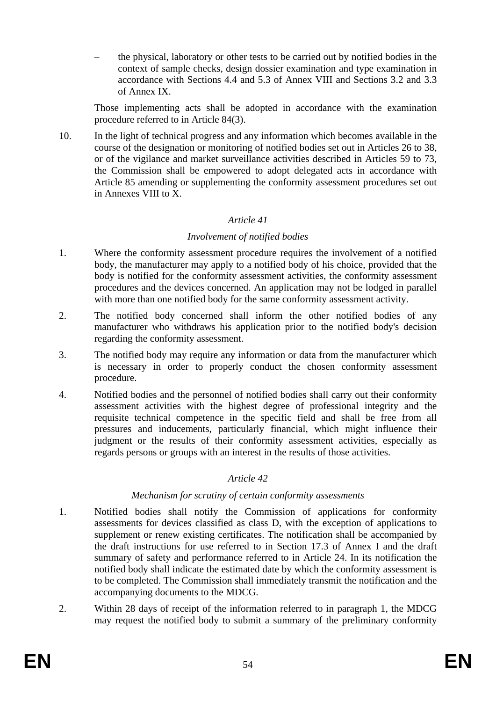– the physical, laboratory or other tests to be carried out by notified bodies in the context of sample checks, design dossier examination and type examination in accordance with Sections 4.4 and 5.3 of Annex VIII and Sections 3.2 and 3.3 of Annex IX.

Those implementing acts shall be adopted in accordance with the examination procedure referred to in Article 84(3).

10. In the light of technical progress and any information which becomes available in the course of the designation or monitoring of notified bodies set out in Articles 26 to 38, or of the vigilance and market surveillance activities described in Articles 59 to 73, the Commission shall be empowered to adopt delegated acts in accordance with Article 85 amending or supplementing the conformity assessment procedures set out in Annexes VIII to X.

## *Article 41*

## *Involvement of notified bodies*

- 1. Where the conformity assessment procedure requires the involvement of a notified body, the manufacturer may apply to a notified body of his choice, provided that the body is notified for the conformity assessment activities, the conformity assessment procedures and the devices concerned. An application may not be lodged in parallel with more than one notified body for the same conformity assessment activity.
- 2. The notified body concerned shall inform the other notified bodies of any manufacturer who withdraws his application prior to the notified body's decision regarding the conformity assessment.
- 3. The notified body may require any information or data from the manufacturer which is necessary in order to properly conduct the chosen conformity assessment procedure.
- 4. Notified bodies and the personnel of notified bodies shall carry out their conformity assessment activities with the highest degree of professional integrity and the requisite technical competence in the specific field and shall be free from all pressures and inducements, particularly financial, which might influence their judgment or the results of their conformity assessment activities, especially as regards persons or groups with an interest in the results of those activities.

# *Article 42*

#### *Mechanism for scrutiny of certain conformity assessments*

- 1. Notified bodies shall notify the Commission of applications for conformity assessments for devices classified as class D, with the exception of applications to supplement or renew existing certificates. The notification shall be accompanied by the draft instructions for use referred to in Section 17.3 of Annex I and the draft summary of safety and performance referred to in Article 24. In its notification the notified body shall indicate the estimated date by which the conformity assessment is to be completed. The Commission shall immediately transmit the notification and the accompanying documents to the MDCG.
- 2. Within 28 days of receipt of the information referred to in paragraph 1, the MDCG may request the notified body to submit a summary of the preliminary conformity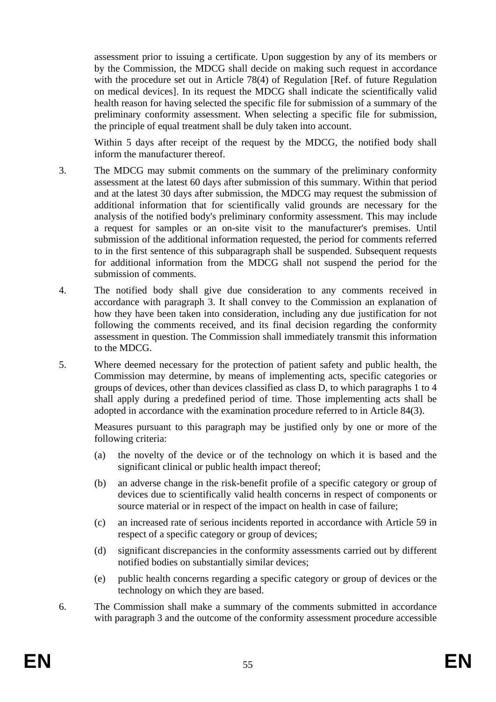assessment prior to issuing a certificate. Upon suggestion by any of its members or by the Commission, the MDCG shall decide on making such request in accordance with the procedure set out in Article 78(4) of Regulation [Ref. of future Regulation on medical devices]. In its request the MDCG shall indicate the scientifically valid health reason for having selected the specific file for submission of a summary of the preliminary conformity assessment. When selecting a specific file for submission, the principle of equal treatment shall be duly taken into account.

Within 5 days after receipt of the request by the MDCG, the notified body shall inform the manufacturer thereof.

- 3. The MDCG may submit comments on the summary of the preliminary conformity assessment at the latest 60 days after submission of this summary. Within that period and at the latest 30 days after submission, the MDCG may request the submission of additional information that for scientifically valid grounds are necessary for the analysis of the notified body's preliminary conformity assessment. This may include a request for samples or an on-site visit to the manufacturer's premises. Until submission of the additional information requested, the period for comments referred to in the first sentence of this subparagraph shall be suspended. Subsequent requests for additional information from the MDCG shall not suspend the period for the submission of comments.
- 4. The notified body shall give due consideration to any comments received in accordance with paragraph 3. It shall convey to the Commission an explanation of how they have been taken into consideration, including any due justification for not following the comments received, and its final decision regarding the conformity assessment in question. The Commission shall immediately transmit this information to the MDCG.
- 5. Where deemed necessary for the protection of patient safety and public health, the Commission may determine, by means of implementing acts, specific categories or groups of devices, other than devices classified as class D, to which paragraphs 1 to 4 shall apply during a predefined period of time. Those implementing acts shall be adopted in accordance with the examination procedure referred to in Article 84(3).

Measures pursuant to this paragraph may be justified only by one or more of the following criteria:

- (a) the novelty of the device or of the technology on which it is based and the significant clinical or public health impact thereof;
- (b) an adverse change in the risk-benefit profile of a specific category or group of devices due to scientifically valid health concerns in respect of components or source material or in respect of the impact on health in case of failure;
- (c) an increased rate of serious incidents reported in accordance with Article 59 in respect of a specific category or group of devices;
- (d) significant discrepancies in the conformity assessments carried out by different notified bodies on substantially similar devices;
- (e) public health concerns regarding a specific category or group of devices or the technology on which they are based.
- 6. The Commission shall make a summary of the comments submitted in accordance with paragraph 3 and the outcome of the conformity assessment procedure accessible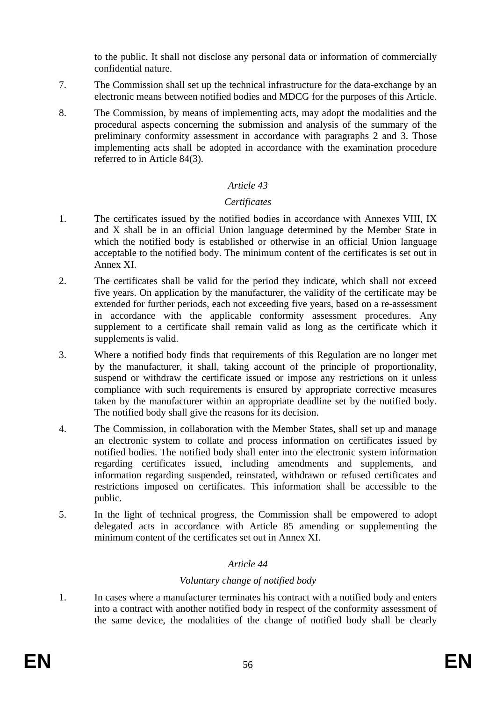to the public. It shall not disclose any personal data or information of commercially confidential nature.

- 7. The Commission shall set up the technical infrastructure for the data-exchange by an electronic means between notified bodies and MDCG for the purposes of this Article.
- 8. The Commission, by means of implementing acts, may adopt the modalities and the procedural aspects concerning the submission and analysis of the summary of the preliminary conformity assessment in accordance with paragraphs 2 and 3. Those implementing acts shall be adopted in accordance with the examination procedure referred to in Article 84(3).

## *Article 43*

#### *Certificates*

- 1. The certificates issued by the notified bodies in accordance with Annexes VIII, IX and X shall be in an official Union language determined by the Member State in which the notified body is established or otherwise in an official Union language acceptable to the notified body. The minimum content of the certificates is set out in Annex XI.
- 2. The certificates shall be valid for the period they indicate, which shall not exceed five years. On application by the manufacturer, the validity of the certificate may be extended for further periods, each not exceeding five years, based on a re-assessment in accordance with the applicable conformity assessment procedures. Any supplement to a certificate shall remain valid as long as the certificate which it supplements is valid.
- 3. Where a notified body finds that requirements of this Regulation are no longer met by the manufacturer, it shall, taking account of the principle of proportionality, suspend or withdraw the certificate issued or impose any restrictions on it unless compliance with such requirements is ensured by appropriate corrective measures taken by the manufacturer within an appropriate deadline set by the notified body. The notified body shall give the reasons for its decision.
- 4. The Commission, in collaboration with the Member States, shall set up and manage an electronic system to collate and process information on certificates issued by notified bodies. The notified body shall enter into the electronic system information regarding certificates issued, including amendments and supplements, and information regarding suspended, reinstated, withdrawn or refused certificates and restrictions imposed on certificates. This information shall be accessible to the public.
- 5. In the light of technical progress, the Commission shall be empowered to adopt delegated acts in accordance with Article 85 amending or supplementing the minimum content of the certificates set out in Annex XI.

# *Article 44*

# *Voluntary change of notified body*

1. In cases where a manufacturer terminates his contract with a notified body and enters into a contract with another notified body in respect of the conformity assessment of the same device, the modalities of the change of notified body shall be clearly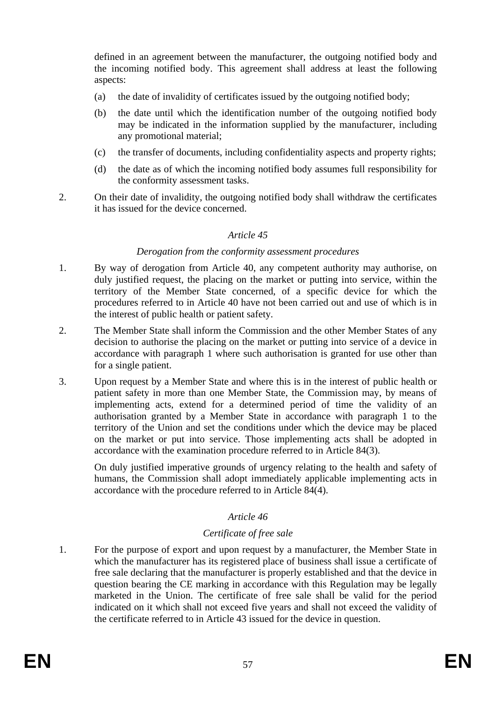defined in an agreement between the manufacturer, the outgoing notified body and the incoming notified body. This agreement shall address at least the following aspects:

- (a) the date of invalidity of certificates issued by the outgoing notified body;
- (b) the date until which the identification number of the outgoing notified body may be indicated in the information supplied by the manufacturer, including any promotional material;
- (c) the transfer of documents, including confidentiality aspects and property rights;
- (d) the date as of which the incoming notified body assumes full responsibility for the conformity assessment tasks.
- 2. On their date of invalidity, the outgoing notified body shall withdraw the certificates it has issued for the device concerned.

## *Article 45*

#### *Derogation from the conformity assessment procedures*

- 1. By way of derogation from Article 40, any competent authority may authorise, on duly justified request, the placing on the market or putting into service, within the territory of the Member State concerned, of a specific device for which the procedures referred to in Article 40 have not been carried out and use of which is in the interest of public health or patient safety.
- 2. The Member State shall inform the Commission and the other Member States of any decision to authorise the placing on the market or putting into service of a device in accordance with paragraph 1 where such authorisation is granted for use other than for a single patient.
- 3. Upon request by a Member State and where this is in the interest of public health or patient safety in more than one Member State, the Commission may, by means of implementing acts, extend for a determined period of time the validity of an authorisation granted by a Member State in accordance with paragraph 1 to the territory of the Union and set the conditions under which the device may be placed on the market or put into service. Those implementing acts shall be adopted in accordance with the examination procedure referred to in Article 84(3).

On duly justified imperative grounds of urgency relating to the health and safety of humans, the Commission shall adopt immediately applicable implementing acts in accordance with the procedure referred to in Article 84(4).

# *Article 46*

#### *Certificate of free sale*

1. For the purpose of export and upon request by a manufacturer, the Member State in which the manufacturer has its registered place of business shall issue a certificate of free sale declaring that the manufacturer is properly established and that the device in question bearing the CE marking in accordance with this Regulation may be legally marketed in the Union. The certificate of free sale shall be valid for the period indicated on it which shall not exceed five years and shall not exceed the validity of the certificate referred to in Article 43 issued for the device in question.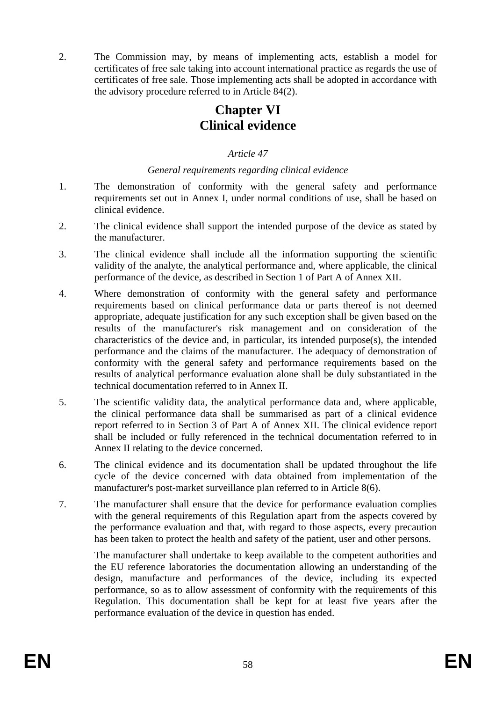2. The Commission may, by means of implementing acts, establish a model for certificates of free sale taking into account international practice as regards the use of certificates of free sale. Those implementing acts shall be adopted in accordance with the advisory procedure referred to in Article 84(2).

# **Chapter VI Clinical evidence**

# *Article 47*

# *General requirements regarding clinical evidence*

- 1. The demonstration of conformity with the general safety and performance requirements set out in Annex I, under normal conditions of use, shall be based on clinical evidence.
- 2. The clinical evidence shall support the intended purpose of the device as stated by the manufacturer.
- 3. The clinical evidence shall include all the information supporting the scientific validity of the analyte, the analytical performance and, where applicable, the clinical performance of the device, as described in Section 1 of Part A of Annex XII.
- 4. Where demonstration of conformity with the general safety and performance requirements based on clinical performance data or parts thereof is not deemed appropriate, adequate justification for any such exception shall be given based on the results of the manufacturer's risk management and on consideration of the characteristics of the device and, in particular, its intended purpose(s), the intended performance and the claims of the manufacturer. The adequacy of demonstration of conformity with the general safety and performance requirements based on the results of analytical performance evaluation alone shall be duly substantiated in the technical documentation referred to in Annex II.
- 5. The scientific validity data, the analytical performance data and, where applicable, the clinical performance data shall be summarised as part of a clinical evidence report referred to in Section 3 of Part A of Annex XII. The clinical evidence report shall be included or fully referenced in the technical documentation referred to in Annex II relating to the device concerned.
- 6. The clinical evidence and its documentation shall be updated throughout the life cycle of the device concerned with data obtained from implementation of the manufacturer's post-market surveillance plan referred to in Article 8(6).
- 7. The manufacturer shall ensure that the device for performance evaluation complies with the general requirements of this Regulation apart from the aspects covered by the performance evaluation and that, with regard to those aspects, every precaution has been taken to protect the health and safety of the patient, user and other persons.

The manufacturer shall undertake to keep available to the competent authorities and the EU reference laboratories the documentation allowing an understanding of the design, manufacture and performances of the device, including its expected performance, so as to allow assessment of conformity with the requirements of this Regulation. This documentation shall be kept for at least five years after the performance evaluation of the device in question has ended.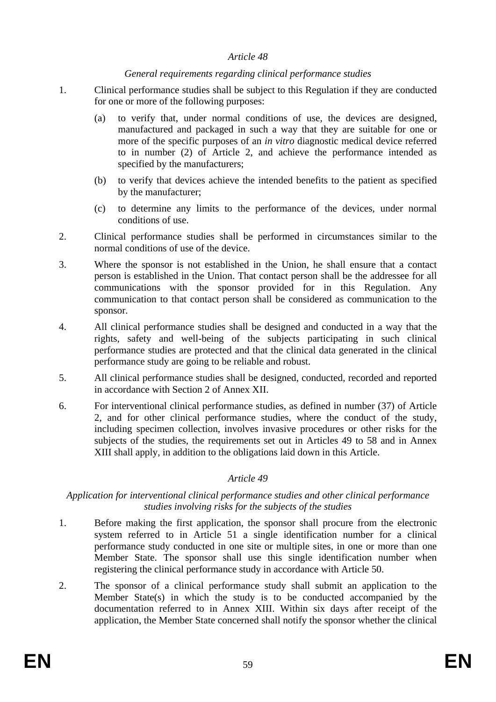#### *General requirements regarding clinical performance studies*

- 1. Clinical performance studies shall be subject to this Regulation if they are conducted for one or more of the following purposes:
	- (a) to verify that, under normal conditions of use, the devices are designed, manufactured and packaged in such a way that they are suitable for one or more of the specific purposes of an *in vitro* diagnostic medical device referred to in number (2) of Article 2, and achieve the performance intended as specified by the manufacturers;
	- (b) to verify that devices achieve the intended benefits to the patient as specified by the manufacturer;
	- (c) to determine any limits to the performance of the devices, under normal conditions of use.
- 2. Clinical performance studies shall be performed in circumstances similar to the normal conditions of use of the device.
- 3. Where the sponsor is not established in the Union, he shall ensure that a contact person is established in the Union. That contact person shall be the addressee for all communications with the sponsor provided for in this Regulation. Any communication to that contact person shall be considered as communication to the sponsor.
- 4. All clinical performance studies shall be designed and conducted in a way that the rights, safety and well-being of the subjects participating in such clinical performance studies are protected and that the clinical data generated in the clinical performance study are going to be reliable and robust.
- 5. All clinical performance studies shall be designed, conducted, recorded and reported in accordance with Section 2 of Annex XII.
- 6. For interventional clinical performance studies, as defined in number (37) of Article 2, and for other clinical performance studies, where the conduct of the study, including specimen collection, involves invasive procedures or other risks for the subjects of the studies, the requirements set out in Articles 49 to 58 and in Annex XIII shall apply, in addition to the obligations laid down in this Article.

# *Article 49*

## *Application for interventional clinical performance studies and other clinical performance studies involving risks for the subjects of the studies*

- 1. Before making the first application, the sponsor shall procure from the electronic system referred to in Article 51 a single identification number for a clinical performance study conducted in one site or multiple sites, in one or more than one Member State. The sponsor shall use this single identification number when registering the clinical performance study in accordance with Article 50.
- 2. The sponsor of a clinical performance study shall submit an application to the Member State(s) in which the study is to be conducted accompanied by the documentation referred to in Annex XIII. Within six days after receipt of the application, the Member State concerned shall notify the sponsor whether the clinical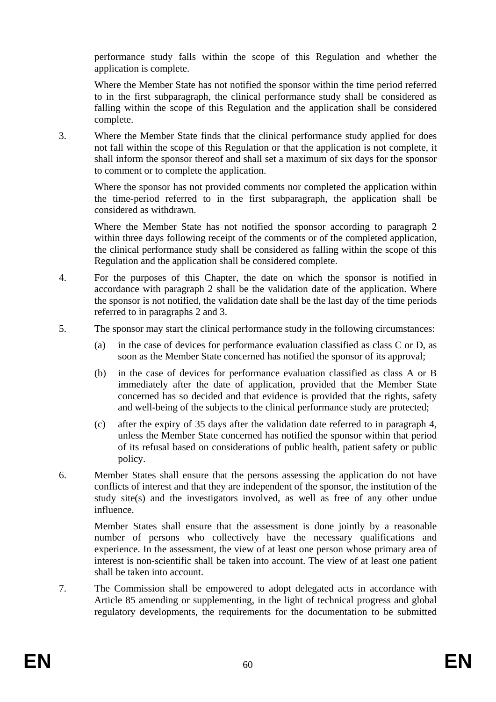performance study falls within the scope of this Regulation and whether the application is complete.

Where the Member State has not notified the sponsor within the time period referred to in the first subparagraph, the clinical performance study shall be considered as falling within the scope of this Regulation and the application shall be considered complete.

3. Where the Member State finds that the clinical performance study applied for does not fall within the scope of this Regulation or that the application is not complete, it shall inform the sponsor thereof and shall set a maximum of six days for the sponsor to comment or to complete the application.

Where the sponsor has not provided comments nor completed the application within the time-period referred to in the first subparagraph, the application shall be considered as withdrawn.

Where the Member State has not notified the sponsor according to paragraph 2 within three days following receipt of the comments or of the completed application, the clinical performance study shall be considered as falling within the scope of this Regulation and the application shall be considered complete.

- 4. For the purposes of this Chapter, the date on which the sponsor is notified in accordance with paragraph 2 shall be the validation date of the application. Where the sponsor is not notified, the validation date shall be the last day of the time periods referred to in paragraphs 2 and 3.
- 5. The sponsor may start the clinical performance study in the following circumstances:
	- (a) in the case of devices for performance evaluation classified as class C or D, as soon as the Member State concerned has notified the sponsor of its approval;
	- (b) in the case of devices for performance evaluation classified as class A or B immediately after the date of application, provided that the Member State concerned has so decided and that evidence is provided that the rights, safety and well-being of the subjects to the clinical performance study are protected;
	- (c) after the expiry of 35 days after the validation date referred to in paragraph 4, unless the Member State concerned has notified the sponsor within that period of its refusal based on considerations of public health, patient safety or public policy.
- 6. Member States shall ensure that the persons assessing the application do not have conflicts of interest and that they are independent of the sponsor, the institution of the study site(s) and the investigators involved, as well as free of any other undue influence.

Member States shall ensure that the assessment is done jointly by a reasonable number of persons who collectively have the necessary qualifications and experience. In the assessment, the view of at least one person whose primary area of interest is non-scientific shall be taken into account. The view of at least one patient shall be taken into account.

7. The Commission shall be empowered to adopt delegated acts in accordance with Article 85 amending or supplementing, in the light of technical progress and global regulatory developments, the requirements for the documentation to be submitted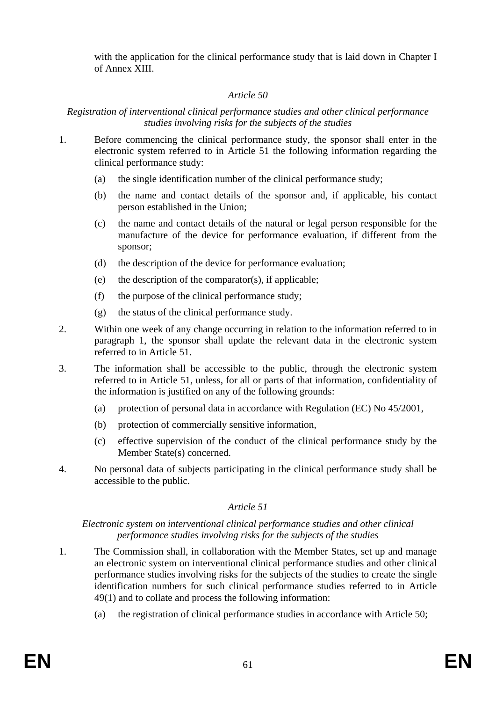with the application for the clinical performance study that is laid down in Chapter I of Annex XIII.

# *Article 50*

#### *Registration of interventional clinical performance studies and other clinical performance studies involving risks for the subjects of the studies*

- 1. Before commencing the clinical performance study, the sponsor shall enter in the electronic system referred to in Article 51 the following information regarding the clinical performance study:
	- (a) the single identification number of the clinical performance study;
	- (b) the name and contact details of the sponsor and, if applicable, his contact person established in the Union;
	- (c) the name and contact details of the natural or legal person responsible for the manufacture of the device for performance evaluation, if different from the sponsor;
	- (d) the description of the device for performance evaluation;
	- (e) the description of the comparator(s), if applicable;
	- (f) the purpose of the clinical performance study;
	- (g) the status of the clinical performance study.
- 2. Within one week of any change occurring in relation to the information referred to in paragraph 1, the sponsor shall update the relevant data in the electronic system referred to in Article 51.
- 3. The information shall be accessible to the public, through the electronic system referred to in Article 51, unless, for all or parts of that information, confidentiality of the information is justified on any of the following grounds:
	- (a) protection of personal data in accordance with Regulation (EC) No 45/2001,
	- (b) protection of commercially sensitive information,
	- (c) effective supervision of the conduct of the clinical performance study by the Member State(s) concerned.
- 4. No personal data of subjects participating in the clinical performance study shall be accessible to the public.

# *Article 51*

#### *Electronic system on interventional clinical performance studies and other clinical performance studies involving risks for the subjects of the studies*

- 1. The Commission shall, in collaboration with the Member States, set up and manage an electronic system on interventional clinical performance studies and other clinical performance studies involving risks for the subjects of the studies to create the single identification numbers for such clinical performance studies referred to in Article 49(1) and to collate and process the following information:
	- (a) the registration of clinical performance studies in accordance with Article 50;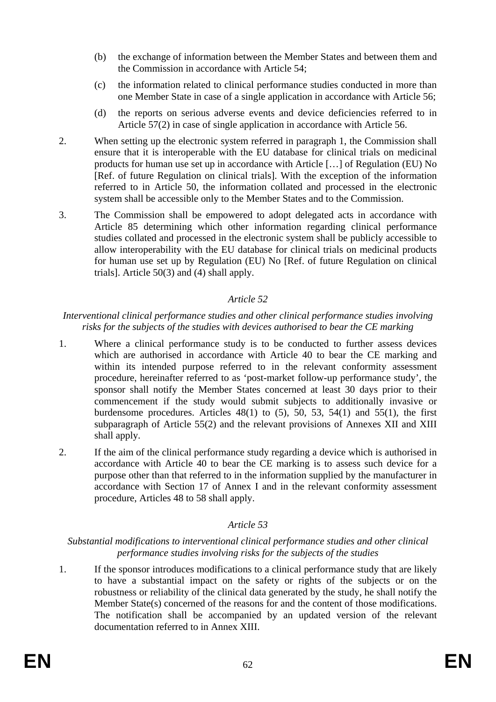- (b) the exchange of information between the Member States and between them and the Commission in accordance with Article 54;
- (c) the information related to clinical performance studies conducted in more than one Member State in case of a single application in accordance with Article 56;
- (d) the reports on serious adverse events and device deficiencies referred to in Article 57(2) in case of single application in accordance with Article 56.
- 2. When setting up the electronic system referred in paragraph 1, the Commission shall ensure that it is interoperable with the EU database for clinical trials on medicinal products for human use set up in accordance with Article […] of Regulation (EU) No [Ref. of future Regulation on clinical trials]. With the exception of the information referred to in Article 50, the information collated and processed in the electronic system shall be accessible only to the Member States and to the Commission.
- 3. The Commission shall be empowered to adopt delegated acts in accordance with Article 85 determining which other information regarding clinical performance studies collated and processed in the electronic system shall be publicly accessible to allow interoperability with the EU database for clinical trials on medicinal products for human use set up by Regulation (EU) No [Ref. of future Regulation on clinical trials]. Article 50(3) and (4) shall apply.

## *Interventional clinical performance studies and other clinical performance studies involving risks for the subjects of the studies with devices authorised to bear the CE marking*

- 1. Where a clinical performance study is to be conducted to further assess devices which are authorised in accordance with Article 40 to bear the CE marking and within its intended purpose referred to in the relevant conformity assessment procedure, hereinafter referred to as 'post-market follow-up performance study', the sponsor shall notify the Member States concerned at least 30 days prior to their commencement if the study would submit subjects to additionally invasive or burdensome procedures. Articles  $48(1)$  to  $(5)$ ,  $50$ ,  $53$ ,  $54(1)$  and  $55(1)$ , the first subparagraph of Article 55(2) and the relevant provisions of Annexes XII and XIII shall apply.
- 2. If the aim of the clinical performance study regarding a device which is authorised in accordance with Article 40 to bear the CE marking is to assess such device for a purpose other than that referred to in the information supplied by the manufacturer in accordance with Section 17 of Annex I and in the relevant conformity assessment procedure, Articles 48 to 58 shall apply.

# *Article 53*

#### *Substantial modifications to interventional clinical performance studies and other clinical performance studies involving risks for the subjects of the studies*

1. If the sponsor introduces modifications to a clinical performance study that are likely to have a substantial impact on the safety or rights of the subjects or on the robustness or reliability of the clinical data generated by the study, he shall notify the Member State(s) concerned of the reasons for and the content of those modifications. The notification shall be accompanied by an updated version of the relevant documentation referred to in Annex XIII.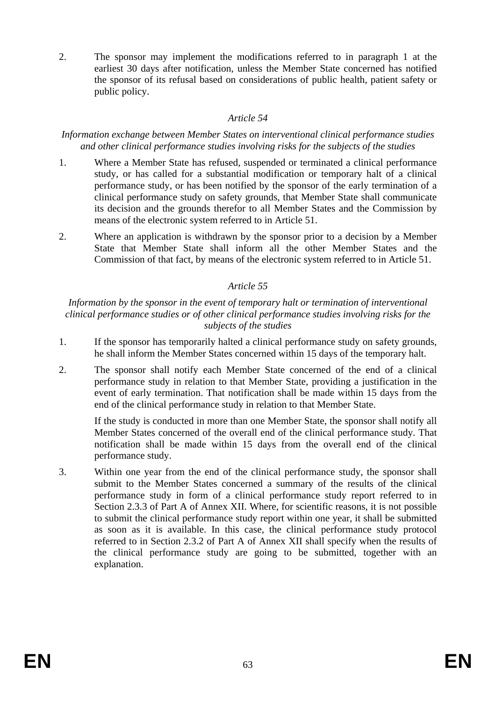2. The sponsor may implement the modifications referred to in paragraph 1 at the earliest 30 days after notification, unless the Member State concerned has notified the sponsor of its refusal based on considerations of public health, patient safety or public policy.

# *Article 54*

#### *Information exchange between Member States on interventional clinical performance studies and other clinical performance studies involving risks for the subjects of the studies*

- 1. Where a Member State has refused, suspended or terminated a clinical performance study, or has called for a substantial modification or temporary halt of a clinical performance study, or has been notified by the sponsor of the early termination of a clinical performance study on safety grounds, that Member State shall communicate its decision and the grounds therefor to all Member States and the Commission by means of the electronic system referred to in Article 51.
- 2. Where an application is withdrawn by the sponsor prior to a decision by a Member State that Member State shall inform all the other Member States and the Commission of that fact, by means of the electronic system referred to in Article 51.

# *Article 55*

*Information by the sponsor in the event of temporary halt or termination of interventional clinical performance studies or of other clinical performance studies involving risks for the subjects of the studies* 

- 1. If the sponsor has temporarily halted a clinical performance study on safety grounds, he shall inform the Member States concerned within 15 days of the temporary halt.
- 2. The sponsor shall notify each Member State concerned of the end of a clinical performance study in relation to that Member State, providing a justification in the event of early termination. That notification shall be made within 15 days from the end of the clinical performance study in relation to that Member State.

If the study is conducted in more than one Member State, the sponsor shall notify all Member States concerned of the overall end of the clinical performance study. That notification shall be made within 15 days from the overall end of the clinical performance study.

3. Within one year from the end of the clinical performance study, the sponsor shall submit to the Member States concerned a summary of the results of the clinical performance study in form of a clinical performance study report referred to in Section 2.3.3 of Part A of Annex XII. Where, for scientific reasons, it is not possible to submit the clinical performance study report within one year, it shall be submitted as soon as it is available. In this case, the clinical performance study protocol referred to in Section 2.3.2 of Part A of Annex XII shall specify when the results of the clinical performance study are going to be submitted, together with an explanation.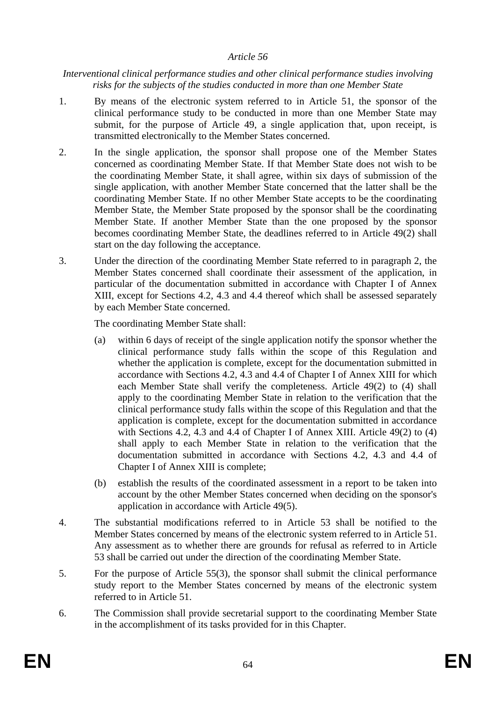#### *Interventional clinical performance studies and other clinical performance studies involving risks for the subjects of the studies conducted in more than one Member State*

- 1. By means of the electronic system referred to in Article 51, the sponsor of the clinical performance study to be conducted in more than one Member State may submit, for the purpose of Article 49, a single application that, upon receipt, is transmitted electronically to the Member States concerned.
- 2. In the single application, the sponsor shall propose one of the Member States concerned as coordinating Member State. If that Member State does not wish to be the coordinating Member State, it shall agree, within six days of submission of the single application, with another Member State concerned that the latter shall be the coordinating Member State. If no other Member State accepts to be the coordinating Member State, the Member State proposed by the sponsor shall be the coordinating Member State. If another Member State than the one proposed by the sponsor becomes coordinating Member State, the deadlines referred to in Article 49(2) shall start on the day following the acceptance.
- 3. Under the direction of the coordinating Member State referred to in paragraph 2, the Member States concerned shall coordinate their assessment of the application, in particular of the documentation submitted in accordance with Chapter I of Annex XIII, except for Sections 4.2, 4.3 and 4.4 thereof which shall be assessed separately by each Member State concerned.

The coordinating Member State shall:

- (a) within 6 days of receipt of the single application notify the sponsor whether the clinical performance study falls within the scope of this Regulation and whether the application is complete, except for the documentation submitted in accordance with Sections 4.2, 4.3 and 4.4 of Chapter I of Annex XIII for which each Member State shall verify the completeness. Article 49(2) to (4) shall apply to the coordinating Member State in relation to the verification that the clinical performance study falls within the scope of this Regulation and that the application is complete, except for the documentation submitted in accordance with Sections 4.2, 4.3 and 4.4 of Chapter I of Annex XIII. Article 49(2) to (4) shall apply to each Member State in relation to the verification that the documentation submitted in accordance with Sections 4.2, 4.3 and 4.4 of Chapter I of Annex XIII is complete;
- (b) establish the results of the coordinated assessment in a report to be taken into account by the other Member States concerned when deciding on the sponsor's application in accordance with Article 49(5).
- 4. The substantial modifications referred to in Article 53 shall be notified to the Member States concerned by means of the electronic system referred to in Article 51. Any assessment as to whether there are grounds for refusal as referred to in Article 53 shall be carried out under the direction of the coordinating Member State.
- 5. For the purpose of Article 55(3), the sponsor shall submit the clinical performance study report to the Member States concerned by means of the electronic system referred to in Article 51.
- 6. The Commission shall provide secretarial support to the coordinating Member State in the accomplishment of its tasks provided for in this Chapter.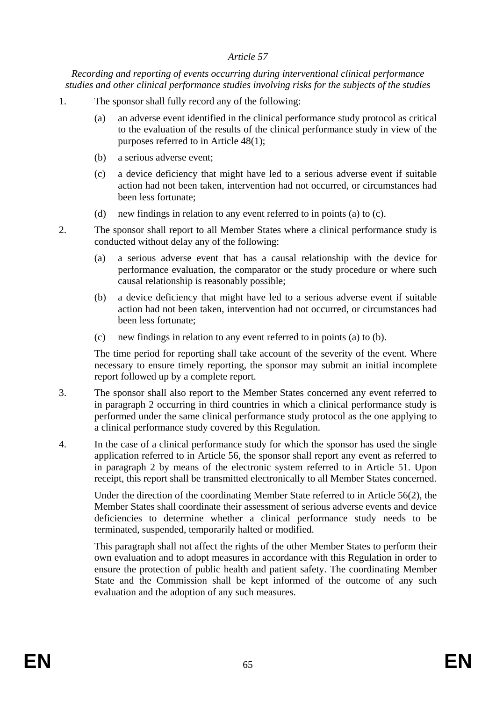*Recording and reporting of events occurring during interventional clinical performance studies and other clinical performance studies involving risks for the subjects of the studies* 

- 1. The sponsor shall fully record any of the following:
	- (a) an adverse event identified in the clinical performance study protocol as critical to the evaluation of the results of the clinical performance study in view of the purposes referred to in Article 48(1);
	- (b) a serious adverse event;
	- (c) a device deficiency that might have led to a serious adverse event if suitable action had not been taken, intervention had not occurred, or circumstances had been less fortunate;
	- (d) new findings in relation to any event referred to in points (a) to (c).

- 2. The sponsor shall report to all Member States where a clinical performance study is conducted without delay any of the following:
	- (a) a serious adverse event that has a causal relationship with the device for performance evaluation, the comparator or the study procedure or where such causal relationship is reasonably possible;
	- (b) a device deficiency that might have led to a serious adverse event if suitable action had not been taken, intervention had not occurred, or circumstances had been less fortunate;
	- (c) new findings in relation to any event referred to in points (a) to (b).

The time period for reporting shall take account of the severity of the event. Where necessary to ensure timely reporting, the sponsor may submit an initial incomplete report followed up by a complete report.

- 3. The sponsor shall also report to the Member States concerned any event referred to in paragraph 2 occurring in third countries in which a clinical performance study is performed under the same clinical performance study protocol as the one applying to a clinical performance study covered by this Regulation.
- 4. In the case of a clinical performance study for which the sponsor has used the single application referred to in Article 56, the sponsor shall report any event as referred to in paragraph 2 by means of the electronic system referred to in Article 51. Upon receipt, this report shall be transmitted electronically to all Member States concerned.

Under the direction of the coordinating Member State referred to in Article 56(2), the Member States shall coordinate their assessment of serious adverse events and device deficiencies to determine whether a clinical performance study needs to be terminated, suspended, temporarily halted or modified.

This paragraph shall not affect the rights of the other Member States to perform their own evaluation and to adopt measures in accordance with this Regulation in order to ensure the protection of public health and patient safety. The coordinating Member State and the Commission shall be kept informed of the outcome of any such evaluation and the adoption of any such measures.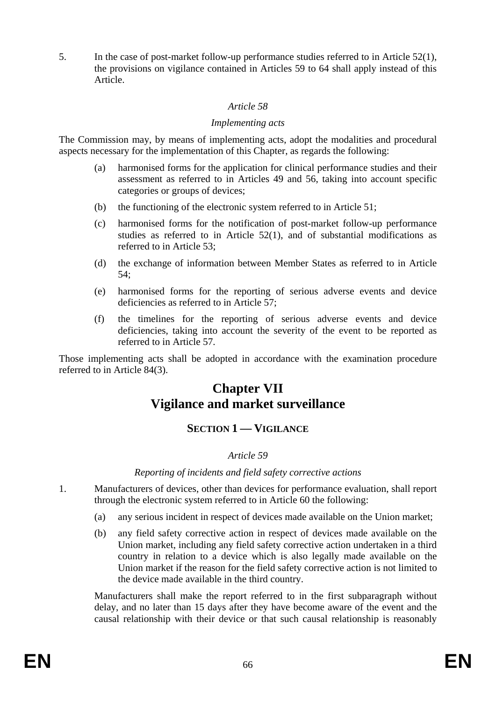5. In the case of post-market follow-up performance studies referred to in Article 52(1), the provisions on vigilance contained in Articles 59 to 64 shall apply instead of this Article.

## *Article 58*

#### *Implementing acts*

The Commission may, by means of implementing acts, adopt the modalities and procedural aspects necessary for the implementation of this Chapter, as regards the following:

- (a) harmonised forms for the application for clinical performance studies and their assessment as referred to in Articles 49 and 56, taking into account specific categories or groups of devices;
- (b) the functioning of the electronic system referred to in Article 51;
- (c) harmonised forms for the notification of post-market follow-up performance studies as referred to in Article 52(1), and of substantial modifications as referred to in Article 53;
- (d) the exchange of information between Member States as referred to in Article 54;
- (e) harmonised forms for the reporting of serious adverse events and device deficiencies as referred to in Article 57;
- (f) the timelines for the reporting of serious adverse events and device deficiencies, taking into account the severity of the event to be reported as referred to in Article 57.

Those implementing acts shall be adopted in accordance with the examination procedure referred to in Article 84(3).

# **Chapter VII Vigilance and market surveillance**

# **SECTION 1 — VIGILANCE**

# *Article 59*

#### *Reporting of incidents and field safety corrective actions*

- 1. Manufacturers of devices, other than devices for performance evaluation, shall report through the electronic system referred to in Article 60 the following:
	- (a) any serious incident in respect of devices made available on the Union market;
	- (b) any field safety corrective action in respect of devices made available on the Union market, including any field safety corrective action undertaken in a third country in relation to a device which is also legally made available on the Union market if the reason for the field safety corrective action is not limited to the device made available in the third country.

Manufacturers shall make the report referred to in the first subparagraph without delay, and no later than 15 days after they have become aware of the event and the causal relationship with their device or that such causal relationship is reasonably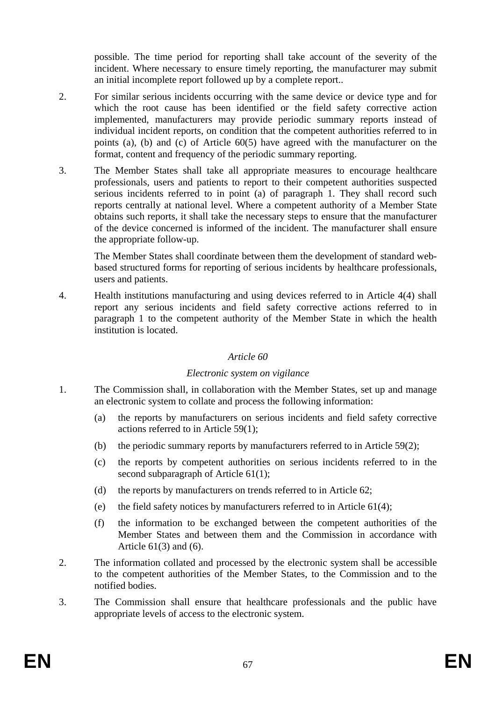possible. The time period for reporting shall take account of the severity of the incident. Where necessary to ensure timely reporting, the manufacturer may submit an initial incomplete report followed up by a complete report..

- 2. For similar serious incidents occurring with the same device or device type and for which the root cause has been identified or the field safety corrective action implemented, manufacturers may provide periodic summary reports instead of individual incident reports, on condition that the competent authorities referred to in points (a), (b) and (c) of Article 60(5) have agreed with the manufacturer on the format, content and frequency of the periodic summary reporting.
- 3. The Member States shall take all appropriate measures to encourage healthcare professionals, users and patients to report to their competent authorities suspected serious incidents referred to in point (a) of paragraph 1. They shall record such reports centrally at national level. Where a competent authority of a Member State obtains such reports, it shall take the necessary steps to ensure that the manufacturer of the device concerned is informed of the incident. The manufacturer shall ensure the appropriate follow-up.

The Member States shall coordinate between them the development of standard webbased structured forms for reporting of serious incidents by healthcare professionals, users and patients.

4. Health institutions manufacturing and using devices referred to in Article 4(4) shall report any serious incidents and field safety corrective actions referred to in paragraph 1 to the competent authority of the Member State in which the health institution is located.

# *Article 60*

#### *Electronic system on vigilance*

- 1. The Commission shall, in collaboration with the Member States, set up and manage an electronic system to collate and process the following information:
	- (a) the reports by manufacturers on serious incidents and field safety corrective actions referred to in Article 59(1);
	- (b) the periodic summary reports by manufacturers referred to in Article 59(2);
	- (c) the reports by competent authorities on serious incidents referred to in the second subparagraph of Article 61(1);
	- (d) the reports by manufacturers on trends referred to in Article 62;
	- (e) the field safety notices by manufacturers referred to in Article 61(4);
	- (f) the information to be exchanged between the competent authorities of the Member States and between them and the Commission in accordance with Article 61(3) and (6).
- 2. The information collated and processed by the electronic system shall be accessible to the competent authorities of the Member States, to the Commission and to the notified bodies.
- 3. The Commission shall ensure that healthcare professionals and the public have appropriate levels of access to the electronic system.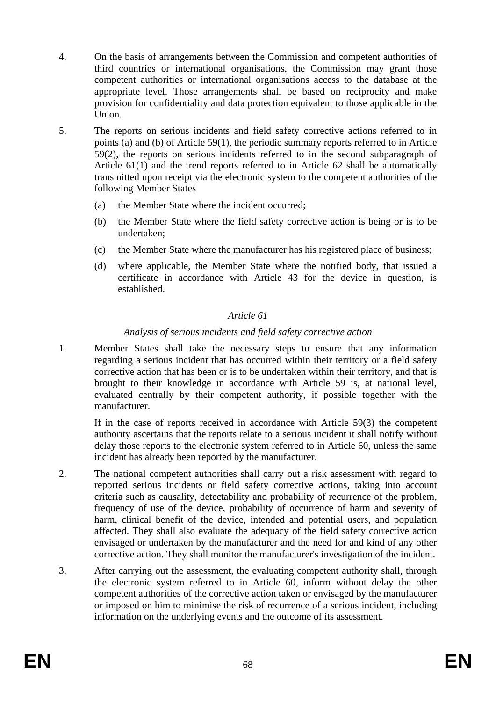- 4. On the basis of arrangements between the Commission and competent authorities of third countries or international organisations, the Commission may grant those competent authorities or international organisations access to the database at the appropriate level. Those arrangements shall be based on reciprocity and make provision for confidentiality and data protection equivalent to those applicable in the Union.
- 5. The reports on serious incidents and field safety corrective actions referred to in points (a) and (b) of Article 59(1), the periodic summary reports referred to in Article 59(2), the reports on serious incidents referred to in the second subparagraph of Article 61(1) and the trend reports referred to in Article 62 shall be automatically transmitted upon receipt via the electronic system to the competent authorities of the following Member States
	- (a) the Member State where the incident occurred;
	- (b) the Member State where the field safety corrective action is being or is to be undertaken;
	- (c) the Member State where the manufacturer has his registered place of business;
	- (d) where applicable, the Member State where the notified body, that issued a certificate in accordance with Article 43 for the device in question, is established.

# *Analysis of serious incidents and field safety corrective action*

1. Member States shall take the necessary steps to ensure that any information regarding a serious incident that has occurred within their territory or a field safety corrective action that has been or is to be undertaken within their territory, and that is brought to their knowledge in accordance with Article 59 is, at national level, evaluated centrally by their competent authority, if possible together with the manufacturer.

If in the case of reports received in accordance with Article 59(3) the competent authority ascertains that the reports relate to a serious incident it shall notify without delay those reports to the electronic system referred to in Article 60, unless the same incident has already been reported by the manufacturer.

- 2. The national competent authorities shall carry out a risk assessment with regard to reported serious incidents or field safety corrective actions, taking into account criteria such as causality, detectability and probability of recurrence of the problem, frequency of use of the device, probability of occurrence of harm and severity of harm, clinical benefit of the device, intended and potential users, and population affected. They shall also evaluate the adequacy of the field safety corrective action envisaged or undertaken by the manufacturer and the need for and kind of any other corrective action. They shall monitor the manufacturer's investigation of the incident.
- 3. After carrying out the assessment, the evaluating competent authority shall, through the electronic system referred to in Article 60, inform without delay the other competent authorities of the corrective action taken or envisaged by the manufacturer or imposed on him to minimise the risk of recurrence of a serious incident, including information on the underlying events and the outcome of its assessment.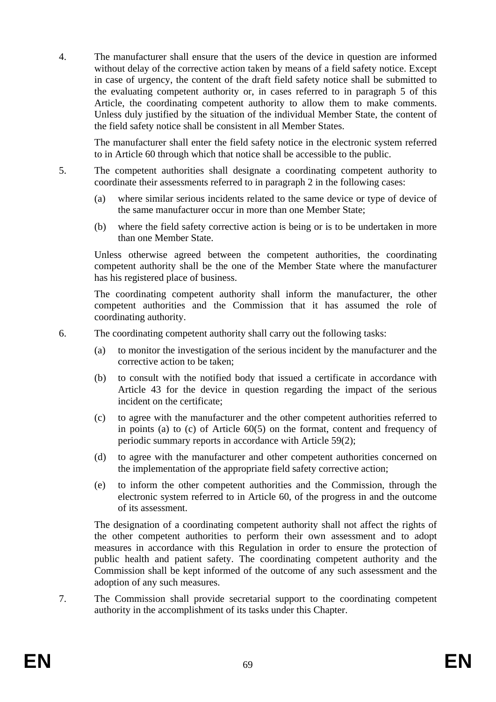4. The manufacturer shall ensure that the users of the device in question are informed without delay of the corrective action taken by means of a field safety notice. Except in case of urgency, the content of the draft field safety notice shall be submitted to the evaluating competent authority or, in cases referred to in paragraph 5 of this Article, the coordinating competent authority to allow them to make comments. Unless duly justified by the situation of the individual Member State, the content of the field safety notice shall be consistent in all Member States.

The manufacturer shall enter the field safety notice in the electronic system referred to in Article 60 through which that notice shall be accessible to the public.

- 5. The competent authorities shall designate a coordinating competent authority to coordinate their assessments referred to in paragraph 2 in the following cases:
	- (a) where similar serious incidents related to the same device or type of device of the same manufacturer occur in more than one Member State;
	- (b) where the field safety corrective action is being or is to be undertaken in more than one Member State.

Unless otherwise agreed between the competent authorities, the coordinating competent authority shall be the one of the Member State where the manufacturer has his registered place of business.

The coordinating competent authority shall inform the manufacturer, the other competent authorities and the Commission that it has assumed the role of coordinating authority.

- 6. The coordinating competent authority shall carry out the following tasks:
	- (a) to monitor the investigation of the serious incident by the manufacturer and the corrective action to be taken;
	- (b) to consult with the notified body that issued a certificate in accordance with Article 43 for the device in question regarding the impact of the serious incident on the certificate;
	- (c) to agree with the manufacturer and the other competent authorities referred to in points (a) to (c) of Article 60(5) on the format, content and frequency of periodic summary reports in accordance with Article 59(2);
	- (d) to agree with the manufacturer and other competent authorities concerned on the implementation of the appropriate field safety corrective action;
	- (e) to inform the other competent authorities and the Commission, through the electronic system referred to in Article 60, of the progress in and the outcome of its assessment.

The designation of a coordinating competent authority shall not affect the rights of the other competent authorities to perform their own assessment and to adopt measures in accordance with this Regulation in order to ensure the protection of public health and patient safety. The coordinating competent authority and the Commission shall be kept informed of the outcome of any such assessment and the adoption of any such measures.

7. The Commission shall provide secretarial support to the coordinating competent authority in the accomplishment of its tasks under this Chapter.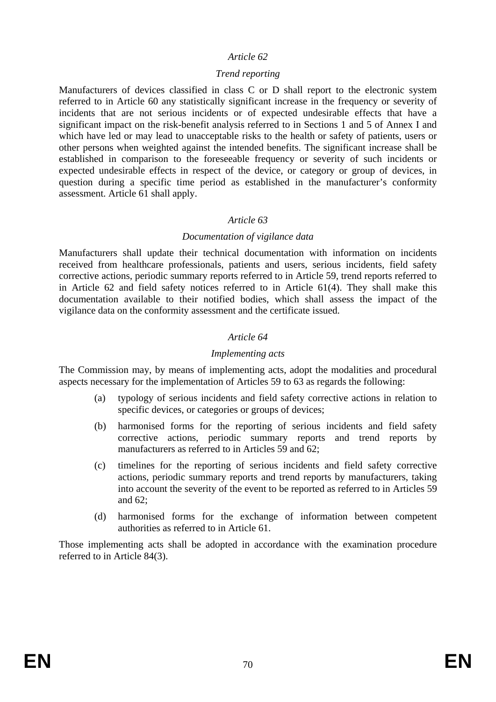#### *Trend reporting*

Manufacturers of devices classified in class C or D shall report to the electronic system referred to in Article 60 any statistically significant increase in the frequency or severity of incidents that are not serious incidents or of expected undesirable effects that have a significant impact on the risk-benefit analysis referred to in Sections 1 and 5 of Annex I and which have led or may lead to unacceptable risks to the health or safety of patients, users or other persons when weighted against the intended benefits. The significant increase shall be established in comparison to the foreseeable frequency or severity of such incidents or expected undesirable effects in respect of the device, or category or group of devices, in question during a specific time period as established in the manufacturer's conformity assessment. Article 61 shall apply.

#### *Article 63*

#### *Documentation of vigilance data*

Manufacturers shall update their technical documentation with information on incidents received from healthcare professionals, patients and users, serious incidents, field safety corrective actions, periodic summary reports referred to in Article 59, trend reports referred to in Article 62 and field safety notices referred to in Article 61(4). They shall make this documentation available to their notified bodies, which shall assess the impact of the vigilance data on the conformity assessment and the certificate issued.

## *Article 64*

#### *Implementing acts*

The Commission may, by means of implementing acts, adopt the modalities and procedural aspects necessary for the implementation of Articles 59 to 63 as regards the following:

- (a) typology of serious incidents and field safety corrective actions in relation to specific devices, or categories or groups of devices;
- (b) harmonised forms for the reporting of serious incidents and field safety corrective actions, periodic summary reports and trend reports by manufacturers as referred to in Articles 59 and 62;
- (c) timelines for the reporting of serious incidents and field safety corrective actions, periodic summary reports and trend reports by manufacturers, taking into account the severity of the event to be reported as referred to in Articles 59 and 62;
- (d) harmonised forms for the exchange of information between competent authorities as referred to in Article 61.

Those implementing acts shall be adopted in accordance with the examination procedure referred to in Article 84(3).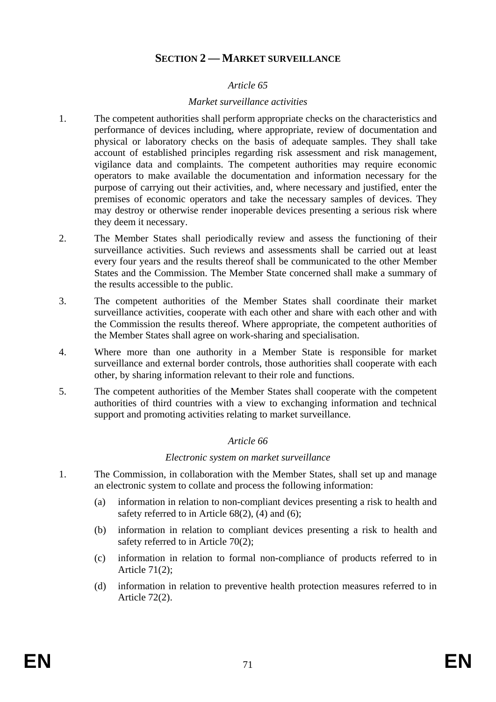# **SECTION 2 — MARKET SURVEILLANCE**

#### *Article 65*

#### *Market surveillance activities*

- 1. The competent authorities shall perform appropriate checks on the characteristics and performance of devices including, where appropriate, review of documentation and physical or laboratory checks on the basis of adequate samples. They shall take account of established principles regarding risk assessment and risk management, vigilance data and complaints. The competent authorities may require economic operators to make available the documentation and information necessary for the purpose of carrying out their activities, and, where necessary and justified, enter the premises of economic operators and take the necessary samples of devices. They may destroy or otherwise render inoperable devices presenting a serious risk where they deem it necessary.
- 2. The Member States shall periodically review and assess the functioning of their surveillance activities. Such reviews and assessments shall be carried out at least every four years and the results thereof shall be communicated to the other Member States and the Commission. The Member State concerned shall make a summary of the results accessible to the public.
- 3. The competent authorities of the Member States shall coordinate their market surveillance activities, cooperate with each other and share with each other and with the Commission the results thereof. Where appropriate, the competent authorities of the Member States shall agree on work-sharing and specialisation.
- 4. Where more than one authority in a Member State is responsible for market surveillance and external border controls, those authorities shall cooperate with each other, by sharing information relevant to their role and functions.
- 5. The competent authorities of the Member States shall cooperate with the competent authorities of third countries with a view to exchanging information and technical support and promoting activities relating to market surveillance.

#### *Article 66*

#### *Electronic system on market surveillance*

- 1. The Commission, in collaboration with the Member States, shall set up and manage an electronic system to collate and process the following information:
	- (a) information in relation to non-compliant devices presenting a risk to health and safety referred to in Article  $68(2)$ , (4) and (6);
	- (b) information in relation to compliant devices presenting a risk to health and safety referred to in Article 70(2);
	- (c) information in relation to formal non-compliance of products referred to in Article 71(2);
	- (d) information in relation to preventive health protection measures referred to in Article 72(2).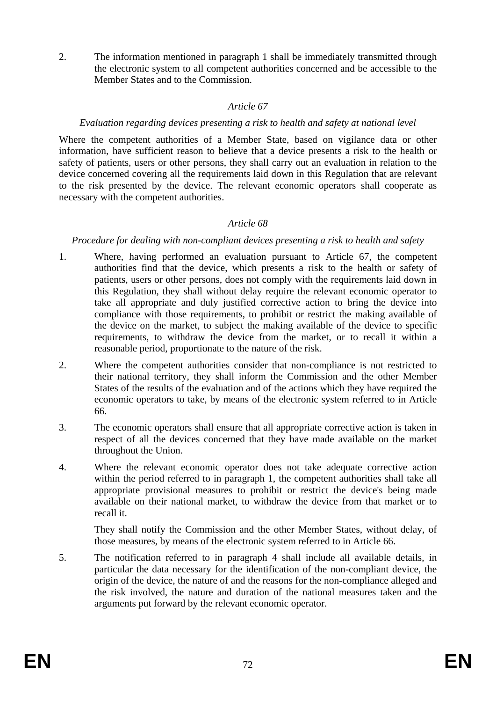2. The information mentioned in paragraph 1 shall be immediately transmitted through the electronic system to all competent authorities concerned and be accessible to the Member States and to the Commission.

#### *Article 67*

#### *Evaluation regarding devices presenting a risk to health and safety at national level*

Where the competent authorities of a Member State, based on vigilance data or other information, have sufficient reason to believe that a device presents a risk to the health or safety of patients, users or other persons, they shall carry out an evaluation in relation to the device concerned covering all the requirements laid down in this Regulation that are relevant to the risk presented by the device. The relevant economic operators shall cooperate as necessary with the competent authorities.

# *Article 68*

*Procedure for dealing with non-compliant devices presenting a risk to health and safety*

- 1. Where, having performed an evaluation pursuant to Article 67, the competent authorities find that the device, which presents a risk to the health or safety of patients, users or other persons, does not comply with the requirements laid down in this Regulation, they shall without delay require the relevant economic operator to take all appropriate and duly justified corrective action to bring the device into compliance with those requirements, to prohibit or restrict the making available of the device on the market, to subject the making available of the device to specific requirements, to withdraw the device from the market, or to recall it within a reasonable period, proportionate to the nature of the risk.
- 2. Where the competent authorities consider that non-compliance is not restricted to their national territory, they shall inform the Commission and the other Member States of the results of the evaluation and of the actions which they have required the economic operators to take, by means of the electronic system referred to in Article 66.
- 3. The economic operators shall ensure that all appropriate corrective action is taken in respect of all the devices concerned that they have made available on the market throughout the Union.
- 4. Where the relevant economic operator does not take adequate corrective action within the period referred to in paragraph 1, the competent authorities shall take all appropriate provisional measures to prohibit or restrict the device's being made available on their national market, to withdraw the device from that market or to recall it.

They shall notify the Commission and the other Member States, without delay, of those measures, by means of the electronic system referred to in Article 66.

5. The notification referred to in paragraph 4 shall include all available details, in particular the data necessary for the identification of the non-compliant device, the origin of the device, the nature of and the reasons for the non-compliance alleged and the risk involved, the nature and duration of the national measures taken and the arguments put forward by the relevant economic operator.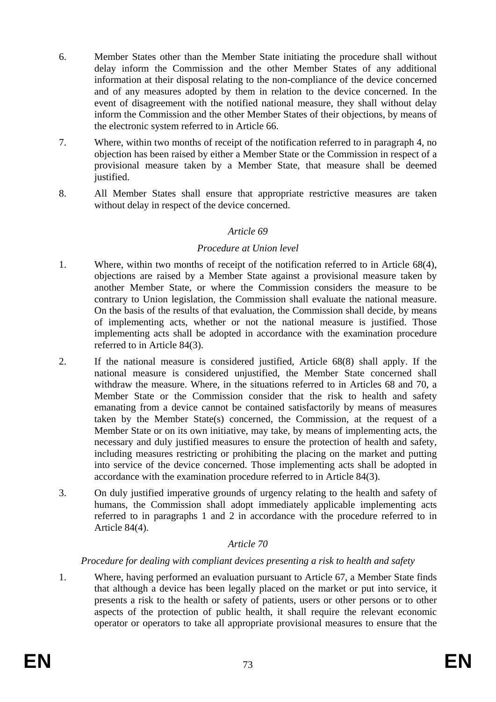- 6. Member States other than the Member State initiating the procedure shall without delay inform the Commission and the other Member States of any additional information at their disposal relating to the non-compliance of the device concerned and of any measures adopted by them in relation to the device concerned. In the event of disagreement with the notified national measure, they shall without delay inform the Commission and the other Member States of their objections, by means of the electronic system referred to in Article 66.
- 7. Where, within two months of receipt of the notification referred to in paragraph 4, no objection has been raised by either a Member State or the Commission in respect of a provisional measure taken by a Member State, that measure shall be deemed justified.
- 8. All Member States shall ensure that appropriate restrictive measures are taken without delay in respect of the device concerned.

#### *Procedure at Union level*

- 1. Where, within two months of receipt of the notification referred to in Article 68(4), objections are raised by a Member State against a provisional measure taken by another Member State, or where the Commission considers the measure to be contrary to Union legislation, the Commission shall evaluate the national measure. On the basis of the results of that evaluation, the Commission shall decide, by means of implementing acts, whether or not the national measure is justified. Those implementing acts shall be adopted in accordance with the examination procedure referred to in Article 84(3).
- 2. If the national measure is considered justified, Article 68(8) shall apply. If the national measure is considered unjustified, the Member State concerned shall withdraw the measure. Where, in the situations referred to in Articles 68 and 70, a Member State or the Commission consider that the risk to health and safety emanating from a device cannot be contained satisfactorily by means of measures taken by the Member State(s) concerned, the Commission, at the request of a Member State or on its own initiative, may take, by means of implementing acts, the necessary and duly justified measures to ensure the protection of health and safety, including measures restricting or prohibiting the placing on the market and putting into service of the device concerned. Those implementing acts shall be adopted in accordance with the examination procedure referred to in Article 84(3).
- 3. On duly justified imperative grounds of urgency relating to the health and safety of humans, the Commission shall adopt immediately applicable implementing acts referred to in paragraphs 1 and 2 in accordance with the procedure referred to in Article 84(4).

# *Article 70*

# *Procedure for dealing with compliant devices presenting a risk to health and safety*

1. Where, having performed an evaluation pursuant to Article 67, a Member State finds that although a device has been legally placed on the market or put into service, it presents a risk to the health or safety of patients, users or other persons or to other aspects of the protection of public health, it shall require the relevant economic operator or operators to take all appropriate provisional measures to ensure that the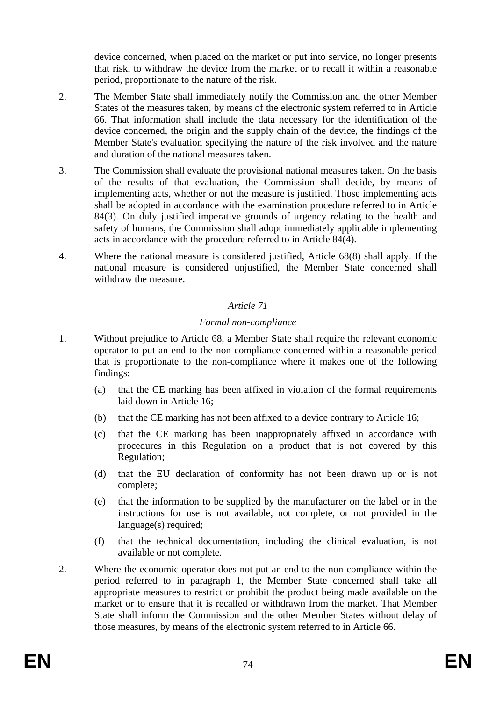device concerned, when placed on the market or put into service, no longer presents that risk, to withdraw the device from the market or to recall it within a reasonable period, proportionate to the nature of the risk.

- 2. The Member State shall immediately notify the Commission and the other Member States of the measures taken, by means of the electronic system referred to in Article 66. That information shall include the data necessary for the identification of the device concerned, the origin and the supply chain of the device, the findings of the Member State's evaluation specifying the nature of the risk involved and the nature and duration of the national measures taken.
- 3. The Commission shall evaluate the provisional national measures taken. On the basis of the results of that evaluation, the Commission shall decide, by means of implementing acts, whether or not the measure is justified. Those implementing acts shall be adopted in accordance with the examination procedure referred to in Article 84(3). On duly justified imperative grounds of urgency relating to the health and safety of humans, the Commission shall adopt immediately applicable implementing acts in accordance with the procedure referred to in Article 84(4).
- 4. Where the national measure is considered justified, Article 68(8) shall apply. If the national measure is considered unjustified, the Member State concerned shall withdraw the measure.

# *Article 71*

# *Formal non-compliance*

- 1. Without prejudice to Article 68, a Member State shall require the relevant economic operator to put an end to the non-compliance concerned within a reasonable period that is proportionate to the non-compliance where it makes one of the following findings:
	- (a) that the CE marking has been affixed in violation of the formal requirements laid down in Article 16;
	- (b) that the CE marking has not been affixed to a device contrary to Article 16;
	- (c) that the CE marking has been inappropriately affixed in accordance with procedures in this Regulation on a product that is not covered by this Regulation;
	- (d) that the EU declaration of conformity has not been drawn up or is not complete;
	- (e) that the information to be supplied by the manufacturer on the label or in the instructions for use is not available, not complete, or not provided in the language(s) required;
	- (f) that the technical documentation, including the clinical evaluation, is not available or not complete.
- 2. Where the economic operator does not put an end to the non-compliance within the period referred to in paragraph 1, the Member State concerned shall take all appropriate measures to restrict or prohibit the product being made available on the market or to ensure that it is recalled or withdrawn from the market. That Member State shall inform the Commission and the other Member States without delay of those measures, by means of the electronic system referred to in Article 66.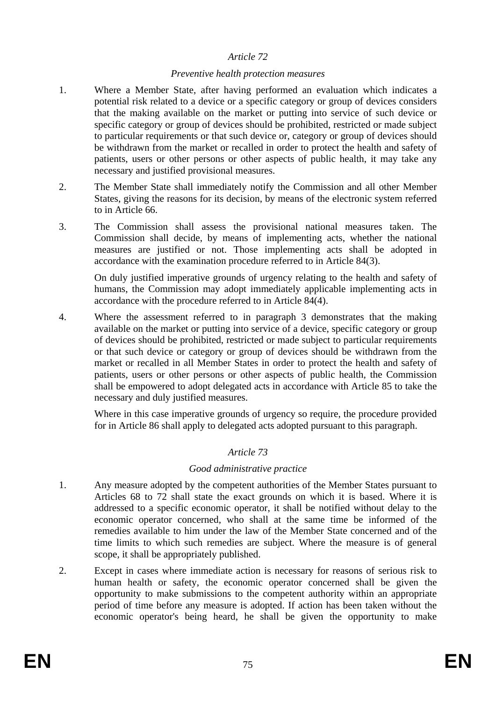#### *Preventive health protection measures*

- 1. Where a Member State, after having performed an evaluation which indicates a potential risk related to a device or a specific category or group of devices considers that the making available on the market or putting into service of such device or specific category or group of devices should be prohibited, restricted or made subject to particular requirements or that such device or, category or group of devices should be withdrawn from the market or recalled in order to protect the health and safety of patients, users or other persons or other aspects of public health, it may take any necessary and justified provisional measures.
- 2. The Member State shall immediately notify the Commission and all other Member States, giving the reasons for its decision, by means of the electronic system referred to in Article 66.
- 3. The Commission shall assess the provisional national measures taken. The Commission shall decide, by means of implementing acts, whether the national measures are justified or not. Those implementing acts shall be adopted in accordance with the examination procedure referred to in Article 84(3).

On duly justified imperative grounds of urgency relating to the health and safety of humans, the Commission may adopt immediately applicable implementing acts in accordance with the procedure referred to in Article 84(4).

4. Where the assessment referred to in paragraph 3 demonstrates that the making available on the market or putting into service of a device, specific category or group of devices should be prohibited, restricted or made subject to particular requirements or that such device or category or group of devices should be withdrawn from the market or recalled in all Member States in order to protect the health and safety of patients, users or other persons or other aspects of public health, the Commission shall be empowered to adopt delegated acts in accordance with Article 85 to take the necessary and duly justified measures.

Where in this case imperative grounds of urgency so require, the procedure provided for in Article 86 shall apply to delegated acts adopted pursuant to this paragraph.

# *Article 73*

#### *Good administrative practice*

- 1. Any measure adopted by the competent authorities of the Member States pursuant to Articles 68 to 72 shall state the exact grounds on which it is based. Where it is addressed to a specific economic operator, it shall be notified without delay to the economic operator concerned, who shall at the same time be informed of the remedies available to him under the law of the Member State concerned and of the time limits to which such remedies are subject. Where the measure is of general scope, it shall be appropriately published.
- 2. Except in cases where immediate action is necessary for reasons of serious risk to human health or safety, the economic operator concerned shall be given the opportunity to make submissions to the competent authority within an appropriate period of time before any measure is adopted. If action has been taken without the economic operator's being heard, he shall be given the opportunity to make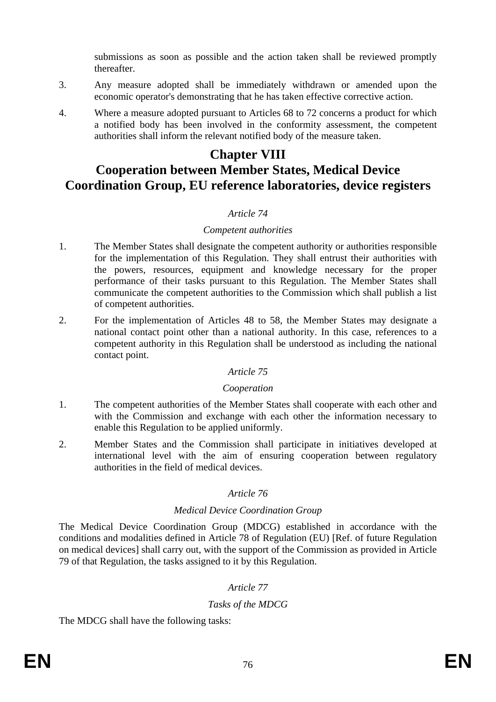submissions as soon as possible and the action taken shall be reviewed promptly thereafter.

- 3. Any measure adopted shall be immediately withdrawn or amended upon the economic operator's demonstrating that he has taken effective corrective action.
- 4. Where a measure adopted pursuant to Articles 68 to 72 concerns a product for which a notified body has been involved in the conformity assessment, the competent authorities shall inform the relevant notified body of the measure taken.

# **Chapter VIII**

# **Cooperation between Member States, Medical Device Coordination Group, EU reference laboratories, device registers**

# *Article 74*

#### *Competent authorities*

- 1. The Member States shall designate the competent authority or authorities responsible for the implementation of this Regulation. They shall entrust their authorities with the powers, resources, equipment and knowledge necessary for the proper performance of their tasks pursuant to this Regulation. The Member States shall communicate the competent authorities to the Commission which shall publish a list of competent authorities.
- 2. For the implementation of Articles 48 to 58, the Member States may designate a national contact point other than a national authority. In this case, references to a competent authority in this Regulation shall be understood as including the national contact point.

# *Article 75*

#### *Cooperation*

- 1. The competent authorities of the Member States shall cooperate with each other and with the Commission and exchange with each other the information necessary to enable this Regulation to be applied uniformly.
- 2. Member States and the Commission shall participate in initiatives developed at international level with the aim of ensuring cooperation between regulatory authorities in the field of medical devices.

# *Article 76*

# *Medical Device Coordination Group*

The Medical Device Coordination Group (MDCG) established in accordance with the conditions and modalities defined in Article 78 of Regulation (EU) [Ref. of future Regulation on medical devices] shall carry out, with the support of the Commission as provided in Article 79 of that Regulation, the tasks assigned to it by this Regulation.

# *Article 77*

# *Tasks of the MDCG*

The MDCG shall have the following tasks: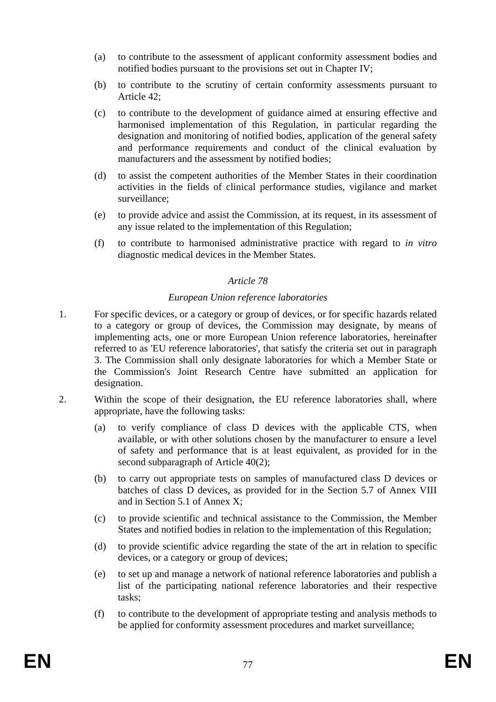- (a) to contribute to the assessment of applicant conformity assessment bodies and notified bodies pursuant to the provisions set out in Chapter IV;
- (b) to contribute to the scrutiny of certain conformity assessments pursuant to Article 42;
- (c) to contribute to the development of guidance aimed at ensuring effective and harmonised implementation of this Regulation, in particular regarding the designation and monitoring of notified bodies, application of the general safety and performance requirements and conduct of the clinical evaluation by manufacturers and the assessment by notified bodies;
- (d) to assist the competent authorities of the Member States in their coordination activities in the fields of clinical performance studies, vigilance and market surveillance;
- (e) to provide advice and assist the Commission, at its request, in its assessment of any issue related to the implementation of this Regulation;
- (f) to contribute to harmonised administrative practice with regard to *in vitro* diagnostic medical devices in the Member States.

#### *European Union reference laboratories*

- 1. For specific devices, or a category or group of devices, or for specific hazards related to a category or group of devices, the Commission may designate, by means of implementing acts, one or more European Union reference laboratories, hereinafter referred to as 'EU reference laboratories', that satisfy the criteria set out in paragraph 3. The Commission shall only designate laboratories for which a Member State or the Commission's Joint Research Centre have submitted an application for designation.
- 2. Within the scope of their designation, the EU reference laboratories shall, where appropriate, have the following tasks:
	- (a) to verify compliance of class D devices with the applicable CTS, when available, or with other solutions chosen by the manufacturer to ensure a level of safety and performance that is at least equivalent, as provided for in the second subparagraph of Article 40(2);
	- (b) to carry out appropriate tests on samples of manufactured class D devices or batches of class D devices, as provided for in the Section 5.7 of Annex VIII and in Section 5.1 of Annex X;
	- (c) to provide scientific and technical assistance to the Commission, the Member States and notified bodies in relation to the implementation of this Regulation;
	- (d) to provide scientific advice regarding the state of the art in relation to specific devices, or a category or group of devices;
	- (e) to set up and manage a network of national reference laboratories and publish a list of the participating national reference laboratories and their respective tasks;
	- (f) to contribute to the development of appropriate testing and analysis methods to be applied for conformity assessment procedures and market surveillance;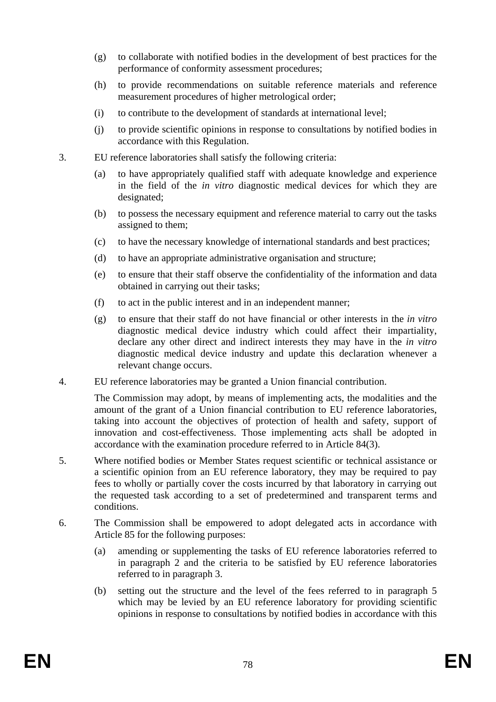- (g) to collaborate with notified bodies in the development of best practices for the performance of conformity assessment procedures;
- (h) to provide recommendations on suitable reference materials and reference measurement procedures of higher metrological order;
- (i) to contribute to the development of standards at international level;
- (j) to provide scientific opinions in response to consultations by notified bodies in accordance with this Regulation.
- 3. EU reference laboratories shall satisfy the following criteria:
	- (a) to have appropriately qualified staff with adequate knowledge and experience in the field of the *in vitro* diagnostic medical devices for which they are designated:
	- (b) to possess the necessary equipment and reference material to carry out the tasks assigned to them;
	- (c) to have the necessary knowledge of international standards and best practices;
	- (d) to have an appropriate administrative organisation and structure;
	- (e) to ensure that their staff observe the confidentiality of the information and data obtained in carrying out their tasks;
	- (f) to act in the public interest and in an independent manner;
	- (g) to ensure that their staff do not have financial or other interests in the *in vitro* diagnostic medical device industry which could affect their impartiality, declare any other direct and indirect interests they may have in the *in vitro* diagnostic medical device industry and update this declaration whenever a relevant change occurs.
- 4. EU reference laboratories may be granted a Union financial contribution.

The Commission may adopt, by means of implementing acts, the modalities and the amount of the grant of a Union financial contribution to EU reference laboratories, taking into account the objectives of protection of health and safety, support of innovation and cost-effectiveness. Those implementing acts shall be adopted in accordance with the examination procedure referred to in Article 84(3).

- 5. Where notified bodies or Member States request scientific or technical assistance or a scientific opinion from an EU reference laboratory, they may be required to pay fees to wholly or partially cover the costs incurred by that laboratory in carrying out the requested task according to a set of predetermined and transparent terms and conditions.
- 6. The Commission shall be empowered to adopt delegated acts in accordance with Article 85 for the following purposes:
	- (a) amending or supplementing the tasks of EU reference laboratories referred to in paragraph 2 and the criteria to be satisfied by EU reference laboratories referred to in paragraph 3.
	- (b) setting out the structure and the level of the fees referred to in paragraph 5 which may be levied by an EU reference laboratory for providing scientific opinions in response to consultations by notified bodies in accordance with this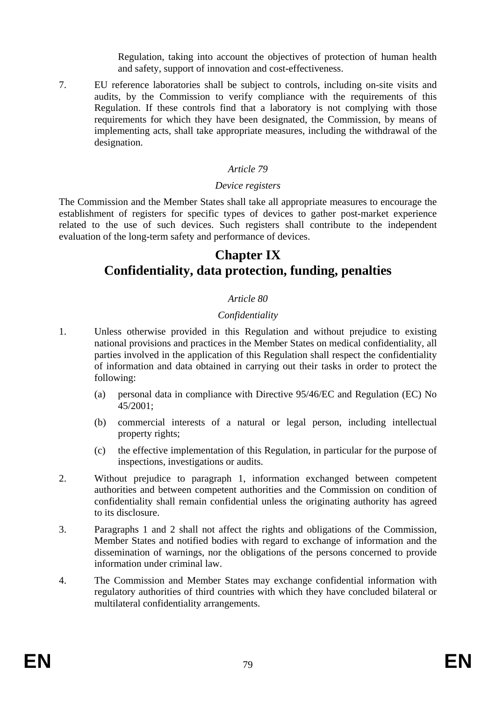Regulation, taking into account the objectives of protection of human health and safety, support of innovation and cost-effectiveness.

7. EU reference laboratories shall be subject to controls, including on-site visits and audits, by the Commission to verify compliance with the requirements of this Regulation. If these controls find that a laboratory is not complying with those requirements for which they have been designated, the Commission, by means of implementing acts, shall take appropriate measures, including the withdrawal of the designation.

# *Article 79*

#### *Device registers*

The Commission and the Member States shall take all appropriate measures to encourage the establishment of registers for specific types of devices to gather post-market experience related to the use of such devices. Such registers shall contribute to the independent evaluation of the long-term safety and performance of devices.

# **Chapter IX Confidentiality, data protection, funding, penalties**

# *Article 80*

# *Confidentiality*

- 1. Unless otherwise provided in this Regulation and without prejudice to existing national provisions and practices in the Member States on medical confidentiality, all parties involved in the application of this Regulation shall respect the confidentiality of information and data obtained in carrying out their tasks in order to protect the following:
	- (a) personal data in compliance with Directive 95/46/EC and Regulation (EC) No 45/2001;
	- (b) commercial interests of a natural or legal person, including intellectual property rights;
	- (c) the effective implementation of this Regulation, in particular for the purpose of inspections, investigations or audits.
- 2. Without prejudice to paragraph 1, information exchanged between competent authorities and between competent authorities and the Commission on condition of confidentiality shall remain confidential unless the originating authority has agreed to its disclosure.
- 3. Paragraphs 1 and 2 shall not affect the rights and obligations of the Commission, Member States and notified bodies with regard to exchange of information and the dissemination of warnings, nor the obligations of the persons concerned to provide information under criminal law.
- 4. The Commission and Member States may exchange confidential information with regulatory authorities of third countries with which they have concluded bilateral or multilateral confidentiality arrangements.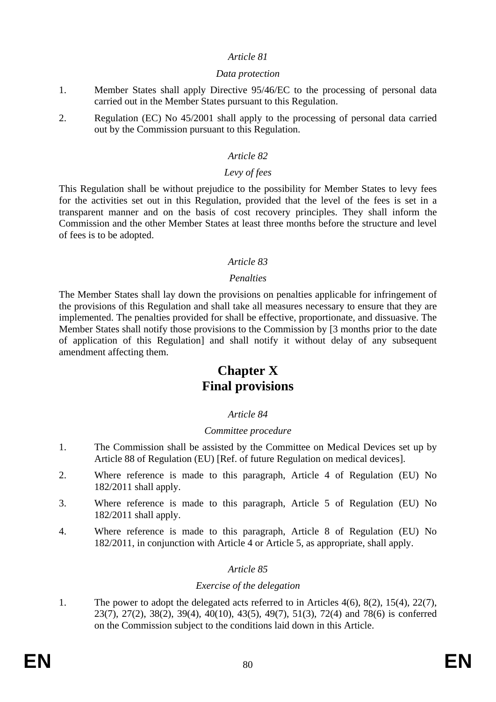#### *Data protection*

- 1. Member States shall apply Directive 95/46/EC to the processing of personal data carried out in the Member States pursuant to this Regulation.
- 2. Regulation (EC) No 45/2001 shall apply to the processing of personal data carried out by the Commission pursuant to this Regulation.

### *Article 82*

#### *Levy of fees*

This Regulation shall be without prejudice to the possibility for Member States to levy fees for the activities set out in this Regulation, provided that the level of the fees is set in a transparent manner and on the basis of cost recovery principles. They shall inform the Commission and the other Member States at least three months before the structure and level of fees is to be adopted.

#### *Article 83*

#### *Penalties*

The Member States shall lay down the provisions on penalties applicable for infringement of the provisions of this Regulation and shall take all measures necessary to ensure that they are implemented. The penalties provided for shall be effective, proportionate, and dissuasive. The Member States shall notify those provisions to the Commission by [3 months prior to the date of application of this Regulation] and shall notify it without delay of any subsequent amendment affecting them.

# **Chapter X Final provisions**

# *Article 84*

#### *Committee procedure*

- 1. The Commission shall be assisted by the Committee on Medical Devices set up by Article 88 of Regulation (EU) [Ref. of future Regulation on medical devices].
- 2. Where reference is made to this paragraph, Article 4 of Regulation (EU) No 182/2011 shall apply.
- 3. Where reference is made to this paragraph, Article 5 of Regulation (EU) No 182/2011 shall apply.
- 4. Where reference is made to this paragraph, Article 8 of Regulation (EU) No 182/2011, in conjunction with Article 4 or Article 5, as appropriate, shall apply.

#### *Article 85*

#### *Exercise of the delegation*

1. The power to adopt the delegated acts referred to in Articles 4(6), 8(2), 15(4), 22(7), 23(7), 27(2), 38(2), 39(4), 40(10), 43(5), 49(7), 51(3), 72(4) and 78(6) is conferred on the Commission subject to the conditions laid down in this Article.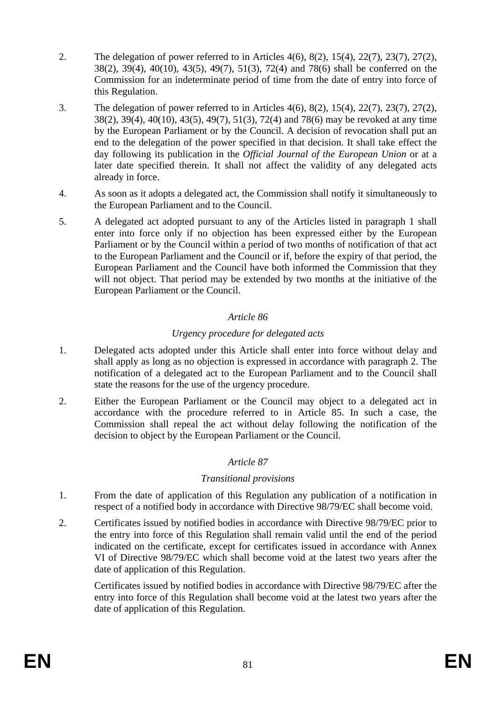- 2. The delegation of power referred to in Articles 4(6), 8(2), 15(4), 22(7), 23(7), 27(2), 38(2), 39(4), 40(10), 43(5), 49(7), 51(3), 72(4) and 78(6) shall be conferred on the Commission for an indeterminate period of time from the date of entry into force of this Regulation.
- 3. The delegation of power referred to in Articles 4(6), 8(2), 15(4), 22(7), 23(7), 27(2), 38(2), 39(4), 40(10), 43(5), 49(7), 51(3), 72(4) and 78(6) may be revoked at any time by the European Parliament or by the Council. A decision of revocation shall put an end to the delegation of the power specified in that decision. It shall take effect the day following its publication in the *Official Journal of the European Union* or at a later date specified therein. It shall not affect the validity of any delegated acts already in force.
- 4. As soon as it adopts a delegated act, the Commission shall notify it simultaneously to the European Parliament and to the Council.
- 5. A delegated act adopted pursuant to any of the Articles listed in paragraph 1 shall enter into force only if no objection has been expressed either by the European Parliament or by the Council within a period of two months of notification of that act to the European Parliament and the Council or if, before the expiry of that period, the European Parliament and the Council have both informed the Commission that they will not object. That period may be extended by two months at the initiative of the European Parliament or the Council.

# *Urgency procedure for delegated acts*

- 1. Delegated acts adopted under this Article shall enter into force without delay and shall apply as long as no objection is expressed in accordance with paragraph 2. The notification of a delegated act to the European Parliament and to the Council shall state the reasons for the use of the urgency procedure.
- 2. Either the European Parliament or the Council may object to a delegated act in accordance with the procedure referred to in Article 85. In such a case, the Commission shall repeal the act without delay following the notification of the decision to object by the European Parliament or the Council.

# *Article 87*

# *Transitional provisions*

- 1. From the date of application of this Regulation any publication of a notification in respect of a notified body in accordance with Directive 98/79/EC shall become void.
- 2. Certificates issued by notified bodies in accordance with Directive 98/79/EC prior to the entry into force of this Regulation shall remain valid until the end of the period indicated on the certificate, except for certificates issued in accordance with Annex VI of Directive 98/79/EC which shall become void at the latest two years after the date of application of this Regulation.

Certificates issued by notified bodies in accordance with Directive 98/79/EC after the entry into force of this Regulation shall become void at the latest two years after the date of application of this Regulation.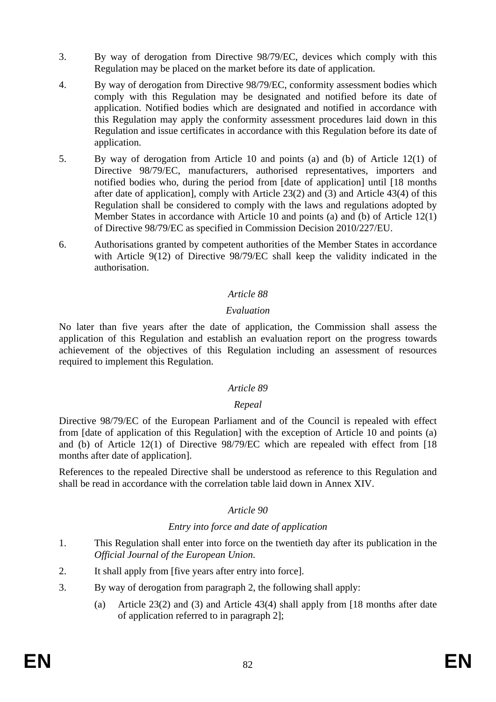- 3. By way of derogation from Directive 98/79/EC, devices which comply with this Regulation may be placed on the market before its date of application.
- 4. By way of derogation from Directive 98/79/EC, conformity assessment bodies which comply with this Regulation may be designated and notified before its date of application. Notified bodies which are designated and notified in accordance with this Regulation may apply the conformity assessment procedures laid down in this Regulation and issue certificates in accordance with this Regulation before its date of application.
- 5. By way of derogation from Article 10 and points (a) and (b) of Article 12(1) of Directive 98/79/EC, manufacturers, authorised representatives, importers and notified bodies who, during the period from [date of application] until [18 months after date of application], comply with Article 23(2) and (3) and Article 43(4) of this Regulation shall be considered to comply with the laws and regulations adopted by Member States in accordance with Article 10 and points (a) and (b) of Article 12(1) of Directive 98/79/EC as specified in Commission Decision 2010/227/EU.
- 6. Authorisations granted by competent authorities of the Member States in accordance with Article 9(12) of Directive 98/79/EC shall keep the validity indicated in the authorisation.

#### *Evaluation*

No later than five years after the date of application, the Commission shall assess the application of this Regulation and establish an evaluation report on the progress towards achievement of the objectives of this Regulation including an assessment of resources required to implement this Regulation.

#### *Article 89*

#### *Repeal*

Directive 98/79/EC of the European Parliament and of the Council is repealed with effect from [date of application of this Regulation] with the exception of Article 10 and points (a) and (b) of Article 12(1) of Directive 98/79/EC which are repealed with effect from [18 months after date of application].

References to the repealed Directive shall be understood as reference to this Regulation and shall be read in accordance with the correlation table laid down in Annex XIV.

# *Article 90*

# *Entry into force and date of application*

- 1. This Regulation shall enter into force on the twentieth day after its publication in the *Official Journal of the European Union*.
- 2. It shall apply from [five years after entry into force].
- 3. By way of derogation from paragraph 2, the following shall apply:
	- (a) Article 23(2) and (3) and Article 43(4) shall apply from [18 months after date of application referred to in paragraph 2];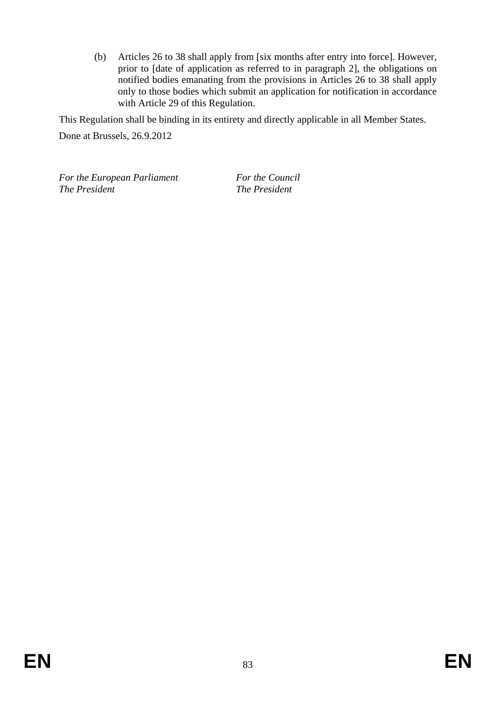(b) Articles 26 to 38 shall apply from [six months after entry into force]. However, prior to [date of application as referred to in paragraph 2], the obligations on notified bodies emanating from the provisions in Articles 26 to 38 shall apply only to those bodies which submit an application for notification in accordance with Article 29 of this Regulation.

This Regulation shall be binding in its entirety and directly applicable in all Member States.

Done at Brussels, 26.9.2012

*For the European Parliament For the Council The President The President*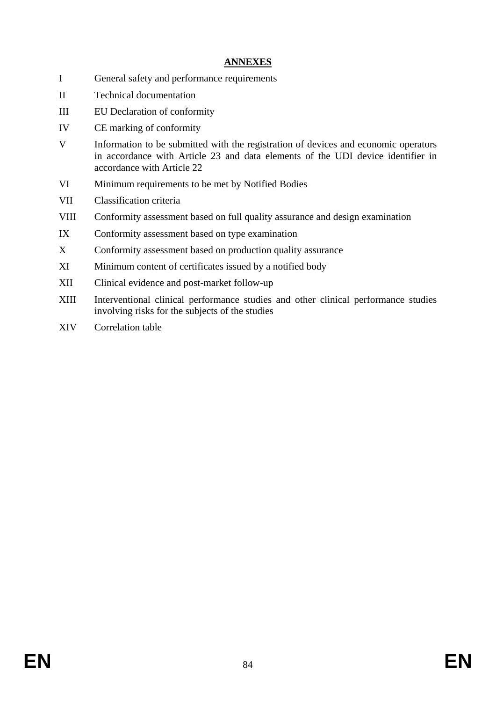# **ANNEXES**

- I General safety and performance requirements
- II Technical documentation
- III EU Declaration of conformity
- IV CE marking of conformity
- V Information to be submitted with the registration of devices and economic operators in accordance with Article 23 and data elements of the UDI device identifier in accordance with Article 22
- VI Minimum requirements to be met by Notified Bodies
- VII Classification criteria
- VIII Conformity assessment based on full quality assurance and design examination
- IX Conformity assessment based on type examination
- X Conformity assessment based on production quality assurance
- XI Minimum content of certificates issued by a notified body
- XII Clinical evidence and post-market follow-up
- XIII Interventional clinical performance studies and other clinical performance studies involving risks for the subjects of the studies
- XIV Correlation table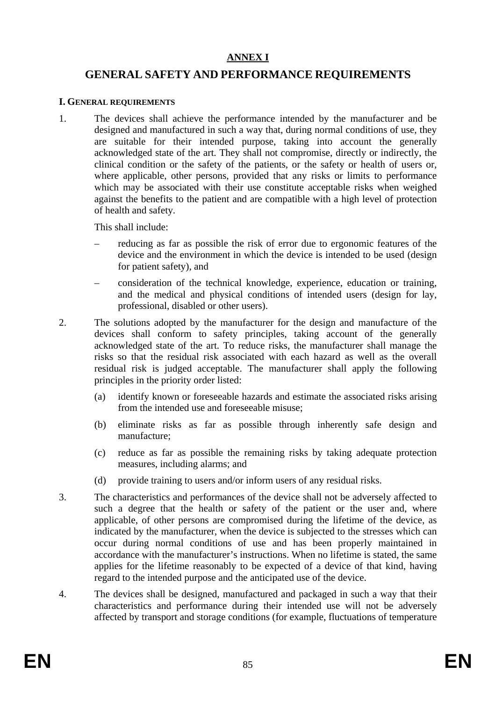#### **ANNEX I**

# **GENERAL SAFETY AND PERFORMANCE REQUIREMENTS**

#### **I. GENERAL REQUIREMENTS**

1. The devices shall achieve the performance intended by the manufacturer and be designed and manufactured in such a way that, during normal conditions of use, they are suitable for their intended purpose, taking into account the generally acknowledged state of the art. They shall not compromise, directly or indirectly, the clinical condition or the safety of the patients, or the safety or health of users or, where applicable, other persons, provided that any risks or limits to performance which may be associated with their use constitute acceptable risks when weighed against the benefits to the patient and are compatible with a high level of protection of health and safety.

This shall include:

- reducing as far as possible the risk of error due to ergonomic features of the device and the environment in which the device is intended to be used (design for patient safety), and
- consideration of the technical knowledge, experience, education or training, and the medical and physical conditions of intended users (design for lay, professional, disabled or other users).
- 2. The solutions adopted by the manufacturer for the design and manufacture of the devices shall conform to safety principles, taking account of the generally acknowledged state of the art. To reduce risks, the manufacturer shall manage the risks so that the residual risk associated with each hazard as well as the overall residual risk is judged acceptable. The manufacturer shall apply the following principles in the priority order listed:
	- (a) identify known or foreseeable hazards and estimate the associated risks arising from the intended use and foreseeable misuse;
	- (b) eliminate risks as far as possible through inherently safe design and manufacture;
	- (c) reduce as far as possible the remaining risks by taking adequate protection measures, including alarms; and
	- (d) provide training to users and/or inform users of any residual risks.
- 3. The characteristics and performances of the device shall not be adversely affected to such a degree that the health or safety of the patient or the user and, where applicable, of other persons are compromised during the lifetime of the device, as indicated by the manufacturer, when the device is subjected to the stresses which can occur during normal conditions of use and has been properly maintained in accordance with the manufacturer's instructions. When no lifetime is stated, the same applies for the lifetime reasonably to be expected of a device of that kind, having regard to the intended purpose and the anticipated use of the device.
- 4. The devices shall be designed, manufactured and packaged in such a way that their characteristics and performance during their intended use will not be adversely affected by transport and storage conditions (for example, fluctuations of temperature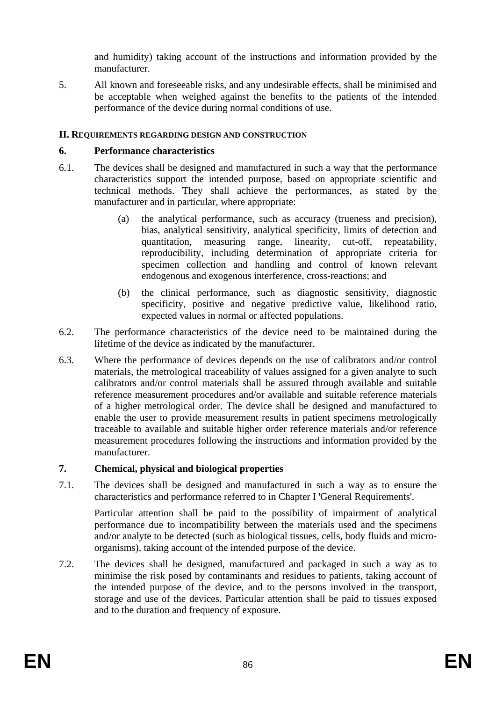and humidity) taking account of the instructions and information provided by the manufacturer.

5. All known and foreseeable risks, and any undesirable effects, shall be minimised and be acceptable when weighed against the benefits to the patients of the intended performance of the device during normal conditions of use.

### **II. REQUIREMENTS REGARDING DESIGN AND CONSTRUCTION**

#### **6. Performance characteristics**

- 6.1. The devices shall be designed and manufactured in such a way that the performance characteristics support the intended purpose, based on appropriate scientific and technical methods. They shall achieve the performances, as stated by the manufacturer and in particular, where appropriate:
	- (a) the analytical performance, such as accuracy (trueness and precision), bias, analytical sensitivity, analytical specificity, limits of detection and quantitation, measuring range, linearity, cut-off, repeatability, reproducibility, including determination of appropriate criteria for specimen collection and handling and control of known relevant endogenous and exogenous interference, cross-reactions; and
	- (b) the clinical performance, such as diagnostic sensitivity, diagnostic specificity, positive and negative predictive value, likelihood ratio, expected values in normal or affected populations.
- 6.2. The performance characteristics of the device need to be maintained during the lifetime of the device as indicated by the manufacturer.
- 6.3. Where the performance of devices depends on the use of calibrators and/or control materials, the metrological traceability of values assigned for a given analyte to such calibrators and/or control materials shall be assured through available and suitable reference measurement procedures and/or available and suitable reference materials of a higher metrological order. The device shall be designed and manufactured to enable the user to provide measurement results in patient specimens metrologically traceable to available and suitable higher order reference materials and/or reference measurement procedures following the instructions and information provided by the manufacturer.

# **7. Chemical, physical and biological properties**

7.1. The devices shall be designed and manufactured in such a way as to ensure the characteristics and performance referred to in Chapter I 'General Requirements'.

Particular attention shall be paid to the possibility of impairment of analytical performance due to incompatibility between the materials used and the specimens and/or analyte to be detected (such as biological tissues, cells, body fluids and microorganisms), taking account of the intended purpose of the device.

7.2. The devices shall be designed, manufactured and packaged in such a way as to minimise the risk posed by contaminants and residues to patients, taking account of the intended purpose of the device, and to the persons involved in the transport, storage and use of the devices. Particular attention shall be paid to tissues exposed and to the duration and frequency of exposure.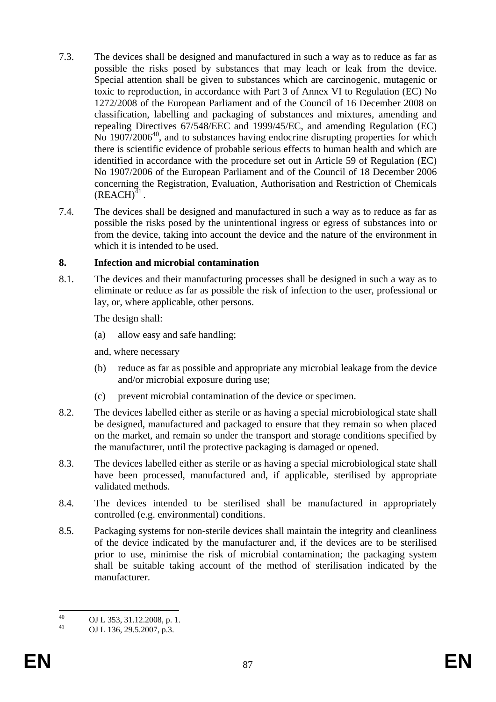- 7.3. The devices shall be designed and manufactured in such a way as to reduce as far as possible the risks posed by substances that may leach or leak from the device. Special attention shall be given to substances which are carcinogenic, mutagenic or toxic to reproduction, in accordance with Part 3 of Annex VI to Regulation (EC) No 1272/2008 of the European Parliament and of the Council of 16 December 2008 on classification, labelling and packaging of substances and mixtures, amending and repealing Directives 67/548/EEC and 1999/45/EC, and amending Regulation (EC)  $\overline{N_0}$  1907/2006<sup>40</sup>, and to substances having endocrine disrupting properties for which there is scientific evidence of probable serious effects to human health and which are identified in accordance with the procedure set out in Article 59 of Regulation (EC) No 1907/2006 of the European Parliament and of the Council of 18 December 2006 concerning the Registration, Evaluation, Authorisation and Restriction of Chemicals  $(REACH)^{41}$ .
- 7.4. The devices shall be designed and manufactured in such a way as to reduce as far as possible the risks posed by the unintentional ingress or egress of substances into or from the device, taking into account the device and the nature of the environment in which it is intended to be used.

#### **8. Infection and microbial contamination**

8.1. The devices and their manufacturing processes shall be designed in such a way as to eliminate or reduce as far as possible the risk of infection to the user, professional or lay, or, where applicable, other persons.

The design shall:

(a) allow easy and safe handling;

and, where necessary

- (b) reduce as far as possible and appropriate any microbial leakage from the device and/or microbial exposure during use;
- (c) prevent microbial contamination of the device or specimen.
- 8.2. The devices labelled either as sterile or as having a special microbiological state shall be designed, manufactured and packaged to ensure that they remain so when placed on the market, and remain so under the transport and storage conditions specified by the manufacturer, until the protective packaging is damaged or opened.
- 8.3. The devices labelled either as sterile or as having a special microbiological state shall have been processed, manufactured and, if applicable, sterilised by appropriate validated methods.
- 8.4. The devices intended to be sterilised shall be manufactured in appropriately controlled (e.g. environmental) conditions.
- 8.5. Packaging systems for non-sterile devices shall maintain the integrity and cleanliness of the device indicated by the manufacturer and, if the devices are to be sterilised prior to use, minimise the risk of microbial contamination; the packaging system shall be suitable taking account of the method of sterilisation indicated by the manufacturer.

 $\Delta$ 0 40 OJ L 353, 31.12.2008, p. 1.<br>41 OJ L 126, 20.5, 2007, p. 2.

OJ L 136, 29.5.2007, p.3.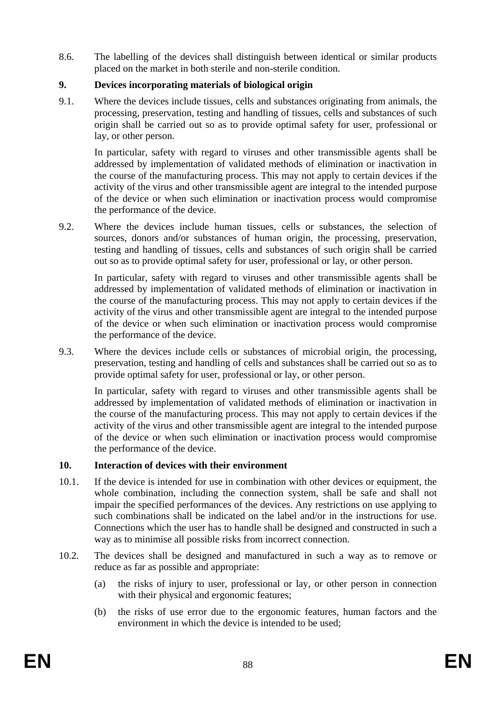8.6. The labelling of the devices shall distinguish between identical or similar products placed on the market in both sterile and non-sterile condition.

# **9. Devices incorporating materials of biological origin**

9.1. Where the devices include tissues, cells and substances originating from animals, the processing, preservation, testing and handling of tissues, cells and substances of such origin shall be carried out so as to provide optimal safety for user, professional or lay, or other person.

In particular, safety with regard to viruses and other transmissible agents shall be addressed by implementation of validated methods of elimination or inactivation in the course of the manufacturing process. This may not apply to certain devices if the activity of the virus and other transmissible agent are integral to the intended purpose of the device or when such elimination or inactivation process would compromise the performance of the device.

9.2. Where the devices include human tissues, cells or substances, the selection of sources, donors and/or substances of human origin, the processing, preservation, testing and handling of tissues, cells and substances of such origin shall be carried out so as to provide optimal safety for user, professional or lay, or other person.

In particular, safety with regard to viruses and other transmissible agents shall be addressed by implementation of validated methods of elimination or inactivation in the course of the manufacturing process. This may not apply to certain devices if the activity of the virus and other transmissible agent are integral to the intended purpose of the device or when such elimination or inactivation process would compromise the performance of the device.

9.3. Where the devices include cells or substances of microbial origin, the processing, preservation, testing and handling of cells and substances shall be carried out so as to provide optimal safety for user, professional or lay, or other person.

In particular, safety with regard to viruses and other transmissible agents shall be addressed by implementation of validated methods of elimination or inactivation in the course of the manufacturing process. This may not apply to certain devices if the activity of the virus and other transmissible agent are integral to the intended purpose of the device or when such elimination or inactivation process would compromise the performance of the device.

# **10. Interaction of devices with their environment**

- 10.1. If the device is intended for use in combination with other devices or equipment, the whole combination, including the connection system, shall be safe and shall not impair the specified performances of the devices. Any restrictions on use applying to such combinations shall be indicated on the label and/or in the instructions for use. Connections which the user has to handle shall be designed and constructed in such a way as to minimise all possible risks from incorrect connection.
- 10.2. The devices shall be designed and manufactured in such a way as to remove or reduce as far as possible and appropriate:
	- (a) the risks of injury to user, professional or lay, or other person in connection with their physical and ergonomic features;
	- (b) the risks of use error due to the ergonomic features, human factors and the environment in which the device is intended to be used;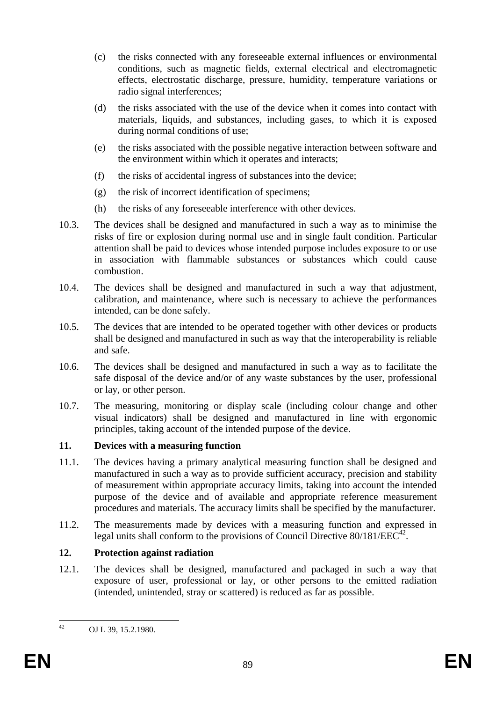- (c) the risks connected with any foreseeable external influences or environmental conditions, such as magnetic fields, external electrical and electromagnetic effects, electrostatic discharge, pressure, humidity, temperature variations or radio signal interferences;
- (d) the risks associated with the use of the device when it comes into contact with materials, liquids, and substances, including gases, to which it is exposed during normal conditions of use;
- (e) the risks associated with the possible negative interaction between software and the environment within which it operates and interacts;
- (f) the risks of accidental ingress of substances into the device;
- (g) the risk of incorrect identification of specimens;
- (h) the risks of any foreseeable interference with other devices.
- 10.3. The devices shall be designed and manufactured in such a way as to minimise the risks of fire or explosion during normal use and in single fault condition. Particular attention shall be paid to devices whose intended purpose includes exposure to or use in association with flammable substances or substances which could cause combustion.
- 10.4. The devices shall be designed and manufactured in such a way that adjustment, calibration, and maintenance, where such is necessary to achieve the performances intended, can be done safely.
- 10.5. The devices that are intended to be operated together with other devices or products shall be designed and manufactured in such as way that the interoperability is reliable and safe.
- 10.6. The devices shall be designed and manufactured in such a way as to facilitate the safe disposal of the device and/or of any waste substances by the user, professional or lay, or other person.
- 10.7. The measuring, monitoring or display scale (including colour change and other visual indicators) shall be designed and manufactured in line with ergonomic principles, taking account of the intended purpose of the device.

# **11. Devices with a measuring function**

- 11.1. The devices having a primary analytical measuring function shall be designed and manufactured in such a way as to provide sufficient accuracy, precision and stability of measurement within appropriate accuracy limits, taking into account the intended purpose of the device and of available and appropriate reference measurement procedures and materials. The accuracy limits shall be specified by the manufacturer.
- 11.2. The measurements made by devices with a measuring function and expressed in legal units shall conform to the provisions of Council Directive  $80/181/EEC^{42}$ .

# **12. Protection against radiation**

12.1. The devices shall be designed, manufactured and packaged in such a way that exposure of user, professional or lay, or other persons to the emitted radiation (intended, unintended, stray or scattered) is reduced as far as possible.

 $42$ 

OJ L 39, 15.2.1980.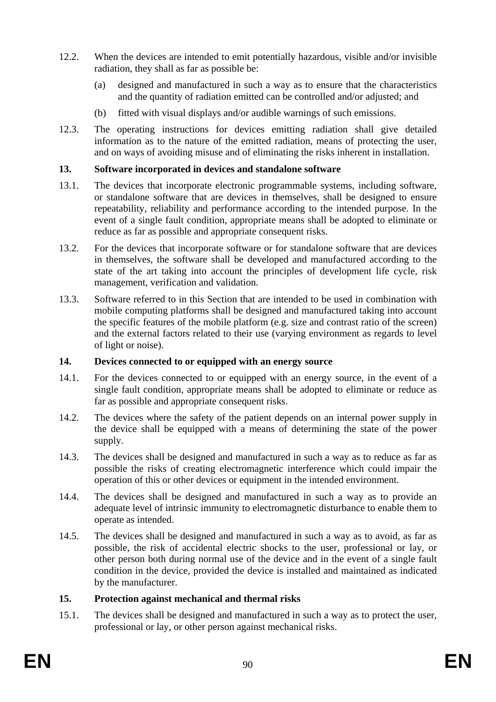- 12.2. When the devices are intended to emit potentially hazardous, visible and/or invisible radiation, they shall as far as possible be:
	- (a) designed and manufactured in such a way as to ensure that the characteristics and the quantity of radiation emitted can be controlled and/or adjusted; and
	- (b) fitted with visual displays and/or audible warnings of such emissions.
- 12.3. The operating instructions for devices emitting radiation shall give detailed information as to the nature of the emitted radiation, means of protecting the user, and on ways of avoiding misuse and of eliminating the risks inherent in installation.

# **13. Software incorporated in devices and standalone software**

- 13.1. The devices that incorporate electronic programmable systems, including software, or standalone software that are devices in themselves, shall be designed to ensure repeatability, reliability and performance according to the intended purpose. In the event of a single fault condition, appropriate means shall be adopted to eliminate or reduce as far as possible and appropriate consequent risks.
- 13.2. For the devices that incorporate software or for standalone software that are devices in themselves, the software shall be developed and manufactured according to the state of the art taking into account the principles of development life cycle, risk management, verification and validation.
- 13.3. Software referred to in this Section that are intended to be used in combination with mobile computing platforms shall be designed and manufactured taking into account the specific features of the mobile platform (e.g. size and contrast ratio of the screen) and the external factors related to their use (varying environment as regards to level of light or noise).

# **14. Devices connected to or equipped with an energy source**

- 14.1. For the devices connected to or equipped with an energy source, in the event of a single fault condition, appropriate means shall be adopted to eliminate or reduce as far as possible and appropriate consequent risks.
- 14.2. The devices where the safety of the patient depends on an internal power supply in the device shall be equipped with a means of determining the state of the power supply.
- 14.3. The devices shall be designed and manufactured in such a way as to reduce as far as possible the risks of creating electromagnetic interference which could impair the operation of this or other devices or equipment in the intended environment.
- 14.4. The devices shall be designed and manufactured in such a way as to provide an adequate level of intrinsic immunity to electromagnetic disturbance to enable them to operate as intended.
- 14.5. The devices shall be designed and manufactured in such a way as to avoid, as far as possible, the risk of accidental electric shocks to the user, professional or lay, or other person both during normal use of the device and in the event of a single fault condition in the device, provided the device is installed and maintained as indicated by the manufacturer.

# **15. Protection against mechanical and thermal risks**

15.1. The devices shall be designed and manufactured in such a way as to protect the user, professional or lay, or other person against mechanical risks.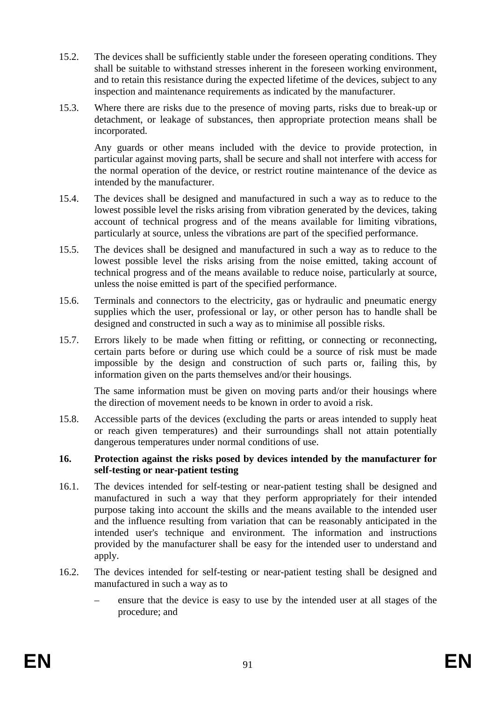- 15.2. The devices shall be sufficiently stable under the foreseen operating conditions. They shall be suitable to withstand stresses inherent in the foreseen working environment, and to retain this resistance during the expected lifetime of the devices, subject to any inspection and maintenance requirements as indicated by the manufacturer.
- 15.3. Where there are risks due to the presence of moving parts, risks due to break-up or detachment, or leakage of substances, then appropriate protection means shall be incorporated.

Any guards or other means included with the device to provide protection, in particular against moving parts, shall be secure and shall not interfere with access for the normal operation of the device, or restrict routine maintenance of the device as intended by the manufacturer.

- 15.4. The devices shall be designed and manufactured in such a way as to reduce to the lowest possible level the risks arising from vibration generated by the devices, taking account of technical progress and of the means available for limiting vibrations, particularly at source, unless the vibrations are part of the specified performance.
- 15.5. The devices shall be designed and manufactured in such a way as to reduce to the lowest possible level the risks arising from the noise emitted, taking account of technical progress and of the means available to reduce noise, particularly at source, unless the noise emitted is part of the specified performance.
- 15.6. Terminals and connectors to the electricity, gas or hydraulic and pneumatic energy supplies which the user, professional or lay, or other person has to handle shall be designed and constructed in such a way as to minimise all possible risks.
- 15.7. Errors likely to be made when fitting or refitting, or connecting or reconnecting, certain parts before or during use which could be a source of risk must be made impossible by the design and construction of such parts or, failing this, by information given on the parts themselves and/or their housings.

The same information must be given on moving parts and/or their housings where the direction of movement needs to be known in order to avoid a risk.

15.8. Accessible parts of the devices (excluding the parts or areas intended to supply heat or reach given temperatures) and their surroundings shall not attain potentially dangerous temperatures under normal conditions of use.

#### **16. Protection against the risks posed by devices intended by the manufacturer for self-testing or near-patient testing**

- 16.1. The devices intended for self-testing or near-patient testing shall be designed and manufactured in such a way that they perform appropriately for their intended purpose taking into account the skills and the means available to the intended user and the influence resulting from variation that can be reasonably anticipated in the intended user's technique and environment. The information and instructions provided by the manufacturer shall be easy for the intended user to understand and apply.
- 16.2. The devices intended for self-testing or near-patient testing shall be designed and manufactured in such a way as to
	- ensure that the device is easy to use by the intended user at all stages of the procedure; and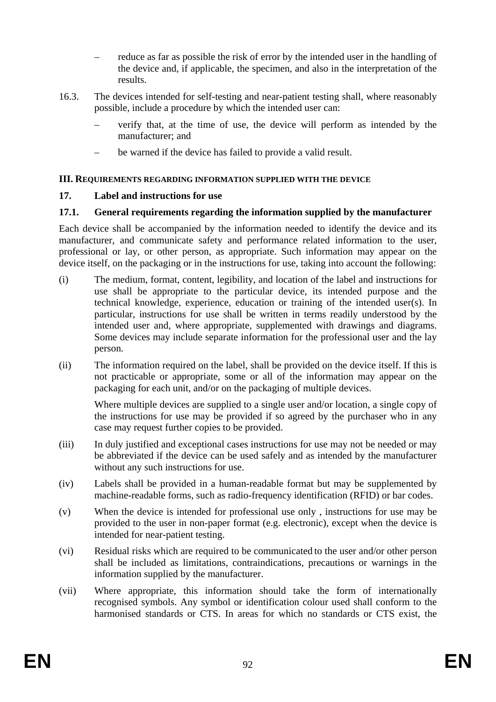- reduce as far as possible the risk of error by the intended user in the handling of the device and, if applicable, the specimen, and also in the interpretation of the results.
- 16.3. The devices intended for self-testing and near-patient testing shall, where reasonably possible, include a procedure by which the intended user can:
	- verify that, at the time of use, the device will perform as intended by the manufacturer; and
	- be warned if the device has failed to provide a valid result.

# **III. REQUIREMENTS REGARDING INFORMATION SUPPLIED WITH THE DEVICE**

# **17. Label and instructions for use**

# **17.1. General requirements regarding the information supplied by the manufacturer**

Each device shall be accompanied by the information needed to identify the device and its manufacturer, and communicate safety and performance related information to the user, professional or lay, or other person, as appropriate. Such information may appear on the device itself, on the packaging or in the instructions for use, taking into account the following:

- (i) The medium, format, content, legibility, and location of the label and instructions for use shall be appropriate to the particular device, its intended purpose and the technical knowledge, experience, education or training of the intended user(s). In particular, instructions for use shall be written in terms readily understood by the intended user and, where appropriate, supplemented with drawings and diagrams. Some devices may include separate information for the professional user and the lay person.
- (ii) The information required on the label, shall be provided on the device itself. If this is not practicable or appropriate, some or all of the information may appear on the packaging for each unit, and/or on the packaging of multiple devices.

Where multiple devices are supplied to a single user and/or location, a single copy of the instructions for use may be provided if so agreed by the purchaser who in any case may request further copies to be provided.

- (iii) In duly justified and exceptional cases instructions for use may not be needed or may be abbreviated if the device can be used safely and as intended by the manufacturer without any such instructions for use.
- (iv) Labels shall be provided in a human-readable format but may be supplemented by machine-readable forms, such as radio-frequency identification (RFID) or bar codes.
- (v) When the device is intended for professional use only , instructions for use may be provided to the user in non-paper format (e.g. electronic), except when the device is intended for near-patient testing.
- (vi) Residual risks which are required to be communicated to the user and/or other person shall be included as limitations, contraindications, precautions or warnings in the information supplied by the manufacturer.
- (vii) Where appropriate, this information should take the form of internationally recognised symbols. Any symbol or identification colour used shall conform to the harmonised standards or CTS. In areas for which no standards or CTS exist, the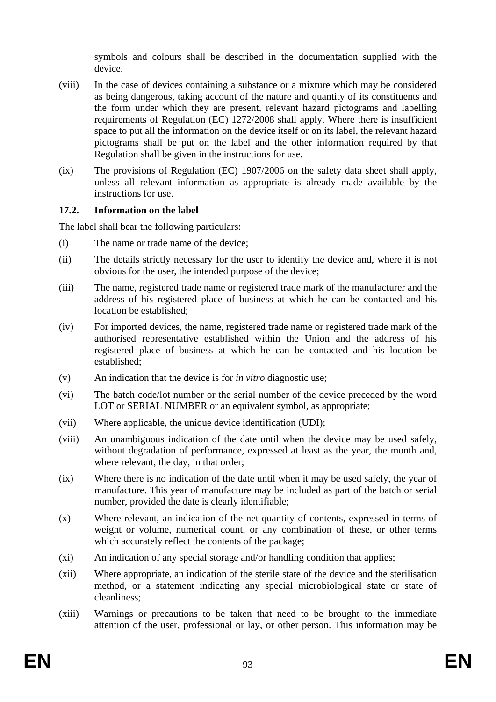symbols and colours shall be described in the documentation supplied with the device.

- (viii) In the case of devices containing a substance or a mixture which may be considered as being dangerous, taking account of the nature and quantity of its constituents and the form under which they are present, relevant hazard pictograms and labelling requirements of Regulation (EC) 1272/2008 shall apply. Where there is insufficient space to put all the information on the device itself or on its label, the relevant hazard pictograms shall be put on the label and the other information required by that Regulation shall be given in the instructions for use.
- (ix) The provisions of Regulation (EC) 1907/2006 on the safety data sheet shall apply, unless all relevant information as appropriate is already made available by the instructions for use.

# **17.2. Information on the label**

The label shall bear the following particulars:

- (i) The name or trade name of the device;
- (ii) The details strictly necessary for the user to identify the device and, where it is not obvious for the user, the intended purpose of the device;
- (iii) The name, registered trade name or registered trade mark of the manufacturer and the address of his registered place of business at which he can be contacted and his location be established;
- (iv) For imported devices, the name, registered trade name or registered trade mark of the authorised representative established within the Union and the address of his registered place of business at which he can be contacted and his location be established;
- (v) An indication that the device is for *in vitro* diagnostic use;
- (vi) The batch code/lot number or the serial number of the device preceded by the word LOT or SERIAL NUMBER or an equivalent symbol, as appropriate;
- (vii) Where applicable, the unique device identification (UDI);
- (viii) An unambiguous indication of the date until when the device may be used safely, without degradation of performance, expressed at least as the year, the month and, where relevant, the day, in that order;
- (ix) Where there is no indication of the date until when it may be used safely, the year of manufacture. This year of manufacture may be included as part of the batch or serial number, provided the date is clearly identifiable;
- (x) Where relevant, an indication of the net quantity of contents, expressed in terms of weight or volume, numerical count, or any combination of these, or other terms which accurately reflect the contents of the package;
- (xi) An indication of any special storage and/or handling condition that applies;
- (xii) Where appropriate, an indication of the sterile state of the device and the sterilisation method, or a statement indicating any special microbiological state or state of cleanliness;
- (xiii) Warnings or precautions to be taken that need to be brought to the immediate attention of the user, professional or lay, or other person. This information may be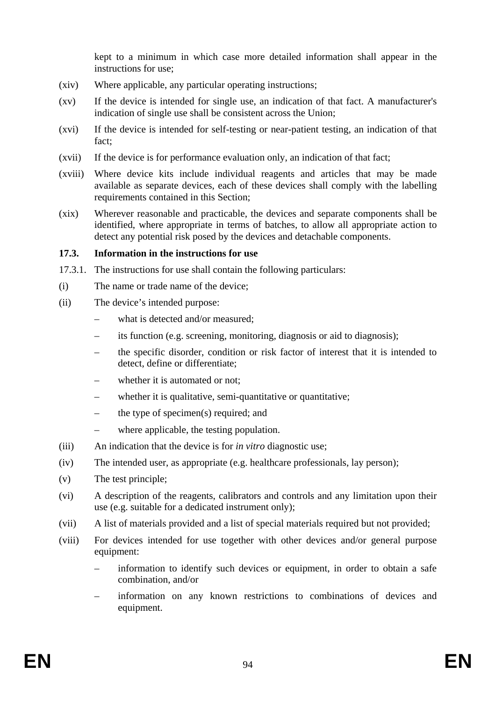kept to a minimum in which case more detailed information shall appear in the instructions for use;

- (xiv) Where applicable, any particular operating instructions;
- (xv) If the device is intended for single use, an indication of that fact. A manufacturer's indication of single use shall be consistent across the Union;
- (xvi) If the device is intended for self-testing or near-patient testing, an indication of that fact;
- (xvii) If the device is for performance evaluation only, an indication of that fact;
- (xviii) Where device kits include individual reagents and articles that may be made available as separate devices, each of these devices shall comply with the labelling requirements contained in this Section;
- (xix) Wherever reasonable and practicable, the devices and separate components shall be identified, where appropriate in terms of batches, to allow all appropriate action to detect any potential risk posed by the devices and detachable components.

#### **17.3. Information in the instructions for use**

- 17.3.1. The instructions for use shall contain the following particulars:
- (i) The name or trade name of the device;
- (ii) The device's intended purpose:
	- what is detected and/or measured;
	- its function (e.g. screening, monitoring, diagnosis or aid to diagnosis);
	- the specific disorder, condition or risk factor of interest that it is intended to detect, define or differentiate;
	- whether it is automated or not:
	- whether it is qualitative, semi-quantitative or quantitative;
	- the type of specimen(s) required; and
	- where applicable, the testing population.
- (iii) An indication that the device is for *in vitro* diagnostic use;
- (iv) The intended user, as appropriate (e.g. healthcare professionals, lay person);
- (v) The test principle;
- (vi) A description of the reagents, calibrators and controls and any limitation upon their use (e.g. suitable for a dedicated instrument only);
- (vii) A list of materials provided and a list of special materials required but not provided;
- (viii) For devices intended for use together with other devices and/or general purpose equipment:
	- information to identify such devices or equipment, in order to obtain a safe combination, and/or
	- information on any known restrictions to combinations of devices and equipment.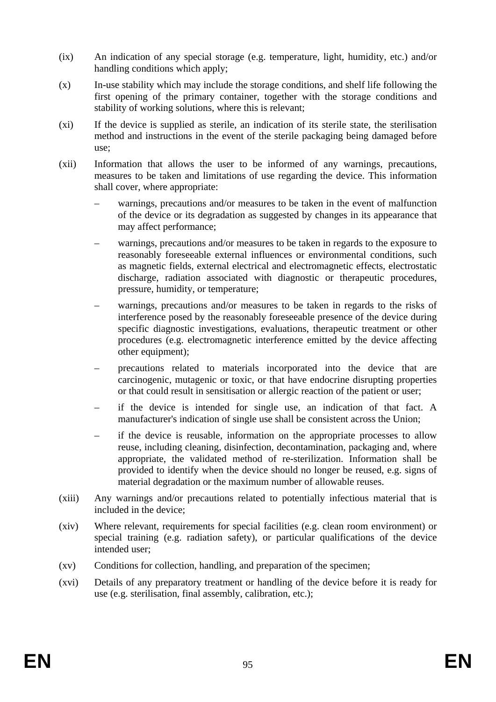- (ix) An indication of any special storage (e.g. temperature, light, humidity, etc.) and/or handling conditions which apply;
- (x) In-use stability which may include the storage conditions, and shelf life following the first opening of the primary container, together with the storage conditions and stability of working solutions, where this is relevant;
- (xi) If the device is supplied as sterile, an indication of its sterile state, the sterilisation method and instructions in the event of the sterile packaging being damaged before use;
- (xii) Information that allows the user to be informed of any warnings, precautions, measures to be taken and limitations of use regarding the device. This information shall cover, where appropriate:
	- warnings, precautions and/or measures to be taken in the event of malfunction of the device or its degradation as suggested by changes in its appearance that may affect performance;
	- warnings, precautions and/or measures to be taken in regards to the exposure to reasonably foreseeable external influences or environmental conditions, such as magnetic fields, external electrical and electromagnetic effects, electrostatic discharge, radiation associated with diagnostic or therapeutic procedures, pressure, humidity, or temperature;
	- warnings, precautions and/or measures to be taken in regards to the risks of interference posed by the reasonably foreseeable presence of the device during specific diagnostic investigations, evaluations, therapeutic treatment or other procedures (e.g. electromagnetic interference emitted by the device affecting other equipment);
	- precautions related to materials incorporated into the device that are carcinogenic, mutagenic or toxic, or that have endocrine disrupting properties or that could result in sensitisation or allergic reaction of the patient or user;
	- if the device is intended for single use, an indication of that fact. A manufacturer's indication of single use shall be consistent across the Union;
	- if the device is reusable, information on the appropriate processes to allow reuse, including cleaning, disinfection, decontamination, packaging and, where appropriate, the validated method of re-sterilization. Information shall be provided to identify when the device should no longer be reused, e.g. signs of material degradation or the maximum number of allowable reuses.
- (xiii) Any warnings and/or precautions related to potentially infectious material that is included in the device;
- (xiv) Where relevant, requirements for special facilities (e.g. clean room environment) or special training (e.g. radiation safety), or particular qualifications of the device intended user;
- (xv) Conditions for collection, handling, and preparation of the specimen;
- (xvi) Details of any preparatory treatment or handling of the device before it is ready for use (e.g. sterilisation, final assembly, calibration, etc.);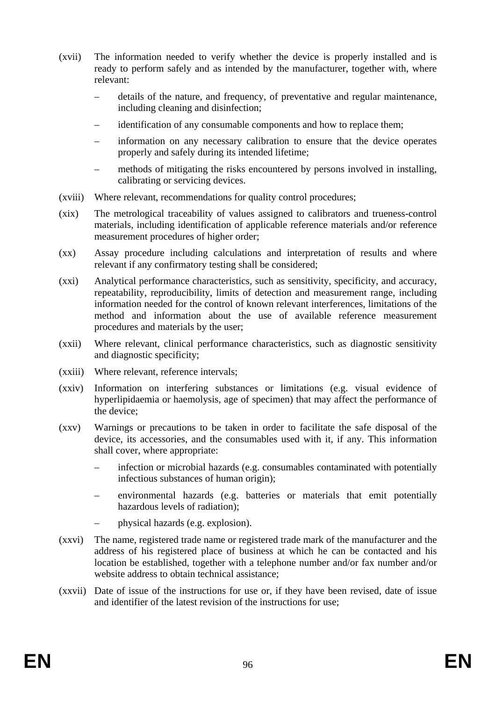- (xvii) The information needed to verify whether the device is properly installed and is ready to perform safely and as intended by the manufacturer, together with, where relevant:
	- details of the nature, and frequency, of preventative and regular maintenance, including cleaning and disinfection;
	- identification of any consumable components and how to replace them:
	- information on any necessary calibration to ensure that the device operates properly and safely during its intended lifetime;
	- methods of mitigating the risks encountered by persons involved in installing, calibrating or servicing devices.
- (xviii) Where relevant, recommendations for quality control procedures;
- (xix) The metrological traceability of values assigned to calibrators and trueness-control materials, including identification of applicable reference materials and/or reference measurement procedures of higher order;
- (xx) Assay procedure including calculations and interpretation of results and where relevant if any confirmatory testing shall be considered;
- (xxi) Analytical performance characteristics, such as sensitivity, specificity, and accuracy, repeatability, reproducibility, limits of detection and measurement range, including information needed for the control of known relevant interferences, limitations of the method and information about the use of available reference measurement procedures and materials by the user;
- (xxii) Where relevant, clinical performance characteristics, such as diagnostic sensitivity and diagnostic specificity;
- (xxiii) Where relevant, reference intervals;
- (xxiv) Information on interfering substances or limitations (e.g. visual evidence of hyperlipidaemia or haemolysis, age of specimen) that may affect the performance of the device;
- (xxv) Warnings or precautions to be taken in order to facilitate the safe disposal of the device, its accessories, and the consumables used with it, if any. This information shall cover, where appropriate:
	- infection or microbial hazards (e.g. consumables contaminated with potentially infectious substances of human origin);
	- environmental hazards (e.g. batteries or materials that emit potentially hazardous levels of radiation);
	- physical hazards (e.g. explosion).
- (xxvi) The name, registered trade name or registered trade mark of the manufacturer and the address of his registered place of business at which he can be contacted and his location be established, together with a telephone number and/or fax number and/or website address to obtain technical assistance;
- (xxvii) Date of issue of the instructions for use or, if they have been revised, date of issue and identifier of the latest revision of the instructions for use;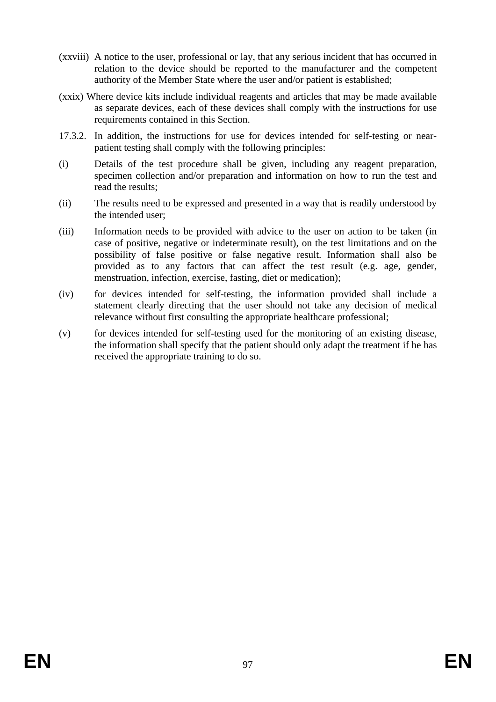- (xxviii) A notice to the user, professional or lay, that any serious incident that has occurred in relation to the device should be reported to the manufacturer and the competent authority of the Member State where the user and/or patient is established;
- (xxix) Where device kits include individual reagents and articles that may be made available as separate devices, each of these devices shall comply with the instructions for use requirements contained in this Section.
- 17.3.2. In addition, the instructions for use for devices intended for self-testing or nearpatient testing shall comply with the following principles:
- (i) Details of the test procedure shall be given, including any reagent preparation, specimen collection and/or preparation and information on how to run the test and read the results;
- (ii) The results need to be expressed and presented in a way that is readily understood by the intended user;
- (iii) Information needs to be provided with advice to the user on action to be taken (in case of positive, negative or indeterminate result), on the test limitations and on the possibility of false positive or false negative result. Information shall also be provided as to any factors that can affect the test result (e.g. age, gender, menstruation, infection, exercise, fasting, diet or medication);
- (iv) for devices intended for self-testing, the information provided shall include a statement clearly directing that the user should not take any decision of medical relevance without first consulting the appropriate healthcare professional;
- (v) for devices intended for self-testing used for the monitoring of an existing disease, the information shall specify that the patient should only adapt the treatment if he has received the appropriate training to do so.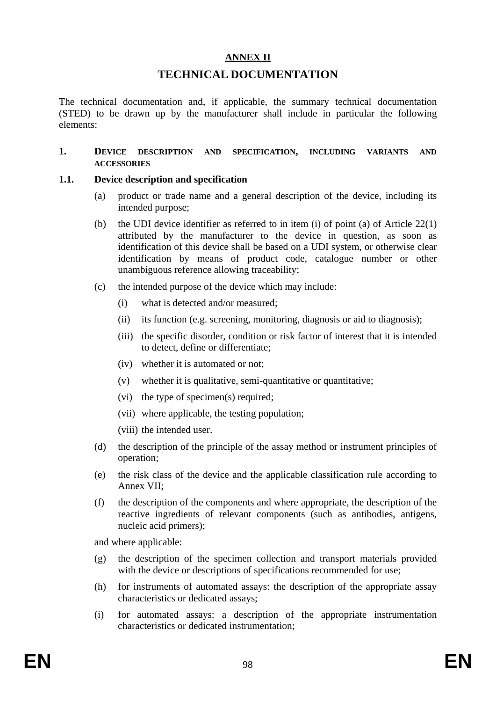#### **ANNEX II**

# **TECHNICAL DOCUMENTATION**

The technical documentation and, if applicable, the summary technical documentation (STED) to be drawn up by the manufacturer shall include in particular the following elements:

#### **1. DEVICE DESCRIPTION AND SPECIFICATION, INCLUDING VARIANTS AND ACCESSORIES**

#### **1.1. Device description and specification**

- (a) product or trade name and a general description of the device, including its intended purpose;
- (b) the UDI device identifier as referred to in item (i) of point (a) of Article 22(1) attributed by the manufacturer to the device in question, as soon as identification of this device shall be based on a UDI system, or otherwise clear identification by means of product code, catalogue number or other unambiguous reference allowing traceability;
- (c) the intended purpose of the device which may include:
	- (i) what is detected and/or measured;
	- (ii) its function (e.g. screening, monitoring, diagnosis or aid to diagnosis);
	- (iii) the specific disorder, condition or risk factor of interest that it is intended to detect, define or differentiate;
	- (iv) whether it is automated or not;
	- (v) whether it is qualitative, semi-quantitative or quantitative;
	- (vi) the type of specimen(s) required;
	- (vii) where applicable, the testing population;
	- (viii) the intended user.
- (d) the description of the principle of the assay method or instrument principles of operation;
- (e) the risk class of the device and the applicable classification rule according to Annex VII;
- (f) the description of the components and where appropriate, the description of the reactive ingredients of relevant components (such as antibodies, antigens, nucleic acid primers);

and where applicable:

- (g) the description of the specimen collection and transport materials provided with the device or descriptions of specifications recommended for use;
- (h) for instruments of automated assays: the description of the appropriate assay characteristics or dedicated assays;
- (i) for automated assays: a description of the appropriate instrumentation characteristics or dedicated instrumentation;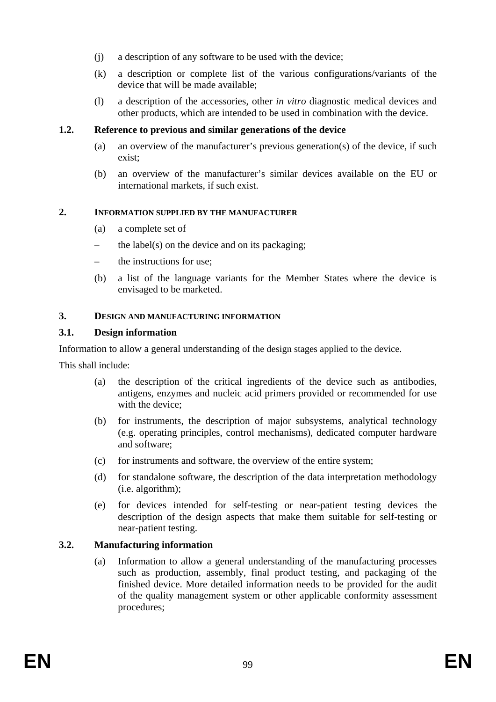- (j) a description of any software to be used with the device;
- (k) a description or complete list of the various configurations/variants of the device that will be made available;
- (l) a description of the accessories, other *in vitro* diagnostic medical devices and other products, which are intended to be used in combination with the device.

#### **1.2. Reference to previous and similar generations of the device**

- (a) an overview of the manufacturer's previous generation(s) of the device, if such exist;
- (b) an overview of the manufacturer's similar devices available on the EU or international markets, if such exist.

#### **2. INFORMATION SUPPLIED BY THE MANUFACTURER**

- (a) a complete set of
- the label(s) on the device and on its packaging;
- the instructions for use:
- (b) a list of the language variants for the Member States where the device is envisaged to be marketed.

#### **3. DESIGN AND MANUFACTURING INFORMATION**

#### **3.1. Design information**

Information to allow a general understanding of the design stages applied to the device.

This shall include:

- (a) the description of the critical ingredients of the device such as antibodies, antigens, enzymes and nucleic acid primers provided or recommended for use with the device;
- (b) for instruments, the description of major subsystems, analytical technology (e.g. operating principles, control mechanisms), dedicated computer hardware and software;
- (c) for instruments and software, the overview of the entire system;
- (d) for standalone software, the description of the data interpretation methodology (i.e. algorithm);
- (e) for devices intended for self-testing or near-patient testing devices the description of the design aspects that make them suitable for self-testing or near-patient testing.

# **3.2. Manufacturing information**

(a) Information to allow a general understanding of the manufacturing processes such as production, assembly, final product testing, and packaging of the finished device. More detailed information needs to be provided for the audit of the quality management system or other applicable conformity assessment procedures;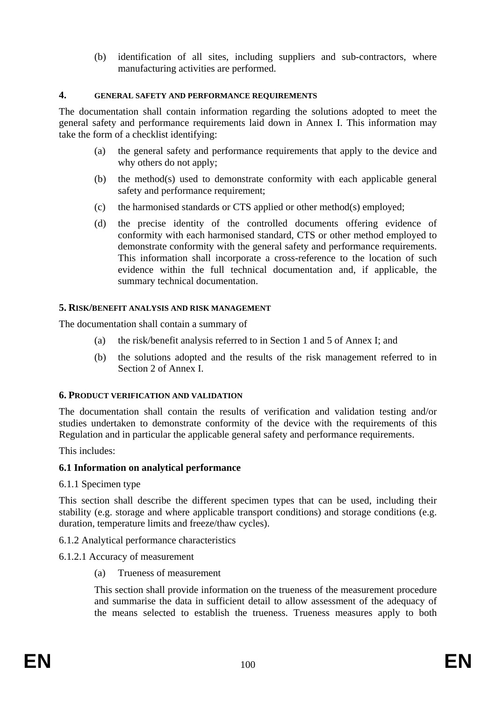(b) identification of all sites, including suppliers and sub-contractors, where manufacturing activities are performed.

#### **4. GENERAL SAFETY AND PERFORMANCE REQUIREMENTS**

The documentation shall contain information regarding the solutions adopted to meet the general safety and performance requirements laid down in Annex I. This information may take the form of a checklist identifying:

- (a) the general safety and performance requirements that apply to the device and why others do not apply;
- (b) the method(s) used to demonstrate conformity with each applicable general safety and performance requirement;
- (c) the harmonised standards or CTS applied or other method(s) employed;
- (d) the precise identity of the controlled documents offering evidence of conformity with each harmonised standard, CTS or other method employed to demonstrate conformity with the general safety and performance requirements. This information shall incorporate a cross-reference to the location of such evidence within the full technical documentation and, if applicable, the summary technical documentation.

#### **5. RISK/BENEFIT ANALYSIS AND RISK MANAGEMENT**

The documentation shall contain a summary of

- (a) the risk/benefit analysis referred to in Section 1 and 5 of Annex I; and
- (b) the solutions adopted and the results of the risk management referred to in Section 2 of Annex I.

#### **6. PRODUCT VERIFICATION AND VALIDATION**

The documentation shall contain the results of verification and validation testing and/or studies undertaken to demonstrate conformity of the device with the requirements of this Regulation and in particular the applicable general safety and performance requirements.

This includes:

#### **6.1 Information on analytical performance**

6.1.1 Specimen type

This section shall describe the different specimen types that can be used, including their stability (e.g. storage and where applicable transport conditions) and storage conditions (e.g. duration, temperature limits and freeze/thaw cycles).

- 6.1.2 Analytical performance characteristics
- 6.1.2.1 Accuracy of measurement
	- (a) Trueness of measurement

This section shall provide information on the trueness of the measurement procedure and summarise the data in sufficient detail to allow assessment of the adequacy of the means selected to establish the trueness. Trueness measures apply to both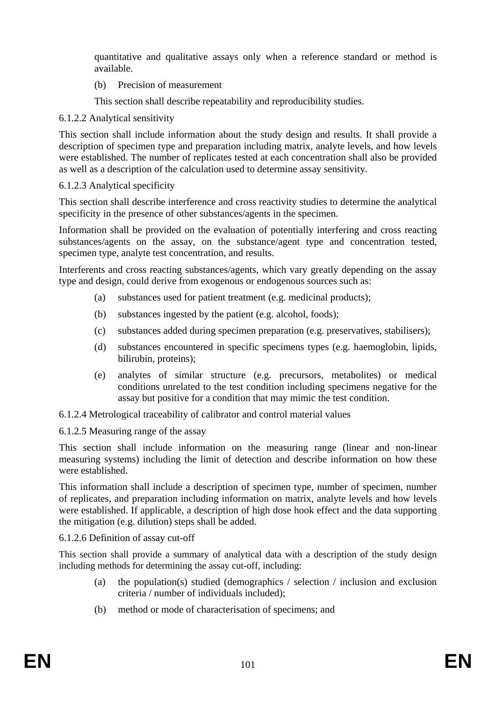quantitative and qualitative assays only when a reference standard or method is available.

(b) Precision of measurement

This section shall describe repeatability and reproducibility studies.

# 6.1.2.2 Analytical sensitivity

This section shall include information about the study design and results. It shall provide a description of specimen type and preparation including matrix, analyte levels, and how levels were established. The number of replicates tested at each concentration shall also be provided as well as a description of the calculation used to determine assay sensitivity.

# 6.1.2.3 Analytical specificity

This section shall describe interference and cross reactivity studies to determine the analytical specificity in the presence of other substances/agents in the specimen.

Information shall be provided on the evaluation of potentially interfering and cross reacting substances/agents on the assay, on the substance/agent type and concentration tested, specimen type, analyte test concentration, and results.

Interferents and cross reacting substances/agents, which vary greatly depending on the assay type and design, could derive from exogenous or endogenous sources such as:

- (a) substances used for patient treatment (e.g. medicinal products);
- (b) substances ingested by the patient (e.g. alcohol, foods);
- (c) substances added during specimen preparation (e.g. preservatives, stabilisers);
- (d) substances encountered in specific specimens types (e.g. haemoglobin, lipids, bilirubin, proteins);
- (e) analytes of similar structure (e.g. precursors, metabolites) or medical conditions unrelated to the test condition including specimens negative for the assay but positive for a condition that may mimic the test condition.

6.1.2.4 Metrological traceability of calibrator and control material values

6.1.2.5 Measuring range of the assay

This section shall include information on the measuring range (linear and non-linear measuring systems) including the limit of detection and describe information on how these were established.

This information shall include a description of specimen type, number of specimen, number of replicates, and preparation including information on matrix, analyte levels and how levels were established. If applicable, a description of high dose hook effect and the data supporting the mitigation (e.g. dilution) steps shall be added.

6.1.2.6 Definition of assay cut-off

This section shall provide a summary of analytical data with a description of the study design including methods for determining the assay cut-off, including:

- (a) the population(s) studied (demographics / selection / inclusion and exclusion criteria / number of individuals included);
- (b) method or mode of characterisation of specimens; and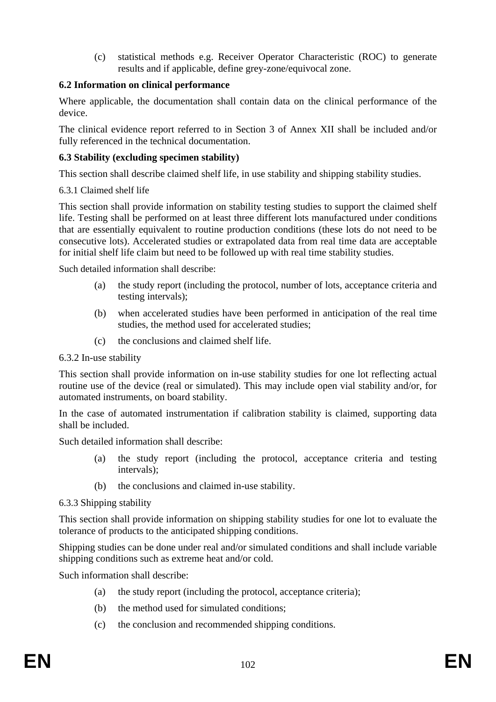(c) statistical methods e.g. Receiver Operator Characteristic (ROC) to generate results and if applicable, define grey-zone/equivocal zone.

# **6.2 Information on clinical performance**

Where applicable, the documentation shall contain data on the clinical performance of the device.

The clinical evidence report referred to in Section 3 of Annex XII shall be included and/or fully referenced in the technical documentation.

# **6.3 Stability (excluding specimen stability)**

This section shall describe claimed shelf life, in use stability and shipping stability studies.

# 6.3.1 Claimed shelf life

This section shall provide information on stability testing studies to support the claimed shelf life. Testing shall be performed on at least three different lots manufactured under conditions that are essentially equivalent to routine production conditions (these lots do not need to be consecutive lots). Accelerated studies or extrapolated data from real time data are acceptable for initial shelf life claim but need to be followed up with real time stability studies.

Such detailed information shall describe:

- (a) the study report (including the protocol, number of lots, acceptance criteria and testing intervals);
- (b) when accelerated studies have been performed in anticipation of the real time studies, the method used for accelerated studies;
- (c) the conclusions and claimed shelf life.

# 6.3.2 In-use stability

This section shall provide information on in-use stability studies for one lot reflecting actual routine use of the device (real or simulated). This may include open vial stability and/or, for automated instruments, on board stability.

In the case of automated instrumentation if calibration stability is claimed, supporting data shall be included.

Such detailed information shall describe:

- (a) the study report (including the protocol, acceptance criteria and testing intervals);
- (b) the conclusions and claimed in-use stability.

# 6.3.3 Shipping stability

This section shall provide information on shipping stability studies for one lot to evaluate the tolerance of products to the anticipated shipping conditions.

Shipping studies can be done under real and/or simulated conditions and shall include variable shipping conditions such as extreme heat and/or cold.

Such information shall describe:

- (a) the study report (including the protocol, acceptance criteria);
- (b) the method used for simulated conditions;
- (c) the conclusion and recommended shipping conditions.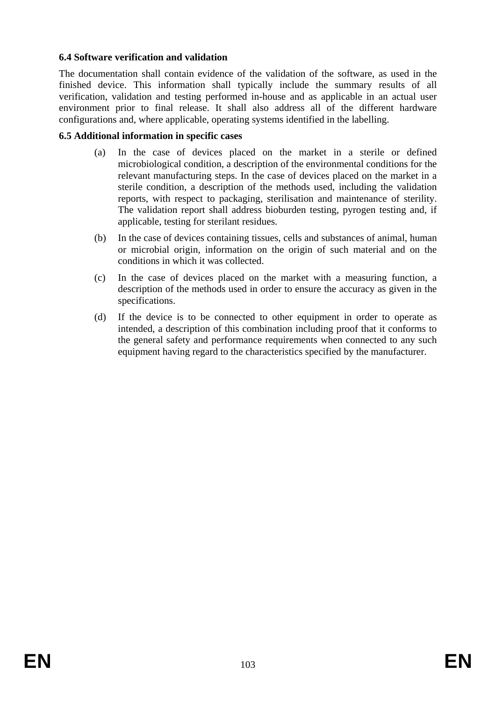# **6.4 Software verification and validation**

The documentation shall contain evidence of the validation of the software, as used in the finished device. This information shall typically include the summary results of all verification, validation and testing performed in-house and as applicable in an actual user environment prior to final release. It shall also address all of the different hardware configurations and, where applicable, operating systems identified in the labelling.

#### **6.5 Additional information in specific cases**

- (a) In the case of devices placed on the market in a sterile or defined microbiological condition, a description of the environmental conditions for the relevant manufacturing steps. In the case of devices placed on the market in a sterile condition, a description of the methods used, including the validation reports, with respect to packaging, sterilisation and maintenance of sterility. The validation report shall address bioburden testing, pyrogen testing and, if applicable, testing for sterilant residues.
- (b) In the case of devices containing tissues, cells and substances of animal, human or microbial origin, information on the origin of such material and on the conditions in which it was collected.
- (c) In the case of devices placed on the market with a measuring function, a description of the methods used in order to ensure the accuracy as given in the specifications.
- (d) If the device is to be connected to other equipment in order to operate as intended, a description of this combination including proof that it conforms to the general safety and performance requirements when connected to any such equipment having regard to the characteristics specified by the manufacturer.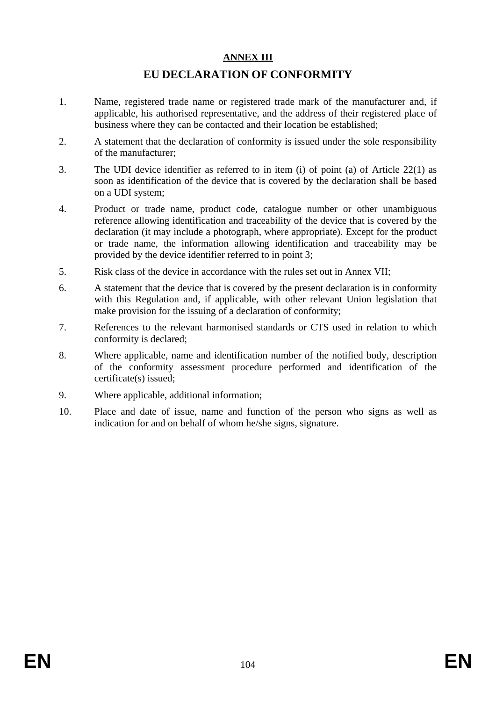#### **ANNEX III**

# **EU DECLARATION OF CONFORMITY**

- 1. Name, registered trade name or registered trade mark of the manufacturer and, if applicable, his authorised representative, and the address of their registered place of business where they can be contacted and their location be established;
- 2. A statement that the declaration of conformity is issued under the sole responsibility of the manufacturer;
- 3. The UDI device identifier as referred to in item (i) of point (a) of Article 22(1) as soon as identification of the device that is covered by the declaration shall be based on a UDI system;
- 4. Product or trade name, product code, catalogue number or other unambiguous reference allowing identification and traceability of the device that is covered by the declaration (it may include a photograph, where appropriate). Except for the product or trade name, the information allowing identification and traceability may be provided by the device identifier referred to in point 3;
- 5. Risk class of the device in accordance with the rules set out in Annex VII;
- 6. A statement that the device that is covered by the present declaration is in conformity with this Regulation and, if applicable, with other relevant Union legislation that make provision for the issuing of a declaration of conformity;
- 7. References to the relevant harmonised standards or CTS used in relation to which conformity is declared;
- 8. Where applicable, name and identification number of the notified body, description of the conformity assessment procedure performed and identification of the certificate(s) issued;
- 9. Where applicable, additional information;
- 10. Place and date of issue, name and function of the person who signs as well as indication for and on behalf of whom he/she signs, signature.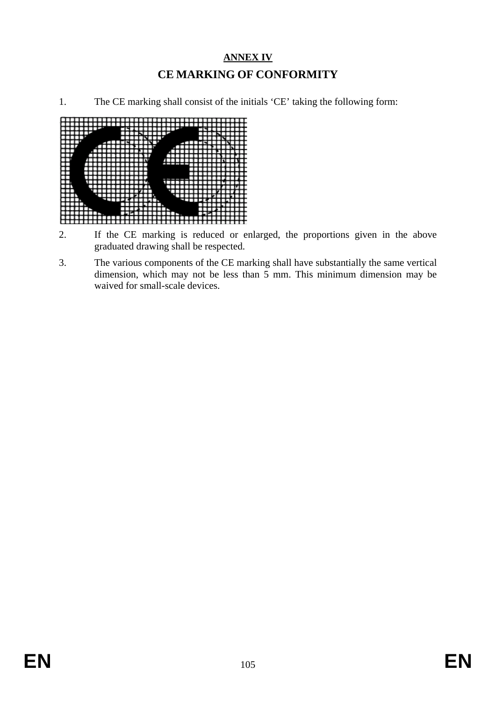# **ANNEX IV CE MARKING OF CONFORMITY**

1. The CE marking shall consist of the initials 'CE' taking the following form:



- 2. If the CE marking is reduced or enlarged, the proportions given in the above graduated drawing shall be respected.
- 3. The various components of the CE marking shall have substantially the same vertical dimension, which may not be less than  $\frac{3}{5}$  mm. This minimum dimension may be waived for small-scale devices.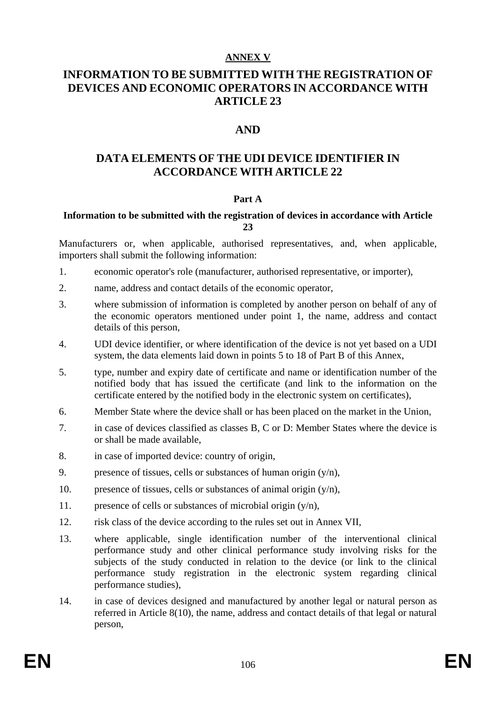#### **ANNEX V**

# **INFORMATION TO BE SUBMITTED WITH THE REGISTRATION OF DEVICES AND ECONOMIC OPERATORS IN ACCORDANCE WITH ARTICLE 23**

# **AND**

# **DATA ELEMENTS OF THE UDI DEVICE IDENTIFIER IN ACCORDANCE WITH ARTICLE 22**

#### **Part A**

#### **Information to be submitted with the registration of devices in accordance with Article 23**

Manufacturers or, when applicable, authorised representatives, and, when applicable, importers shall submit the following information:

- 1. economic operator's role (manufacturer, authorised representative, or importer),
- 2. name, address and contact details of the economic operator,
- 3. where submission of information is completed by another person on behalf of any of the economic operators mentioned under point 1, the name, address and contact details of this person,
- 4. UDI device identifier, or where identification of the device is not yet based on a UDI system, the data elements laid down in points 5 to 18 of Part B of this Annex,
- 5. type, number and expiry date of certificate and name or identification number of the notified body that has issued the certificate (and link to the information on the certificate entered by the notified body in the electronic system on certificates),
- 6. Member State where the device shall or has been placed on the market in the Union,
- 7. in case of devices classified as classes B, C or D: Member States where the device is or shall be made available,
- 8. in case of imported device: country of origin,
- 9. presence of tissues, cells or substances of human origin  $(v/n)$ ,
- 10. presence of tissues, cells or substances of animal origin  $(y/n)$ ,
- 11. presence of cells or substances of microbial origin  $(y/n)$ ,
- 12. risk class of the device according to the rules set out in Annex VII,
- 13. where applicable, single identification number of the interventional clinical performance study and other clinical performance study involving risks for the subjects of the study conducted in relation to the device (or link to the clinical performance study registration in the electronic system regarding clinical performance studies),
- 14. in case of devices designed and manufactured by another legal or natural person as referred in Article 8(10), the name, address and contact details of that legal or natural person,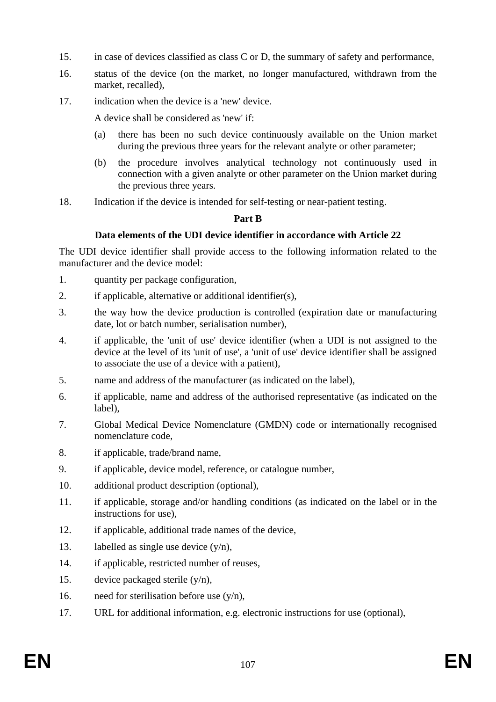- 15. in case of devices classified as class C or D, the summary of safety and performance,
- 16. status of the device (on the market, no longer manufactured, withdrawn from the market, recalled),
- 17. indication when the device is a 'new' device.

A device shall be considered as 'new' if:

- (a) there has been no such device continuously available on the Union market during the previous three years for the relevant analyte or other parameter;
- (b) the procedure involves analytical technology not continuously used in connection with a given analyte or other parameter on the Union market during the previous three years.
- 18. Indication if the device is intended for self-testing or near-patient testing.

# **Part B**

# **Data elements of the UDI device identifier in accordance with Article 22**

The UDI device identifier shall provide access to the following information related to the manufacturer and the device model:

- 1. quantity per package configuration,
- 2. if applicable, alternative or additional identifier(s),
- 3. the way how the device production is controlled (expiration date or manufacturing date, lot or batch number, serialisation number),
- 4. if applicable, the 'unit of use' device identifier (when a UDI is not assigned to the device at the level of its 'unit of use', a 'unit of use' device identifier shall be assigned to associate the use of a device with a patient),
- 5. name and address of the manufacturer (as indicated on the label),
- 6. if applicable, name and address of the authorised representative (as indicated on the label),
- 7. Global Medical Device Nomenclature (GMDN) code or internationally recognised nomenclature code,
- 8. if applicable, trade/brand name,
- 9. if applicable, device model, reference, or catalogue number,
- 10. additional product description (optional),
- 11. if applicable, storage and/or handling conditions (as indicated on the label or in the instructions for use),
- 12. if applicable, additional trade names of the device,
- 13. labelled as single use device  $(y/n)$ ,
- 14. if applicable, restricted number of reuses,
- 15. device packaged sterile  $(y/n)$ ,
- 16. need for sterilisation before use  $(y/n)$ ,
- 17. URL for additional information, e.g. electronic instructions for use (optional),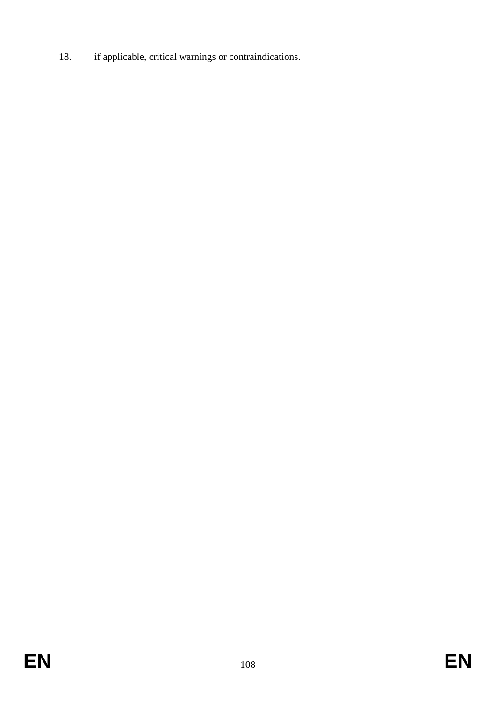18. if applicable, critical warnings or contraindications.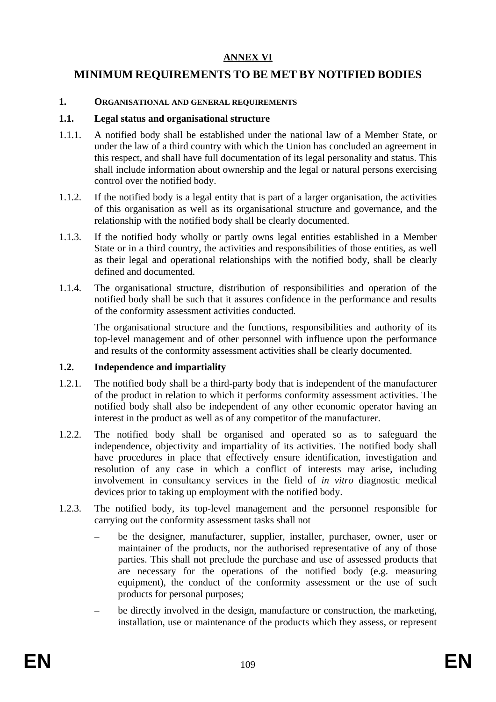## **ANNEX VI**

## **MINIMUM REQUIREMENTS TO BE MET BY NOTIFIED BODIES**

#### **1. ORGANISATIONAL AND GENERAL REQUIREMENTS**

#### **1.1. Legal status and organisational structure**

- 1.1.1. A notified body shall be established under the national law of a Member State, or under the law of a third country with which the Union has concluded an agreement in this respect, and shall have full documentation of its legal personality and status. This shall include information about ownership and the legal or natural persons exercising control over the notified body.
- 1.1.2. If the notified body is a legal entity that is part of a larger organisation, the activities of this organisation as well as its organisational structure and governance, and the relationship with the notified body shall be clearly documented.
- 1.1.3. If the notified body wholly or partly owns legal entities established in a Member State or in a third country, the activities and responsibilities of those entities, as well as their legal and operational relationships with the notified body, shall be clearly defined and documented.
- 1.1.4. The organisational structure, distribution of responsibilities and operation of the notified body shall be such that it assures confidence in the performance and results of the conformity assessment activities conducted.

The organisational structure and the functions, responsibilities and authority of its top-level management and of other personnel with influence upon the performance and results of the conformity assessment activities shall be clearly documented.

## **1.2. Independence and impartiality**

- 1.2.1. The notified body shall be a third-party body that is independent of the manufacturer of the product in relation to which it performs conformity assessment activities. The notified body shall also be independent of any other economic operator having an interest in the product as well as of any competitor of the manufacturer.
- 1.2.2. The notified body shall be organised and operated so as to safeguard the independence, objectivity and impartiality of its activities. The notified body shall have procedures in place that effectively ensure identification, investigation and resolution of any case in which a conflict of interests may arise, including involvement in consultancy services in the field of *in vitro* diagnostic medical devices prior to taking up employment with the notified body.
- 1.2.3. The notified body, its top-level management and the personnel responsible for carrying out the conformity assessment tasks shall not
	- be the designer, manufacturer, supplier, installer, purchaser, owner, user or maintainer of the products, nor the authorised representative of any of those parties. This shall not preclude the purchase and use of assessed products that are necessary for the operations of the notified body (e.g. measuring equipment), the conduct of the conformity assessment or the use of such products for personal purposes;
	- be directly involved in the design, manufacture or construction, the marketing, installation, use or maintenance of the products which they assess, or represent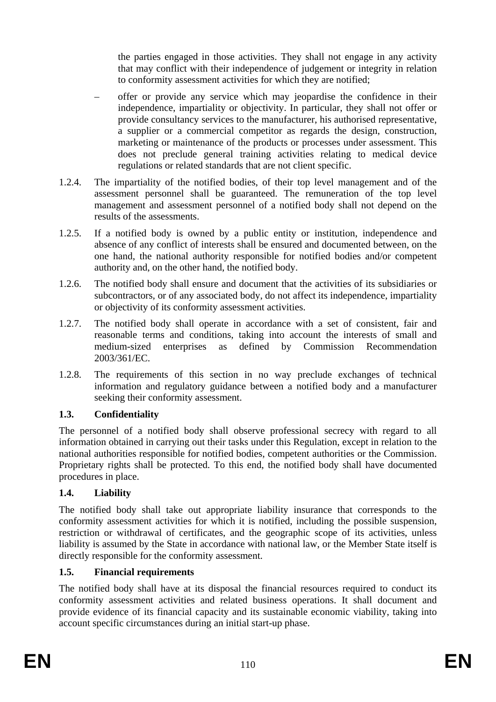the parties engaged in those activities. They shall not engage in any activity that may conflict with their independence of judgement or integrity in relation to conformity assessment activities for which they are notified;

- offer or provide any service which may jeopardise the confidence in their independence, impartiality or objectivity. In particular, they shall not offer or provide consultancy services to the manufacturer, his authorised representative, a supplier or a commercial competitor as regards the design, construction, marketing or maintenance of the products or processes under assessment. This does not preclude general training activities relating to medical device regulations or related standards that are not client specific.
- 1.2.4. The impartiality of the notified bodies, of their top level management and of the assessment personnel shall be guaranteed. The remuneration of the top level management and assessment personnel of a notified body shall not depend on the results of the assessments.
- 1.2.5. If a notified body is owned by a public entity or institution, independence and absence of any conflict of interests shall be ensured and documented between, on the one hand, the national authority responsible for notified bodies and/or competent authority and, on the other hand, the notified body.
- 1.2.6. The notified body shall ensure and document that the activities of its subsidiaries or subcontractors, or of any associated body, do not affect its independence, impartiality or objectivity of its conformity assessment activities.
- 1.2.7. The notified body shall operate in accordance with a set of consistent, fair and reasonable terms and conditions, taking into account the interests of small and medium-sized enterprises as defined by Commission Recommendation 2003/361/EC.
- 1.2.8. The requirements of this section in no way preclude exchanges of technical information and regulatory guidance between a notified body and a manufacturer seeking their conformity assessment.

## **1.3. Confidentiality**

The personnel of a notified body shall observe professional secrecy with regard to all information obtained in carrying out their tasks under this Regulation, except in relation to the national authorities responsible for notified bodies, competent authorities or the Commission. Proprietary rights shall be protected. To this end, the notified body shall have documented procedures in place.

## **1.4. Liability**

The notified body shall take out appropriate liability insurance that corresponds to the conformity assessment activities for which it is notified, including the possible suspension, restriction or withdrawal of certificates, and the geographic scope of its activities, unless liability is assumed by the State in accordance with national law, or the Member State itself is directly responsible for the conformity assessment.

## **1.5. Financial requirements**

The notified body shall have at its disposal the financial resources required to conduct its conformity assessment activities and related business operations. It shall document and provide evidence of its financial capacity and its sustainable economic viability, taking into account specific circumstances during an initial start-up phase.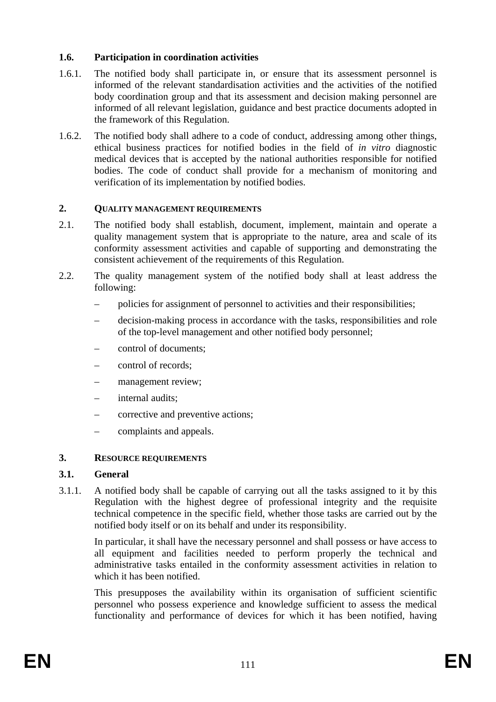## **1.6. Participation in coordination activities**

- 1.6.1. The notified body shall participate in, or ensure that its assessment personnel is informed of the relevant standardisation activities and the activities of the notified body coordination group and that its assessment and decision making personnel are informed of all relevant legislation, guidance and best practice documents adopted in the framework of this Regulation.
- 1.6.2. The notified body shall adhere to a code of conduct, addressing among other things, ethical business practices for notified bodies in the field of *in vitro* diagnostic medical devices that is accepted by the national authorities responsible for notified bodies. The code of conduct shall provide for a mechanism of monitoring and verification of its implementation by notified bodies.

#### **2. QUALITY MANAGEMENT REQUIREMENTS**

- 2.1. The notified body shall establish, document, implement, maintain and operate a quality management system that is appropriate to the nature, area and scale of its conformity assessment activities and capable of supporting and demonstrating the consistent achievement of the requirements of this Regulation.
- 2.2. The quality management system of the notified body shall at least address the following:
	- policies for assignment of personnel to activities and their responsibilities;
	- decision-making process in accordance with the tasks, responsibilities and role of the top-level management and other notified body personnel;
	- control of documents;
	- control of records;
	- management review;
	- internal audits;
	- corrective and preventive actions;
	- complaints and appeals.

#### **3. RESOURCE REQUIREMENTS**

#### **3.1. General**

3.1.1. A notified body shall be capable of carrying out all the tasks assigned to it by this Regulation with the highest degree of professional integrity and the requisite technical competence in the specific field, whether those tasks are carried out by the notified body itself or on its behalf and under its responsibility.

In particular, it shall have the necessary personnel and shall possess or have access to all equipment and facilities needed to perform properly the technical and administrative tasks entailed in the conformity assessment activities in relation to which it has been notified.

This presupposes the availability within its organisation of sufficient scientific personnel who possess experience and knowledge sufficient to assess the medical functionality and performance of devices for which it has been notified, having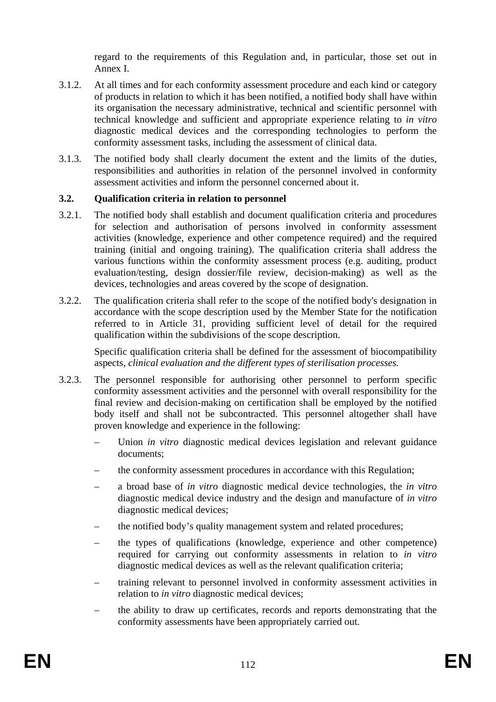regard to the requirements of this Regulation and, in particular, those set out in Annex I.

- 3.1.2. At all times and for each conformity assessment procedure and each kind or category of products in relation to which it has been notified, a notified body shall have within its organisation the necessary administrative, technical and scientific personnel with technical knowledge and sufficient and appropriate experience relating to *in vitro* diagnostic medical devices and the corresponding technologies to perform the conformity assessment tasks, including the assessment of clinical data.
- 3.1.3. The notified body shall clearly document the extent and the limits of the duties, responsibilities and authorities in relation of the personnel involved in conformity assessment activities and inform the personnel concerned about it.

## **3.2. Qualification criteria in relation to personnel**

- 3.2.1. The notified body shall establish and document qualification criteria and procedures for selection and authorisation of persons involved in conformity assessment activities (knowledge, experience and other competence required) and the required training (initial and ongoing training). The qualification criteria shall address the various functions within the conformity assessment process (e.g. auditing, product evaluation/testing, design dossier/file review, decision-making) as well as the devices, technologies and areas covered by the scope of designation.
- 3.2.2. The qualification criteria shall refer to the scope of the notified body's designation in accordance with the scope description used by the Member State for the notification referred to in Article 31, providing sufficient level of detail for the required qualification within the subdivisions of the scope description.

Specific qualification criteria shall be defined for the assessment of biocompatibility aspects, *clinical evaluation and the different types of sterilisation processes.* 

- 3.2.3. The personnel responsible for authorising other personnel to perform specific conformity assessment activities and the personnel with overall responsibility for the final review and decision-making on certification shall be employed by the notified body itself and shall not be subcontracted. This personnel altogether shall have proven knowledge and experience in the following:
	- Union *in vitro* diagnostic medical devices legislation and relevant guidance documents;
	- the conformity assessment procedures in accordance with this Regulation;
	- a broad base of *in vitro* diagnostic medical device technologies, the *in vitro*  diagnostic medical device industry and the design and manufacture of *in vitro*  diagnostic medical devices;
	- the notified body's quality management system and related procedures;
	- the types of qualifications (knowledge, experience and other competence) required for carrying out conformity assessments in relation to *in vitro*  diagnostic medical devices as well as the relevant qualification criteria;
	- training relevant to personnel involved in conformity assessment activities in relation to *in vitro* diagnostic medical devices;
	- the ability to draw up certificates, records and reports demonstrating that the conformity assessments have been appropriately carried out.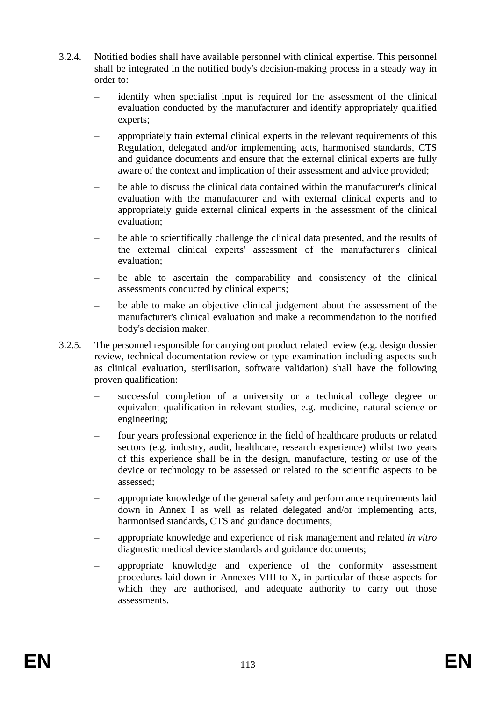- 3.2.4. Notified bodies shall have available personnel with clinical expertise. This personnel shall be integrated in the notified body's decision-making process in a steady way in order to:
	- identify when specialist input is required for the assessment of the clinical evaluation conducted by the manufacturer and identify appropriately qualified experts;
	- appropriately train external clinical experts in the relevant requirements of this Regulation, delegated and/or implementing acts, harmonised standards, CTS and guidance documents and ensure that the external clinical experts are fully aware of the context and implication of their assessment and advice provided;
	- be able to discuss the clinical data contained within the manufacturer's clinical evaluation with the manufacturer and with external clinical experts and to appropriately guide external clinical experts in the assessment of the clinical evaluation;
	- be able to scientifically challenge the clinical data presented, and the results of the external clinical experts' assessment of the manufacturer's clinical evaluation;
	- be able to ascertain the comparability and consistency of the clinical assessments conducted by clinical experts;
	- be able to make an objective clinical judgement about the assessment of the manufacturer's clinical evaluation and make a recommendation to the notified body's decision maker.
- 3.2.5. The personnel responsible for carrying out product related review (e.g. design dossier review, technical documentation review or type examination including aspects such as clinical evaluation, sterilisation, software validation) shall have the following proven qualification:
	- successful completion of a university or a technical college degree or equivalent qualification in relevant studies, e.g. medicine, natural science or engineering;
	- four years professional experience in the field of healthcare products or related sectors (e.g. industry, audit, healthcare, research experience) whilst two years of this experience shall be in the design, manufacture, testing or use of the device or technology to be assessed or related to the scientific aspects to be assessed;
	- appropriate knowledge of the general safety and performance requirements laid down in Annex I as well as related delegated and/or implementing acts, harmonised standards, CTS and guidance documents;
	- appropriate knowledge and experience of risk management and related *in vitro*  diagnostic medical device standards and guidance documents;
	- appropriate knowledge and experience of the conformity assessment procedures laid down in Annexes VIII to X, in particular of those aspects for which they are authorised, and adequate authority to carry out those assessments.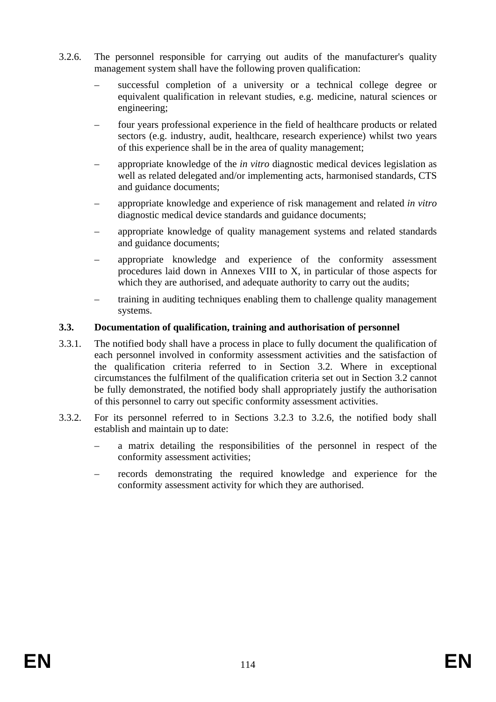- 3.2.6. The personnel responsible for carrying out audits of the manufacturer's quality management system shall have the following proven qualification:
	- successful completion of a university or a technical college degree or equivalent qualification in relevant studies, e.g. medicine, natural sciences or engineering;
	- four years professional experience in the field of healthcare products or related sectors (e.g. industry, audit, healthcare, research experience) whilst two years of this experience shall be in the area of quality management;
	- appropriate knowledge of the *in vitro* diagnostic medical devices legislation as well as related delegated and/or implementing acts, harmonised standards, CTS and guidance documents;
	- appropriate knowledge and experience of risk management and related *in vitro*  diagnostic medical device standards and guidance documents;
	- appropriate knowledge of quality management systems and related standards and guidance documents;
	- appropriate knowledge and experience of the conformity assessment procedures laid down in Annexes VIII to X, in particular of those aspects for which they are authorised, and adequate authority to carry out the audits;
	- training in auditing techniques enabling them to challenge quality management systems.

#### **3.3. Documentation of qualification, training and authorisation of personnel**

- 3.3.1. The notified body shall have a process in place to fully document the qualification of each personnel involved in conformity assessment activities and the satisfaction of the qualification criteria referred to in Section 3.2. Where in exceptional circumstances the fulfilment of the qualification criteria set out in Section 3.2 cannot be fully demonstrated, the notified body shall appropriately justify the authorisation of this personnel to carry out specific conformity assessment activities.
- 3.3.2. For its personnel referred to in Sections 3.2.3 to 3.2.6, the notified body shall establish and maintain up to date:
	- a matrix detailing the responsibilities of the personnel in respect of the conformity assessment activities;
	- records demonstrating the required knowledge and experience for the conformity assessment activity for which they are authorised.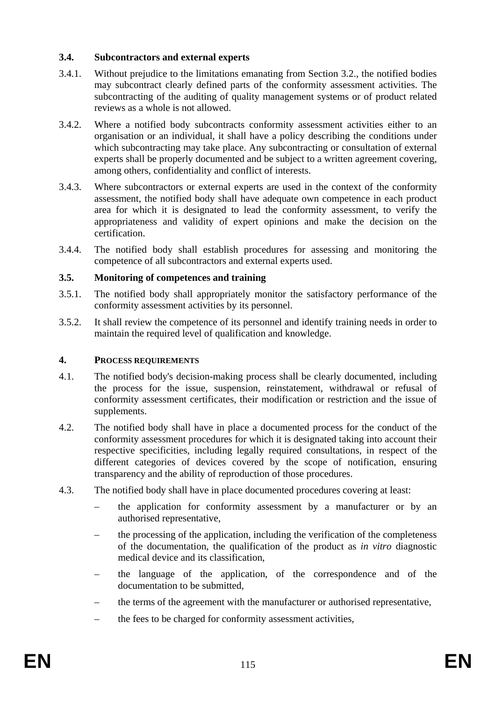#### **3.4. Subcontractors and external experts**

- 3.4.1. Without prejudice to the limitations emanating from Section 3.2., the notified bodies may subcontract clearly defined parts of the conformity assessment activities. The subcontracting of the auditing of quality management systems or of product related reviews as a whole is not allowed.
- 3.4.2. Where a notified body subcontracts conformity assessment activities either to an organisation or an individual, it shall have a policy describing the conditions under which subcontracting may take place. Any subcontracting or consultation of external experts shall be properly documented and be subject to a written agreement covering, among others, confidentiality and conflict of interests.
- 3.4.3. Where subcontractors or external experts are used in the context of the conformity assessment, the notified body shall have adequate own competence in each product area for which it is designated to lead the conformity assessment, to verify the appropriateness and validity of expert opinions and make the decision on the certification.
- 3.4.4. The notified body shall establish procedures for assessing and monitoring the competence of all subcontractors and external experts used.

#### **3.5. Monitoring of competences and training**

- 3.5.1. The notified body shall appropriately monitor the satisfactory performance of the conformity assessment activities by its personnel.
- 3.5.2. It shall review the competence of its personnel and identify training needs in order to maintain the required level of qualification and knowledge.

#### **4. PROCESS REQUIREMENTS**

- 4.1. The notified body's decision-making process shall be clearly documented, including the process for the issue, suspension, reinstatement, withdrawal or refusal of conformity assessment certificates, their modification or restriction and the issue of supplements.
- 4.2. The notified body shall have in place a documented process for the conduct of the conformity assessment procedures for which it is designated taking into account their respective specificities, including legally required consultations, in respect of the different categories of devices covered by the scope of notification, ensuring transparency and the ability of reproduction of those procedures.
- 4.3. The notified body shall have in place documented procedures covering at least:
	- the application for conformity assessment by a manufacturer or by an authorised representative,
	- the processing of the application, including the verification of the completeness of the documentation, the qualification of the product as *in vitro* diagnostic medical device and its classification,
	- the language of the application, of the correspondence and of the documentation to be submitted,
	- the terms of the agreement with the manufacturer or authorised representative,
	- the fees to be charged for conformity assessment activities,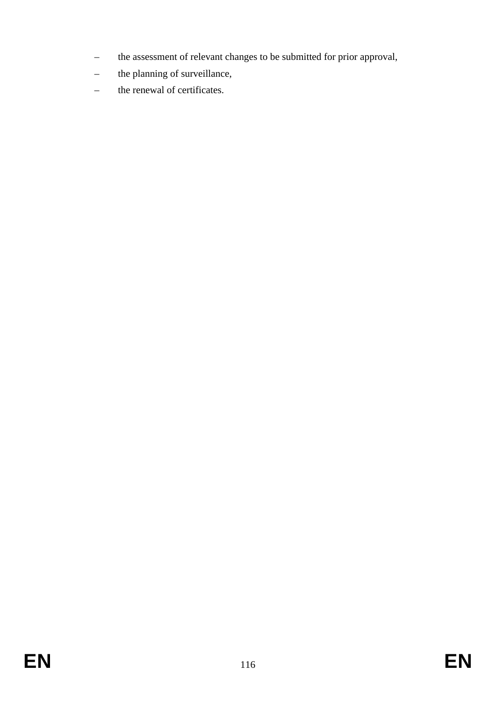- the assessment of relevant changes to be submitted for prior approval,
- the planning of surveillance,
- the renewal of certificates.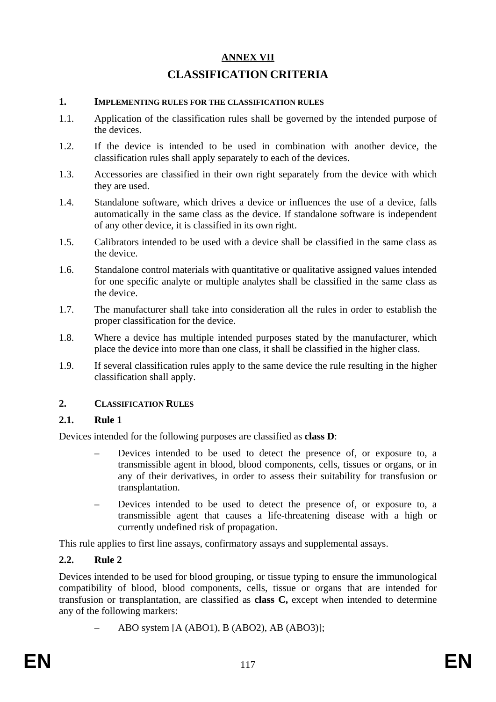# **ANNEX VII CLASSIFICATION CRITERIA**

#### **1. IMPLEMENTING RULES FOR THE CLASSIFICATION RULES**

- 1.1. Application of the classification rules shall be governed by the intended purpose of the devices.
- 1.2. If the device is intended to be used in combination with another device, the classification rules shall apply separately to each of the devices.
- 1.3. Accessories are classified in their own right separately from the device with which they are used.
- 1.4. Standalone software, which drives a device or influences the use of a device, falls automatically in the same class as the device. If standalone software is independent of any other device, it is classified in its own right.
- 1.5. Calibrators intended to be used with a device shall be classified in the same class as the device.
- 1.6. Standalone control materials with quantitative or qualitative assigned values intended for one specific analyte or multiple analytes shall be classified in the same class as the device.
- 1.7. The manufacturer shall take into consideration all the rules in order to establish the proper classification for the device.
- 1.8. Where a device has multiple intended purposes stated by the manufacturer, which place the device into more than one class, it shall be classified in the higher class.
- 1.9. If several classification rules apply to the same device the rule resulting in the higher classification shall apply.

#### **2. CLASSIFICATION RULES**

#### **2.1. Rule 1**

Devices intended for the following purposes are classified as **class D**:

- Devices intended to be used to detect the presence of, or exposure to, a transmissible agent in blood, blood components, cells, tissues or organs, or in any of their derivatives, in order to assess their suitability for transfusion or transplantation.
- Devices intended to be used to detect the presence of, or exposure to, a transmissible agent that causes a life-threatening disease with a high or currently undefined risk of propagation.

This rule applies to first line assays, confirmatory assays and supplemental assays.

#### **2.2. Rule 2**

Devices intended to be used for blood grouping, or tissue typing to ensure the immunological compatibility of blood, blood components, cells, tissue or organs that are intended for transfusion or transplantation, are classified as **class C,** except when intended to determine any of the following markers:

– ABO system [A (ABO1), B (ABO2), AB (ABO3)];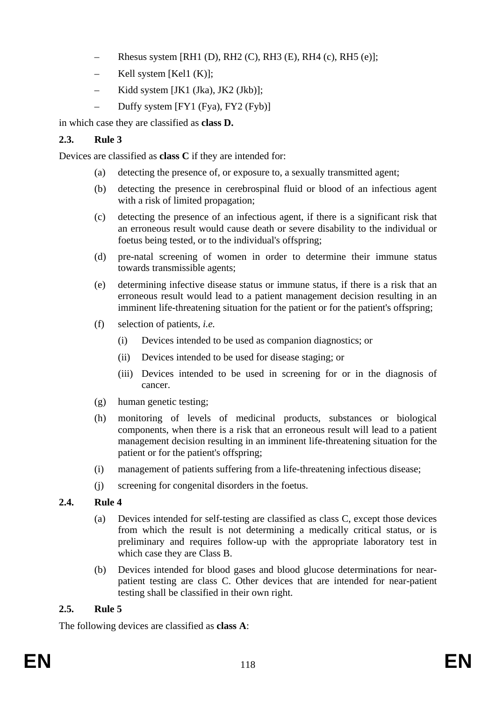- Rhesus system [RH1 (D), RH2 (C), RH3 (E), RH4 (c), RH5 (e)];
- Kell system [Kel1  $(K)$ ];
- Kidd system [JK1 (Jka), JK2 (Jkb)];
- Duffy system [FY1 (Fya), FY2 (Fyb)]

in which case they are classified as **class D.**

## **2.3. Rule 3**

Devices are classified as **class C** if they are intended for:

- (a) detecting the presence of, or exposure to, a sexually transmitted agent;
- (b) detecting the presence in cerebrospinal fluid or blood of an infectious agent with a risk of limited propagation;
- (c) detecting the presence of an infectious agent, if there is a significant risk that an erroneous result would cause death or severe disability to the individual or foetus being tested, or to the individual's offspring;
- (d) pre-natal screening of women in order to determine their immune status towards transmissible agents;
- (e) determining infective disease status or immune status, if there is a risk that an erroneous result would lead to a patient management decision resulting in an imminent life-threatening situation for the patient or for the patient's offspring;
- (f) selection of patients, *i.e.*
	- (i) Devices intended to be used as companion diagnostics; or
	- (ii) Devices intended to be used for disease staging; or
	- (iii) Devices intended to be used in screening for or in the diagnosis of cancer.
- (g) human genetic testing;
- (h) monitoring of levels of medicinal products, substances or biological components, when there is a risk that an erroneous result will lead to a patient management decision resulting in an imminent life-threatening situation for the patient or for the patient's offspring;
- (i) management of patients suffering from a life-threatening infectious disease;
- (j) screening for congenital disorders in the foetus.

## **2.4. Rule 4**

- (a) Devices intended for self-testing are classified as class C, except those devices from which the result is not determining a medically critical status, or is preliminary and requires follow-up with the appropriate laboratory test in which case they are Class B.
- (b) Devices intended for blood gases and blood glucose determinations for nearpatient testing are class C. Other devices that are intended for near-patient testing shall be classified in their own right.

## **2.5. Rule 5**

The following devices are classified as **class A**: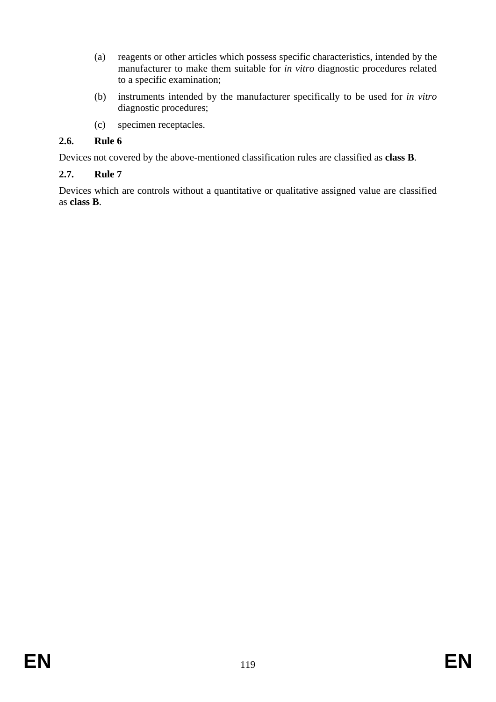- (a) reagents or other articles which possess specific characteristics, intended by the manufacturer to make them suitable for *in vitro* diagnostic procedures related to a specific examination;
- (b) instruments intended by the manufacturer specifically to be used for *in vitro* diagnostic procedures;
- (c) specimen receptacles.

## **2.6. Rule 6**

Devices not covered by the above-mentioned classification rules are classified as **class B**.

## **2.7. Rule 7**

Devices which are controls without a quantitative or qualitative assigned value are classified as **class B**.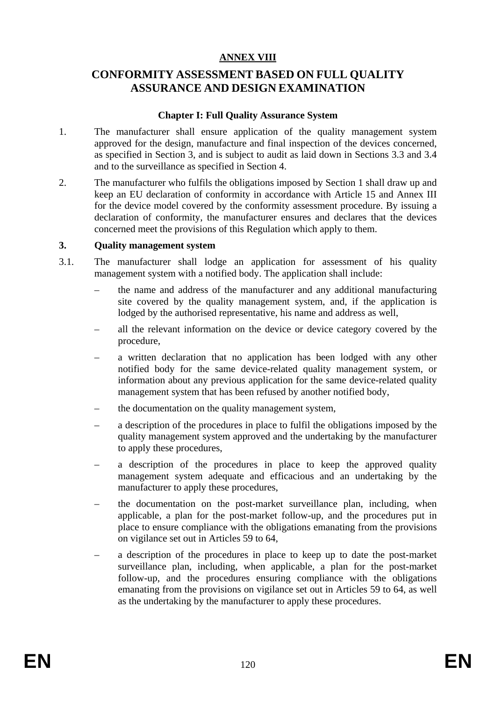#### **ANNEX VIII**

## **CONFORMITY ASSESSMENT BASED ON FULL QUALITY ASSURANCE AND DESIGN EXAMINATION**

#### **Chapter I: Full Quality Assurance System**

- 1. The manufacturer shall ensure application of the quality management system approved for the design, manufacture and final inspection of the devices concerned, as specified in Section 3, and is subject to audit as laid down in Sections 3.3 and 3.4 and to the surveillance as specified in Section 4.
- 2. The manufacturer who fulfils the obligations imposed by Section 1 shall draw up and keep an EU declaration of conformity in accordance with Article 15 and Annex III for the device model covered by the conformity assessment procedure. By issuing a declaration of conformity, the manufacturer ensures and declares that the devices concerned meet the provisions of this Regulation which apply to them.

#### **3. Quality management system**

- 3.1. The manufacturer shall lodge an application for assessment of his quality management system with a notified body. The application shall include:
	- the name and address of the manufacturer and any additional manufacturing site covered by the quality management system, and, if the application is lodged by the authorised representative, his name and address as well,
	- all the relevant information on the device or device category covered by the procedure,
	- a written declaration that no application has been lodged with any other notified body for the same device-related quality management system, or information about any previous application for the same device-related quality management system that has been refused by another notified body,
	- the documentation on the quality management system,
	- a description of the procedures in place to fulfil the obligations imposed by the quality management system approved and the undertaking by the manufacturer to apply these procedures,
	- a description of the procedures in place to keep the approved quality management system adequate and efficacious and an undertaking by the manufacturer to apply these procedures,
	- the documentation on the post-market surveillance plan, including, when applicable, a plan for the post-market follow-up, and the procedures put in place to ensure compliance with the obligations emanating from the provisions on vigilance set out in Articles 59 to 64,
	- a description of the procedures in place to keep up to date the post-market surveillance plan, including, when applicable, a plan for the post-market follow-up, and the procedures ensuring compliance with the obligations emanating from the provisions on vigilance set out in Articles 59 to 64, as well as the undertaking by the manufacturer to apply these procedures.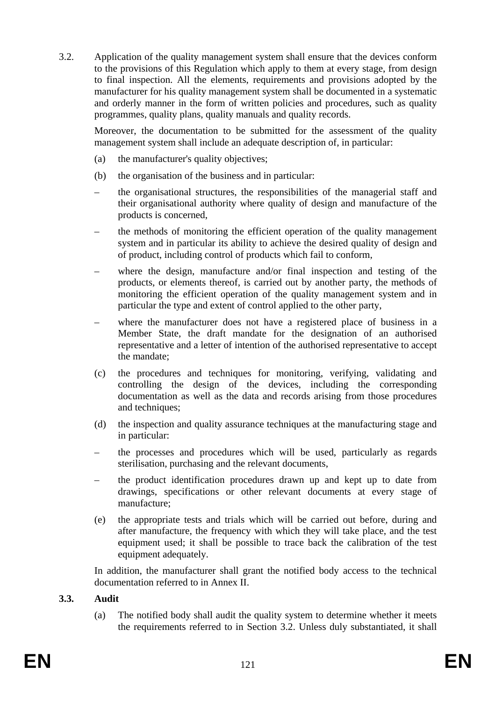3.2. Application of the quality management system shall ensure that the devices conform to the provisions of this Regulation which apply to them at every stage, from design to final inspection. All the elements, requirements and provisions adopted by the manufacturer for his quality management system shall be documented in a systematic and orderly manner in the form of written policies and procedures, such as quality programmes, quality plans, quality manuals and quality records.

Moreover, the documentation to be submitted for the assessment of the quality management system shall include an adequate description of, in particular:

- (a) the manufacturer's quality objectives;
- (b) the organisation of the business and in particular:
- the organisational structures, the responsibilities of the managerial staff and their organisational authority where quality of design and manufacture of the products is concerned,
- the methods of monitoring the efficient operation of the quality management system and in particular its ability to achieve the desired quality of design and of product, including control of products which fail to conform,
- where the design, manufacture and/or final inspection and testing of the products, or elements thereof, is carried out by another party, the methods of monitoring the efficient operation of the quality management system and in particular the type and extent of control applied to the other party,
- where the manufacturer does not have a registered place of business in a Member State, the draft mandate for the designation of an authorised representative and a letter of intention of the authorised representative to accept the mandate;
- (c) the procedures and techniques for monitoring, verifying, validating and controlling the design of the devices, including the corresponding documentation as well as the data and records arising from those procedures and techniques:
- (d) the inspection and quality assurance techniques at the manufacturing stage and in particular:
- the processes and procedures which will be used, particularly as regards sterilisation, purchasing and the relevant documents,
- the product identification procedures drawn up and kept up to date from drawings, specifications or other relevant documents at every stage of manufacture;
- (e) the appropriate tests and trials which will be carried out before, during and after manufacture, the frequency with which they will take place, and the test equipment used; it shall be possible to trace back the calibration of the test equipment adequately.

In addition, the manufacturer shall grant the notified body access to the technical documentation referred to in Annex II.

## **3.3. Audit**

(a) The notified body shall audit the quality system to determine whether it meets the requirements referred to in Section 3.2. Unless duly substantiated, it shall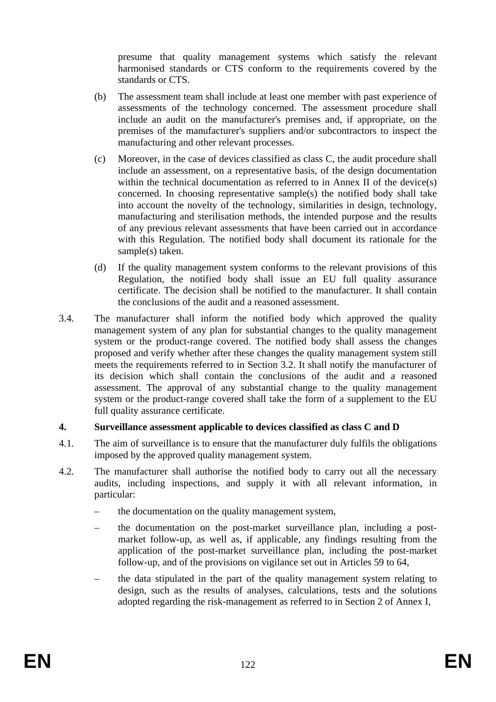presume that quality management systems which satisfy the relevant harmonised standards or CTS conform to the requirements covered by the standards or CTS.

- (b) The assessment team shall include at least one member with past experience of assessments of the technology concerned. The assessment procedure shall include an audit on the manufacturer's premises and, if appropriate, on the premises of the manufacturer's suppliers and/or subcontractors to inspect the manufacturing and other relevant processes.
- (c) Moreover, in the case of devices classified as class C, the audit procedure shall include an assessment, on a representative basis, of the design documentation within the technical documentation as referred to in Annex II of the device(s) concerned. In choosing representative sample(s) the notified body shall take into account the novelty of the technology, similarities in design, technology, manufacturing and sterilisation methods, the intended purpose and the results of any previous relevant assessments that have been carried out in accordance with this Regulation. The notified body shall document its rationale for the sample(s) taken.
- (d) If the quality management system conforms to the relevant provisions of this Regulation, the notified body shall issue an EU full quality assurance certificate. The decision shall be notified to the manufacturer. It shall contain the conclusions of the audit and a reasoned assessment.
- 3.4. The manufacturer shall inform the notified body which approved the quality management system of any plan for substantial changes to the quality management system or the product-range covered. The notified body shall assess the changes proposed and verify whether after these changes the quality management system still meets the requirements referred to in Section 3.2. It shall notify the manufacturer of its decision which shall contain the conclusions of the audit and a reasoned assessment. The approval of any substantial change to the quality management system or the product-range covered shall take the form of a supplement to the EU full quality assurance certificate.

## **4. Surveillance assessment applicable to devices classified as class C and D**

- 4.1. The aim of surveillance is to ensure that the manufacturer duly fulfils the obligations imposed by the approved quality management system.
- 4.2. The manufacturer shall authorise the notified body to carry out all the necessary audits, including inspections, and supply it with all relevant information, in particular:
	- the documentation on the quality management system,
	- the documentation on the post-market surveillance plan, including a postmarket follow-up, as well as, if applicable, any findings resulting from the application of the post-market surveillance plan, including the post-market follow-up, and of the provisions on vigilance set out in Articles 59 to 64,
	- the data stipulated in the part of the quality management system relating to design, such as the results of analyses, calculations, tests and the solutions adopted regarding the risk-management as referred to in Section 2 of Annex I,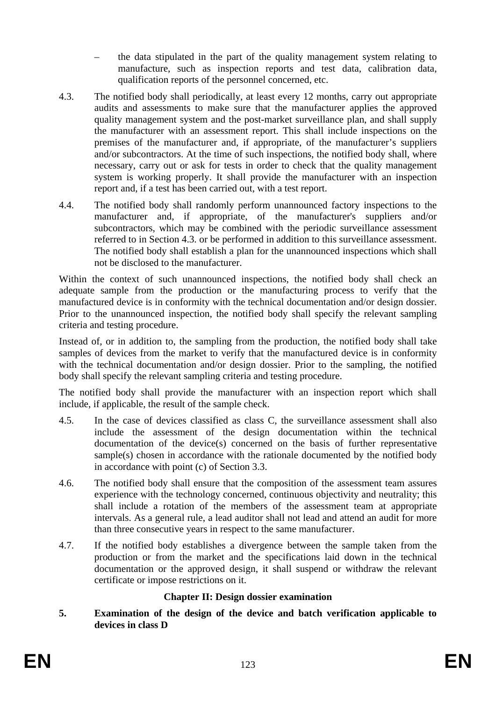- the data stipulated in the part of the quality management system relating to manufacture, such as inspection reports and test data, calibration data, qualification reports of the personnel concerned, etc.
- 4.3. The notified body shall periodically, at least every 12 months, carry out appropriate audits and assessments to make sure that the manufacturer applies the approved quality management system and the post-market surveillance plan, and shall supply the manufacturer with an assessment report. This shall include inspections on the premises of the manufacturer and, if appropriate, of the manufacturer's suppliers and/or subcontractors. At the time of such inspections, the notified body shall, where necessary, carry out or ask for tests in order to check that the quality management system is working properly. It shall provide the manufacturer with an inspection report and, if a test has been carried out, with a test report.
- 4.4. The notified body shall randomly perform unannounced factory inspections to the manufacturer and, if appropriate, of the manufacturer's suppliers and/or subcontractors, which may be combined with the periodic surveillance assessment referred to in Section 4.3. or be performed in addition to this surveillance assessment. The notified body shall establish a plan for the unannounced inspections which shall not be disclosed to the manufacturer.

Within the context of such unannounced inspections, the notified body shall check an adequate sample from the production or the manufacturing process to verify that the manufactured device is in conformity with the technical documentation and/or design dossier. Prior to the unannounced inspection, the notified body shall specify the relevant sampling criteria and testing procedure.

Instead of, or in addition to, the sampling from the production, the notified body shall take samples of devices from the market to verify that the manufactured device is in conformity with the technical documentation and/or design dossier. Prior to the sampling, the notified body shall specify the relevant sampling criteria and testing procedure.

The notified body shall provide the manufacturer with an inspection report which shall include, if applicable, the result of the sample check.

- 4.5. In the case of devices classified as class C, the surveillance assessment shall also include the assessment of the design documentation within the technical documentation of the device(s) concerned on the basis of further representative sample(s) chosen in accordance with the rationale documented by the notified body in accordance with point (c) of Section 3.3.
- 4.6. The notified body shall ensure that the composition of the assessment team assures experience with the technology concerned, continuous objectivity and neutrality; this shall include a rotation of the members of the assessment team at appropriate intervals. As a general rule, a lead auditor shall not lead and attend an audit for more than three consecutive years in respect to the same manufacturer.
- 4.7. If the notified body establishes a divergence between the sample taken from the production or from the market and the specifications laid down in the technical documentation or the approved design, it shall suspend or withdraw the relevant certificate or impose restrictions on it.

## **Chapter II: Design dossier examination**

**5. Examination of the design of the device and batch verification applicable to devices in class D**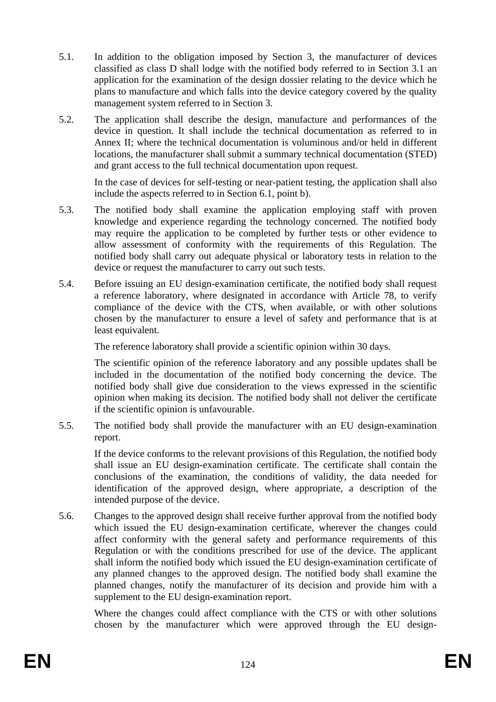- 5.1. In addition to the obligation imposed by Section 3, the manufacturer of devices classified as class D shall lodge with the notified body referred to in Section 3.1 an application for the examination of the design dossier relating to the device which he plans to manufacture and which falls into the device category covered by the quality management system referred to in Section 3.
- 5.2. The application shall describe the design, manufacture and performances of the device in question. It shall include the technical documentation as referred to in Annex II; where the technical documentation is voluminous and/or held in different locations, the manufacturer shall submit a summary technical documentation (STED) and grant access to the full technical documentation upon request.

In the case of devices for self-testing or near-patient testing, the application shall also include the aspects referred to in Section 6.1, point b).

- 5.3. The notified body shall examine the application employing staff with proven knowledge and experience regarding the technology concerned. The notified body may require the application to be completed by further tests or other evidence to allow assessment of conformity with the requirements of this Regulation. The notified body shall carry out adequate physical or laboratory tests in relation to the device or request the manufacturer to carry out such tests.
- 5.4. Before issuing an EU design-examination certificate, the notified body shall request a reference laboratory, where designated in accordance with Article 78, to verify compliance of the device with the CTS, when available, or with other solutions chosen by the manufacturer to ensure a level of safety and performance that is at least equivalent.

The reference laboratory shall provide a scientific opinion within 30 days.

The scientific opinion of the reference laboratory and any possible updates shall be included in the documentation of the notified body concerning the device. The notified body shall give due consideration to the views expressed in the scientific opinion when making its decision. The notified body shall not deliver the certificate if the scientific opinion is unfavourable.

5.5. The notified body shall provide the manufacturer with an EU design-examination report.

If the device conforms to the relevant provisions of this Regulation, the notified body shall issue an EU design-examination certificate. The certificate shall contain the conclusions of the examination, the conditions of validity, the data needed for identification of the approved design, where appropriate, a description of the intended purpose of the device.

5.6. Changes to the approved design shall receive further approval from the notified body which issued the EU design-examination certificate, wherever the changes could affect conformity with the general safety and performance requirements of this Regulation or with the conditions prescribed for use of the device. The applicant shall inform the notified body which issued the EU design-examination certificate of any planned changes to the approved design. The notified body shall examine the planned changes, notify the manufacturer of its decision and provide him with a supplement to the EU design-examination report.

Where the changes could affect compliance with the CTS or with other solutions chosen by the manufacturer which were approved through the EU design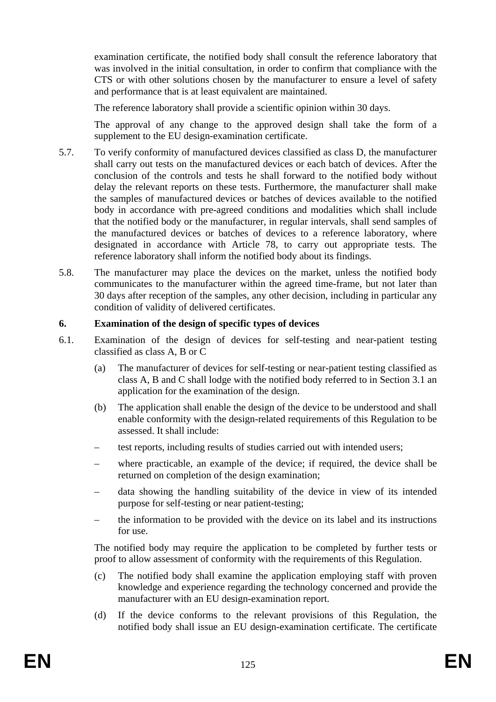examination certificate, the notified body shall consult the reference laboratory that was involved in the initial consultation, in order to confirm that compliance with the CTS or with other solutions chosen by the manufacturer to ensure a level of safety and performance that is at least equivalent are maintained.

The reference laboratory shall provide a scientific opinion within 30 days.

The approval of any change to the approved design shall take the form of a supplement to the EU design-examination certificate.

- 5.7. To verify conformity of manufactured devices classified as class D, the manufacturer shall carry out tests on the manufactured devices or each batch of devices. After the conclusion of the controls and tests he shall forward to the notified body without delay the relevant reports on these tests. Furthermore, the manufacturer shall make the samples of manufactured devices or batches of devices available to the notified body in accordance with pre-agreed conditions and modalities which shall include that the notified body or the manufacturer, in regular intervals, shall send samples of the manufactured devices or batches of devices to a reference laboratory, where designated in accordance with Article 78, to carry out appropriate tests. The reference laboratory shall inform the notified body about its findings.
- 5.8. The manufacturer may place the devices on the market, unless the notified body communicates to the manufacturer within the agreed time-frame, but not later than 30 days after reception of the samples, any other decision, including in particular any condition of validity of delivered certificates.

## **6. Examination of the design of specific types of devices**

- 6.1. Examination of the design of devices for self-testing and near-patient testing classified as class A, B or C
	- (a) The manufacturer of devices for self-testing or near-patient testing classified as class A, B and C shall lodge with the notified body referred to in Section 3.1 an application for the examination of the design.
	- (b) The application shall enable the design of the device to be understood and shall enable conformity with the design-related requirements of this Regulation to be assessed. It shall include:
	- test reports, including results of studies carried out with intended users;
	- where practicable, an example of the device; if required, the device shall be returned on completion of the design examination;
	- data showing the handling suitability of the device in view of its intended purpose for self-testing or near patient-testing;
	- the information to be provided with the device on its label and its instructions for use.

The notified body may require the application to be completed by further tests or proof to allow assessment of conformity with the requirements of this Regulation.

- (c) The notified body shall examine the application employing staff with proven knowledge and experience regarding the technology concerned and provide the manufacturer with an EU design-examination report.
- (d) If the device conforms to the relevant provisions of this Regulation, the notified body shall issue an EU design-examination certificate. The certificate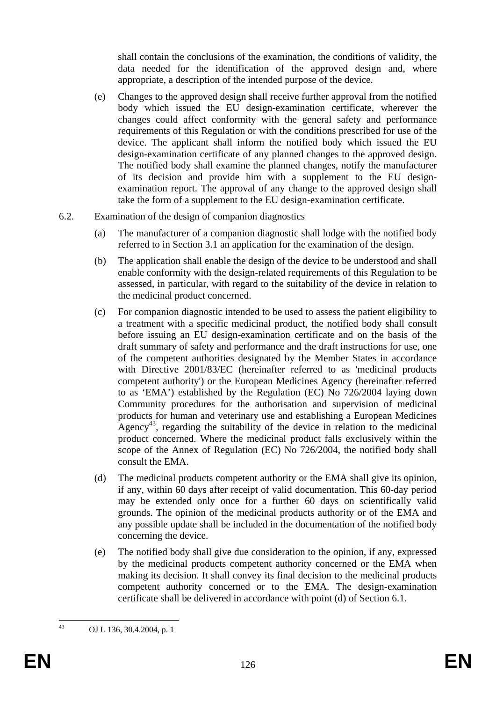shall contain the conclusions of the examination, the conditions of validity, the data needed for the identification of the approved design and, where appropriate, a description of the intended purpose of the device.

- (e) Changes to the approved design shall receive further approval from the notified body which issued the EU design-examination certificate, wherever the changes could affect conformity with the general safety and performance requirements of this Regulation or with the conditions prescribed for use of the device. The applicant shall inform the notified body which issued the EU design-examination certificate of any planned changes to the approved design. The notified body shall examine the planned changes, notify the manufacturer of its decision and provide him with a supplement to the EU designexamination report. The approval of any change to the approved design shall take the form of a supplement to the EU design-examination certificate.
- 6.2. Examination of the design of companion diagnostics
	- (a) The manufacturer of a companion diagnostic shall lodge with the notified body referred to in Section 3.1 an application for the examination of the design.
	- (b) The application shall enable the design of the device to be understood and shall enable conformity with the design-related requirements of this Regulation to be assessed, in particular, with regard to the suitability of the device in relation to the medicinal product concerned.
	- (c) For companion diagnostic intended to be used to assess the patient eligibility to a treatment with a specific medicinal product, the notified body shall consult before issuing an EU design-examination certificate and on the basis of the draft summary of safety and performance and the draft instructions for use, one of the competent authorities designated by the Member States in accordance with Directive 2001/83/EC (hereinafter referred to as 'medicinal products competent authority') or the European Medicines Agency (hereinafter referred to as 'EMA') established by the Regulation (EC) No 726/2004 laying down Community procedures for the authorisation and supervision of medicinal products for human and veterinary use and establishing a European Medicines Agency<sup>43</sup>, regarding the suitability of the device in relation to the medicinal product concerned. Where the medicinal product falls exclusively within the scope of the Annex of Regulation (EC) No 726/2004, the notified body shall consult the EMA.
	- (d) The medicinal products competent authority or the EMA shall give its opinion, if any, within 60 days after receipt of valid documentation. This 60-day period may be extended only once for a further 60 days on scientifically valid grounds. The opinion of the medicinal products authority or of the EMA and any possible update shall be included in the documentation of the notified body concerning the device.
	- (e) The notified body shall give due consideration to the opinion, if any, expressed by the medicinal products competent authority concerned or the EMA when making its decision. It shall convey its final decision to the medicinal products competent authority concerned or to the EMA. The design-examination certificate shall be delivered in accordance with point (d) of Section 6.1.

 $43$ 

OJ L 136, 30.4.2004, p. 1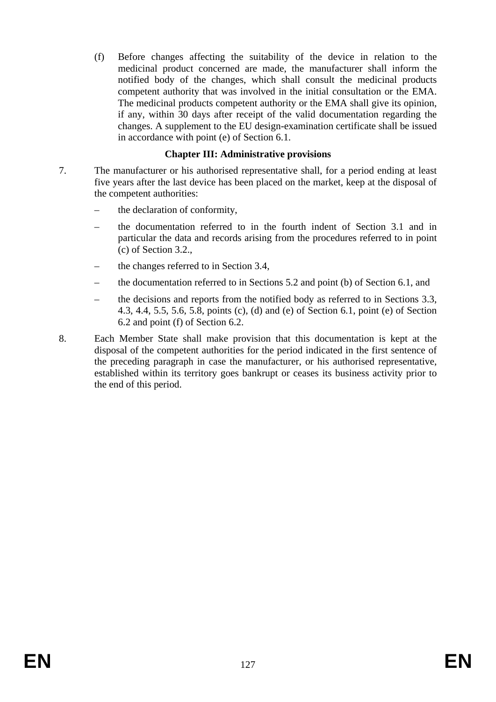(f) Before changes affecting the suitability of the device in relation to the medicinal product concerned are made, the manufacturer shall inform the notified body of the changes, which shall consult the medicinal products competent authority that was involved in the initial consultation or the EMA. The medicinal products competent authority or the EMA shall give its opinion, if any, within 30 days after receipt of the valid documentation regarding the changes. A supplement to the EU design-examination certificate shall be issued in accordance with point (e) of Section 6.1.

## **Chapter III: Administrative provisions**

- 7. The manufacturer or his authorised representative shall, for a period ending at least five years after the last device has been placed on the market, keep at the disposal of the competent authorities:
	- the declaration of conformity,
	- the documentation referred to in the fourth indent of Section 3.1 and in particular the data and records arising from the procedures referred to in point (c) of Section 3.2.,
	- the changes referred to in Section 3.4,
	- the documentation referred to in Sections 5.2 and point (b) of Section 6.1, and
	- the decisions and reports from the notified body as referred to in Sections 3.3, 4.3, 4.4, 5.5, 5.6, 5.8, points (c), (d) and (e) of Section 6.1, point (e) of Section 6.2 and point (f) of Section 6.2.
- 8. Each Member State shall make provision that this documentation is kept at the disposal of the competent authorities for the period indicated in the first sentence of the preceding paragraph in case the manufacturer, or his authorised representative, established within its territory goes bankrupt or ceases its business activity prior to the end of this period.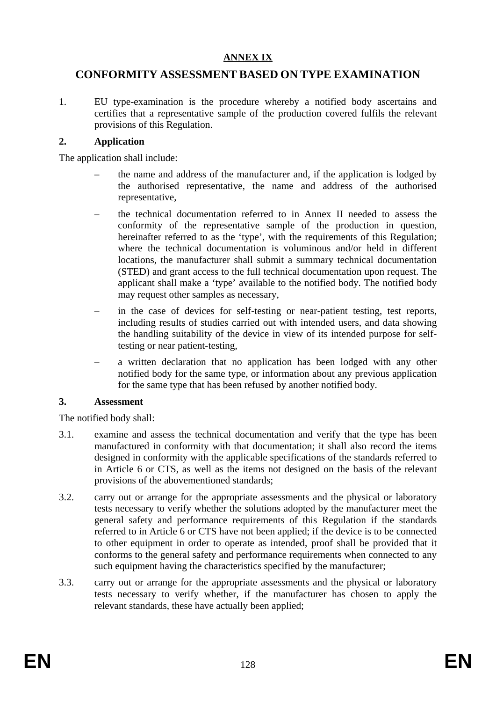#### **ANNEX IX**

## **CONFORMITY ASSESSMENT BASED ON TYPE EXAMINATION**

1. EU type-examination is the procedure whereby a notified body ascertains and certifies that a representative sample of the production covered fulfils the relevant provisions of this Regulation.

#### **2. Application**

The application shall include:

- the name and address of the manufacturer and, if the application is lodged by the authorised representative, the name and address of the authorised representative,
- the technical documentation referred to in Annex II needed to assess the conformity of the representative sample of the production in question, hereinafter referred to as the 'type', with the requirements of this Regulation; where the technical documentation is voluminous and/or held in different locations, the manufacturer shall submit a summary technical documentation (STED) and grant access to the full technical documentation upon request. The applicant shall make a 'type' available to the notified body. The notified body may request other samples as necessary,
- in the case of devices for self-testing or near-patient testing, test reports, including results of studies carried out with intended users, and data showing the handling suitability of the device in view of its intended purpose for selftesting or near patient-testing,
- a written declaration that no application has been lodged with any other notified body for the same type, or information about any previous application for the same type that has been refused by another notified body.

#### **3. Assessment**

The notified body shall:

- 3.1. examine and assess the technical documentation and verify that the type has been manufactured in conformity with that documentation; it shall also record the items designed in conformity with the applicable specifications of the standards referred to in Article 6 or CTS, as well as the items not designed on the basis of the relevant provisions of the abovementioned standards;
- 3.2. carry out or arrange for the appropriate assessments and the physical or laboratory tests necessary to verify whether the solutions adopted by the manufacturer meet the general safety and performance requirements of this Regulation if the standards referred to in Article 6 or CTS have not been applied; if the device is to be connected to other equipment in order to operate as intended, proof shall be provided that it conforms to the general safety and performance requirements when connected to any such equipment having the characteristics specified by the manufacturer;
- 3.3. carry out or arrange for the appropriate assessments and the physical or laboratory tests necessary to verify whether, if the manufacturer has chosen to apply the relevant standards, these have actually been applied;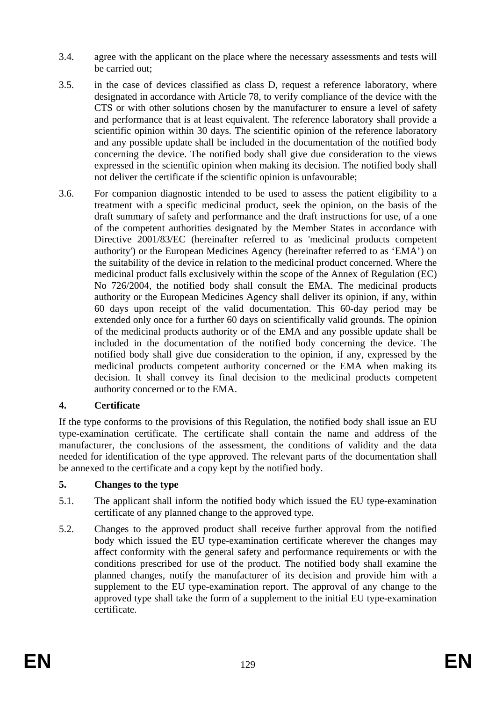- 3.4. agree with the applicant on the place where the necessary assessments and tests will be carried out;
- 3.5. in the case of devices classified as class D, request a reference laboratory, where designated in accordance with Article 78, to verify compliance of the device with the CTS or with other solutions chosen by the manufacturer to ensure a level of safety and performance that is at least equivalent. The reference laboratory shall provide a scientific opinion within 30 days. The scientific opinion of the reference laboratory and any possible update shall be included in the documentation of the notified body concerning the device. The notified body shall give due consideration to the views expressed in the scientific opinion when making its decision. The notified body shall not deliver the certificate if the scientific opinion is unfavourable;
- 3.6. For companion diagnostic intended to be used to assess the patient eligibility to a treatment with a specific medicinal product, seek the opinion, on the basis of the draft summary of safety and performance and the draft instructions for use, of a one of the competent authorities designated by the Member States in accordance with Directive 2001/83/EC (hereinafter referred to as 'medicinal products competent authority') or the European Medicines Agency (hereinafter referred to as 'EMA') on the suitability of the device in relation to the medicinal product concerned. Where the medicinal product falls exclusively within the scope of the Annex of Regulation (EC) No 726/2004, the notified body shall consult the EMA. The medicinal products authority or the European Medicines Agency shall deliver its opinion, if any, within 60 days upon receipt of the valid documentation. This 60-day period may be extended only once for a further 60 days on scientifically valid grounds. The opinion of the medicinal products authority or of the EMA and any possible update shall be included in the documentation of the notified body concerning the device. The notified body shall give due consideration to the opinion, if any, expressed by the medicinal products competent authority concerned or the EMA when making its decision. It shall convey its final decision to the medicinal products competent authority concerned or to the EMA.

## **4. Certificate**

If the type conforms to the provisions of this Regulation, the notified body shall issue an EU type-examination certificate. The certificate shall contain the name and address of the manufacturer, the conclusions of the assessment, the conditions of validity and the data needed for identification of the type approved. The relevant parts of the documentation shall be annexed to the certificate and a copy kept by the notified body.

## **5. Changes to the type**

- 5.1. The applicant shall inform the notified body which issued the EU type-examination certificate of any planned change to the approved type.
- 5.2. Changes to the approved product shall receive further approval from the notified body which issued the EU type-examination certificate wherever the changes may affect conformity with the general safety and performance requirements or with the conditions prescribed for use of the product. The notified body shall examine the planned changes, notify the manufacturer of its decision and provide him with a supplement to the EU type-examination report. The approval of any change to the approved type shall take the form of a supplement to the initial EU type-examination certificate.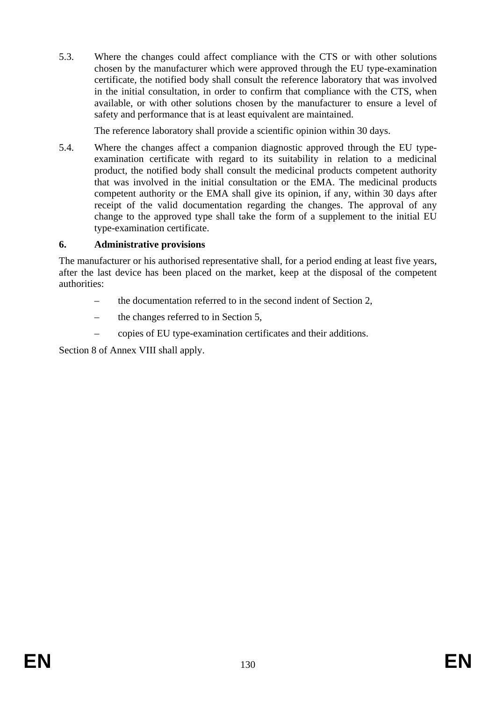5.3. Where the changes could affect compliance with the CTS or with other solutions chosen by the manufacturer which were approved through the EU type-examination certificate, the notified body shall consult the reference laboratory that was involved in the initial consultation, in order to confirm that compliance with the CTS, when available, or with other solutions chosen by the manufacturer to ensure a level of safety and performance that is at least equivalent are maintained.

The reference laboratory shall provide a scientific opinion within 30 days.

5.4. Where the changes affect a companion diagnostic approved through the EU typeexamination certificate with regard to its suitability in relation to a medicinal product, the notified body shall consult the medicinal products competent authority that was involved in the initial consultation or the EMA. The medicinal products competent authority or the EMA shall give its opinion, if any, within 30 days after receipt of the valid documentation regarding the changes. The approval of any change to the approved type shall take the form of a supplement to the initial EU type-examination certificate.

## **6. Administrative provisions**

The manufacturer or his authorised representative shall, for a period ending at least five years, after the last device has been placed on the market, keep at the disposal of the competent authorities:

- the documentation referred to in the second indent of Section 2,
- the changes referred to in Section 5,
- copies of EU type-examination certificates and their additions.

Section 8 of Annex VIII shall apply.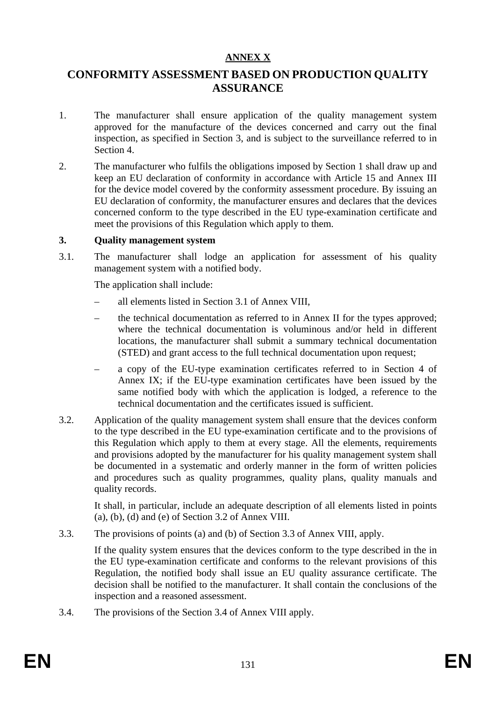#### **ANNEX X**

## **CONFORMITY ASSESSMENT BASED ON PRODUCTION QUALITY ASSURANCE**

- 1. The manufacturer shall ensure application of the quality management system approved for the manufacture of the devices concerned and carry out the final inspection, as specified in Section 3, and is subject to the surveillance referred to in Section 4.
- 2. The manufacturer who fulfils the obligations imposed by Section 1 shall draw up and keep an EU declaration of conformity in accordance with Article 15 and Annex III for the device model covered by the conformity assessment procedure. By issuing an EU declaration of conformity, the manufacturer ensures and declares that the devices concerned conform to the type described in the EU type-examination certificate and meet the provisions of this Regulation which apply to them.

#### **3. Quality management system**

3.1. The manufacturer shall lodge an application for assessment of his quality management system with a notified body.

The application shall include:

- all elements listed in Section 3.1 of Annex VIII,
- the technical documentation as referred to in Annex II for the types approved; where the technical documentation is voluminous and/or held in different locations, the manufacturer shall submit a summary technical documentation (STED) and grant access to the full technical documentation upon request;
- a copy of the EU-type examination certificates referred to in Section 4 of Annex IX; if the EU-type examination certificates have been issued by the same notified body with which the application is lodged, a reference to the technical documentation and the certificates issued is sufficient.
- 3.2. Application of the quality management system shall ensure that the devices conform to the type described in the EU type-examination certificate and to the provisions of this Regulation which apply to them at every stage. All the elements, requirements and provisions adopted by the manufacturer for his quality management system shall be documented in a systematic and orderly manner in the form of written policies and procedures such as quality programmes, quality plans, quality manuals and quality records.

It shall, in particular, include an adequate description of all elements listed in points (a), (b), (d) and (e) of Section 3.2 of Annex VIII.

3.3. The provisions of points (a) and (b) of Section 3.3 of Annex VIII, apply.

If the quality system ensures that the devices conform to the type described in the in the EU type-examination certificate and conforms to the relevant provisions of this Regulation, the notified body shall issue an EU quality assurance certificate. The decision shall be notified to the manufacturer. It shall contain the conclusions of the inspection and a reasoned assessment.

3.4. The provisions of the Section 3.4 of Annex VIII apply.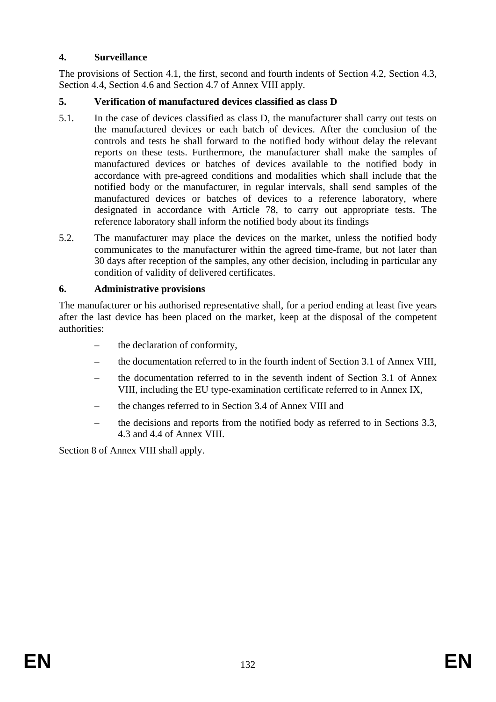## **4. Surveillance**

The provisions of Section 4.1, the first, second and fourth indents of Section 4.2, Section 4.3, Section 4.4, Section 4.6 and Section 4.7 of Annex VIII apply.

## **5. Verification of manufactured devices classified as class D**

- 5.1. In the case of devices classified as class D, the manufacturer shall carry out tests on the manufactured devices or each batch of devices. After the conclusion of the controls and tests he shall forward to the notified body without delay the relevant reports on these tests. Furthermore, the manufacturer shall make the samples of manufactured devices or batches of devices available to the notified body in accordance with pre-agreed conditions and modalities which shall include that the notified body or the manufacturer, in regular intervals, shall send samples of the manufactured devices or batches of devices to a reference laboratory, where designated in accordance with Article 78, to carry out appropriate tests. The reference laboratory shall inform the notified body about its findings
- 5.2. The manufacturer may place the devices on the market, unless the notified body communicates to the manufacturer within the agreed time-frame, but not later than 30 days after reception of the samples, any other decision, including in particular any condition of validity of delivered certificates.

## **6. Administrative provisions**

The manufacturer or his authorised representative shall, for a period ending at least five years after the last device has been placed on the market, keep at the disposal of the competent authorities:

- the declaration of conformity,
- the documentation referred to in the fourth indent of Section 3.1 of Annex VIII,
- the documentation referred to in the seventh indent of Section 3.1 of Annex VIII, including the EU type-examination certificate referred to in Annex IX,
- the changes referred to in Section 3.4 of Annex VIII and
- the decisions and reports from the notified body as referred to in Sections 3.3, 4.3 and 4.4 of Annex VIII.

Section 8 of Annex VIII shall apply.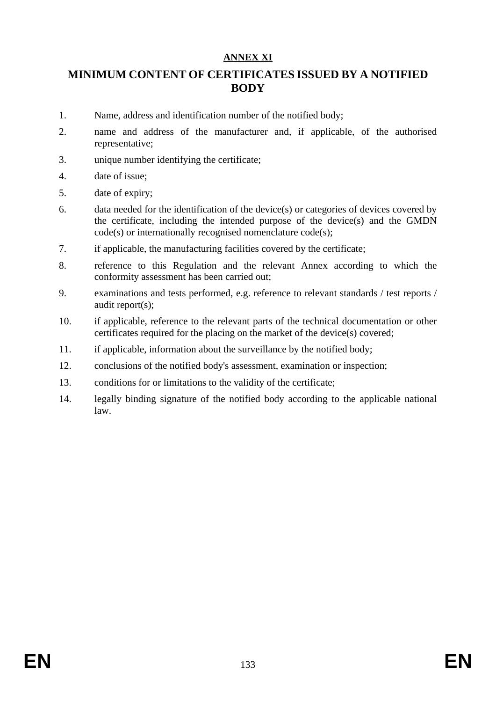## **ANNEX XI**

## **MINIMUM CONTENT OF CERTIFICATES ISSUED BY A NOTIFIED BODY**

- 1. Name, address and identification number of the notified body;
- 2. name and address of the manufacturer and, if applicable, of the authorised representative;
- 3. unique number identifying the certificate;
- 4. date of issue;
- 5. date of expiry;
- 6. data needed for the identification of the device(s) or categories of devices covered by the certificate, including the intended purpose of the device(s) and the GMDN code(s) or internationally recognised nomenclature code(s);
- 7. if applicable, the manufacturing facilities covered by the certificate;
- 8. reference to this Regulation and the relevant Annex according to which the conformity assessment has been carried out;
- 9. examinations and tests performed, e.g. reference to relevant standards / test reports / audit report(s);
- 10. if applicable, reference to the relevant parts of the technical documentation or other certificates required for the placing on the market of the device(s) covered;
- 11. if applicable, information about the surveillance by the notified body;
- 12. conclusions of the notified body's assessment, examination or inspection;
- 13. conditions for or limitations to the validity of the certificate;
- 14. legally binding signature of the notified body according to the applicable national law.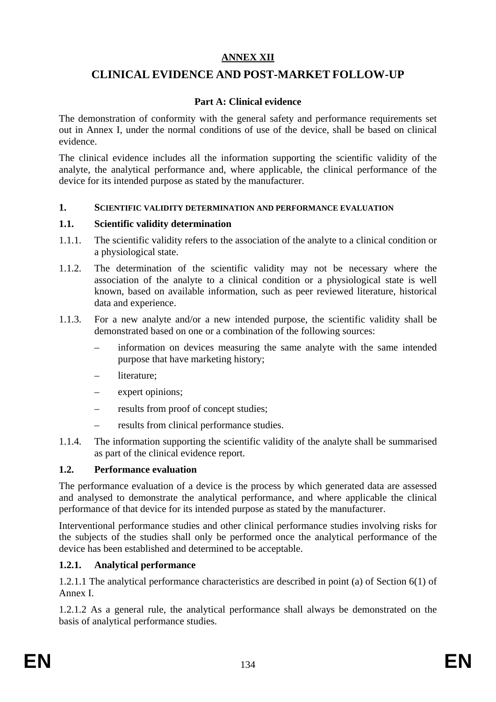## **ANNEX XII**

## **CLINICAL EVIDENCE AND POST-MARKET FOLLOW-UP**

## **Part A: Clinical evidence**

The demonstration of conformity with the general safety and performance requirements set out in Annex I, under the normal conditions of use of the device, shall be based on clinical evidence.

The clinical evidence includes all the information supporting the scientific validity of the analyte, the analytical performance and, where applicable, the clinical performance of the device for its intended purpose as stated by the manufacturer.

#### **1. SCIENTIFIC VALIDITY DETERMINATION AND PERFORMANCE EVALUATION**

#### **1.1. Scientific validity determination**

- 1.1.1. The scientific validity refers to the association of the analyte to a clinical condition or a physiological state.
- 1.1.2. The determination of the scientific validity may not be necessary where the association of the analyte to a clinical condition or a physiological state is well known, based on available information, such as peer reviewed literature, historical data and experience.
- 1.1.3. For a new analyte and/or a new intended purpose, the scientific validity shall be demonstrated based on one or a combination of the following sources:
	- information on devices measuring the same analyte with the same intended purpose that have marketing history;
	- literature;
	- expert opinions;
	- results from proof of concept studies;
	- results from clinical performance studies.
- 1.1.4. The information supporting the scientific validity of the analyte shall be summarised as part of the clinical evidence report.

## **1.2. Performance evaluation**

The performance evaluation of a device is the process by which generated data are assessed and analysed to demonstrate the analytical performance, and where applicable the clinical performance of that device for its intended purpose as stated by the manufacturer.

Interventional performance studies and other clinical performance studies involving risks for the subjects of the studies shall only be performed once the analytical performance of the device has been established and determined to be acceptable.

## **1.2.1. Analytical performance**

1.2.1.1 The analytical performance characteristics are described in point (a) of Section 6(1) of Annex I.

1.2.1.2 As a general rule, the analytical performance shall always be demonstrated on the basis of analytical performance studies.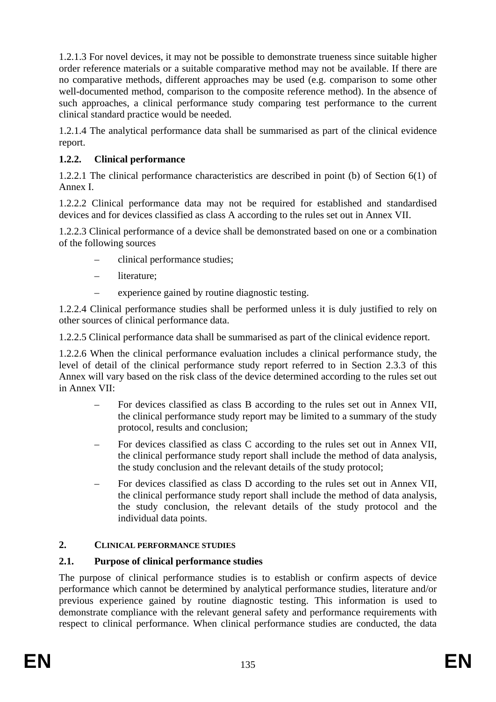1.2.1.3 For novel devices, it may not be possible to demonstrate trueness since suitable higher order reference materials or a suitable comparative method may not be available. If there are no comparative methods, different approaches may be used (e.g. comparison to some other well-documented method, comparison to the composite reference method). In the absence of such approaches, a clinical performance study comparing test performance to the current clinical standard practice would be needed.

1.2.1.4 The analytical performance data shall be summarised as part of the clinical evidence report.

## **1.2.2. Clinical performance**

1.2.2.1 The clinical performance characteristics are described in point (b) of Section 6(1) of Annex I.

1.2.2.2 Clinical performance data may not be required for established and standardised devices and for devices classified as class A according to the rules set out in Annex VII.

1.2.2.3 Clinical performance of a device shall be demonstrated based on one or a combination of the following sources

- clinical performance studies;
- literature;
- experience gained by routine diagnostic testing.

1.2.2.4 Clinical performance studies shall be performed unless it is duly justified to rely on other sources of clinical performance data.

1.2.2.5 Clinical performance data shall be summarised as part of the clinical evidence report.

1.2.2.6 When the clinical performance evaluation includes a clinical performance study, the level of detail of the clinical performance study report referred to in Section 2.3.3 of this Annex will vary based on the risk class of the device determined according to the rules set out in Annex VII:

- For devices classified as class B according to the rules set out in Annex VII, the clinical performance study report may be limited to a summary of the study protocol, results and conclusion;
- For devices classified as class C according to the rules set out in Annex VII, the clinical performance study report shall include the method of data analysis, the study conclusion and the relevant details of the study protocol;
- For devices classified as class D according to the rules set out in Annex VII, the clinical performance study report shall include the method of data analysis, the study conclusion, the relevant details of the study protocol and the individual data points.

## **2. CLINICAL PERFORMANCE STUDIES**

## **2.1. Purpose of clinical performance studies**

The purpose of clinical performance studies is to establish or confirm aspects of device performance which cannot be determined by analytical performance studies, literature and/or previous experience gained by routine diagnostic testing. This information is used to demonstrate compliance with the relevant general safety and performance requirements with respect to clinical performance. When clinical performance studies are conducted, the data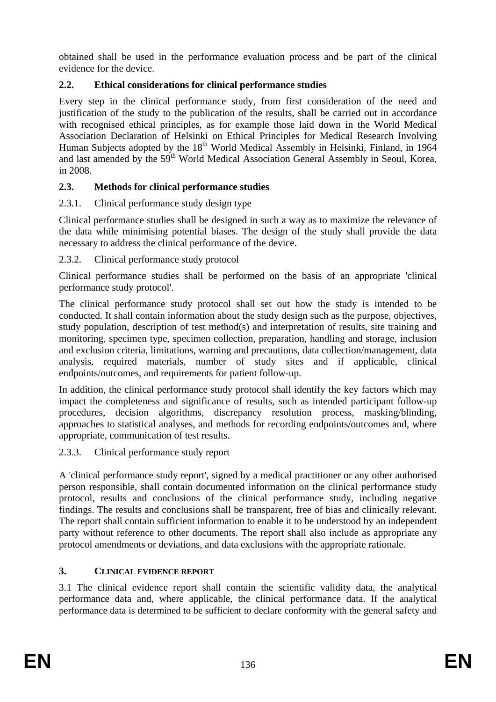obtained shall be used in the performance evaluation process and be part of the clinical evidence for the device.

## **2.2. Ethical considerations for clinical performance studies**

Every step in the clinical performance study, from first consideration of the need and justification of the study to the publication of the results, shall be carried out in accordance with recognised ethical principles, as for example those laid down in the World Medical Association Declaration of Helsinki on Ethical Principles for Medical Research Involving Human Subjects adopted by the 18<sup>th</sup> World Medical Assembly in Helsinki, Finland, in 1964 and last amended by the 59<sup>th</sup> World Medical Association General Assembly in Seoul, Korea, in 2008.

## **2.3. Methods for clinical performance studies**

## 2.3.1. Clinical performance study design type

Clinical performance studies shall be designed in such a way as to maximize the relevance of the data while minimising potential biases. The design of the study shall provide the data necessary to address the clinical performance of the device.

## 2.3.2. Clinical performance study protocol

Clinical performance studies shall be performed on the basis of an appropriate 'clinical performance study protocol'.

The clinical performance study protocol shall set out how the study is intended to be conducted. It shall contain information about the study design such as the purpose, objectives, study population, description of test method(s) and interpretation of results, site training and monitoring, specimen type, specimen collection, preparation, handling and storage, inclusion and exclusion criteria, limitations, warning and precautions, data collection/management, data analysis, required materials, number of study sites and if applicable, clinical endpoints/outcomes, and requirements for patient follow-up.

In addition, the clinical performance study protocol shall identify the key factors which may impact the completeness and significance of results, such as intended participant follow-up procedures, decision algorithms, discrepancy resolution process, masking/blinding, approaches to statistical analyses, and methods for recording endpoints/outcomes and, where appropriate, communication of test results.

## 2.3.3. Clinical performance study report

A 'clinical performance study report', signed by a medical practitioner or any other authorised person responsible, shall contain documented information on the clinical performance study protocol, results and conclusions of the clinical performance study, including negative findings. The results and conclusions shall be transparent, free of bias and clinically relevant. The report shall contain sufficient information to enable it to be understood by an independent party without reference to other documents. The report shall also include as appropriate any protocol amendments or deviations, and data exclusions with the appropriate rationale.

## **3. CLINICAL EVIDENCE REPORT**

3.1 The clinical evidence report shall contain the scientific validity data, the analytical performance data and, where applicable, the clinical performance data. If the analytical performance data is determined to be sufficient to declare conformity with the general safety and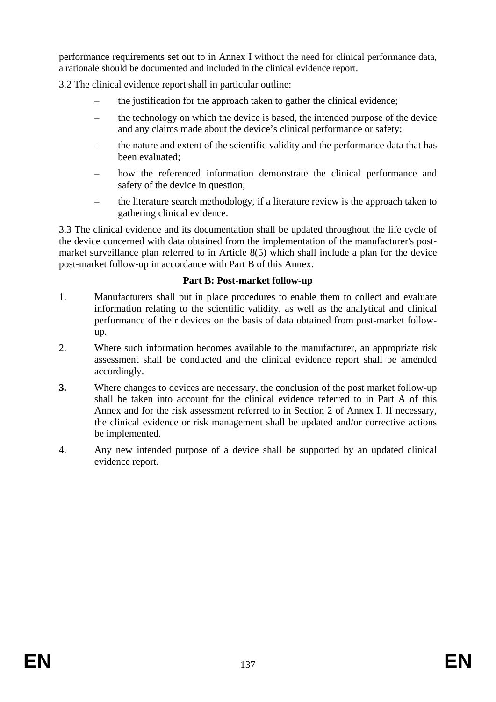performance requirements set out to in Annex I without the need for clinical performance data, a rationale should be documented and included in the clinical evidence report.

3.2 The clinical evidence report shall in particular outline:

- the justification for the approach taken to gather the clinical evidence;
- the technology on which the device is based, the intended purpose of the device and any claims made about the device's clinical performance or safety;
- the nature and extent of the scientific validity and the performance data that has been evaluated;
- how the referenced information demonstrate the clinical performance and safety of the device in question;
- the literature search methodology, if a literature review is the approach taken to gathering clinical evidence.

3.3 The clinical evidence and its documentation shall be updated throughout the life cycle of the device concerned with data obtained from the implementation of the manufacturer's postmarket surveillance plan referred to in Article 8(5) which shall include a plan for the device post-market follow-up in accordance with Part B of this Annex.

#### **Part B: Post-market follow-up**

- 1. Manufacturers shall put in place procedures to enable them to collect and evaluate information relating to the scientific validity, as well as the analytical and clinical performance of their devices on the basis of data obtained from post-market followup.
- 2. Where such information becomes available to the manufacturer, an appropriate risk assessment shall be conducted and the clinical evidence report shall be amended accordingly.
- **3.** Where changes to devices are necessary, the conclusion of the post market follow-up shall be taken into account for the clinical evidence referred to in Part A of this Annex and for the risk assessment referred to in Section 2 of Annex I. If necessary, the clinical evidence or risk management shall be updated and/or corrective actions be implemented.
- 4. Any new intended purpose of a device shall be supported by an updated clinical evidence report.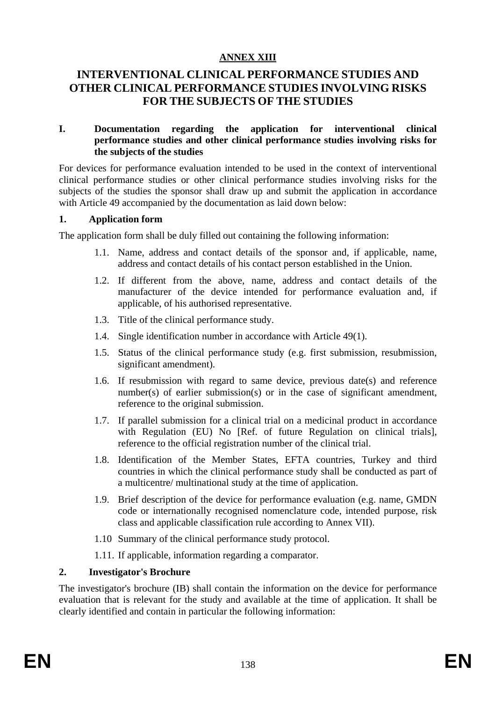## **ANNEX XIII**

## **INTERVENTIONAL CLINICAL PERFORMANCE STUDIES AND OTHER CLINICAL PERFORMANCE STUDIES INVOLVING RISKS FOR THE SUBJECTS OF THE STUDIES**

#### **I. Documentation regarding the application for interventional clinical performance studies and other clinical performance studies involving risks for the subjects of the studies**

For devices for performance evaluation intended to be used in the context of interventional clinical performance studies or other clinical performance studies involving risks for the subjects of the studies the sponsor shall draw up and submit the application in accordance with Article 49 accompanied by the documentation as laid down below:

#### **1. Application form**

The application form shall be duly filled out containing the following information:

- 1.1. Name, address and contact details of the sponsor and, if applicable, name, address and contact details of his contact person established in the Union.
- 1.2. If different from the above, name, address and contact details of the manufacturer of the device intended for performance evaluation and, if applicable, of his authorised representative.
- 1.3. Title of the clinical performance study.
- 1.4. Single identification number in accordance with Article 49(1).
- 1.5. Status of the clinical performance study (e.g. first submission, resubmission, significant amendment).
- 1.6. If resubmission with regard to same device, previous date(s) and reference number(s) of earlier submission(s) or in the case of significant amendment, reference to the original submission.
- 1.7. If parallel submission for a clinical trial on a medicinal product in accordance with Regulation (EU) No [Ref. of future Regulation on clinical trials], reference to the official registration number of the clinical trial.
- 1.8. Identification of the Member States, EFTA countries, Turkey and third countries in which the clinical performance study shall be conducted as part of a multicentre/ multinational study at the time of application.
- 1.9. Brief description of the device for performance evaluation (e.g. name, GMDN code or internationally recognised nomenclature code, intended purpose, risk class and applicable classification rule according to Annex VII).
- 1.10 Summary of the clinical performance study protocol.
- 1.11. If applicable, information regarding a comparator.

## **2. Investigator's Brochure**

The investigator's brochure (IB) shall contain the information on the device for performance evaluation that is relevant for the study and available at the time of application. It shall be clearly identified and contain in particular the following information: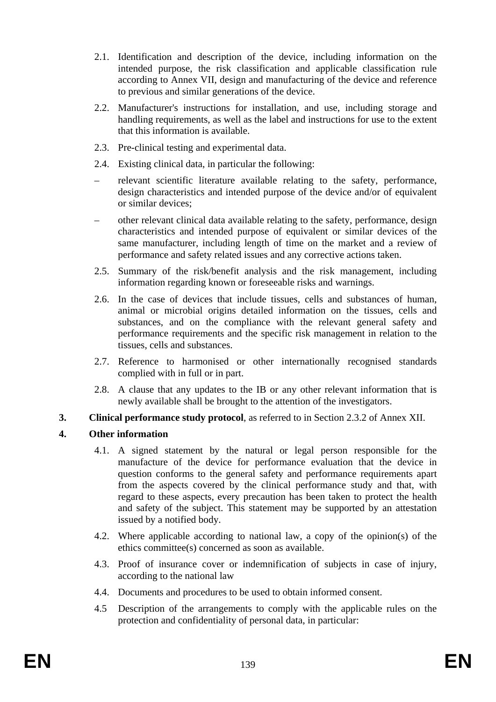- 2.1. Identification and description of the device, including information on the intended purpose, the risk classification and applicable classification rule according to Annex VII, design and manufacturing of the device and reference to previous and similar generations of the device.
- 2.2. Manufacturer's instructions for installation, and use, including storage and handling requirements, as well as the label and instructions for use to the extent that this information is available.
- 2.3. Pre-clinical testing and experimental data.
- 2.4. Existing clinical data, in particular the following:
- relevant scientific literature available relating to the safety, performance, design characteristics and intended purpose of the device and/or of equivalent or similar devices;
- other relevant clinical data available relating to the safety, performance, design characteristics and intended purpose of equivalent or similar devices of the same manufacturer, including length of time on the market and a review of performance and safety related issues and any corrective actions taken.
- 2.5. Summary of the risk/benefit analysis and the risk management, including information regarding known or foreseeable risks and warnings.
- 2.6. In the case of devices that include tissues, cells and substances of human, animal or microbial origins detailed information on the tissues, cells and substances, and on the compliance with the relevant general safety and performance requirements and the specific risk management in relation to the tissues, cells and substances.
- 2.7. Reference to harmonised or other internationally recognised standards complied with in full or in part.
- 2.8. A clause that any updates to the IB or any other relevant information that is newly available shall be brought to the attention of the investigators.
- **3. Clinical performance study protocol**, as referred to in Section 2.3.2 of Annex XII.

## **4. Other information**

- 4.1. A signed statement by the natural or legal person responsible for the manufacture of the device for performance evaluation that the device in question conforms to the general safety and performance requirements apart from the aspects covered by the clinical performance study and that, with regard to these aspects, every precaution has been taken to protect the health and safety of the subject. This statement may be supported by an attestation issued by a notified body.
- 4.2. Where applicable according to national law, a copy of the opinion(s) of the ethics committee(s) concerned as soon as available.
- 4.3. Proof of insurance cover or indemnification of subjects in case of injury, according to the national law
- 4.4. Documents and procedures to be used to obtain informed consent.
- 4.5 Description of the arrangements to comply with the applicable rules on the protection and confidentiality of personal data, in particular: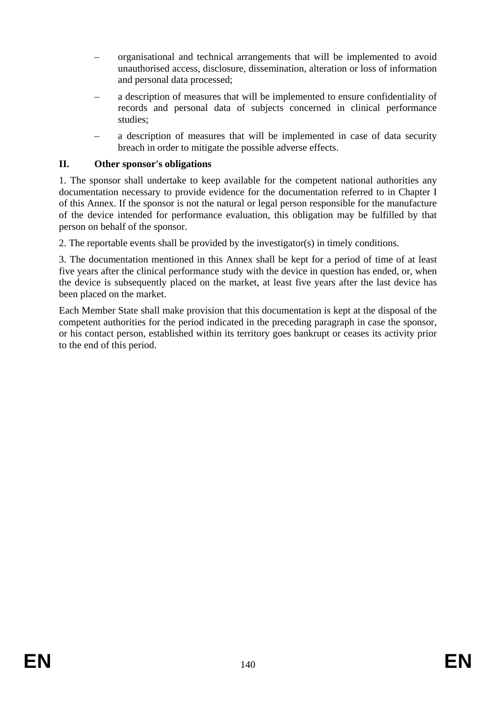- organisational and technical arrangements that will be implemented to avoid unauthorised access, disclosure, dissemination, alteration or loss of information and personal data processed;
- a description of measures that will be implemented to ensure confidentiality of records and personal data of subjects concerned in clinical performance studies;
- a description of measures that will be implemented in case of data security breach in order to mitigate the possible adverse effects.

#### **II. Other sponsor's obligations**

1. The sponsor shall undertake to keep available for the competent national authorities any documentation necessary to provide evidence for the documentation referred to in Chapter I of this Annex. If the sponsor is not the natural or legal person responsible for the manufacture of the device intended for performance evaluation, this obligation may be fulfilled by that person on behalf of the sponsor.

2. The reportable events shall be provided by the investigator(s) in timely conditions.

3. The documentation mentioned in this Annex shall be kept for a period of time of at least five years after the clinical performance study with the device in question has ended, or, when the device is subsequently placed on the market, at least five years after the last device has been placed on the market.

Each Member State shall make provision that this documentation is kept at the disposal of the competent authorities for the period indicated in the preceding paragraph in case the sponsor, or his contact person, established within its territory goes bankrupt or ceases its activity prior to the end of this period.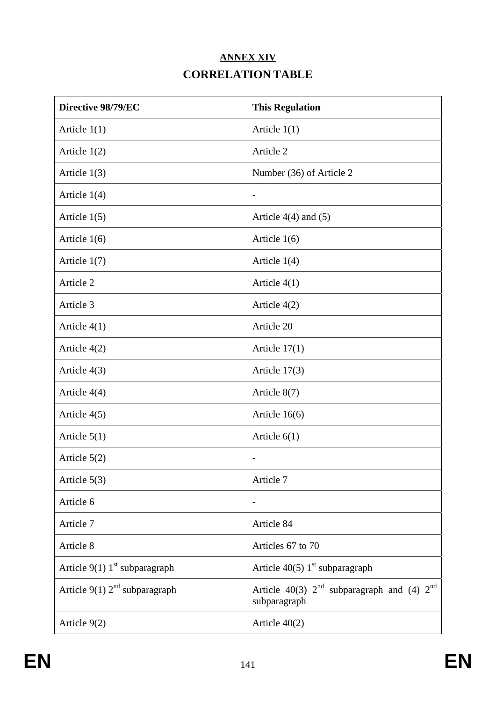# **ANNEX XIV CORRELATION TABLE**

| Directive 98/79/EC                          | <b>This Regulation</b>                                               |
|---------------------------------------------|----------------------------------------------------------------------|
| Article $1(1)$                              | Article $1(1)$                                                       |
| Article $1(2)$                              | Article 2                                                            |
| Article $1(3)$                              | Number (36) of Article 2                                             |
| Article $1(4)$                              | $\overline{a}$                                                       |
| Article $1(5)$                              | Article $4(4)$ and $(5)$                                             |
| Article $1(6)$                              | Article $1(6)$                                                       |
| Article $1(7)$                              | Article $1(4)$                                                       |
| Article 2                                   | Article $4(1)$                                                       |
| Article 3                                   | Article 4(2)                                                         |
| Article $4(1)$                              | Article 20                                                           |
| Article $4(2)$                              | Article $17(1)$                                                      |
| Article 4(3)                                | Article 17(3)                                                        |
| Article $4(4)$                              | Article $8(7)$                                                       |
| Article $4(5)$                              | Article $16(6)$                                                      |
| Article $5(1)$                              | Article $6(1)$                                                       |
| Article $5(2)$                              | $\overline{\phantom{a}}$                                             |
| Article $5(3)$                              | Article 7                                                            |
| Article 6                                   | $\overline{\phantom{a}}$                                             |
| Article 7                                   | Article 84                                                           |
| Article 8                                   | Articles 67 to 70                                                    |
| Article $9(1)$ 1 <sup>st</sup> subparagraph | Article 40(5) $1st$ subparagraph                                     |
| Article $9(1)$ $2nd$ subparagraph           | Article 40(3) $2^{nd}$ subparagraph and (4) $2^{nd}$<br>subparagraph |
| Article 9(2)                                | Article $40(2)$                                                      |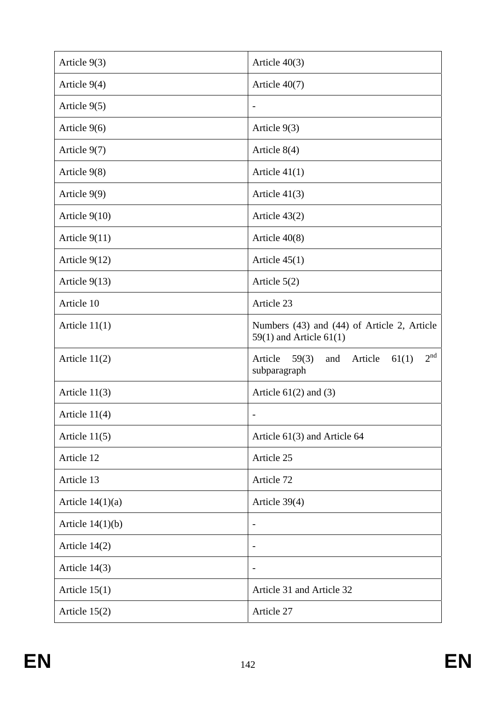| Article 9(3)       | Article $40(3)$                                                                |
|--------------------|--------------------------------------------------------------------------------|
| Article $9(4)$     | Article $40(7)$                                                                |
| Article $9(5)$     | $\overline{\phantom{a}}$                                                       |
| Article $9(6)$     | Article $9(3)$                                                                 |
| Article 9(7)       | Article $8(4)$                                                                 |
| Article 9(8)       | Article $41(1)$                                                                |
| Article 9(9)       | Article $41(3)$                                                                |
| Article $9(10)$    | Article $43(2)$                                                                |
| Article $9(11)$    | Article $40(8)$                                                                |
| Article $9(12)$    | Article $45(1)$                                                                |
| Article $9(13)$    | Article $5(2)$                                                                 |
| Article 10         | Article 23                                                                     |
| Article $11(1)$    | Numbers (43) and (44) of Article 2, Article<br>$59(1)$ and Article $61(1)$     |
| Article $11(2)$    | 2 <sup>nd</sup><br>Article<br>59(3)<br>Article<br>61(1)<br>and<br>subparagraph |
| Article $11(3)$    | Article $61(2)$ and $(3)$                                                      |
| Article $11(4)$    | $\overline{\phantom{0}}$                                                       |
| Article $11(5)$    | Article 61(3) and Article 64                                                   |
| Article 12         | Article 25                                                                     |
| Article 13         | Article 72                                                                     |
| Article $14(1)(a)$ | Article 39(4)                                                                  |
| Article $14(1)(b)$ | $\overline{\phantom{0}}$                                                       |
| Article $14(2)$    | $\overline{\phantom{0}}$                                                       |
| Article $14(3)$    | $\overline{\phantom{a}}$                                                       |
| Article $15(1)$    | Article 31 and Article 32                                                      |
| Article $15(2)$    | Article 27                                                                     |